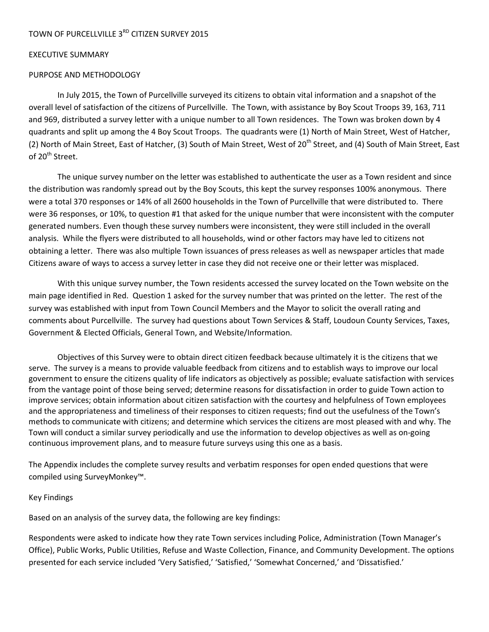#### EXECUTIVE SUMMARY

#### PURPOSE AND METHODOLOGY

In July 2015, the Town of Purcellville surveyed its citizens to obtain vital information and a snapshot of the overall level of satisfaction of the citizens of Purcellville. The Town, with assistance by Boy Scout Troops 39, 163, 711 and 969, distributed a survey letter with a unique number to all Town residences. The Town was broken down by 4 quadrants and split up among the 4 Boy Scout Troops. The quadrants were (1) North of Main Street, West of Hatcher, (2) North of Main Street, East of Hatcher, (3) South of Main Street, West of 20<sup>th</sup> Street, and (4) South of Main Street, East of 20<sup>th</sup> Street.

The unique survey number on the letter was established to authenticate the user as a Town resident and since the distribution was randomly spread out by the Boy Scouts, this kept the survey responses 100% anonymous. There were a total 370 responses or 14% of all 2600 households in the Town of Purcellville that were distributed to. There were 36 responses, or 10%, to question #1 that asked for the unique number that were inconsistent with the computer generated numbers. Even though these survey numbers were inconsistent, they were still included in the overall analysis. While the flyers were distributed to all households, wind or other factors may have led to citizens not obtaining a letter. There was also multiple Town issuances of press releases as well as newspaper articles that made Citizens aware of ways to access a survey letter in case they did not receive one or their letter was misplaced.

With this unique survey number, the Town residents accessed the survey located on the Town website on the main page identified in Red. Question 1 asked for the survey number that was printed on the letter. The rest of the survey was established with input from Town Council Members and the Mayor to solicit the overall rating and comments about Purcellville. The survey had questions about Town Services & Staff, Loudoun County Services, Taxes, Government & Elected Officials, General Town, and Website/Information.

Objectives of this Survey were to obtain direct citizen feedback because ultimately it is the citizens that we serve. The survey is a means to provide valuable feedback from citizens and to establish ways to improve our local government to ensure the citizens quality of life indicators as objectively as possible; evaluate satisfaction with services from the vantage point of those being served; determine reasons for dissatisfaction in order to guide Town action to improve services; obtain information about citizen satisfaction with the courtesy and helpfulness of Town employees and the appropriateness and timeliness of their responses to citizen requests; find out the usefulness of the Town's methods to communicate with citizens; and determine which services the citizens are most pleased with and why. The Town will conduct a similar survey periodically and use the information to develop objectives as well as on‐going continuous improvement plans, and to measure future surveys using this one as a basis.

The Appendix includes the complete survey results and verbatim responses for open ended questions that were compiled using SurveyMonkey™.

#### Key Findings

Based on an analysis of the survey data, the following are key findings:

Respondents were asked to indicate how they rate Town services including Police, Administration (Town Manager's Office), Public Works, Public Utilities, Refuse and Waste Collection, Finance, and Community Development. The options presented for each service included 'Very Satisfied,' 'Satisfied,' 'Somewhat Concerned,' and 'Dissatisfied.'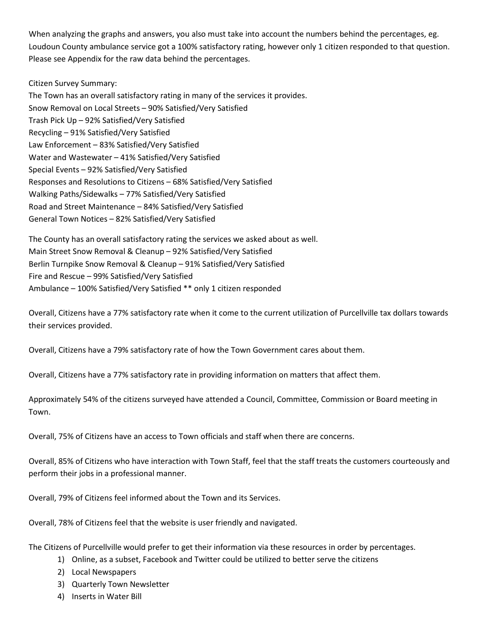When analyzing the graphs and answers, you also must take into account the numbers behind the percentages, eg. Loudoun County ambulance service got a 100% satisfactory rating, however only 1 citizen responded to that question. Please see Appendix for the raw data behind the percentages.

#### Citizen Survey Summary:

The Town has an overall satisfactory rating in many of the services it provides. Snow Removal on Local Streets – 90% Satisfied/Very Satisfied Trash Pick Up – 92% Satisfied/Very Satisfied Recycling – 91% Satisfied/Very Satisfied Law Enforcement – 83% Satisfied/Very Satisfied Water and Wastewater – 41% Satisfied/Very Satisfied Special Events – 92% Satisfied/Very Satisfied Responses and Resolutions to Citizens – 68% Satisfied/Very Satisfied Walking Paths/Sidewalks – 77% Satisfied/Very Satisfied Road and Street Maintenance – 84% Satisfied/Very Satisfied General Town Notices – 82% Satisfied/Very Satisfied

The County has an overall satisfactory rating the services we asked about as well. Main Street Snow Removal & Cleanup – 92% Satisfied/Very Satisfied Berlin Turnpike Snow Removal & Cleanup – 91% Satisfied/Very Satisfied Fire and Rescue – 99% Satisfied/Very Satisfied Ambulance – 100% Satisfied/Very Satisfied \*\* only 1 citizen responded

Overall, Citizens have a 77% satisfactory rate when it come to the current utilization of Purcellville tax dollars towards their services provided.

Overall, Citizens have a 79% satisfactory rate of how the Town Government cares about them.

Overall, Citizens have a 77% satisfactory rate in providing information on matters that affect them.

Approximately 54% of the citizens surveyed have attended a Council, Committee, Commission or Board meeting in Town.

Overall, 75% of Citizens have an access to Town officials and staff when there are concerns.

Overall, 85% of Citizens who have interaction with Town Staff, feel that the staff treats the customers courteously and perform their jobs in a professional manner.

Overall, 79% of Citizens feel informed about the Town and its Services.

Overall, 78% of Citizens feel that the website is user friendly and navigated.

The Citizens of Purcellville would prefer to get their information via these resources in order by percentages.

- 1) Online, as a subset, Facebook and Twitter could be utilized to better serve the citizens
- 2) Local Newspapers
- 3) Quarterly Town Newsletter
- 4) Inserts in Water Bill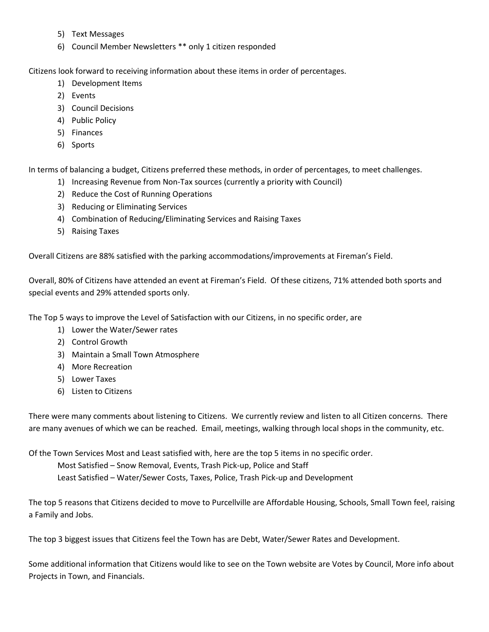- 5) Text Messages
- 6) Council Member Newsletters \*\* only 1 citizen responded

Citizens look forward to receiving information about these items in order of percentages.

- 1) Development Items
- 2) Events
- 3) Council Decisions
- 4) Public Policy
- 5) Finances
- 6) Sports

In terms of balancing a budget, Citizens preferred these methods, in order of percentages, to meet challenges.

- 1) Increasing Revenue from Non‐Tax sources (currently a priority with Council)
- 2) Reduce the Cost of Running Operations
- 3) Reducing or Eliminating Services
- 4) Combination of Reducing/Eliminating Services and Raising Taxes
- 5) Raising Taxes

Overall Citizens are 88% satisfied with the parking accommodations/improvements at Fireman's Field.

Overall, 80% of Citizens have attended an event at Fireman's Field. Of these citizens, 71% attended both sports and special events and 29% attended sports only.

The Top 5 ways to improve the Level of Satisfaction with our Citizens, in no specific order, are

- 1) Lower the Water/Sewer rates
- 2) Control Growth
- 3) Maintain a Small Town Atmosphere
- 4) More Recreation
- 5) Lower Taxes
- 6) Listen to Citizens

There were many comments about listening to Citizens. We currently review and listen to all Citizen concerns. There are many avenues of which we can be reached. Email, meetings, walking through local shops in the community, etc.

Of the Town Services Most and Least satisfied with, here are the top 5 items in no specific order.

Most Satisfied – Snow Removal, Events, Trash Pick‐up, Police and Staff

Least Satisfied – Water/Sewer Costs, Taxes, Police, Trash Pick‐up and Development

The top 5 reasons that Citizens decided to move to Purcellville are Affordable Housing, Schools, Small Town feel, raising a Family and Jobs.

The top 3 biggest issues that Citizens feel the Town has are Debt, Water/Sewer Rates and Development.

Some additional information that Citizens would like to see on the Town website are Votes by Council, More info about Projects in Town, and Financials.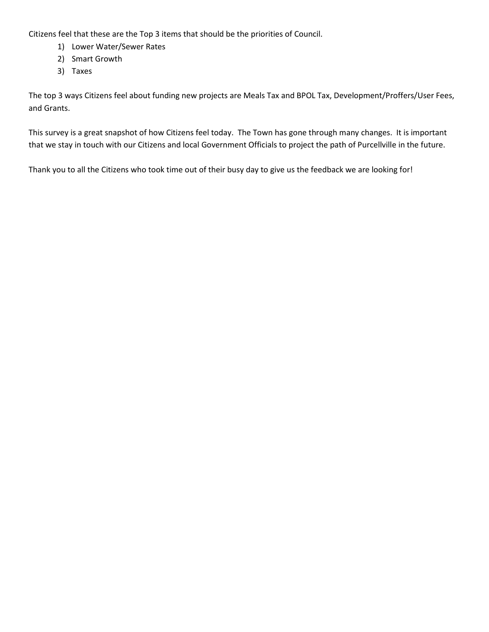Citizens feel that these are the Top 3 items that should be the priorities of Council.

- 1) Lower Water/Sewer Rates
- 2) Smart Growth
- 3) Taxes

The top 3 ways Citizens feel about funding new projects are Meals Tax and BPOL Tax, Development/Proffers/User Fees, and Grants.

This survey is a great snapshot of how Citizens feel today. The Town has gone through many changes. It is important that we stay in touch with our Citizens and local Government Officials to project the path of Purcellville in the future.

Thank you to all the Citizens who took time out of their busy day to give us the feedback we are looking for!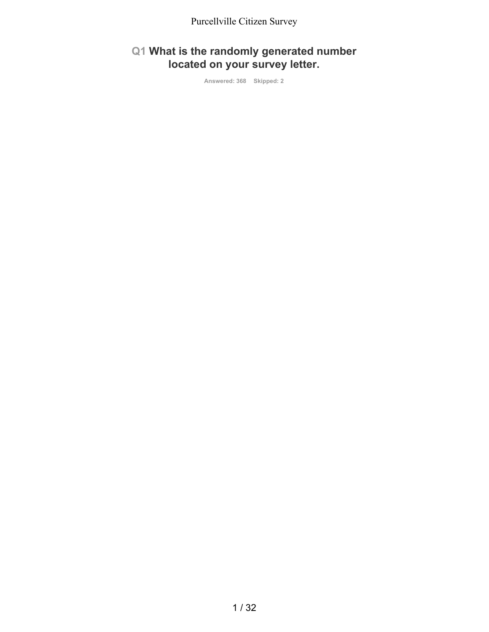#### **Q1 What is the randomly generated number located on your survey letter.**

**Answered: 368 Skipped: 2**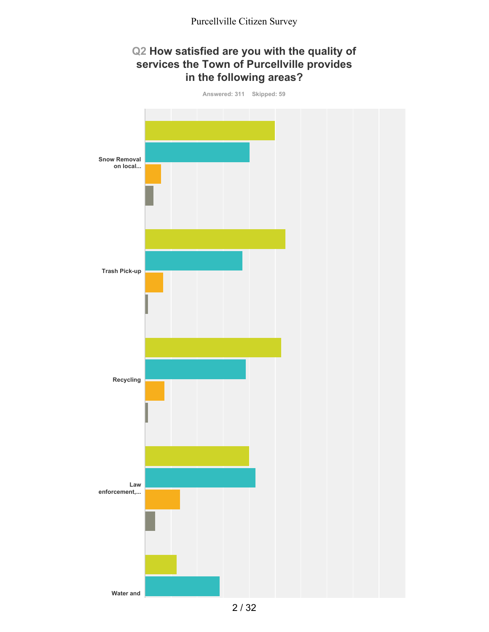#### **Q2 How satisfied are you with the quality of services the Town of Purcellville provides in the following areas?**

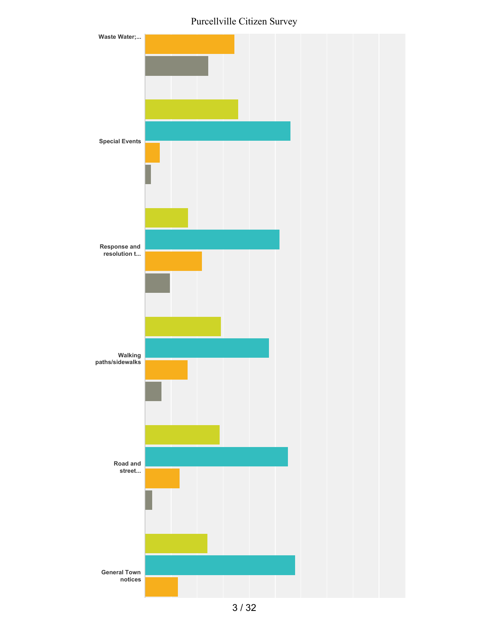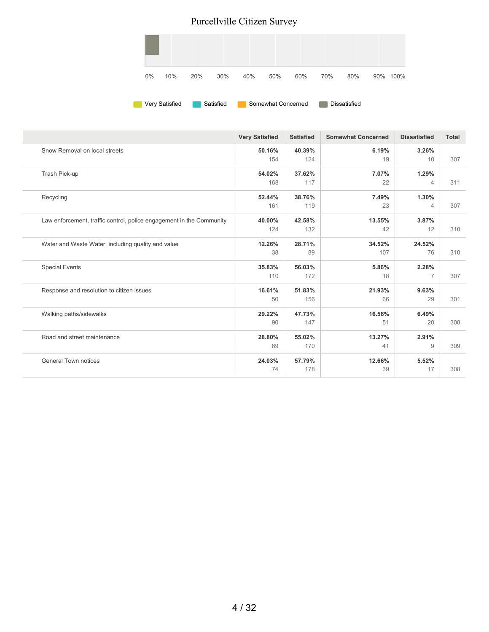

|                                                                      | <b>Very Satisfied</b> | <b>Satisfied</b> | <b>Somewhat Concerned</b> | <b>Dissatisfied</b>     | <b>Total</b> |
|----------------------------------------------------------------------|-----------------------|------------------|---------------------------|-------------------------|--------------|
| Snow Removal on local streets                                        | 50.16%<br>154         | 40.39%<br>124    | 6.19%<br>19               | 3.26%<br>10             | 307          |
| Trash Pick-up                                                        | 54.02%<br>168         | 37.62%<br>117    | 7.07%<br>22               | 1.29%<br>$\overline{4}$ | 311          |
| Recycling                                                            | 52.44%<br>161         | 38.76%<br>119    | 7.49%<br>23               | 1.30%<br>$\overline{4}$ | 307          |
| Law enforcement, traffic control, police engagement in the Community | 40.00%<br>124         | 42.58%<br>132    | 13.55%<br>42              | 3.87%<br>12             | 310          |
| Water and Waste Water; including quality and value                   | 12.26%<br>38          | 28.71%<br>89     | 34.52%<br>107             | 24.52%<br>76            | 310          |
| <b>Special Events</b>                                                | 35.83%<br>110         | 56.03%<br>172    | 5.86%<br>18               | 2.28%<br>7              | 307          |
| Response and resolution to citizen issues                            | 16.61%<br>50          | 51.83%<br>156    | 21.93%<br>66              | 9.63%<br>29             | 301          |
| Walking paths/sidewalks                                              | 29.22%<br>90          | 47.73%<br>147    | 16.56%<br>51              | 6.49%<br>20             | 308          |
| Road and street maintenance                                          | 28.80%<br>89          | 55.02%<br>170    | 13.27%<br>41              | 2.91%<br>9              | 309          |
| <b>General Town notices</b>                                          | 24.03%<br>74          | 57.79%<br>178    | 12.66%<br>39              | 5.52%<br>17             | 308          |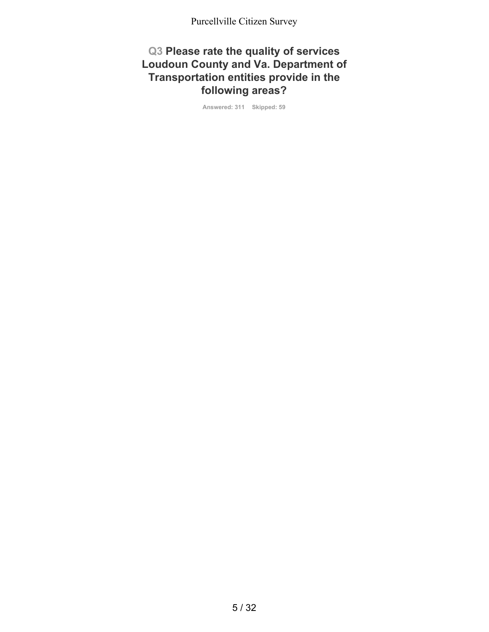#### **Q3 Please rate the quality of services Loudoun County and Va. Department of Transportation entities provide in the following areas?**

**Answered: 311 Skipped: 59**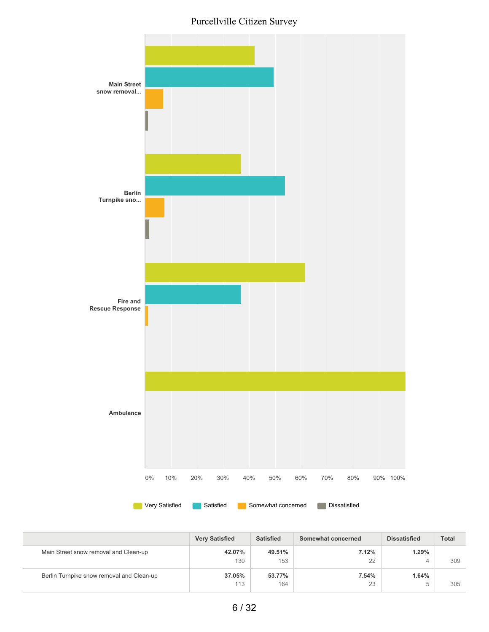

|                                           | <b>Very Satisfied</b> | <b>Satisfied</b> | Somewhat concerned | <b>Dissatisfied</b> | <b>Total</b> |
|-------------------------------------------|-----------------------|------------------|--------------------|---------------------|--------------|
| Main Street snow removal and Clean-up     | 42.07%<br>130         | 49.51%<br>153    | 7.12%<br>22        | 1.29%               | 309          |
| Berlin Turnpike snow removal and Clean-up | 37.05%                | 53.77%           | 7.54%              | ↵<br>1.64%          |              |
|                                           | 113                   | 164              | 23                 | $\overline{ }$<br>w | 305          |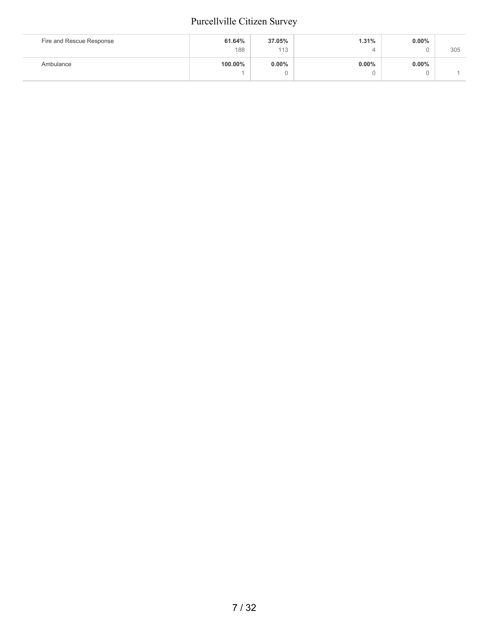| Fire and Rescue Response | 61.64%<br>188 | 37.05%<br>113 | 1.31%    | $0.00\%$ | 305 |
|--------------------------|---------------|---------------|----------|----------|-----|
| Ambulance                | 100.00%       | $0.00\%$      | $0.00\%$ | $0.00\%$ |     |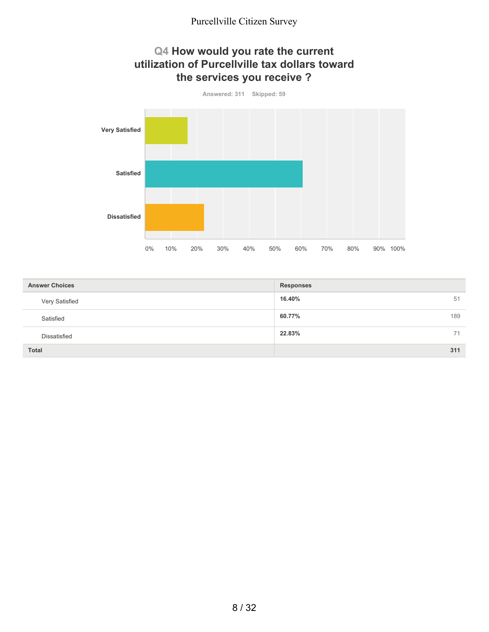#### **Q4 How would you rate the current utilization of Purcellville tax dollars toward the services you receive ?**



| <b>Answer Choices</b> | <b>Responses</b> |
|-----------------------|------------------|
| Very Satisfied        | 16.40%<br>51     |
| Satisfied             | 60.77%<br>189    |
| <b>Dissatisfied</b>   | 22.83%<br>71     |
| <b>Total</b>          | 311              |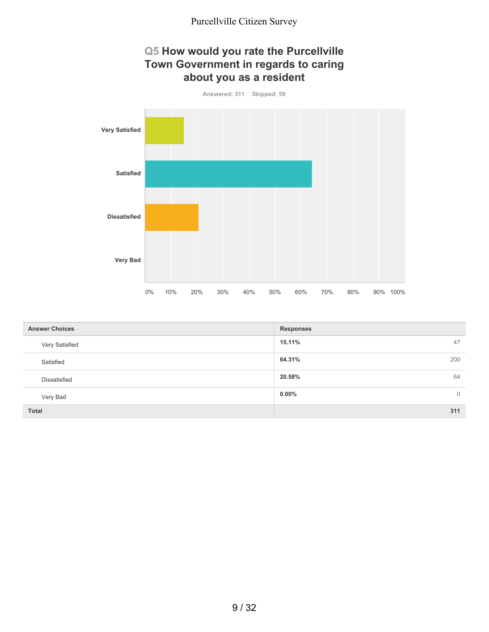#### **Q5 How would you rate the Purcellville Town Government in regards to caring about you as a resident**



| <b>Answer Choices</b> | <b>Responses</b>           |
|-----------------------|----------------------------|
| Very Satisfied        | 47<br>15.11%               |
| Satisfied             | 64.31%<br>200              |
| Dissatisfied          | 20.58%<br>64               |
| Very Bad              | $0.00\%$<br>$\overline{0}$ |
| <b>Total</b>          | 311                        |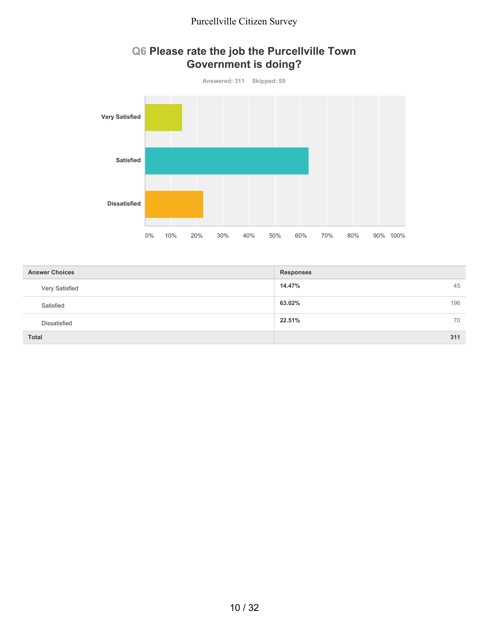

#### **Q6 Please rate the job the Purcellville Town Government is doing?**

| <b>Answer Choices</b> | <b>Responses</b> |
|-----------------------|------------------|
| Very Satisfied        | 14.47%<br>45     |
| Satisfied             | 63.02%<br>196    |
| Dissatisfied          | 22.51%<br>70     |
| <b>Total</b>          | 311              |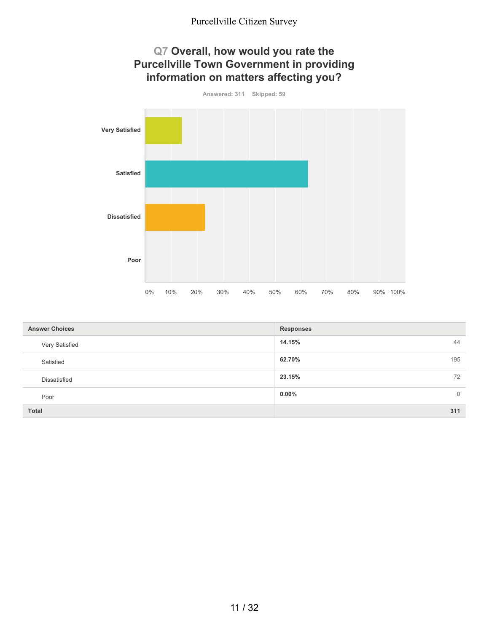

| <b>Answer Choices</b> | <b>Responses</b>           |
|-----------------------|----------------------------|
| Very Satisfied        | 14.15%<br>44               |
| Satisfied             | 195<br>62.70%              |
| <b>Dissatisfied</b>   | 23.15%<br>72               |
| Poor                  | $0.00\%$<br>$\overline{0}$ |
| <b>Total</b>          | 311                        |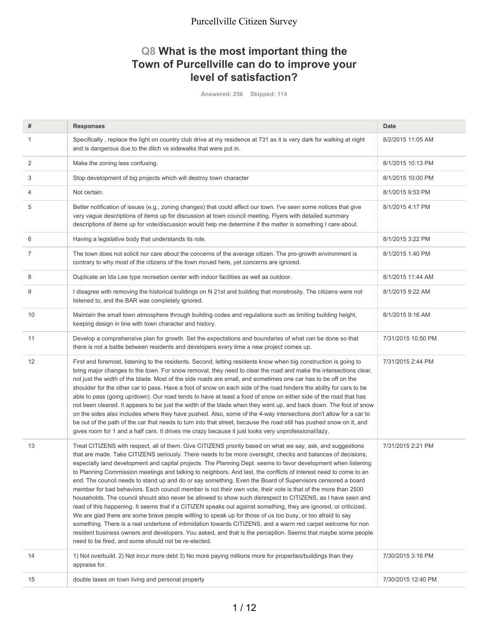#### **Q8 What is the most important thing the Town of Purcellville can do to improve your level of satisfaction?**

**Answered: 256 Skipped: 114**

| #  | <b>Responses</b>                                                                                                                                                                                                                                                                                                                                                                                                                                                                                                                                                                                                                                                                                                                                                                                                                                                                                                                                                                                                                                                                                                                                                                                                                                                                                                                            | <b>Date</b>        |
|----|---------------------------------------------------------------------------------------------------------------------------------------------------------------------------------------------------------------------------------------------------------------------------------------------------------------------------------------------------------------------------------------------------------------------------------------------------------------------------------------------------------------------------------------------------------------------------------------------------------------------------------------------------------------------------------------------------------------------------------------------------------------------------------------------------------------------------------------------------------------------------------------------------------------------------------------------------------------------------------------------------------------------------------------------------------------------------------------------------------------------------------------------------------------------------------------------------------------------------------------------------------------------------------------------------------------------------------------------|--------------------|
| 1  | Specifically, replace the light on country club drive at my residence at 731 as it is very dark for walking at night<br>and is dangerous due to the ditch vs sidewalks that were put in.                                                                                                                                                                                                                                                                                                                                                                                                                                                                                                                                                                                                                                                                                                                                                                                                                                                                                                                                                                                                                                                                                                                                                    | 8/2/2015 11:05 AM  |
| 2  | Make the zoning less confusing.                                                                                                                                                                                                                                                                                                                                                                                                                                                                                                                                                                                                                                                                                                                                                                                                                                                                                                                                                                                                                                                                                                                                                                                                                                                                                                             | 8/1/2015 10:13 PM  |
| 3  | Stop development of big projects which will destroy town character                                                                                                                                                                                                                                                                                                                                                                                                                                                                                                                                                                                                                                                                                                                                                                                                                                                                                                                                                                                                                                                                                                                                                                                                                                                                          | 8/1/2015 10:00 PM  |
| 4  | Not certain.                                                                                                                                                                                                                                                                                                                                                                                                                                                                                                                                                                                                                                                                                                                                                                                                                                                                                                                                                                                                                                                                                                                                                                                                                                                                                                                                | 8/1/2015 9:53 PM   |
| 5  | Better notification of issues (e.g., zoning changes) that could affect our town. I've seen some notices that give<br>very vague descriptions of items up for discussion at town council meeting. Flyers with detailed summary<br>descriptions of items up for vote/discussion would help me determine if the matter is something I care about.                                                                                                                                                                                                                                                                                                                                                                                                                                                                                                                                                                                                                                                                                                                                                                                                                                                                                                                                                                                              | 8/1/2015 4:17 PM   |
| 6  | Having a legislative body that understands its role.                                                                                                                                                                                                                                                                                                                                                                                                                                                                                                                                                                                                                                                                                                                                                                                                                                                                                                                                                                                                                                                                                                                                                                                                                                                                                        | 8/1/2015 3:22 PM   |
| 7  | The town does not solicit nor care about the concerns of the average citizen. The pro-growth environment is<br>contrary to why most of the citizens of the town moved here, yet concerns are ignored.                                                                                                                                                                                                                                                                                                                                                                                                                                                                                                                                                                                                                                                                                                                                                                                                                                                                                                                                                                                                                                                                                                                                       | 8/1/2015 1:40 PM   |
| 8  | Duplicate an Ida Lee type recreation center with indoor facilities as well as outdoor.                                                                                                                                                                                                                                                                                                                                                                                                                                                                                                                                                                                                                                                                                                                                                                                                                                                                                                                                                                                                                                                                                                                                                                                                                                                      | 8/1/2015 11:44 AM  |
| 9  | I disagree with removing the historical buildings on N 21st and building that monstrosity. The citizens were not<br>listened to, and the BAR was completely ignored.                                                                                                                                                                                                                                                                                                                                                                                                                                                                                                                                                                                                                                                                                                                                                                                                                                                                                                                                                                                                                                                                                                                                                                        | 8/1/2015 9:22 AM   |
| 10 | Maintain the small town atmosphere through building codes and regulations such as limiting building height,<br>keeping design in line with town character and history.                                                                                                                                                                                                                                                                                                                                                                                                                                                                                                                                                                                                                                                                                                                                                                                                                                                                                                                                                                                                                                                                                                                                                                      | 8/1/2015 9:16 AM   |
| 11 | Develop a comprehensive plan for growth. Set the expectations and boundaries of what can be done so that<br>there is not a battle between residents and developers every time a new project comes up.                                                                                                                                                                                                                                                                                                                                                                                                                                                                                                                                                                                                                                                                                                                                                                                                                                                                                                                                                                                                                                                                                                                                       | 7/31/2015 10:50 PM |
| 12 | First and foremost, listening to the residents. Second, letting residents know when big construction is going to<br>bring major changes to the town. For snow removal, they need to clear the road and make the intersections clear,<br>not just the width of the blade. Most of the side roads are small, and sometimes one car has to be off on the<br>shoulder for the other car to pass. Have a foot of snow on each side of the road hinders the ability for cars to be<br>able to pass (going up/down). Our road tends to have at least a food of snow on either side of the road that has<br>not been cleared. It appears to be just the width of the blade when they went up, and back down. The foot of snow<br>on the sides also includes where they have pushed. Also, some of the 4-way intersections don't allow for a car to<br>be out of the path of the car that needs to turn into that street, because the road still has pushed snow on it, and<br>gives room for 1 and a half cars. It drives me crazy because it just looks very unprofessional/lazy.                                                                                                                                                                                                                                                                  | 7/31/2015 2:44 PM  |
| 13 | Treat CITIZENS with respect, all of them. Give CITIZENS priority based on what we say, ask, and suggestions<br>that are made. Take CITIZENS seriously. There needs to be more oversight, checks and balances of decisions,<br>especially land development and capital projects. The Planning Dept. seems to favor development when listening<br>to Planning Commission meetings and talking to neighbors. And last, the conflicts of interest need to come to an<br>end. The council needs to stand up and do or say something. Even the Board of Supervisors censored a board<br>member for bad behaviors. Each council member is not their own vote, their vote is that of the more than 2500<br>households. The council should also never be allowed to show such disrespect to CITIZENS, as I have seen and<br>read of this happening. It seems that if a CITIZEN speaks out against something, they are ignored, or criticized.<br>We are glad there are some brave people willling to speak up for those of us too busy, or too afraid to say<br>something. There is a real undertone of intimidation towards CITIZENS, and a warm red carpet welcome for non<br>resident business owners and developers. You asked, and that is the perception. Seems that maybe some people<br>need to be fired, and some should not be re-elected. | 7/31/2015 2:21 PM  |
| 14 | 1) Not overbuild. 2) Not incur more debt 3) No more paying millions more for properties/buildings than they<br>appraise for.                                                                                                                                                                                                                                                                                                                                                                                                                                                                                                                                                                                                                                                                                                                                                                                                                                                                                                                                                                                                                                                                                                                                                                                                                | 7/30/2015 3:16 PM  |
| 15 | double taxes on town living and personal property                                                                                                                                                                                                                                                                                                                                                                                                                                                                                                                                                                                                                                                                                                                                                                                                                                                                                                                                                                                                                                                                                                                                                                                                                                                                                           | 7/30/2015 12:40 PM |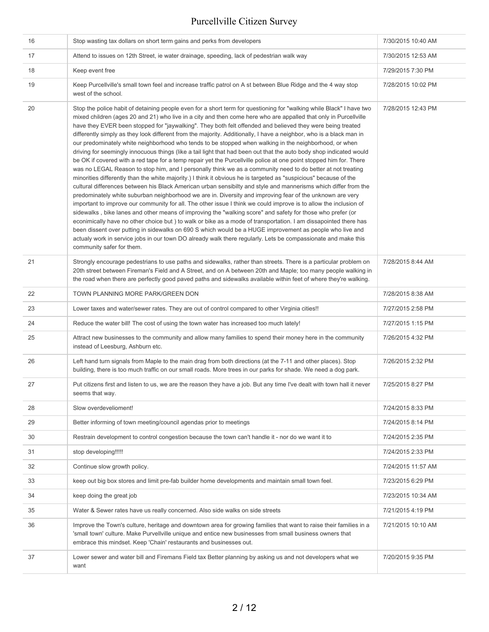| 16 | Stop wasting tax dollars on short term gains and perks from developers                                                                                                                                                                                                                                                                                                                                                                                                                                                                                                                                                                                                                                                                                                                                                                                                                                                                                                                                                                                                                                                                                                                                                                                                                                                                                                                                                                                                                                                                                                                                                                                                                                                                                                                                                                                                                                                    | 7/30/2015 10:40 AM |
|----|---------------------------------------------------------------------------------------------------------------------------------------------------------------------------------------------------------------------------------------------------------------------------------------------------------------------------------------------------------------------------------------------------------------------------------------------------------------------------------------------------------------------------------------------------------------------------------------------------------------------------------------------------------------------------------------------------------------------------------------------------------------------------------------------------------------------------------------------------------------------------------------------------------------------------------------------------------------------------------------------------------------------------------------------------------------------------------------------------------------------------------------------------------------------------------------------------------------------------------------------------------------------------------------------------------------------------------------------------------------------------------------------------------------------------------------------------------------------------------------------------------------------------------------------------------------------------------------------------------------------------------------------------------------------------------------------------------------------------------------------------------------------------------------------------------------------------------------------------------------------------------------------------------------------------|--------------------|
| 17 | Attend to issues on 12th Street, ie water drainage, speeding, lack of pedestrian walk way                                                                                                                                                                                                                                                                                                                                                                                                                                                                                                                                                                                                                                                                                                                                                                                                                                                                                                                                                                                                                                                                                                                                                                                                                                                                                                                                                                                                                                                                                                                                                                                                                                                                                                                                                                                                                                 | 7/30/2015 12:53 AM |
| 18 | Keep event free                                                                                                                                                                                                                                                                                                                                                                                                                                                                                                                                                                                                                                                                                                                                                                                                                                                                                                                                                                                                                                                                                                                                                                                                                                                                                                                                                                                                                                                                                                                                                                                                                                                                                                                                                                                                                                                                                                           | 7/29/2015 7:30 PM  |
| 19 | Keep Purcellville's small town feel and increase traffic patrol on A st between Blue Ridge and the 4 way stop<br>west of the school.                                                                                                                                                                                                                                                                                                                                                                                                                                                                                                                                                                                                                                                                                                                                                                                                                                                                                                                                                                                                                                                                                                                                                                                                                                                                                                                                                                                                                                                                                                                                                                                                                                                                                                                                                                                      | 7/28/2015 10:02 PM |
| 20 | Stop the police habit of detaining people even for a short term for questioning for "walking while Black" I have two<br>mixed children (ages 20 and 21) who live in a city and then come here who are appalled that only in Purcellville<br>have they EVER been stopped for "jaywalking". They both felt offended and believed they were being treated<br>differently simply as they look different from the majority. Additionally, I have a neighbor, who is a black man in<br>our predominately white neighborhood who tends to be stopped when walking in the neighborhood, or when<br>driving for seemingly innocuous things (like a tail light that had been out that the auto body shop indicated would<br>be OK if covered with a red tape for a temp repair yet the Purcellville police at one point stopped him for. There<br>was no LEGAL Reason to stop him, and I personally think we as a community need to do better at not treating<br>minorities differently than the white majority.) I think it obvious he is targeted as "suspicious" because of the<br>cultural differences between his Black American urban sensibilty and style and mannerisms which differ from the<br>predominately white suburban neighborhood we are in. Diversity and improving fear of the unknown are very<br>important to improve our community for all. The other issue I think we could improve is to allow the inclusion of<br>sidewalks, bike lanes and other means of improving the "walking score" and safety for those who prefer (or<br>econimically have no other choice but ) to walk or bike as a mode of transportation. I am dissapointed there has<br>been dissent over putting in sidewalks on 690 S which would be a HUGE improvement as people who live and<br>actualy work in service jobs in our town DO already walk there regularly. Lets be compassionate and make this<br>community safer for them. | 7/28/2015 12:43 PM |
| 21 | Strongly encourage pedestrians to use paths and sidewalks, rather than streets. There is a particular problem on<br>20th street between Fireman's Field and A Street, and on A between 20th and Maple; too many people walking in<br>the road when there are perfectly good paved paths and sidewalks available within feet of where they're walking.                                                                                                                                                                                                                                                                                                                                                                                                                                                                                                                                                                                                                                                                                                                                                                                                                                                                                                                                                                                                                                                                                                                                                                                                                                                                                                                                                                                                                                                                                                                                                                     | 7/28/2015 8:44 AM  |
| 22 | TOWN PLANNING MORE PARK/GREEN DON                                                                                                                                                                                                                                                                                                                                                                                                                                                                                                                                                                                                                                                                                                                                                                                                                                                                                                                                                                                                                                                                                                                                                                                                                                                                                                                                                                                                                                                                                                                                                                                                                                                                                                                                                                                                                                                                                         | 7/28/2015 8:38 AM  |
| 23 | Lower taxes and water/sewer rates. They are out of control compared to other Virginia cities!!                                                                                                                                                                                                                                                                                                                                                                                                                                                                                                                                                                                                                                                                                                                                                                                                                                                                                                                                                                                                                                                                                                                                                                                                                                                                                                                                                                                                                                                                                                                                                                                                                                                                                                                                                                                                                            | 7/27/2015 2:58 PM  |
| 24 | Reduce the water bill! The cost of using the town water has increased too much lately!                                                                                                                                                                                                                                                                                                                                                                                                                                                                                                                                                                                                                                                                                                                                                                                                                                                                                                                                                                                                                                                                                                                                                                                                                                                                                                                                                                                                                                                                                                                                                                                                                                                                                                                                                                                                                                    | 7/27/2015 1:15 PM  |
| 25 | Attract new businesses to the community and allow many families to spend their money here in the community<br>instead of Leesburg, Ashburn etc.                                                                                                                                                                                                                                                                                                                                                                                                                                                                                                                                                                                                                                                                                                                                                                                                                                                                                                                                                                                                                                                                                                                                                                                                                                                                                                                                                                                                                                                                                                                                                                                                                                                                                                                                                                           | 7/26/2015 4:32 PM  |
| 26 | Left hand turn signals from Maple to the main drag from both directions (at the 7-11 and other places). Stop<br>building, there is too much traffic on our small roads. More trees in our parks for shade. We need a dog park.                                                                                                                                                                                                                                                                                                                                                                                                                                                                                                                                                                                                                                                                                                                                                                                                                                                                                                                                                                                                                                                                                                                                                                                                                                                                                                                                                                                                                                                                                                                                                                                                                                                                                            | 7/26/2015 2:32 PM  |
| 27 | Put citizens first and listen to us, we are the reason they have a job. But any time I've dealt with town hall it never<br>seems that way.                                                                                                                                                                                                                                                                                                                                                                                                                                                                                                                                                                                                                                                                                                                                                                                                                                                                                                                                                                                                                                                                                                                                                                                                                                                                                                                                                                                                                                                                                                                                                                                                                                                                                                                                                                                | 7/25/2015 8:27 PM  |
| 28 | Slow overdevelioment!                                                                                                                                                                                                                                                                                                                                                                                                                                                                                                                                                                                                                                                                                                                                                                                                                                                                                                                                                                                                                                                                                                                                                                                                                                                                                                                                                                                                                                                                                                                                                                                                                                                                                                                                                                                                                                                                                                     | 7/24/2015 8:33 PM  |
| 29 | Better informing of town meeting/council agendas prior to meetings                                                                                                                                                                                                                                                                                                                                                                                                                                                                                                                                                                                                                                                                                                                                                                                                                                                                                                                                                                                                                                                                                                                                                                                                                                                                                                                                                                                                                                                                                                                                                                                                                                                                                                                                                                                                                                                        | 7/24/2015 8:14 PM  |
| 30 | Restrain development to control congestion because the town can't handle it - nor do we want it to                                                                                                                                                                                                                                                                                                                                                                                                                                                                                                                                                                                                                                                                                                                                                                                                                                                                                                                                                                                                                                                                                                                                                                                                                                                                                                                                                                                                                                                                                                                                                                                                                                                                                                                                                                                                                        | 7/24/2015 2:35 PM  |
| 31 | stop developing!!!!!                                                                                                                                                                                                                                                                                                                                                                                                                                                                                                                                                                                                                                                                                                                                                                                                                                                                                                                                                                                                                                                                                                                                                                                                                                                                                                                                                                                                                                                                                                                                                                                                                                                                                                                                                                                                                                                                                                      | 7/24/2015 2:33 PM  |
| 32 | Continue slow growth policy.                                                                                                                                                                                                                                                                                                                                                                                                                                                                                                                                                                                                                                                                                                                                                                                                                                                                                                                                                                                                                                                                                                                                                                                                                                                                                                                                                                                                                                                                                                                                                                                                                                                                                                                                                                                                                                                                                              | 7/24/2015 11:57 AM |
| 33 | keep out big box stores and limit pre-fab builder home developments and maintain small town feel.                                                                                                                                                                                                                                                                                                                                                                                                                                                                                                                                                                                                                                                                                                                                                                                                                                                                                                                                                                                                                                                                                                                                                                                                                                                                                                                                                                                                                                                                                                                                                                                                                                                                                                                                                                                                                         | 7/23/2015 6:29 PM  |
| 34 | keep doing the great job                                                                                                                                                                                                                                                                                                                                                                                                                                                                                                                                                                                                                                                                                                                                                                                                                                                                                                                                                                                                                                                                                                                                                                                                                                                                                                                                                                                                                                                                                                                                                                                                                                                                                                                                                                                                                                                                                                  | 7/23/2015 10:34 AM |
| 35 | Water & Sewer rates have us really concerned. Also side walks on side streets                                                                                                                                                                                                                                                                                                                                                                                                                                                                                                                                                                                                                                                                                                                                                                                                                                                                                                                                                                                                                                                                                                                                                                                                                                                                                                                                                                                                                                                                                                                                                                                                                                                                                                                                                                                                                                             | 7/21/2015 4:19 PM  |
| 36 | Improve the Town's culture, heritage and downtown area for growing families that want to raise their families in a<br>'small town' culture. Make Purvellville unique and entice new businesses from small business owners that<br>embrace this mindset. Keep 'Chain' restaurants and businesses out.                                                                                                                                                                                                                                                                                                                                                                                                                                                                                                                                                                                                                                                                                                                                                                                                                                                                                                                                                                                                                                                                                                                                                                                                                                                                                                                                                                                                                                                                                                                                                                                                                      | 7/21/2015 10:10 AM |
| 37 | Lower sewer and water bill and Firemans Field tax Better planning by asking us and not developers what we<br>want                                                                                                                                                                                                                                                                                                                                                                                                                                                                                                                                                                                                                                                                                                                                                                                                                                                                                                                                                                                                                                                                                                                                                                                                                                                                                                                                                                                                                                                                                                                                                                                                                                                                                                                                                                                                         | 7/20/2015 9:35 PM  |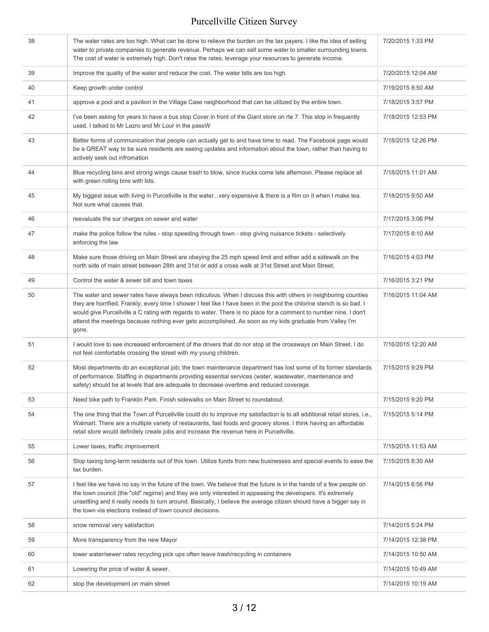| 38 | The water rates are too high. What can be done to relieve the burden on the tax payers. I like the idea of selling<br>water to private companies to generate revenue. Perhaps we can sell some water to smaller surrounding towns.<br>The cost of water is extremely high. Don't raise the rates, leverage your resources to generate income.                                                                                                                                    | 7/20/2015 1:33 PM  |
|----|----------------------------------------------------------------------------------------------------------------------------------------------------------------------------------------------------------------------------------------------------------------------------------------------------------------------------------------------------------------------------------------------------------------------------------------------------------------------------------|--------------------|
| 39 | Improve the quality of the water and reduce the cost. The water bills are too high.                                                                                                                                                                                                                                                                                                                                                                                              | 7/20/2015 12:04 AM |
| 40 | Keep growth under control                                                                                                                                                                                                                                                                                                                                                                                                                                                        | 7/19/2015 8:50 AM  |
| 41 | approve a pool and a pavilion in the Village Case neighborhood that can be utilized by the entire town.                                                                                                                                                                                                                                                                                                                                                                          | 7/18/2015 3:57 PM  |
| 42 | I've been asking for years to have a bus stop Cover in front of the Giant store on rte 7. This stop in frequently<br>used. I talked to Mr Lazro and Mr Lour in the passW                                                                                                                                                                                                                                                                                                         | 7/18/2015 12:53 PM |
| 43 | Better forms of communication that people can actually get to and have time to read. The Facebook page would<br>be a GREAT way to be sure residents are seeing updates and information about the town, rather than having to<br>actively seek out infromation                                                                                                                                                                                                                    | 7/18/2015 12:26 PM |
| 44 | Blue recycling bins and strong wings cause trash to blow, since trucks come late afternoon. Please replace all<br>with green rolling bins with lids.                                                                                                                                                                                                                                                                                                                             | 7/18/2015 11:01 AM |
| 45 | My biggest issue with living in Purcellville is the watervery expensive & there is a film on it when I make tea.<br>Not sure what causes that.                                                                                                                                                                                                                                                                                                                                   | 7/18/2015 9:50 AM  |
| 46 | reevaluate the sur charges on sewer and water                                                                                                                                                                                                                                                                                                                                                                                                                                    | 7/17/2015 3:06 PM  |
| 47 | make the police follow the rules - stop speeding through town - stop giving nuisance tickets - selectively<br>enforcing the law                                                                                                                                                                                                                                                                                                                                                  | 7/17/2015 8:10 AM  |
| 48 | Make sure those driving on Main Street are obeying the 25 mph speed limit and either add a sidewalk on the<br>north side of main street between 28th and 31st or add a cross walk at 31st Street and Main Street.                                                                                                                                                                                                                                                                | 7/16/2015 4:03 PM  |
| 49 | Control the water & sewer bill and town taxes                                                                                                                                                                                                                                                                                                                                                                                                                                    | 7/16/2015 3:21 PM  |
| 50 | The water and sewer rates have always been ridiculous. When I discuss this with others in neighboring counties<br>they are horrified. Frankly, every time I shower I feel like I have been in the pool the chlorine stench is so bad. I<br>would give Purcellville a C rating with regards to water. There is no place for a comment to number nine. I don't<br>attend the meetings because nothing ever gets accomplished. As soon as my kids graduate from Valley I'm<br>gone. | 7/16/2015 11:04 AM |
| 51 | I would love to see increased enforcement of the drivers that do nor stop at the crossways on Main Street. I do<br>not feel comfortable crossing the street with my young children.                                                                                                                                                                                                                                                                                              | 7/16/2015 12:20 AM |
| 52 | Most departments do an exceptional job; the town maintenance department has lost some of its former standards<br>of performance. Staffing in departments providing essential services (water, wastewater, maintenance and<br>safety) should be at levels that are adequate to decrease overtime and reduced coverage.                                                                                                                                                            | 7/15/2015 9:29 PM  |
| 53 | Need bike path to Franklin Park. Finish sidewalks on Main Street to roundabout.                                                                                                                                                                                                                                                                                                                                                                                                  | 7/15/2015 9:20 PM  |
| 54 | The one thing that the Town of Purcellville could do to improve my satisfaction is to all additional retail stores, i.e.,<br>Walmart. There are a multiple variety of restaurants, fast foods and grocery stores. I think having an affordable<br>retail store would definitely create jobs and increase the revenue here in Purcellville.                                                                                                                                       | 7/15/2015 5:14 PM  |
| 55 | Lower taxes, traffic improvement                                                                                                                                                                                                                                                                                                                                                                                                                                                 | 7/15/2015 11:53 AM |
| 56 | Stop taxing long-term residents out of this town. Utilize funds from new businesses and special events to ease the<br>tax burden.                                                                                                                                                                                                                                                                                                                                                | 7/15/2015 8:30 AM  |
| 57 | I feel like we have no say in the future of the town. We believe that the future is in the hands of a few people on<br>the town council (the "old" regime) and they are only interested in appeasing the developers. It's extremely<br>unsettling and it really needs to turn around. Basically, I believe the average citizen should have a bigger say in<br>the town via elections instead of town council decisions.                                                          | 7/14/2015 6:56 PM  |
| 58 | snow removal very satisfaction                                                                                                                                                                                                                                                                                                                                                                                                                                                   | 7/14/2015 5:24 PM  |
| 59 | More transparency from the new Mayor                                                                                                                                                                                                                                                                                                                                                                                                                                             | 7/14/2015 12:38 PM |
| 60 | lower water/sewer rates recycling pick ups often leave trash/recycling in containers                                                                                                                                                                                                                                                                                                                                                                                             | 7/14/2015 10:50 AM |
| 61 | Lowering the price of water & sewer.                                                                                                                                                                                                                                                                                                                                                                                                                                             | 7/14/2015 10:49 AM |
| 62 | stop the development on main street                                                                                                                                                                                                                                                                                                                                                                                                                                              | 7/14/2015 10:19 AM |
|    |                                                                                                                                                                                                                                                                                                                                                                                                                                                                                  |                    |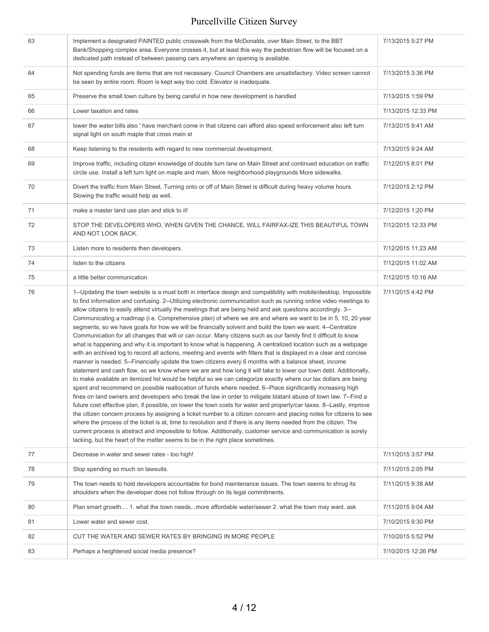| 63 | Implement a designated PAINTED public crosswalk from the McDonalds, over Main Street, to the BBT<br>Bank/Shopping complex area. Everyone crosses it, but at least this way the pedestrian flow will be focused on a<br>dedicated path instead of between passing cars anywhere an opening is available.                                                                                                                                                                                                                                                                                                                                                                                                                                                                                                                                                                                                                                                                                                                                                                                                                                                                                                                                                                                                                                                                                                                                                                                                                                                                                                                                                                                                                                                                                                                                                                                                                                                                                                                                                                                                        | 7/13/2015 5:27 PM  |
|----|----------------------------------------------------------------------------------------------------------------------------------------------------------------------------------------------------------------------------------------------------------------------------------------------------------------------------------------------------------------------------------------------------------------------------------------------------------------------------------------------------------------------------------------------------------------------------------------------------------------------------------------------------------------------------------------------------------------------------------------------------------------------------------------------------------------------------------------------------------------------------------------------------------------------------------------------------------------------------------------------------------------------------------------------------------------------------------------------------------------------------------------------------------------------------------------------------------------------------------------------------------------------------------------------------------------------------------------------------------------------------------------------------------------------------------------------------------------------------------------------------------------------------------------------------------------------------------------------------------------------------------------------------------------------------------------------------------------------------------------------------------------------------------------------------------------------------------------------------------------------------------------------------------------------------------------------------------------------------------------------------------------------------------------------------------------------------------------------------------------|--------------------|
| 64 | Not spending funds are items that are not necessary. Council Chambers are unsatisfactory. Video screen cannot<br>be seen by entire room. Room is kept way too cold. Elevator is inadequate.                                                                                                                                                                                                                                                                                                                                                                                                                                                                                                                                                                                                                                                                                                                                                                                                                                                                                                                                                                                                                                                                                                                                                                                                                                                                                                                                                                                                                                                                                                                                                                                                                                                                                                                                                                                                                                                                                                                    | 7/13/2015 3:36 PM  |
| 65 | Preserve the small town culture by being careful in how new development is handled                                                                                                                                                                                                                                                                                                                                                                                                                                                                                                                                                                                                                                                                                                                                                                                                                                                                                                                                                                                                                                                                                                                                                                                                                                                                                                                                                                                                                                                                                                                                                                                                                                                                                                                                                                                                                                                                                                                                                                                                                             | 7/13/2015 1:59 PM  |
| 66 | Lower taxation and rates                                                                                                                                                                                                                                                                                                                                                                                                                                                                                                                                                                                                                                                                                                                                                                                                                                                                                                                                                                                                                                                                                                                                                                                                                                                                                                                                                                                                                                                                                                                                                                                                                                                                                                                                                                                                                                                                                                                                                                                                                                                                                       | 7/13/2015 12:33 PM |
| 67 | lower the water bills also ' have merchant come in that citzens can afford also speed enforcement also left turn<br>signal light on south maple that cross main st                                                                                                                                                                                                                                                                                                                                                                                                                                                                                                                                                                                                                                                                                                                                                                                                                                                                                                                                                                                                                                                                                                                                                                                                                                                                                                                                                                                                                                                                                                                                                                                                                                                                                                                                                                                                                                                                                                                                             | 7/13/2015 9:41 AM  |
| 68 | Keep listening to the residents with regard to new commercial development.                                                                                                                                                                                                                                                                                                                                                                                                                                                                                                                                                                                                                                                                                                                                                                                                                                                                                                                                                                                                                                                                                                                                                                                                                                                                                                                                                                                                                                                                                                                                                                                                                                                                                                                                                                                                                                                                                                                                                                                                                                     | 7/13/2015 9:24 AM  |
| 69 | Improve traffic, including citizen knowledge of double turn lane on Main Street and continued education on traffic<br>circle use. Install a left turn light on maple and main. More neighborhood playgrounds More sidewalks.                                                                                                                                                                                                                                                                                                                                                                                                                                                                                                                                                                                                                                                                                                                                                                                                                                                                                                                                                                                                                                                                                                                                                                                                                                                                                                                                                                                                                                                                                                                                                                                                                                                                                                                                                                                                                                                                                   | 7/12/2015 8:01 PM  |
| 70 | Divert the traffic from Main Street. Turning onto or off of Main Street is difficult during heavy volume hours.<br>Slowing the traffic would help as well.                                                                                                                                                                                                                                                                                                                                                                                                                                                                                                                                                                                                                                                                                                                                                                                                                                                                                                                                                                                                                                                                                                                                                                                                                                                                                                                                                                                                                                                                                                                                                                                                                                                                                                                                                                                                                                                                                                                                                     | 7/12/2015 2:12 PM  |
| 71 | make a master land use plan and stick to it!                                                                                                                                                                                                                                                                                                                                                                                                                                                                                                                                                                                                                                                                                                                                                                                                                                                                                                                                                                                                                                                                                                                                                                                                                                                                                                                                                                                                                                                                                                                                                                                                                                                                                                                                                                                                                                                                                                                                                                                                                                                                   | 7/12/2015 1:20 PM  |
| 72 | STOP THE DEVELOPERS WHO, WHEN GIVEN THE CHANCE, WILL FAIRFAX-IZE THIS BEAUTIFUL TOWN<br>AND NOT LOOK BACK.                                                                                                                                                                                                                                                                                                                                                                                                                                                                                                                                                                                                                                                                                                                                                                                                                                                                                                                                                                                                                                                                                                                                                                                                                                                                                                                                                                                                                                                                                                                                                                                                                                                                                                                                                                                                                                                                                                                                                                                                     | 7/12/2015 12:33 PM |
| 73 | Listen more to residents then developers.                                                                                                                                                                                                                                                                                                                                                                                                                                                                                                                                                                                                                                                                                                                                                                                                                                                                                                                                                                                                                                                                                                                                                                                                                                                                                                                                                                                                                                                                                                                                                                                                                                                                                                                                                                                                                                                                                                                                                                                                                                                                      | 7/12/2015 11:23 AM |
| 74 | listen to the citizens                                                                                                                                                                                                                                                                                                                                                                                                                                                                                                                                                                                                                                                                                                                                                                                                                                                                                                                                                                                                                                                                                                                                                                                                                                                                                                                                                                                                                                                                                                                                                                                                                                                                                                                                                                                                                                                                                                                                                                                                                                                                                         | 7/12/2015 11:02 AM |
| 75 | a little better communication                                                                                                                                                                                                                                                                                                                                                                                                                                                                                                                                                                                                                                                                                                                                                                                                                                                                                                                                                                                                                                                                                                                                                                                                                                                                                                                                                                                                                                                                                                                                                                                                                                                                                                                                                                                                                                                                                                                                                                                                                                                                                  | 7/12/2015 10:16 AM |
| 76 | 1--Updating the town website is a must both in interface design and compatibility with mobile/desktop. Impossible<br>to find information and confusing. 2--Utilizing electronic communication such as running online video meetings to<br>allow citizens to easily attend virtually the meetings that are being held and ask questions accordingly. 3--<br>Communicating a roadmap (i.e. Comprehensive plan) of where we are and where we want to be in 5, 10, 20 year<br>segments, so we have goals for how we will be financially solvent and build the town we want. 4--Centralize<br>Communication for all changes that will or can occur. Many citizens such as our family find it difficult to know<br>what is happening and why it is important to know what is happening. A centralized location such as a webpage<br>with an archived log to record all actions, meeting and events with filters that is displayed in a clear and concise<br>manner is needed. 5--Financially update the town citizens every 6 months with a balance sheet, income<br>statement and cash flow, so we know where we are and how long it will take to lower our town debt. Additionally,<br>to make available an itemized list would be helpful so we can categorize exactly where our tax dollars are being<br>spent and recommend on possible reallocation of funds where needed. 6--Place significantly increasing high<br>fines on land owners and developers who break the law in order to mitigate blatant abuse of town law. 7--Find a<br>future cost effective plan, if possible, on lower the town costs for water and property/car taxes. 8--Lastly, improve<br>the citizen concern process by assigning a ticket number to a citizen concern and placing notes for citizens to see<br>where the process of the ticket is at, time to resolution and if there is any items needed from the citizen. The<br>current process is abstract and impossible to follow. Additionally, customer service and communication is sorely<br>lacking, but the heart of the matter seems to be in the right place sometimes. | 7/11/2015 4:42 PM  |
| 77 | Decrease in water and sewer rates - too high!                                                                                                                                                                                                                                                                                                                                                                                                                                                                                                                                                                                                                                                                                                                                                                                                                                                                                                                                                                                                                                                                                                                                                                                                                                                                                                                                                                                                                                                                                                                                                                                                                                                                                                                                                                                                                                                                                                                                                                                                                                                                  | 7/11/2015 3:57 PM  |
| 78 | Stop spending so much on lawsuits.                                                                                                                                                                                                                                                                                                                                                                                                                                                                                                                                                                                                                                                                                                                                                                                                                                                                                                                                                                                                                                                                                                                                                                                                                                                                                                                                                                                                                                                                                                                                                                                                                                                                                                                                                                                                                                                                                                                                                                                                                                                                             | 7/11/2015 2:05 PM  |
| 79 | The town needs to hold developers accountable for bond maintenance issues. The town seems to shrug its<br>shoulders when the developer does not follow through on its legal commitments.                                                                                                                                                                                                                                                                                                                                                                                                                                                                                                                                                                                                                                                                                                                                                                                                                                                                                                                                                                                                                                                                                                                                                                                                                                                                                                                                                                                                                                                                                                                                                                                                                                                                                                                                                                                                                                                                                                                       | 7/11/2015 9:38 AM  |
| 80 | Plan smart growth 1. what the town needsmore affordable water/sewer 2. what the town may wantask                                                                                                                                                                                                                                                                                                                                                                                                                                                                                                                                                                                                                                                                                                                                                                                                                                                                                                                                                                                                                                                                                                                                                                                                                                                                                                                                                                                                                                                                                                                                                                                                                                                                                                                                                                                                                                                                                                                                                                                                               | 7/11/2015 9:04 AM  |
| 81 | Lower water and sewer cost.                                                                                                                                                                                                                                                                                                                                                                                                                                                                                                                                                                                                                                                                                                                                                                                                                                                                                                                                                                                                                                                                                                                                                                                                                                                                                                                                                                                                                                                                                                                                                                                                                                                                                                                                                                                                                                                                                                                                                                                                                                                                                    | 7/10/2015 9:30 PM  |
| 82 | CUT THE WATER AND SEWER RATES BY BRINGING IN MORE PEOPLE                                                                                                                                                                                                                                                                                                                                                                                                                                                                                                                                                                                                                                                                                                                                                                                                                                                                                                                                                                                                                                                                                                                                                                                                                                                                                                                                                                                                                                                                                                                                                                                                                                                                                                                                                                                                                                                                                                                                                                                                                                                       | 7/10/2015 5:52 PM  |
| 83 | Perhaps a heightened social media presence?                                                                                                                                                                                                                                                                                                                                                                                                                                                                                                                                                                                                                                                                                                                                                                                                                                                                                                                                                                                                                                                                                                                                                                                                                                                                                                                                                                                                                                                                                                                                                                                                                                                                                                                                                                                                                                                                                                                                                                                                                                                                    | 7/10/2015 12:26 PM |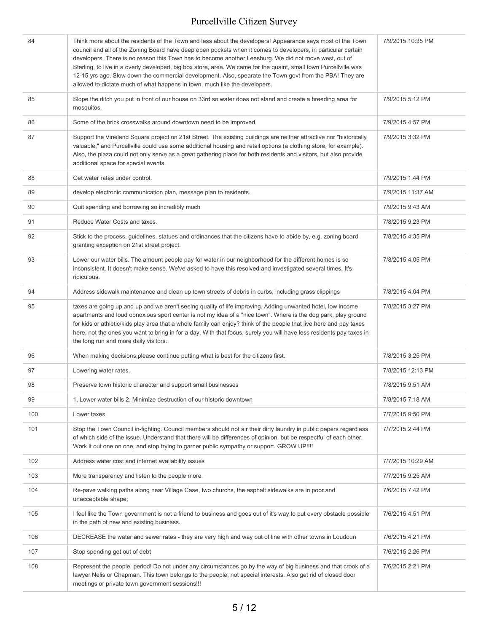| 84  | Think more about the residents of the Town and less about the developers! Appearance says most of the Town<br>council and all of the Zoning Board have deep open pockets when it comes to developers, in particular certain<br>developers. There is no reason this Town has to become another Leesburg. We did not move west, out of<br>Sterling, to live in a overly developed, big box store, area. We came for the quaint, small town Purcellville was<br>12-15 yrs ago. Slow down the commercial development. Also, spearate the Town govt from the PBA! They are<br>allowed to dictate much of what happens in town, much like the developers. | 7/9/2015 10:35 PM |
|-----|-----------------------------------------------------------------------------------------------------------------------------------------------------------------------------------------------------------------------------------------------------------------------------------------------------------------------------------------------------------------------------------------------------------------------------------------------------------------------------------------------------------------------------------------------------------------------------------------------------------------------------------------------------|-------------------|
| 85  | Slope the ditch you put in front of our house on 33rd so water does not stand and create a breeding area for<br>mosquitos.                                                                                                                                                                                                                                                                                                                                                                                                                                                                                                                          | 7/9/2015 5:12 PM  |
| 86  | Some of the brick crosswalks around downtown need to be improved.                                                                                                                                                                                                                                                                                                                                                                                                                                                                                                                                                                                   | 7/9/2015 4:57 PM  |
| 87  | Support the Vineland Square project on 21st Street. The existing buildings are neither attractive nor "historically<br>valuable," and Purcellville could use some additional housing and retail options (a clothing store, for example).<br>Also, the plaza could not only serve as a great gathering place for both residents and visitors, but also provide<br>additional space for special events.                                                                                                                                                                                                                                               | 7/9/2015 3:32 PM  |
| 88  | Get water rates under control.                                                                                                                                                                                                                                                                                                                                                                                                                                                                                                                                                                                                                      | 7/9/2015 1:44 PM  |
| 89  | develop electronic communication plan, message plan to residents.                                                                                                                                                                                                                                                                                                                                                                                                                                                                                                                                                                                   | 7/9/2015 11:37 AM |
| 90  | Quit spending and borrowing so incredibly much                                                                                                                                                                                                                                                                                                                                                                                                                                                                                                                                                                                                      | 7/9/2015 9:43 AM  |
| 91  | Reduce Water Costs and taxes.                                                                                                                                                                                                                                                                                                                                                                                                                                                                                                                                                                                                                       | 7/8/2015 9:23 PM  |
| 92  | Stick to the process, guidelines, statues and ordinances that the citizens have to abide by, e.g. zoning board<br>granting exception on 21st street project.                                                                                                                                                                                                                                                                                                                                                                                                                                                                                        | 7/8/2015 4:35 PM  |
| 93  | Lower our water bills. The amount people pay for water in our neighborhood for the different homes is so<br>inconsistent. It doesn't make sense. We've asked to have this resolved and investigated several times. It's<br>ridiculous.                                                                                                                                                                                                                                                                                                                                                                                                              | 7/8/2015 4:05 PM  |
| 94  | Address sidewalk maintenance and clean up town streets of debris in curbs, including grass clippings                                                                                                                                                                                                                                                                                                                                                                                                                                                                                                                                                | 7/8/2015 4:04 PM  |
| 95  | taxes are going up and up and we aren't seeing quality of life improving. Adding unwanted hotel, low income<br>apartments and loud obnoxious sport center is not my idea of a "nice town". Where is the dog park, play ground<br>for kids or athletic/kids play area that a whole family can enjoy? think of the people that live here and pay taxes<br>here, not the ones you want to bring in for a day. With that focus, surely you will have less residents pay taxes in<br>the long run and more daily visitors.                                                                                                                               | 7/8/2015 3:27 PM  |
| 96  | When making decisions, please continue putting what is best for the citizens first.                                                                                                                                                                                                                                                                                                                                                                                                                                                                                                                                                                 | 7/8/2015 3:25 PM  |
| 97  | Lowering water rates.                                                                                                                                                                                                                                                                                                                                                                                                                                                                                                                                                                                                                               | 7/8/2015 12:13 PM |
| 98  | Preserve town historic character and support small businesses                                                                                                                                                                                                                                                                                                                                                                                                                                                                                                                                                                                       | 7/8/2015 9:51 AM  |
| 99  | 1. Lower water bills 2. Minimize destruction of our historic downtown                                                                                                                                                                                                                                                                                                                                                                                                                                                                                                                                                                               | 7/8/2015 7:18 AM  |
| 100 | Lower taxes                                                                                                                                                                                                                                                                                                                                                                                                                                                                                                                                                                                                                                         | 7/7/2015 9:50 PM  |
| 101 | Stop the Town Council in-fighting. Council members should not air their dirty laundry in public papers regardless<br>of which side of the issue. Understand that there will be differences of opinion, but be respectful of each other.<br>Work it out one on one, and stop trying to garner public sympathy or support. GROW UP!!!!                                                                                                                                                                                                                                                                                                                | 7/7/2015 2:44 PM  |
| 102 | Address water cost and internet availability issues                                                                                                                                                                                                                                                                                                                                                                                                                                                                                                                                                                                                 | 7/7/2015 10:29 AM |
| 103 | More transparency and listen to the people more.                                                                                                                                                                                                                                                                                                                                                                                                                                                                                                                                                                                                    | 7/7/2015 9:25 AM  |
| 104 | Re-pave walking paths along near Village Case, two churchs, the asphalt sidewalks are in poor and<br>unacceptable shape;                                                                                                                                                                                                                                                                                                                                                                                                                                                                                                                            | 7/6/2015 7:42 PM  |
| 105 | I feel like the Town government is not a friend to business and goes out of it's way to put every obstacle possible<br>in the path of new and existing business.                                                                                                                                                                                                                                                                                                                                                                                                                                                                                    | 7/6/2015 4:51 PM  |
| 106 | DECREASE the water and sewer rates - they are very high and way out of line with other towns in Loudoun                                                                                                                                                                                                                                                                                                                                                                                                                                                                                                                                             | 7/6/2015 4:21 PM  |
| 107 | Stop spending get out of debt                                                                                                                                                                                                                                                                                                                                                                                                                                                                                                                                                                                                                       | 7/6/2015 2:26 PM  |
| 108 | Represent the people, period! Do not under any circumstances go by the way of big business and that crook of a<br>lawyer Nelis or Chapman. This town belongs to the people, not special interests. Also get rid of closed door<br>meetings or private town government sessions!!!                                                                                                                                                                                                                                                                                                                                                                   | 7/6/2015 2:21 PM  |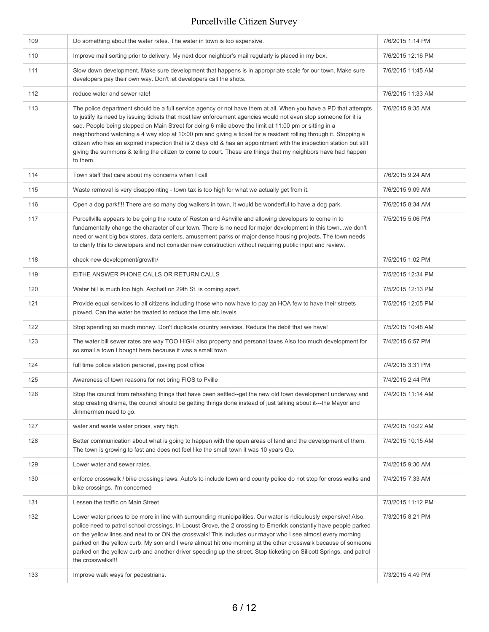| 109 | Do something about the water rates. The water in town is too expensive.                                                                                                                                                                                                                                                                                                                                                                                                                                                                                                                                                                                                                                             | 7/6/2015 1:14 PM  |
|-----|---------------------------------------------------------------------------------------------------------------------------------------------------------------------------------------------------------------------------------------------------------------------------------------------------------------------------------------------------------------------------------------------------------------------------------------------------------------------------------------------------------------------------------------------------------------------------------------------------------------------------------------------------------------------------------------------------------------------|-------------------|
| 110 | Improve mail sorting prior to delivery. My next door neighbor's mail regularly is placed in my box.                                                                                                                                                                                                                                                                                                                                                                                                                                                                                                                                                                                                                 | 7/6/2015 12:16 PM |
| 111 | Slow down development. Make sure development that happens is in appropriate scale for our town. Make sure<br>developers pay their own way. Don't let developers call the shots.                                                                                                                                                                                                                                                                                                                                                                                                                                                                                                                                     | 7/6/2015 11:45 AM |
| 112 | reduce water and sewer rate!                                                                                                                                                                                                                                                                                                                                                                                                                                                                                                                                                                                                                                                                                        | 7/6/2015 11:33 AM |
| 113 | The police department should be a full service agency or not have them at all. When you have a PD that attempts<br>to justify its need by issuing tickets that most law enforcement agencies would not even stop someone for it is<br>sad. People being stopped on Main Street for doing 6 mile above the limit at 11:00 pm or sitting in a<br>neighborhood watching a 4 way stop at 10:00 pm and giving a ticket for a resident rolling through it. Stopping a<br>citizen who has an expired inspection that is 2 days old & has an appointment with the inspection station but still<br>giving the summons & telling the citizen to come to court. These are things that my neighbors have had happen<br>to them. | 7/6/2015 9:35 AM  |
| 114 | Town staff that care about my concerns when I call                                                                                                                                                                                                                                                                                                                                                                                                                                                                                                                                                                                                                                                                  | 7/6/2015 9:24 AM  |
| 115 | Waste removal is very disappointing - town tax is too high for what we actually get from it.                                                                                                                                                                                                                                                                                                                                                                                                                                                                                                                                                                                                                        | 7/6/2015 9:09 AM  |
| 116 | Open a dog park!!!! There are so many dog walkers in town, it would be wonderful to have a dog park.                                                                                                                                                                                                                                                                                                                                                                                                                                                                                                                                                                                                                | 7/6/2015 8:34 AM  |
| 117 | Purcellville appears to be going the route of Reston and Ashville and allowing developers to come in to<br>fundamentally change the character of our town. There is no need for major development in this townwe don't<br>need or want big box stores, data centers, amusement parks or major dense housing projects. The town needs<br>to clarify this to developers and not consider new construction without requiring public input and review.                                                                                                                                                                                                                                                                  | 7/5/2015 5:06 PM  |
| 118 | check new development/growth/                                                                                                                                                                                                                                                                                                                                                                                                                                                                                                                                                                                                                                                                                       | 7/5/2015 1:02 PM  |
| 119 | EITHE ANSWER PHONE CALLS OR RETURN CALLS                                                                                                                                                                                                                                                                                                                                                                                                                                                                                                                                                                                                                                                                            | 7/5/2015 12:34 PM |
| 120 | Water bill is much too high. Asphalt on 29th St. is coming apart.                                                                                                                                                                                                                                                                                                                                                                                                                                                                                                                                                                                                                                                   | 7/5/2015 12:13 PM |
| 121 | Provide equal services to all citizens including those who now have to pay an HOA few to have their streets<br>plowed. Can the water be treated to reduce the lime etc levels                                                                                                                                                                                                                                                                                                                                                                                                                                                                                                                                       | 7/5/2015 12:05 PM |
| 122 | Stop spending so much money. Don't duplicate country services. Reduce the debit that we have!                                                                                                                                                                                                                                                                                                                                                                                                                                                                                                                                                                                                                       | 7/5/2015 10:48 AM |
| 123 | The water bill sewer rates are way TOO HIGH also property and personal taxes Also too much development for<br>so small a town I bought here because it was a small town                                                                                                                                                                                                                                                                                                                                                                                                                                                                                                                                             | 7/4/2015 6:57 PM  |
| 124 | full time police station personel, paving post office                                                                                                                                                                                                                                                                                                                                                                                                                                                                                                                                                                                                                                                               | 7/4/2015 3:31 PM  |
| 125 | Awareness of town reasons for not bring FIOS to Pville                                                                                                                                                                                                                                                                                                                                                                                                                                                                                                                                                                                                                                                              | 7/4/2015 2:44 PM  |
| 126 | Stop the council from rehashing things that have been settled--get the new old town development underway and<br>stop creating drama, the council should be getting things done instead of just talking about it---the Mayor and<br>Jimmermen need to go.                                                                                                                                                                                                                                                                                                                                                                                                                                                            | 7/4/2015 11:14 AM |
| 127 | water and waste water prices, very high                                                                                                                                                                                                                                                                                                                                                                                                                                                                                                                                                                                                                                                                             | 7/4/2015 10:22 AM |
| 128 | Better communication about what is going to happen with the open areas of land and the development of them.<br>The town is growing to fast and does not feel like the small town it was 10 years Go.                                                                                                                                                                                                                                                                                                                                                                                                                                                                                                                | 7/4/2015 10:15 AM |
| 129 | Lower water and sewer rates.                                                                                                                                                                                                                                                                                                                                                                                                                                                                                                                                                                                                                                                                                        | 7/4/2015 9:30 AM  |
| 130 | enforce crosswalk / bike crossings laws. Auto's to include town and county police do not stop for cross walks and<br>bike crossings. I'm concerned                                                                                                                                                                                                                                                                                                                                                                                                                                                                                                                                                                  | 7/4/2015 7:33 AM  |
| 131 | Lessen the traffic on Main Street                                                                                                                                                                                                                                                                                                                                                                                                                                                                                                                                                                                                                                                                                   | 7/3/2015 11:12 PM |
| 132 | Lower water prices to be more in line with surrounding municipalities. Our water is ridiculously expensive! Also,<br>police need to patrol school crossings. In Locust Grove, the 2 crossing to Emerick constantly have people parked<br>on the yellow lines and next to or ON the crosswalk! This includes our mayor who I see almost every morning<br>parked on the yellow curb. My son and I were almost hit one morning at the other crosswalk because of someone<br>parked on the yellow curb and another driver speeding up the street. Stop ticketing on Sillcott Springs, and patrol<br>the crosswalks!!!                                                                                                   | 7/3/2015 8:21 PM  |
| 133 | Improve walk ways for pedestrians.                                                                                                                                                                                                                                                                                                                                                                                                                                                                                                                                                                                                                                                                                  | 7/3/2015 4:49 PM  |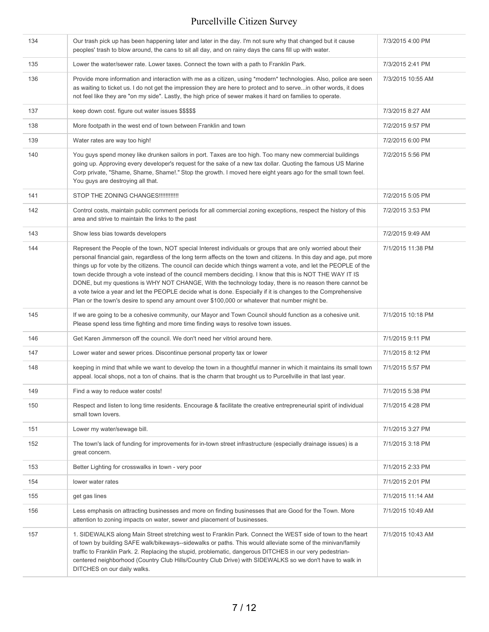| 134 | Our trash pick up has been happening later and later in the day. I'm not sure why that changed but it cause<br>peoples' trash to blow around, the cans to sit all day, and on rainy days the cans fill up with water.                                                                                                                                                                                                                                                                                                                                                                                                                                                                                                                                                                                 | 7/3/2015 4:00 PM  |
|-----|-------------------------------------------------------------------------------------------------------------------------------------------------------------------------------------------------------------------------------------------------------------------------------------------------------------------------------------------------------------------------------------------------------------------------------------------------------------------------------------------------------------------------------------------------------------------------------------------------------------------------------------------------------------------------------------------------------------------------------------------------------------------------------------------------------|-------------------|
| 135 | Lower the water/sewer rate. Lower taxes. Connect the town with a path to Franklin Park.                                                                                                                                                                                                                                                                                                                                                                                                                                                                                                                                                                                                                                                                                                               | 7/3/2015 2:41 PM  |
| 136 | Provide more information and interaction with me as a citizen, using *modern* technologies. Also, police are seen<br>as waiting to ticket us. I do not get the impression they are here to protect and to servein other words, it does<br>not feel like they are "on my side". Lastly, the high price of sewer makes it hard on families to operate.                                                                                                                                                                                                                                                                                                                                                                                                                                                  | 7/3/2015 10:55 AM |
| 137 | keep down cost. figure out water issues \$\$\$\$\$                                                                                                                                                                                                                                                                                                                                                                                                                                                                                                                                                                                                                                                                                                                                                    | 7/3/2015 8:27 AM  |
| 138 | More footpath in the west end of town between Franklin and town                                                                                                                                                                                                                                                                                                                                                                                                                                                                                                                                                                                                                                                                                                                                       | 7/2/2015 9:57 PM  |
| 139 | Water rates are way too high!                                                                                                                                                                                                                                                                                                                                                                                                                                                                                                                                                                                                                                                                                                                                                                         | 7/2/2015 6:00 PM  |
| 140 | You guys spend money like drunken sailors in port. Taxes are too high. Too many new commercial buildings<br>going up. Approving every developer's request for the sake of a new tax dollar. Quoting the famous US Marine<br>Corp private, "Shame, Shame, Shame!." Stop the growth. I moved here eight years ago for the small town feel.<br>You guys are destroying all that.                                                                                                                                                                                                                                                                                                                                                                                                                         | 7/2/2015 5:56 PM  |
| 141 | STOP THE ZONING CHANGES!!!!!!!!!!!!!                                                                                                                                                                                                                                                                                                                                                                                                                                                                                                                                                                                                                                                                                                                                                                  | 7/2/2015 5:05 PM  |
| 142 | Control costs, maintain public comment periods for all commercial zoning exceptions, respect the history of this<br>area and strive to maintain the links to the past                                                                                                                                                                                                                                                                                                                                                                                                                                                                                                                                                                                                                                 | 7/2/2015 3:53 PM  |
| 143 | Show less bias towards developers                                                                                                                                                                                                                                                                                                                                                                                                                                                                                                                                                                                                                                                                                                                                                                     | 7/2/2015 9:49 AM  |
| 144 | Represent the People of the town, NOT special Interest individuals or groups that are only worried about their<br>personal financial gain, regardless of the long term affects on the town and citizens. In this day and age, put more<br>things up for vote by the citizens. The council can decide which things warrent a vote, and let the PEOPLE of the<br>town decide through a vote instead of the council members deciding. I know that this is NOT THE WAY IT IS<br>DONE, but my questions is WHY NOT CHANGE, With the technology today, there is no reason there cannot be<br>a vote twice a year and let the PEOPLE decide what is done. Especially if it is changes to the Comprehensive<br>Plan or the town's desire to spend any amount over \$100,000 or whatever that number might be. | 7/1/2015 11:38 PM |
| 145 | If we are going to be a cohesive community, our Mayor and Town Council should function as a cohesive unit.<br>Please spend less time fighting and more time finding ways to resolve town issues.                                                                                                                                                                                                                                                                                                                                                                                                                                                                                                                                                                                                      | 7/1/2015 10:18 PM |
| 146 | Get Karen Jimmerson off the council. We don't need her vitriol around here.                                                                                                                                                                                                                                                                                                                                                                                                                                                                                                                                                                                                                                                                                                                           | 7/1/2015 9:11 PM  |
| 147 | Lower water and sewer prices. Discontinue personal property tax or lower                                                                                                                                                                                                                                                                                                                                                                                                                                                                                                                                                                                                                                                                                                                              | 7/1/2015 8:12 PM  |
| 148 | keeping in mind that while we want to develop the town in a thoughtful manner in which it maintains its small town<br>appeal. local shops, not a ton of chains. that is the charm that brought us to Purcellville in that last year.                                                                                                                                                                                                                                                                                                                                                                                                                                                                                                                                                                  | 7/1/2015 5:57 PM  |
| 149 | Find a way to reduce water costs!                                                                                                                                                                                                                                                                                                                                                                                                                                                                                                                                                                                                                                                                                                                                                                     | 7/1/2015 5:38 PM  |
| 150 | Respect and listen to long time residents. Encourage & facilitate the creative entrepreneurial spirit of individual<br>small town lovers.                                                                                                                                                                                                                                                                                                                                                                                                                                                                                                                                                                                                                                                             | 7/1/2015 4:28 PM  |
| 151 | Lower my water/sewage bill.                                                                                                                                                                                                                                                                                                                                                                                                                                                                                                                                                                                                                                                                                                                                                                           | 7/1/2015 3:27 PM  |
| 152 | The town's lack of funding for improvements for in-town street infrastructure (especially drainage issues) is a<br>great concern.                                                                                                                                                                                                                                                                                                                                                                                                                                                                                                                                                                                                                                                                     | 7/1/2015 3:18 PM  |
| 153 | Better Lighting for crosswalks in town - very poor                                                                                                                                                                                                                                                                                                                                                                                                                                                                                                                                                                                                                                                                                                                                                    | 7/1/2015 2:33 PM  |
| 154 | lower water rates                                                                                                                                                                                                                                                                                                                                                                                                                                                                                                                                                                                                                                                                                                                                                                                     | 7/1/2015 2:01 PM  |
| 155 | get gas lines                                                                                                                                                                                                                                                                                                                                                                                                                                                                                                                                                                                                                                                                                                                                                                                         | 7/1/2015 11:14 AM |
| 156 | Less emphasis on attracting businesses and more on finding businesses that are Good for the Town. More<br>attention to zoning impacts on water, sewer and placement of businesses.                                                                                                                                                                                                                                                                                                                                                                                                                                                                                                                                                                                                                    | 7/1/2015 10:49 AM |
| 157 | 1. SIDEWALKS along Main Street stretching west to Franklin Park. Connect the WEST side of town to the heart<br>of town by building SAFE walk/bikeways--sidewalks or paths. This would alleviate some of the minivan/family<br>traffic to Franklin Park. 2. Replacing the stupid, problematic, dangerous DITCHES in our very pedestrian-<br>centered neighborhood (Country Club Hills/Country Club Drive) with SIDEWALKS so we don't have to walk in<br>DITCHES on our daily walks.                                                                                                                                                                                                                                                                                                                    | 7/1/2015 10:43 AM |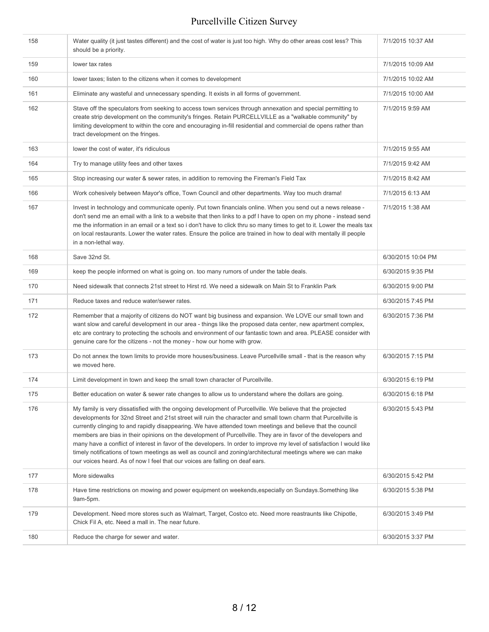| 158 | Water quality (it just tastes different) and the cost of water is just too high. Why do other areas cost less? This<br>should be a priority.                                                                                                                                                                                                                                                                                                                                                                                                                                                                                                                                                                                                                                            | 7/1/2015 10:37 AM  |
|-----|-----------------------------------------------------------------------------------------------------------------------------------------------------------------------------------------------------------------------------------------------------------------------------------------------------------------------------------------------------------------------------------------------------------------------------------------------------------------------------------------------------------------------------------------------------------------------------------------------------------------------------------------------------------------------------------------------------------------------------------------------------------------------------------------|--------------------|
| 159 | lower tax rates                                                                                                                                                                                                                                                                                                                                                                                                                                                                                                                                                                                                                                                                                                                                                                         | 7/1/2015 10:09 AM  |
| 160 | lower taxes; listen to the citizens when it comes to development                                                                                                                                                                                                                                                                                                                                                                                                                                                                                                                                                                                                                                                                                                                        | 7/1/2015 10:02 AM  |
| 161 | Eliminate any wasteful and unnecessary spending. It exists in all forms of government.                                                                                                                                                                                                                                                                                                                                                                                                                                                                                                                                                                                                                                                                                                  | 7/1/2015 10:00 AM  |
| 162 | Stave off the speculators from seeking to access town services through annexation and special permitting to<br>create strip development on the community's fringes. Retain PURCELLVILLE as a "walkable community" by<br>limiting development to within the core and encouraging in-fill residential and commercial de opens rather than<br>tract development on the fringes.                                                                                                                                                                                                                                                                                                                                                                                                            | 7/1/2015 9:59 AM   |
| 163 | lower the cost of water, it's ridiculous                                                                                                                                                                                                                                                                                                                                                                                                                                                                                                                                                                                                                                                                                                                                                | 7/1/2015 9:55 AM   |
| 164 | Try to manage utility fees and other taxes                                                                                                                                                                                                                                                                                                                                                                                                                                                                                                                                                                                                                                                                                                                                              | 7/1/2015 9:42 AM   |
| 165 | Stop increasing our water & sewer rates, in addition to removing the Fireman's Field Tax                                                                                                                                                                                                                                                                                                                                                                                                                                                                                                                                                                                                                                                                                                | 7/1/2015 8:42 AM   |
| 166 | Work cohesively between Mayor's office, Town Council and other departments. Way too much drama!                                                                                                                                                                                                                                                                                                                                                                                                                                                                                                                                                                                                                                                                                         | 7/1/2015 6:13 AM   |
| 167 | Invest in technology and communicate openly. Put town financials online. When you send out a news release -<br>don't send me an email with a link to a website that then links to a pdf I have to open on my phone - instead send<br>me the information in an email or a text so i don't have to click thru so many times to get to it. Lower the meals tax<br>on local restaurants. Lower the water rates. Ensure the police are trained in how to deal with mentally ill people<br>in a non-lethal way.                                                                                                                                                                                                                                                                               | 7/1/2015 1:38 AM   |
| 168 | Save 32nd St.                                                                                                                                                                                                                                                                                                                                                                                                                                                                                                                                                                                                                                                                                                                                                                           | 6/30/2015 10:04 PM |
| 169 | keep the people informed on what is going on. too many rumors of under the table deals.                                                                                                                                                                                                                                                                                                                                                                                                                                                                                                                                                                                                                                                                                                 | 6/30/2015 9:35 PM  |
| 170 | Need sidewalk that connects 21st street to Hirst rd. We need a sidewalk on Main St to Franklin Park                                                                                                                                                                                                                                                                                                                                                                                                                                                                                                                                                                                                                                                                                     | 6/30/2015 9:00 PM  |
| 171 | Reduce taxes and reduce water/sewer rates.                                                                                                                                                                                                                                                                                                                                                                                                                                                                                                                                                                                                                                                                                                                                              | 6/30/2015 7:45 PM  |
| 172 | Remember that a majority of citizens do NOT want big business and expansion. We LOVE our small town and<br>want slow and careful development in our area - things like the proposed data center, new apartment complex,<br>etc are contrary to protecting the schools and environment of our fantastic town and area. PLEASE consider with<br>genuine care for the citizens - not the money - how our home with grow.                                                                                                                                                                                                                                                                                                                                                                   | 6/30/2015 7:36 PM  |
| 173 | Do not annex the town limits to provide more houses/business. Leave Purcellville small - that is the reason why<br>we moved here.                                                                                                                                                                                                                                                                                                                                                                                                                                                                                                                                                                                                                                                       | 6/30/2015 7:15 PM  |
| 174 | Limit development in town and keep the small town character of Purcellville.                                                                                                                                                                                                                                                                                                                                                                                                                                                                                                                                                                                                                                                                                                            | 6/30/2015 6:19 PM  |
| 175 | Better education on water & sewer rate changes to allow us to understand where the dollars are going.                                                                                                                                                                                                                                                                                                                                                                                                                                                                                                                                                                                                                                                                                   | 6/30/2015 6:18 PM  |
| 176 | My family is very dissatisfied with the ongoing development of Purcellville. We believe that the projected<br>developments for 32nd Street and 21st street will ruin the character and small town charm that Purcellville is<br>currently clinging to and rapidly disappearing. We have attended town meetings and believe that the council<br>members are bias in their opinions on the development of Purcellville. They are in favor of the developers and<br>many have a conflict of interest in favor of the developers. In order to improve my level of satisfaction I would like<br>timely notifications of town meetings as well as council and zoning/architectural meetings where we can make<br>our voices heard. As of now I feel that our voices are falling on deaf ears. | 6/30/2015 5:43 PM  |
| 177 | More sidewalks                                                                                                                                                                                                                                                                                                                                                                                                                                                                                                                                                                                                                                                                                                                                                                          | 6/30/2015 5:42 PM  |
| 178 | Have time restrictions on mowing and power equipment on weekends, especially on Sundays. Something like<br>9am-5pm.                                                                                                                                                                                                                                                                                                                                                                                                                                                                                                                                                                                                                                                                     | 6/30/2015 5:38 PM  |
| 179 | Development. Need more stores such as Walmart, Target, Costco etc. Need more reastraunts like Chipotle,<br>Chick Fil A, etc. Need a mall in. The near future.                                                                                                                                                                                                                                                                                                                                                                                                                                                                                                                                                                                                                           | 6/30/2015 3:49 PM  |
| 180 | Reduce the charge for sewer and water.                                                                                                                                                                                                                                                                                                                                                                                                                                                                                                                                                                                                                                                                                                                                                  | 6/30/2015 3:37 PM  |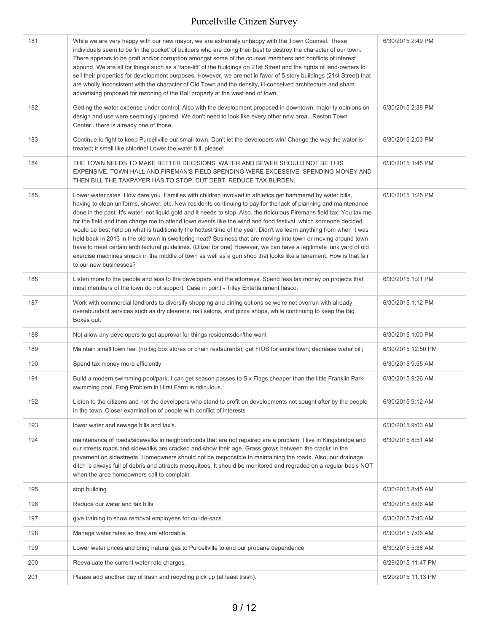| 181 | While we are very happy with our new mayor, we are extremely unhappy with the Town Counsel. These<br>individuals seem to be 'in the pocket' of builders who are doing their best to destroy the character of our town.<br>There appears to be graft and/or corruption amongst some of the counsel members and conflicts of interest<br>abound. We are all for things such as a 'face-lift' of the buildings on 21st Street and the rights of land-owners to<br>sell their properties for development purposes. However, we are not in favor of 5 story buildings (21st Street) that<br>are wholly inconsistent with the character of Old Town and the density, ill-conceived architecture and sham<br>advertising proposed for rezoning of the Ball property at the west end of town.                                                                                                                                                                                                  | 6/30/2015 2:49 PM  |
|-----|----------------------------------------------------------------------------------------------------------------------------------------------------------------------------------------------------------------------------------------------------------------------------------------------------------------------------------------------------------------------------------------------------------------------------------------------------------------------------------------------------------------------------------------------------------------------------------------------------------------------------------------------------------------------------------------------------------------------------------------------------------------------------------------------------------------------------------------------------------------------------------------------------------------------------------------------------------------------------------------|--------------------|
| 182 | Getting the water expense under control. Also with the development proposed in downtown, majority opinions on<br>design and use were seemingly ignored. We don't need to look like every other new area Reston Town<br>Centerthere is already one of those.                                                                                                                                                                                                                                                                                                                                                                                                                                                                                                                                                                                                                                                                                                                            | 6/30/2015 2:38 PM  |
| 183 | Continue to fight to keep Purcellville our small town. Don't let the developers win! Change the way the water is<br>treated; it smell like chlorine! Lower the water bill, please!                                                                                                                                                                                                                                                                                                                                                                                                                                                                                                                                                                                                                                                                                                                                                                                                     | 6/30/2015 2:03 PM  |
| 184 | THE TOWN NEEDS TO MAKE BETTER DECISIONS. WATER AND SEWER SHOULD NOT BE THIS<br>EXPENSIVE. TOWN HALL AND FIREMAN'S FIELD SPENDING WERE EXCESSIVE. SPENDING MONEY AND<br>THEN BILL THE TAXPAYER HAS TO STOP. CUT DEBT. REDUCE TAX BURDEN.                                                                                                                                                                                                                                                                                                                                                                                                                                                                                                                                                                                                                                                                                                                                                | 6/30/2015 1:45 PM  |
| 185 | Lower water rates. How dare you. Families with children involved in athletics get hammered by water bills,<br>having to clean uniforms, shower, etc. New residents continuing to pay for the lack of planning and maintenance<br>done in the past. It's water, not liquid gold and it needs to stop. Also, the ridiculous Firemans field tax. You tax me<br>for the field and then charge me to attend town events like the wind and food festival, which someone decided<br>would be best held on what is traditionally the hottest time of the year. Didn't we learn anything from when it was<br>held back in 2013 in the old town in sweltering heat? Business that are moving into town or moving around town<br>have to meet certain architectural guidelines. (Dilzer for one) However, we can have a legitimate junk yard of old<br>exercise machines smack in the middle of town as well as a gun shop that looks like a tenement. How is that fair<br>to our new businesses? | 6/30/2015 1:25 PM  |
| 186 | Listen more to the people and less to the developers and the attorneys. Spend less tax money on projects that<br>most members of the town do not support. Case in point - Tilley Entertainment fiasco.                                                                                                                                                                                                                                                                                                                                                                                                                                                                                                                                                                                                                                                                                                                                                                                 | 6/30/2015 1:21 PM  |
| 187 | Work with commercial landlords to diversify shopping and dining options so we're not overrun with already<br>overabundant services such as dry cleaners, nail salons, and pizza shops, while continuing to keep the Big<br>Boxes out.                                                                                                                                                                                                                                                                                                                                                                                                                                                                                                                                                                                                                                                                                                                                                  | 6/30/2015 1:12 PM  |
| 188 | Not allow any developers to get approval for things residentsdon'the want                                                                                                                                                                                                                                                                                                                                                                                                                                                                                                                                                                                                                                                                                                                                                                                                                                                                                                              | 6/30/2015 1:00 PM  |
| 189 | Maintain small town feel (no big box stores or chain restaurants); get FIOS for entire town; decrease water bill;                                                                                                                                                                                                                                                                                                                                                                                                                                                                                                                                                                                                                                                                                                                                                                                                                                                                      | 6/30/2015 12:50 PM |
| 190 | Spend tax money more efficiently                                                                                                                                                                                                                                                                                                                                                                                                                                                                                                                                                                                                                                                                                                                                                                                                                                                                                                                                                       | 6/30/2015 9:55 AM  |
| 191 | Build a modern swimming pool/park. I can get season passes to Six Flags cheaper than the little Franklin Park<br>swimming pool. Frog Problem in Hirst Farm is ridiculous.                                                                                                                                                                                                                                                                                                                                                                                                                                                                                                                                                                                                                                                                                                                                                                                                              | 6/30/2015 9:26 AM  |
| 192 | Listen to the citizens and not the developers who stand to profit on developments not sought after by the people<br>in the town. Closer examination of people with conflict of interests                                                                                                                                                                                                                                                                                                                                                                                                                                                                                                                                                                                                                                                                                                                                                                                               | 6/30/2015 9:12 AM  |
| 193 | lower water and sewage bills and tax's.                                                                                                                                                                                                                                                                                                                                                                                                                                                                                                                                                                                                                                                                                                                                                                                                                                                                                                                                                | 6/30/2015 9:03 AM  |
| 194 | maintenance of roads/sidewalks in neighborhoods that are not repaired are a problem. I live in Kingsbridge and<br>our streets roads and sidewalks are cracked and show their age. Grass grows between the cracks in the<br>pavement on sidestreets. Homeowners should not be responsible to maintaining the roads. Also, our drainage<br>ditch is always full of debris and attracts mosquitoes. It should be monitored and regraded on a regular basis NOT<br>when the area homeowners call to complain.                                                                                                                                                                                                                                                                                                                                                                                                                                                                              | 6/30/2015 8:51 AM  |
| 195 | stop building                                                                                                                                                                                                                                                                                                                                                                                                                                                                                                                                                                                                                                                                                                                                                                                                                                                                                                                                                                          | 6/30/2015 8:45 AM  |
| 196 | Reduce our water and tax bills.                                                                                                                                                                                                                                                                                                                                                                                                                                                                                                                                                                                                                                                                                                                                                                                                                                                                                                                                                        | 6/30/2015 8:06 AM  |
| 197 | give training to snow removal employees for cul-de-sacs.                                                                                                                                                                                                                                                                                                                                                                                                                                                                                                                                                                                                                                                                                                                                                                                                                                                                                                                               | 6/30/2015 7:43 AM  |
| 198 | Manage water rates so they are affordable.                                                                                                                                                                                                                                                                                                                                                                                                                                                                                                                                                                                                                                                                                                                                                                                                                                                                                                                                             | 6/30/2015 7:06 AM  |
| 199 | Lower water prices and bring natural gas to Purcellville to end our propane dependence                                                                                                                                                                                                                                                                                                                                                                                                                                                                                                                                                                                                                                                                                                                                                                                                                                                                                                 | 6/30/2015 5:38 AM  |
| 200 | Reevaluate the current water rate charges.                                                                                                                                                                                                                                                                                                                                                                                                                                                                                                                                                                                                                                                                                                                                                                                                                                                                                                                                             | 6/29/2015 11:47 PM |
| 201 | Please add another day of trash and recycling pick up (at least trash).                                                                                                                                                                                                                                                                                                                                                                                                                                                                                                                                                                                                                                                                                                                                                                                                                                                                                                                | 6/29/2015 11:13 PM |
|     |                                                                                                                                                                                                                                                                                                                                                                                                                                                                                                                                                                                                                                                                                                                                                                                                                                                                                                                                                                                        |                    |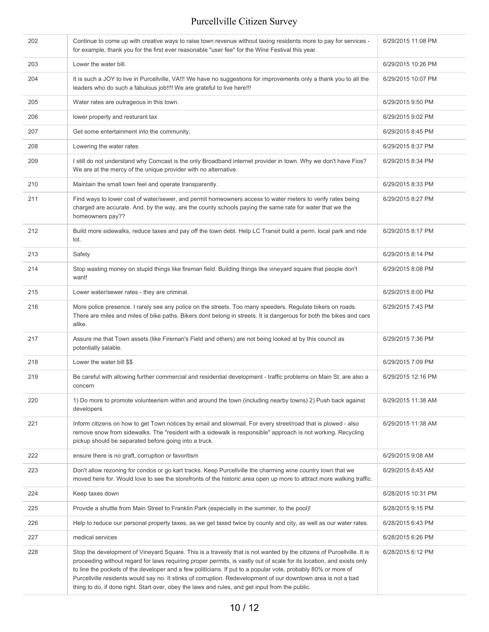| 202 | Continue to come up with creative ways to raise town revenue without taxing residents more to pay for services -<br>for example, thank you for the first ever reasonable "user fee" for the Wine Festival this year.                                                                                                                                                                                                                                                                                                                                                                | 6/29/2015 11:08 PM |
|-----|-------------------------------------------------------------------------------------------------------------------------------------------------------------------------------------------------------------------------------------------------------------------------------------------------------------------------------------------------------------------------------------------------------------------------------------------------------------------------------------------------------------------------------------------------------------------------------------|--------------------|
| 203 | Lower the water bill.                                                                                                                                                                                                                                                                                                                                                                                                                                                                                                                                                               | 6/29/2015 10:26 PM |
| 204 | It is such a JOY to live in Purcellville, VA!!! We have no suggestions for improvements only a thank you to all the<br>leaders who do such a fabulous job!!!! We are grateful to live here!!!                                                                                                                                                                                                                                                                                                                                                                                       | 6/29/2015 10:07 PM |
| 205 | Water rates are outrageous in this town.                                                                                                                                                                                                                                                                                                                                                                                                                                                                                                                                            | 6/29/2015 9:50 PM  |
| 206 | lower property and resturant tax                                                                                                                                                                                                                                                                                                                                                                                                                                                                                                                                                    | 6/29/2015 9:02 PM  |
| 207 | Get some entertainment into the community.                                                                                                                                                                                                                                                                                                                                                                                                                                                                                                                                          | 6/29/2015 8:45 PM  |
| 208 | Lowering the water rates                                                                                                                                                                                                                                                                                                                                                                                                                                                                                                                                                            | 6/29/2015 8:37 PM  |
| 209 | I still do not understand why Comcast is the only Broadband internet provider in town. Why we don't have Fios?<br>We are at the mercy of the unique provider with no alternative.                                                                                                                                                                                                                                                                                                                                                                                                   | 6/29/2015 8:34 PM  |
| 210 | Maintain the small town feel and operate transparently.                                                                                                                                                                                                                                                                                                                                                                                                                                                                                                                             | 6/29/2015 8:33 PM  |
| 211 | Find ways to lower cost of water/sewer, and permit homeowners access to water meters to verify rates being<br>charged are accurate. And, by the way, are the county schools paying the same rate for water that we the<br>homeowners pay??                                                                                                                                                                                                                                                                                                                                          | 6/29/2015 8:27 PM  |
| 212 | Build more sidewalks, reduce taxes and pay off the town debt. Help LC Transit build a perm. local park and ride<br>lot.                                                                                                                                                                                                                                                                                                                                                                                                                                                             | 6/29/2015 8:17 PM  |
| 213 | Safety                                                                                                                                                                                                                                                                                                                                                                                                                                                                                                                                                                              | 6/29/2015 8:14 PM  |
| 214 | Stop wasting money on stupid things like fireman field. Building things like vineyard square that people don't<br>want!                                                                                                                                                                                                                                                                                                                                                                                                                                                             | 6/29/2015 8:08 PM  |
| 215 | Lower water/sewer rates - they are criminal.                                                                                                                                                                                                                                                                                                                                                                                                                                                                                                                                        | 6/29/2015 8:00 PM  |
| 216 | More police presence. I rarely see any police on the streets. Too many speeders. Regulate bikers on roads.<br>There are miles and miles of bike paths. Bikers dont belong in streets. It is dangerous for both the bikes and cars<br>alike.                                                                                                                                                                                                                                                                                                                                         | 6/29/2015 7:43 PM  |
| 217 | Assure me that Town assets (like Fireman's Field and others) are not being looked at by this council as<br>potentially salable.                                                                                                                                                                                                                                                                                                                                                                                                                                                     | 6/29/2015 7:36 PM  |
| 218 | Lower the water bill \$\$                                                                                                                                                                                                                                                                                                                                                                                                                                                                                                                                                           | 6/29/2015 7:09 PM  |
| 219 | Be careful with allowing further commercial and residential development - traffic problems on Main St. are also a<br>concern                                                                                                                                                                                                                                                                                                                                                                                                                                                        | 6/29/2015 12:16 PM |
| 220 | 1) Do more to promote volunteerism within and around the town (including nearby towns) 2) Push back against<br>developers                                                                                                                                                                                                                                                                                                                                                                                                                                                           | 6/29/2015 11:38 AM |
| 221 | Inform citizens on how to get Town notices by email and slowmail. For every street/road that is plowed - also<br>remove snow from sidewalks. The "resident with a sidewalk is responsible" approach is not working. Recycling<br>pickup should be separated before going into a truck.                                                                                                                                                                                                                                                                                              | 6/29/2015 11:38 AM |
| 222 | ensure there is no graft, corruption or favoritism                                                                                                                                                                                                                                                                                                                                                                                                                                                                                                                                  | 6/29/2015 9:08 AM  |
| 223 | Don't allow rezoning for condos or go kart tracks. Keep Purcellville the charming wine country town that we<br>moved here for. Would love to see the storefronts of the historic area open up more to attract more walking traffic.                                                                                                                                                                                                                                                                                                                                                 | 6/29/2015 8:45 AM  |
| 224 | Keep taxes down                                                                                                                                                                                                                                                                                                                                                                                                                                                                                                                                                                     | 6/28/2015 10:31 PM |
| 225 | Provide a shuttle from Main Street to Franklin Park (especially in the summer, to the pool)!                                                                                                                                                                                                                                                                                                                                                                                                                                                                                        | 6/28/2015 9:15 PM  |
| 226 | Help to reduce our personal property taxes, as we get taxed twice by county and city, as well as our water rates.                                                                                                                                                                                                                                                                                                                                                                                                                                                                   | 6/28/2015 6:43 PM  |
| 227 | medical services                                                                                                                                                                                                                                                                                                                                                                                                                                                                                                                                                                    | 6/28/2015 6:26 PM  |
| 228 | Stop the development of Vineyard Square. This is a travesty that is not wanted by the citizens of Purcellville. It is<br>proceeding without regard for laws requiring proper permits, is vastly out of scale for its location, and exists only<br>to line the pockets of the developer and a few politicians. If put to a popular vote, probably 80% or more of<br>Purcellville residents would say no. It stinks of corruption. Redevelopment of our downtown area is not a bad<br>thing to do, if done right. Start over, obey the laws and rules, and get input from the public. | 6/28/2015 6:12 PM  |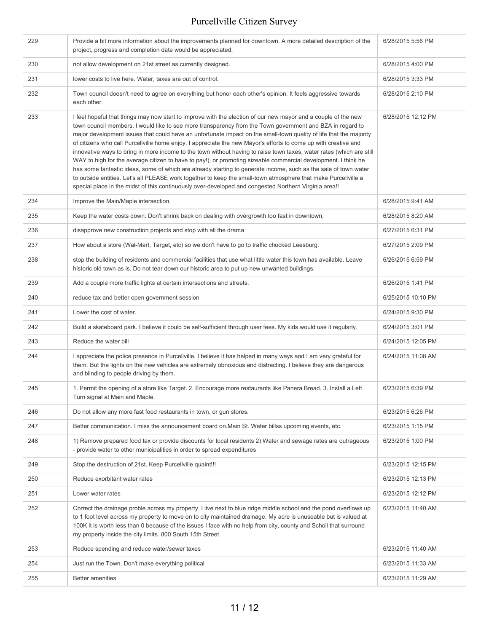| 229 | Provide a bit more information about the improvements planned for downtown. A more detailed description of the<br>project, progress and completion date would be appreciated.                                                                                                                                                                                                                                                                                                                                                                                                                                                                                                                                                                                                                                                                                                                                                                                                                                                                                | 6/28/2015 5:56 PM  |
|-----|--------------------------------------------------------------------------------------------------------------------------------------------------------------------------------------------------------------------------------------------------------------------------------------------------------------------------------------------------------------------------------------------------------------------------------------------------------------------------------------------------------------------------------------------------------------------------------------------------------------------------------------------------------------------------------------------------------------------------------------------------------------------------------------------------------------------------------------------------------------------------------------------------------------------------------------------------------------------------------------------------------------------------------------------------------------|--------------------|
| 230 | not allow development on 21st street as currently designed.                                                                                                                                                                                                                                                                                                                                                                                                                                                                                                                                                                                                                                                                                                                                                                                                                                                                                                                                                                                                  | 6/28/2015 4:00 PM  |
| 231 | lower costs to live here. Water, taxes are out of control.                                                                                                                                                                                                                                                                                                                                                                                                                                                                                                                                                                                                                                                                                                                                                                                                                                                                                                                                                                                                   | 6/28/2015 3:33 PM  |
| 232 | Town council doesn't need to agree on everything but honor each other's opinion. It feels aggressive towards<br>each other.                                                                                                                                                                                                                                                                                                                                                                                                                                                                                                                                                                                                                                                                                                                                                                                                                                                                                                                                  | 6/28/2015 2:10 PM  |
| 233 | I feel hopeful that things may now start to improve with the election of our new mayor and a couple of the new<br>town council members. I would like to see more transparency from the Town government and BZA in regard to<br>major development issues that could have an unfortunate impact on the small-town quality of life that the majority<br>of citizens who call Purcellville home enjoy. I appreciate the new Mayor's efforts to come up with creative and<br>innovative ways to bring in more income to the town without having to raise town taxes, water rates (which are still<br>WAY to high for the average citizen to have to pay!), or promoting sizeable commercial development. I think he<br>has some fantastic ideas, some of which are already starting to generate income, such as the sale of town water<br>to outside entities. Let's all PLEASE work together to keep the small-town atmosphere that make Purcellville a<br>special place in the midst of this continuously over-developed and congested Northern Virginia area!! | 6/28/2015 12:12 PM |
| 234 | Improve the Main/Maple intersection.                                                                                                                                                                                                                                                                                                                                                                                                                                                                                                                                                                                                                                                                                                                                                                                                                                                                                                                                                                                                                         | 6/28/2015 9:41 AM  |
| 235 | Keep the water costs down: Don't shrink back on dealing with overgrowth too fast in downtown;                                                                                                                                                                                                                                                                                                                                                                                                                                                                                                                                                                                                                                                                                                                                                                                                                                                                                                                                                                | 6/28/2015 8:20 AM  |
| 236 | disapprove new construction projects and stop with all the drama                                                                                                                                                                                                                                                                                                                                                                                                                                                                                                                                                                                                                                                                                                                                                                                                                                                                                                                                                                                             | 6/27/2015 6:31 PM  |
| 237 | How about a store (Wal-Mart, Target, etc) so we don't have to go to traffic chocked Leesburg.                                                                                                                                                                                                                                                                                                                                                                                                                                                                                                                                                                                                                                                                                                                                                                                                                                                                                                                                                                | 6/27/2015 2:09 PM  |
| 238 | stop the building of residents and commercial facilities that use what little water this town has available. Leave<br>historic old town as is. Do not tear down our historic area to put up new unwanted buildings.                                                                                                                                                                                                                                                                                                                                                                                                                                                                                                                                                                                                                                                                                                                                                                                                                                          | 6/26/2015 6:59 PM  |
| 239 | Add a couple more traffic lights at certain intersections and streets.                                                                                                                                                                                                                                                                                                                                                                                                                                                                                                                                                                                                                                                                                                                                                                                                                                                                                                                                                                                       | 6/26/2015 1:41 PM  |
| 240 | reduce tax and better open government session                                                                                                                                                                                                                                                                                                                                                                                                                                                                                                                                                                                                                                                                                                                                                                                                                                                                                                                                                                                                                | 6/25/2015 10:10 PM |
| 241 | Lower the cost of water.                                                                                                                                                                                                                                                                                                                                                                                                                                                                                                                                                                                                                                                                                                                                                                                                                                                                                                                                                                                                                                     | 6/24/2015 9:30 PM  |
| 242 | Build a skateboard park. I believe it could be self-sufficient through user fees. My kids would use it regularly.                                                                                                                                                                                                                                                                                                                                                                                                                                                                                                                                                                                                                                                                                                                                                                                                                                                                                                                                            | 6/24/2015 3:01 PM  |
| 243 | Reduce the water bill                                                                                                                                                                                                                                                                                                                                                                                                                                                                                                                                                                                                                                                                                                                                                                                                                                                                                                                                                                                                                                        | 6/24/2015 12:05 PM |
| 244 | I appreciate the police presence in Purcellville. I believe it has helped in many ways and I am very grateful for<br>them. But the lights on the new vehicles are extremely obnoxious and distracting. I believe they are dangerous<br>and blinding to people driving by them.                                                                                                                                                                                                                                                                                                                                                                                                                                                                                                                                                                                                                                                                                                                                                                               | 6/24/2015 11:08 AM |
| 245 | 1. Permit the opening of a store like Target. 2. Encourage more restaurants like Panera Bread. 3. Install a Left<br>Turn signal at Main and Maple.                                                                                                                                                                                                                                                                                                                                                                                                                                                                                                                                                                                                                                                                                                                                                                                                                                                                                                           | 6/23/2015 6:39 PM  |
| 246 | Do not allow any more fast food restaurants in town, or gun stores.                                                                                                                                                                                                                                                                                                                                                                                                                                                                                                                                                                                                                                                                                                                                                                                                                                                                                                                                                                                          | 6/23/2015 6:26 PM  |
| 247 | Better communication. I miss the announcement board on Main St. Water billss upcoming events, etc.                                                                                                                                                                                                                                                                                                                                                                                                                                                                                                                                                                                                                                                                                                                                                                                                                                                                                                                                                           | 6/23/2015 1:15 PM  |
| 248 | 1) Remove prepared food tax or provide discounts for local residents 2) Water and sewage rates are outrageous<br>- provide water to other municipalities in order to spread expenditures                                                                                                                                                                                                                                                                                                                                                                                                                                                                                                                                                                                                                                                                                                                                                                                                                                                                     | 6/23/2015 1:00 PM  |
| 249 | Stop the destruction of 21st. Keep Purcellville quaint!!!                                                                                                                                                                                                                                                                                                                                                                                                                                                                                                                                                                                                                                                                                                                                                                                                                                                                                                                                                                                                    | 6/23/2015 12:15 PM |
| 250 | Reduce exorbitant water rates                                                                                                                                                                                                                                                                                                                                                                                                                                                                                                                                                                                                                                                                                                                                                                                                                                                                                                                                                                                                                                | 6/23/2015 12:13 PM |
| 251 | Lower water rates                                                                                                                                                                                                                                                                                                                                                                                                                                                                                                                                                                                                                                                                                                                                                                                                                                                                                                                                                                                                                                            | 6/23/2015 12:12 PM |
| 252 | Correct the drainage proble across my property. I live next to blue ridge middle school and the pond overflows up<br>to 1 foot level across my property to move on to city maintained drainage. My acre is unuseable but is valued at<br>100K it is worth less than 0 because of the issues I face with no help from city, county and Scholl that surround<br>my property inside the city limits. 800 South 15th Street                                                                                                                                                                                                                                                                                                                                                                                                                                                                                                                                                                                                                                      | 6/23/2015 11:40 AM |
| 253 | Reduce spending and reduce water/sewer taxes                                                                                                                                                                                                                                                                                                                                                                                                                                                                                                                                                                                                                                                                                                                                                                                                                                                                                                                                                                                                                 | 6/23/2015 11:40 AM |
| 254 | Just run the Town. Don't make everything political                                                                                                                                                                                                                                                                                                                                                                                                                                                                                                                                                                                                                                                                                                                                                                                                                                                                                                                                                                                                           | 6/23/2015 11:33 AM |
| 255 | <b>Better amenities</b>                                                                                                                                                                                                                                                                                                                                                                                                                                                                                                                                                                                                                                                                                                                                                                                                                                                                                                                                                                                                                                      | 6/23/2015 11:29 AM |
|     |                                                                                                                                                                                                                                                                                                                                                                                                                                                                                                                                                                                                                                                                                                                                                                                                                                                                                                                                                                                                                                                              |                    |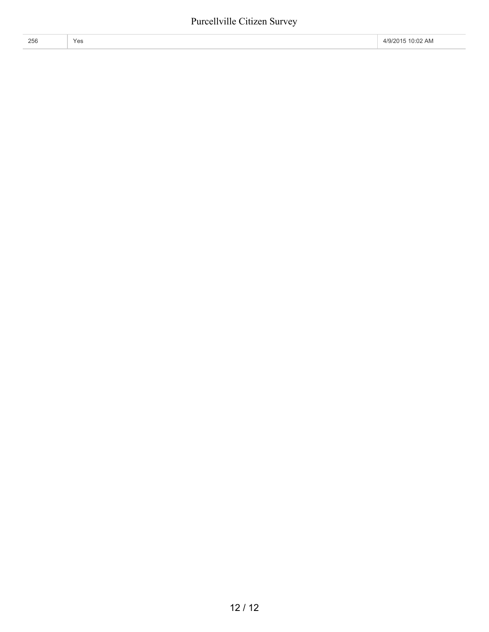|          | 0.022      |
|----------|------------|
| 256      | A/GI'      |
| $V_{AC}$ | $\Delta$ r |
| ∠∪∪      | $\lambda$  |
| 153      | U.UZ       |
|          | $\Gamma$   |
| ____     |            |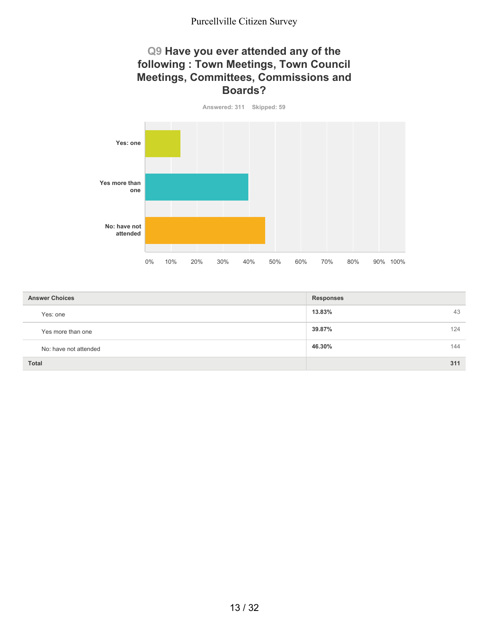#### **Q9 Have you ever attended any of the following : Town Meetings, Town Council Meetings, Committees, Commissions and Boards?**

**Answered: 311 Skipped: 59 Yes: one Yes more than one No: have not attended** 0% 10% 20% 30% 40% 50% 60% 70% 80% 90% 100%

| <b>Answer Choices</b> | <b>Responses</b> |
|-----------------------|------------------|
| Yes: one              | 13.83%<br>43     |
| Yes more than one     | 39.87%<br>124    |
| No: have not attended | 46.30%<br>144    |
| <b>Total</b>          | 311              |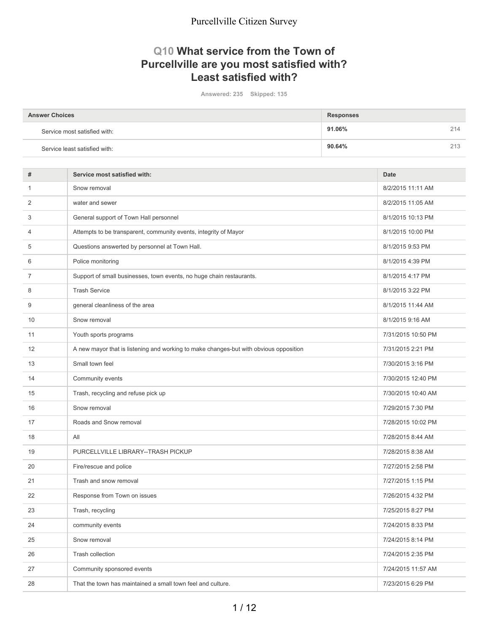#### **Q10 What service from the Town of Purcellville are you most satisfied with? Least satisfied with?**

**Answered: 235 Skipped: 135**

| <b>Answer Choices</b>         | <b>Responses</b> |     |
|-------------------------------|------------------|-----|
| Service most satisfied with:  | 91.06%           | 214 |
| Service least satisfied with: | 90.64%           | 213 |

| #              | Service most satisfied with:                                                          | <b>Date</b>        |
|----------------|---------------------------------------------------------------------------------------|--------------------|
| 1              | Snow removal                                                                          | 8/2/2015 11:11 AM  |
| 2              | water and sewer                                                                       | 8/2/2015 11:05 AM  |
| 3              | General support of Town Hall personnel                                                | 8/1/2015 10:13 PM  |
| $\overline{4}$ | Attempts to be transparent, community events, integrity of Mayor                      | 8/1/2015 10:00 PM  |
| 5              | Questions answerted by personnel at Town Hall.                                        | 8/1/2015 9:53 PM   |
| 6              | Police monitoring                                                                     | 8/1/2015 4:39 PM   |
| $\overline{7}$ | Support of small businesses, town events, no huge chain restaurants.                  | 8/1/2015 4:17 PM   |
| 8              | <b>Trash Service</b>                                                                  | 8/1/2015 3:22 PM   |
| 9              | general cleanliness of the area                                                       | 8/1/2015 11:44 AM  |
| 10             | Snow removal                                                                          | 8/1/2015 9:16 AM   |
| 11             | Youth sports programs                                                                 | 7/31/2015 10:50 PM |
| 12             | A new mayor that is listening and working to make changes-but with obvious opposition | 7/31/2015 2:21 PM  |
| 13             | Small town feel                                                                       | 7/30/2015 3:16 PM  |
| 14             | Community events                                                                      | 7/30/2015 12:40 PM |
| 15             | Trash, recycling and refuse pick up                                                   | 7/30/2015 10:40 AM |
| 16             | Snow removal                                                                          | 7/29/2015 7:30 PM  |
| 17             | Roads and Snow removal                                                                | 7/28/2015 10:02 PM |
| 18             | All                                                                                   | 7/28/2015 8:44 AM  |
| 19             | PURCELLVILLE LIBRARY--TRASH PICKUP                                                    | 7/28/2015 8:38 AM  |
| 20             | Fire/rescue and police                                                                | 7/27/2015 2:58 PM  |
| 21             | Trash and snow removal                                                                | 7/27/2015 1:15 PM  |
| 22             | Response from Town on issues                                                          | 7/26/2015 4:32 PM  |
| 23             | Trash, recycling                                                                      | 7/25/2015 8:27 PM  |
| 24             | community events                                                                      | 7/24/2015 8:33 PM  |
| 25             | Snow removal                                                                          | 7/24/2015 8:14 PM  |
| 26             | Trash collection                                                                      | 7/24/2015 2:35 PM  |
| 27             | Community sponsored events                                                            | 7/24/2015 11:57 AM |
| 28             | That the town has maintained a small town feel and culture.                           | 7/23/2015 6:29 PM  |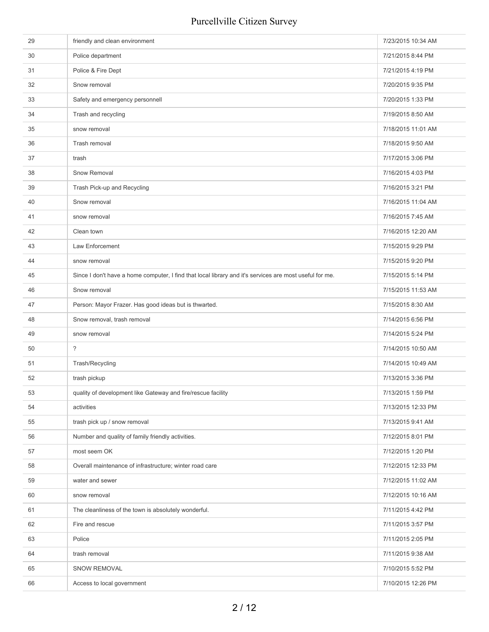| 29 | friendly and clean environment                                                                          | 7/23/2015 10:34 AM |
|----|---------------------------------------------------------------------------------------------------------|--------------------|
| 30 | Police department                                                                                       | 7/21/2015 8:44 PM  |
| 31 | Police & Fire Dept                                                                                      | 7/21/2015 4:19 PM  |
| 32 | Snow removal                                                                                            | 7/20/2015 9:35 PM  |
| 33 | Safety and emergency personnell                                                                         | 7/20/2015 1:33 PM  |
| 34 | Trash and recycling                                                                                     | 7/19/2015 8:50 AM  |
| 35 | snow removal                                                                                            | 7/18/2015 11:01 AM |
| 36 | Trash removal                                                                                           | 7/18/2015 9:50 AM  |
| 37 | trash                                                                                                   | 7/17/2015 3:06 PM  |
| 38 | Snow Removal                                                                                            | 7/16/2015 4:03 PM  |
| 39 | Trash Pick-up and Recycling                                                                             | 7/16/2015 3:21 PM  |
| 40 | Snow removal                                                                                            | 7/16/2015 11:04 AM |
| 41 | snow removal                                                                                            | 7/16/2015 7:45 AM  |
| 42 | Clean town                                                                                              | 7/16/2015 12:20 AM |
| 43 | Law Enforcement                                                                                         | 7/15/2015 9:29 PM  |
| 44 | snow removal                                                                                            | 7/15/2015 9:20 PM  |
| 45 | Since I don't have a home computer, I find that local library and it's services are most useful for me. | 7/15/2015 5:14 PM  |
| 46 | Snow removal                                                                                            | 7/15/2015 11:53 AM |
| 47 | Person: Mayor Frazer. Has good ideas but is thwarted.                                                   | 7/15/2015 8:30 AM  |
| 48 | Snow removal, trash removal                                                                             | 7/14/2015 6:56 PM  |
| 49 | snow removal                                                                                            | 7/14/2015 5:24 PM  |
| 50 | $\tilde{?}$                                                                                             | 7/14/2015 10:50 AM |
| 51 | Trash/Recycling                                                                                         | 7/14/2015 10:49 AM |
| 52 | trash pickup                                                                                            | 7/13/2015 3:36 PM  |
| 53 | quality of development like Gateway and fire/rescue facility                                            | 7/13/2015 1:59 PM  |
| 54 | activities                                                                                              | 7/13/2015 12:33 PM |
| 55 | trash pick up / snow removal                                                                            | 7/13/2015 9:41 AM  |
| 56 | Number and quality of family friendly activities.                                                       | 7/12/2015 8:01 PM  |
| 57 | most seem OK                                                                                            | 7/12/2015 1:20 PM  |
| 58 | Overall maintenance of infrastructure; winter road care                                                 | 7/12/2015 12:33 PM |
| 59 | water and sewer                                                                                         | 7/12/2015 11:02 AM |
| 60 | snow removal                                                                                            | 7/12/2015 10:16 AM |
| 61 | The cleanliness of the town is absolutely wonderful.                                                    | 7/11/2015 4:42 PM  |
| 62 | Fire and rescue                                                                                         | 7/11/2015 3:57 PM  |
| 63 | Police                                                                                                  | 7/11/2015 2:05 PM  |
| 64 | trash removal                                                                                           | 7/11/2015 9:38 AM  |
| 65 | SNOW REMOVAL                                                                                            | 7/10/2015 5:52 PM  |
| 66 | Access to local government                                                                              | 7/10/2015 12:26 PM |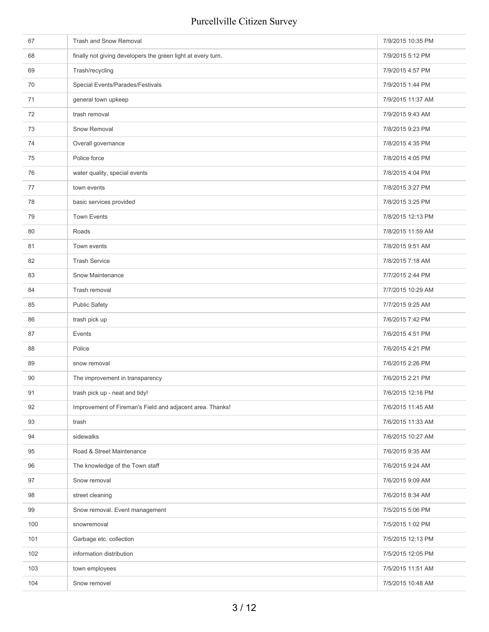| 67  | Trash and Snow Removal                                       | 7/9/2015 10:35 PM |
|-----|--------------------------------------------------------------|-------------------|
| 68  | finally not giving developers the green light at every turn. | 7/9/2015 5:12 PM  |
| 69  | Trash/recycling                                              | 7/9/2015 4:57 PM  |
| 70  | Special Events/Parades/Festivals                             | 7/9/2015 1:44 PM  |
| 71  | general town upkeep                                          | 7/9/2015 11:37 AM |
| 72  | trash removal                                                | 7/9/2015 9:43 AM  |
| 73  | Snow Removal                                                 | 7/8/2015 9:23 PM  |
| 74  | Overall governance                                           | 7/8/2015 4:35 PM  |
| 75  | Police force                                                 | 7/8/2015 4:05 PM  |
| 76  | water quality, special events                                | 7/8/2015 4:04 PM  |
| 77  | town events                                                  | 7/8/2015 3:27 PM  |
| 78  | basic services provided                                      | 7/8/2015 3:25 PM  |
| 79  | <b>Town Events</b>                                           | 7/8/2015 12:13 PM |
| 80  | Roads                                                        | 7/8/2015 11:59 AM |
| 81  | Town events                                                  | 7/8/2015 9:51 AM  |
| 82  | <b>Trash Service</b>                                         | 7/8/2015 7:18 AM  |
| 83  | Snow Maintenance                                             | 7/7/2015 2:44 PM  |
| 84  | Trash removal                                                | 7/7/2015 10:29 AM |
| 85  | <b>Public Safety</b>                                         | 7/7/2015 9:25 AM  |
| 86  | trash pick up                                                | 7/6/2015 7:42 PM  |
| 87  | Events                                                       | 7/6/2015 4:51 PM  |
| 88  | Police                                                       | 7/6/2015 4:21 PM  |
| 89  | snow removal                                                 | 7/6/2015 2:26 PM  |
| 90  | The improvement in transparency                              | 7/6/2015 2:21 PM  |
| 91  | trash pick up - neat and tidy!                               | 7/6/2015 12:16 PM |
| 92  | Improvement of Fireman's Field and adjacent area. Thanks!    | 7/6/2015 11:45 AM |
| 93  | trash                                                        | 7/6/2015 11:33 AM |
| 94  | sidewalks                                                    | 7/6/2015 10:27 AM |
| 95  | Road & Street Maintenance                                    | 7/6/2015 9:35 AM  |
| 96  | The knowledge of the Town staff                              | 7/6/2015 9:24 AM  |
| 97  | Snow removal                                                 | 7/6/2015 9:09 AM  |
| 98  | street cleaning                                              | 7/6/2015 8:34 AM  |
| 99  | Snow removal. Event management                               | 7/5/2015 5:06 PM  |
| 100 | snowremoval                                                  | 7/5/2015 1:02 PM  |
| 101 | Garbage etc. collection                                      | 7/5/2015 12:13 PM |
| 102 | information distribution                                     | 7/5/2015 12:05 PM |
| 103 | town employees                                               | 7/5/2015 11:51 AM |
| 104 | Snow removel                                                 | 7/5/2015 10:48 AM |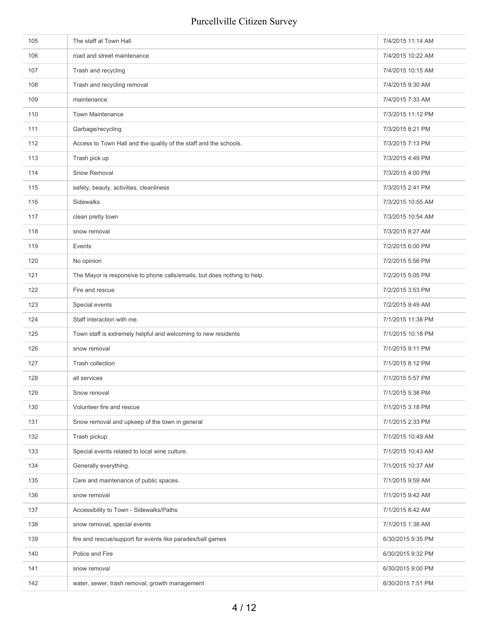| 105 | The staff at Town Hall                                                   | 7/4/2015 11:14 AM |
|-----|--------------------------------------------------------------------------|-------------------|
| 106 | road and street maintenance                                              | 7/4/2015 10:22 AM |
| 107 | Trash and recycling                                                      | 7/4/2015 10:15 AM |
| 108 | Trash and recycling removal                                              | 7/4/2015 9:30 AM  |
| 109 | maintenance                                                              | 7/4/2015 7:33 AM  |
| 110 | <b>Town Maintenance</b>                                                  | 7/3/2015 11:12 PM |
| 111 | Garbage/recycling                                                        | 7/3/2015 8:21 PM  |
| 112 | Access to Town Hall and the quality of the staff and the schools.        | 7/3/2015 7:13 PM  |
| 113 | Trash pick up                                                            | 7/3/2015 4:49 PM  |
| 114 | Snow Removal                                                             | 7/3/2015 4:00 PM  |
| 115 | safety, beauty, activities, cleanliness                                  | 7/3/2015 2:41 PM  |
| 116 | Sidewalks                                                                | 7/3/2015 10:55 AM |
| 117 | clean pretty town                                                        | 7/3/2015 10:54 AM |
| 118 | snow removal                                                             | 7/3/2015 8:27 AM  |
| 119 | Events                                                                   | 7/2/2015 6:00 PM  |
| 120 | No opinion                                                               | 7/2/2015 5:56 PM  |
| 121 | The Mayor is responsive to phone calls/emails, but does nothing to help. | 7/2/2015 5:05 PM  |
| 122 | Fire and rescue                                                          | 7/2/2015 3:53 PM  |
| 123 | Special events                                                           | 7/2/2015 9:49 AM  |
| 124 | Staff interaction with me.                                               | 7/1/2015 11:38 PM |
| 125 | Town staff is extremely helpful and welcoming to new residents           | 7/1/2015 10:18 PM |
| 126 | snow removal                                                             | 7/1/2015 9:11 PM  |
| 127 | Trash collection                                                         | 7/1/2015 8:12 PM  |
| 128 | all services                                                             | 7/1/2015 5:57 PM  |
| 129 | Snow renoval                                                             | 7/1/2015 5:38 PM  |
| 130 | Volunteer fire and rescue                                                | 7/1/2015 3:18 PM  |
| 131 | Snow removal and upkeep of the town in general                           | 7/1/2015 2:33 PM  |
| 132 | Trash pickup                                                             | 7/1/2015 10:49 AM |
| 133 | Special events related to local wine culture.                            | 7/1/2015 10:43 AM |
| 134 | Generally everything.                                                    | 7/1/2015 10:37 AM |
| 135 | Care and maintenance of public spaces.                                   | 7/1/2015 9:59 AM  |
| 136 | snow removal                                                             | 7/1/2015 9:42 AM  |
| 137 | Accessibility to Town - Sidewalks/Paths                                  | 7/1/2015 8:42 AM  |
| 138 | snow removal, special events                                             | 7/1/2015 1:38 AM  |
| 139 | fire and rescue/support for events like parades/ball games               | 6/30/2015 9:35 PM |
| 140 | Police and Fire                                                          | 6/30/2015 9:32 PM |
| 141 | snow removal                                                             | 6/30/2015 9:00 PM |
| 142 | water, sewer, trash removal, growth management                           | 6/30/2015 7:51 PM |
|     |                                                                          |                   |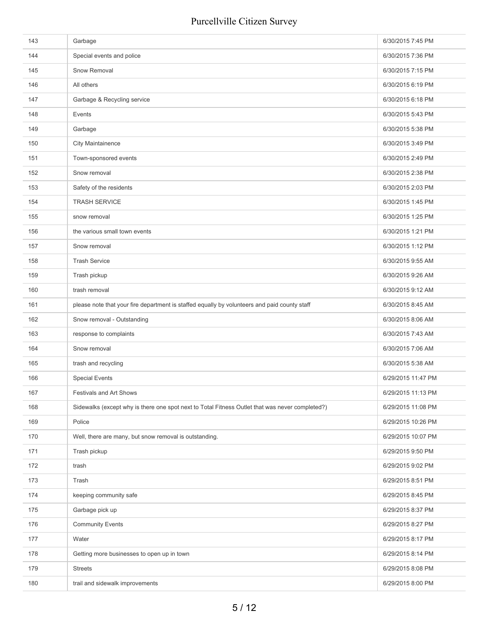| 143 | Garbage                                                                                         | 6/30/2015 7:45 PM  |
|-----|-------------------------------------------------------------------------------------------------|--------------------|
| 144 | Special events and police                                                                       | 6/30/2015 7:36 PM  |
| 145 | Snow Removal                                                                                    | 6/30/2015 7:15 PM  |
| 146 | All others                                                                                      | 6/30/2015 6:19 PM  |
| 147 | Garbage & Recycling service                                                                     | 6/30/2015 6:18 PM  |
| 148 | Events                                                                                          | 6/30/2015 5:43 PM  |
| 149 | Garbage                                                                                         | 6/30/2015 5:38 PM  |
| 150 | <b>City Maintainence</b>                                                                        | 6/30/2015 3:49 PM  |
| 151 | Town-sponsored events                                                                           | 6/30/2015 2:49 PM  |
| 152 | Snow removal                                                                                    | 6/30/2015 2:38 PM  |
| 153 | Safety of the residents                                                                         | 6/30/2015 2:03 PM  |
| 154 | <b>TRASH SERVICE</b>                                                                            | 6/30/2015 1:45 PM  |
| 155 | snow removal                                                                                    | 6/30/2015 1:25 PM  |
| 156 | the various small town events                                                                   | 6/30/2015 1:21 PM  |
| 157 | Snow removal                                                                                    | 6/30/2015 1:12 PM  |
| 158 | <b>Trash Service</b>                                                                            | 6/30/2015 9:55 AM  |
| 159 | Trash pickup                                                                                    | 6/30/2015 9:26 AM  |
| 160 | trash removal                                                                                   | 6/30/2015 9:12 AM  |
| 161 | please note that your fire department is staffed equally by volunteers and paid county staff    | 6/30/2015 8:45 AM  |
| 162 | Snow removal - Outstanding                                                                      | 6/30/2015 8:06 AM  |
| 163 | response to complaints                                                                          | 6/30/2015 7:43 AM  |
| 164 | Snow removal                                                                                    | 6/30/2015 7:06 AM  |
| 165 | trash and recycling                                                                             | 6/30/2015 5:38 AM  |
| 166 | <b>Special Events</b>                                                                           | 6/29/2015 11:47 PM |
| 167 | Festivals and Art Shows                                                                         | 6/29/2015 11:13 PM |
| 168 | Sidewalks (except why is there one spot next to Total Fitness Outlet that was never completed?) | 6/29/2015 11:08 PM |
| 169 | Police                                                                                          | 6/29/2015 10:26 PM |
| 170 | Well, there are many, but snow removal is outstanding.                                          | 6/29/2015 10:07 PM |
| 171 | Trash pickup                                                                                    | 6/29/2015 9:50 PM  |
| 172 | trash                                                                                           | 6/29/2015 9:02 PM  |
| 173 | Trash                                                                                           | 6/29/2015 8:51 PM  |
| 174 | keeping community safe                                                                          | 6/29/2015 8:45 PM  |
| 175 | Garbage pick up                                                                                 | 6/29/2015 8:37 PM  |
| 176 | <b>Community Events</b>                                                                         | 6/29/2015 8:27 PM  |
| 177 | Water                                                                                           | 6/29/2015 8:17 PM  |
| 178 | Getting more businesses to open up in town                                                      | 6/29/2015 8:14 PM  |
| 179 | <b>Streets</b>                                                                                  | 6/29/2015 8:08 PM  |
| 180 | trail and sidewalk improvements                                                                 | 6/29/2015 8:00 PM  |
|     |                                                                                                 |                    |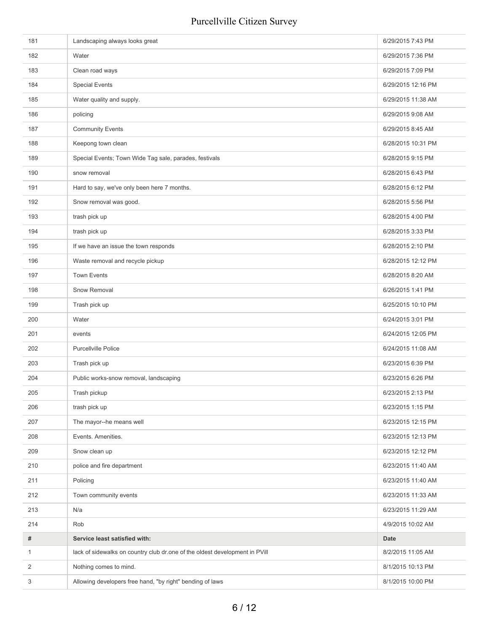| 181            | Landscaping always looks great                                              | 6/29/2015 7:43 PM  |
|----------------|-----------------------------------------------------------------------------|--------------------|
| 182            | Water                                                                       | 6/29/2015 7:36 PM  |
| 183            | Clean road ways                                                             | 6/29/2015 7:09 PM  |
| 184            | <b>Special Events</b>                                                       | 6/29/2015 12:16 PM |
| 185            | Water quality and supply.                                                   | 6/29/2015 11:38 AM |
| 186            | policing                                                                    | 6/29/2015 9:08 AM  |
| 187            | <b>Community Events</b>                                                     | 6/29/2015 8:45 AM  |
| 188            | Keepong town clean                                                          | 6/28/2015 10:31 PM |
| 189            | Special Events; Town Wide Tag sale, parades, festivals                      | 6/28/2015 9:15 PM  |
| 190            | snow removal                                                                | 6/28/2015 6:43 PM  |
| 191            | Hard to say, we've only been here 7 months.                                 | 6/28/2015 6:12 PM  |
| 192            | Snow removal was good.                                                      | 6/28/2015 5:56 PM  |
| 193            | trash pick up                                                               | 6/28/2015 4:00 PM  |
| 194            | trash pick up                                                               | 6/28/2015 3:33 PM  |
| 195            | If we have an issue the town responds                                       | 6/28/2015 2:10 PM  |
| 196            | Waste removal and recycle pickup                                            | 6/28/2015 12:12 PM |
| 197            | <b>Town Events</b>                                                          | 6/28/2015 8:20 AM  |
| 198            | Snow Removal                                                                | 6/26/2015 1:41 PM  |
| 199            | Trash pick up                                                               | 6/25/2015 10:10 PM |
| 200            | Water                                                                       | 6/24/2015 3:01 PM  |
| 201            | events                                                                      | 6/24/2015 12:05 PM |
| 202            | <b>Purcellville Police</b>                                                  | 6/24/2015 11:08 AM |
| 203            | Trash pick up                                                               | 6/23/2015 6:39 PM  |
| 204            | Public works-snow removal, landscaping                                      | 6/23/2015 6:26 PM  |
| 205            | Trash pickup                                                                | 6/23/2015 2:13 PM  |
| 206            | trash pick up                                                               | 6/23/2015 1:15 PM  |
| 207            | The mayor--he means well                                                    | 6/23/2015 12:15 PM |
| 208            | Events. Amenities.                                                          | 6/23/2015 12:13 PM |
| 209            | Snow clean up                                                               | 6/23/2015 12:12 PM |
| 210            | police and fire department                                                  | 6/23/2015 11:40 AM |
| 211            | Policing                                                                    | 6/23/2015 11:40 AM |
| 212            | Town community events                                                       | 6/23/2015 11:33 AM |
| 213            | N/a                                                                         | 6/23/2015 11:29 AM |
| 214            | Rob                                                                         | 4/9/2015 10:02 AM  |
| $\#$           | Service least satisfied with:                                               | Date               |
| $\mathbf{1}$   | lack of sidewalks on country club dr.one of the oldest development in PVill | 8/2/2015 11:05 AM  |
| $\overline{2}$ | Nothing comes to mind.                                                      | 8/1/2015 10:13 PM  |
| 3              | Allowing developers free hand, "by right" bending of laws                   | 8/1/2015 10:00 PM  |
|                |                                                                             |                    |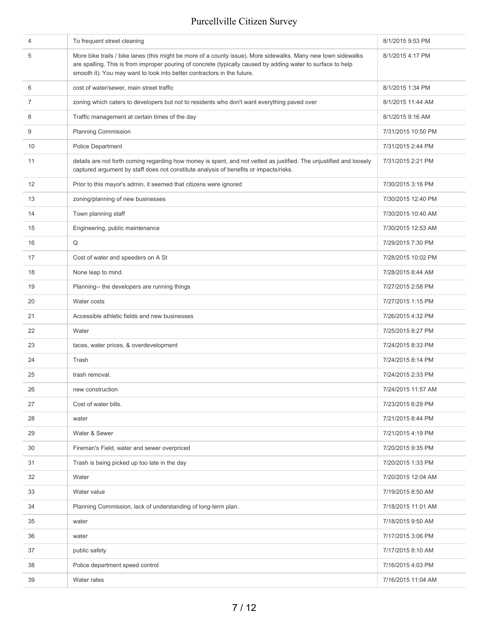| 4  | To frequent street cleaning                                                                                                                                                                                                                                                                              | 8/1/2015 9:53 PM   |
|----|----------------------------------------------------------------------------------------------------------------------------------------------------------------------------------------------------------------------------------------------------------------------------------------------------------|--------------------|
| 5  | More bike trails / bike lanes (this might be more of a county issue). More sidewalks. Many new town sidewalks<br>are spalling. This is from improper pouring of concrete (typically caused by adding water to surface to help<br>smooth it). You may want to look into better contractors in the future. | 8/1/2015 4:17 PM   |
| 6  | cost of water/sewer, main street traffic                                                                                                                                                                                                                                                                 | 8/1/2015 1:34 PM   |
| 7  | zoning which caters to developers but not to residents who don't want everything paved over                                                                                                                                                                                                              | 8/1/2015 11:44 AM  |
| 8  | Traffic management at certain times of the day                                                                                                                                                                                                                                                           | 8/1/2015 9:16 AM   |
| 9  | <b>Planning Commission</b>                                                                                                                                                                                                                                                                               | 7/31/2015 10:50 PM |
| 10 | <b>Police Department</b>                                                                                                                                                                                                                                                                                 | 7/31/2015 2:44 PM  |
| 11 | details are not forth coming regarding how money is spent, and not vetted as justified. The unjustified and loosely<br>captured argument by staff does not constitute analysis of benefits or impacts/risks.                                                                                             | 7/31/2015 2:21 PM  |
| 12 | Prior to this mayor's admin, it seemed that citizens were ignored                                                                                                                                                                                                                                        | 7/30/2015 3:16 PM  |
| 13 | zoning/planning of new businesses                                                                                                                                                                                                                                                                        | 7/30/2015 12:40 PM |
| 14 | Town planning staff                                                                                                                                                                                                                                                                                      | 7/30/2015 10:40 AM |
| 15 | Engineering, public maintenance                                                                                                                                                                                                                                                                          | 7/30/2015 12:53 AM |
| 16 | Q                                                                                                                                                                                                                                                                                                        | 7/29/2015 7:30 PM  |
| 17 | Cost of water and speeders on A St                                                                                                                                                                                                                                                                       | 7/28/2015 10:02 PM |
| 18 | None leap to mind.                                                                                                                                                                                                                                                                                       | 7/28/2015 8:44 AM  |
| 19 | Planning-- the developers are running things                                                                                                                                                                                                                                                             | 7/27/2015 2:58 PM  |
| 20 | Water costs                                                                                                                                                                                                                                                                                              | 7/27/2015 1:15 PM  |
| 21 | Accessible athletic fields and new businesses                                                                                                                                                                                                                                                            | 7/26/2015 4:32 PM  |
| 22 | Water                                                                                                                                                                                                                                                                                                    | 7/25/2015 8:27 PM  |
| 23 | taces, water prices, & overdevelopment                                                                                                                                                                                                                                                                   | 7/24/2015 8:33 PM  |
| 24 | Trash                                                                                                                                                                                                                                                                                                    | 7/24/2015 8:14 PM  |
| 25 | trash removal.                                                                                                                                                                                                                                                                                           | 7/24/2015 2:33 PM  |
| 26 | new construction                                                                                                                                                                                                                                                                                         | 7/24/2015 11:57 AM |
| 27 | Cost of water bills.                                                                                                                                                                                                                                                                                     | 7/23/2015 6:29 PM  |
| 28 | water                                                                                                                                                                                                                                                                                                    | 7/21/2015 8:44 PM  |
| 29 | Water & Sewer                                                                                                                                                                                                                                                                                            | 7/21/2015 4:19 PM  |
| 30 | Fireman's Field, water and sewer overpriced                                                                                                                                                                                                                                                              | 7/20/2015 9:35 PM  |
| 31 | Trash is being picked up too late in the day                                                                                                                                                                                                                                                             | 7/20/2015 1:33 PM  |
| 32 | Water                                                                                                                                                                                                                                                                                                    | 7/20/2015 12:04 AM |
| 33 | Water value                                                                                                                                                                                                                                                                                              | 7/19/2015 8:50 AM  |
| 34 | Planning Commission, lack of understanding of long-term plan.                                                                                                                                                                                                                                            | 7/18/2015 11:01 AM |
| 35 | water                                                                                                                                                                                                                                                                                                    | 7/18/2015 9:50 AM  |
| 36 | water                                                                                                                                                                                                                                                                                                    | 7/17/2015 3:06 PM  |
| 37 | public safety                                                                                                                                                                                                                                                                                            | 7/17/2015 8:10 AM  |
| 38 | Police department speed control                                                                                                                                                                                                                                                                          | 7/16/2015 4:03 PM  |
| 39 | Water rates                                                                                                                                                                                                                                                                                              | 7/16/2015 11:04 AM |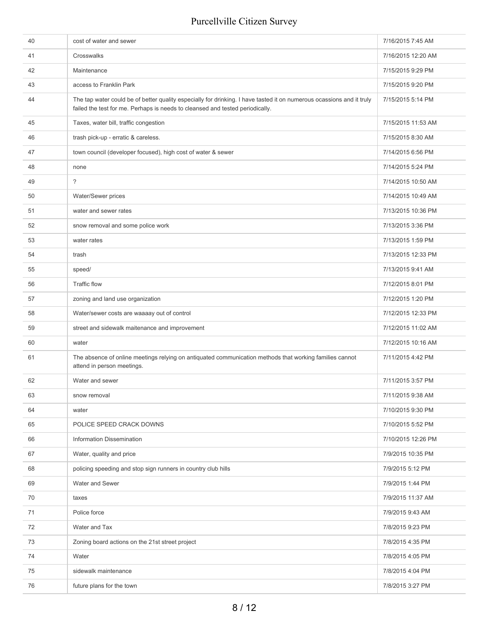| 40 | cost of water and sewer                                                                                                                                                                                | 7/16/2015 7:45 AM  |
|----|--------------------------------------------------------------------------------------------------------------------------------------------------------------------------------------------------------|--------------------|
| 41 | Crosswalks                                                                                                                                                                                             | 7/16/2015 12:20 AM |
| 42 | Maintenance                                                                                                                                                                                            | 7/15/2015 9:29 PM  |
| 43 | access to Franklin Park                                                                                                                                                                                | 7/15/2015 9:20 PM  |
| 44 | The tap water could be of better quality especially for drinking. I have tasted it on numerous ocassions and it truly<br>failed the test for me. Perhaps is needs to cleansed and tested periodically. | 7/15/2015 5:14 PM  |
| 45 | Taxes, water bill, traffic congestion                                                                                                                                                                  | 7/15/2015 11:53 AM |
| 46 | trash pick-up - erratic & careless.                                                                                                                                                                    | 7/15/2015 8:30 AM  |
| 47 | town council (developer focused), high cost of water & sewer                                                                                                                                           | 7/14/2015 6:56 PM  |
| 48 | none                                                                                                                                                                                                   | 7/14/2015 5:24 PM  |
| 49 | $\overline{\phantom{a}}$                                                                                                                                                                               | 7/14/2015 10:50 AM |
| 50 | Water/Sewer prices                                                                                                                                                                                     | 7/14/2015 10:49 AM |
| 51 | water and sewer rates                                                                                                                                                                                  | 7/13/2015 10:36 PM |
| 52 | snow removal and some police work                                                                                                                                                                      | 7/13/2015 3:36 PM  |
| 53 | water rates                                                                                                                                                                                            | 7/13/2015 1:59 PM  |
| 54 | trash                                                                                                                                                                                                  | 7/13/2015 12:33 PM |
| 55 | speed/                                                                                                                                                                                                 | 7/13/2015 9:41 AM  |
| 56 | <b>Traffic flow</b>                                                                                                                                                                                    | 7/12/2015 8:01 PM  |
| 57 | zoning and land use organization                                                                                                                                                                       | 7/12/2015 1:20 PM  |
| 58 | Water/sewer costs are waaaay out of control                                                                                                                                                            | 7/12/2015 12:33 PM |
| 59 | street and sidewalk maitenance and improvement                                                                                                                                                         | 7/12/2015 11:02 AM |
| 60 | water                                                                                                                                                                                                  | 7/12/2015 10:16 AM |
| 61 | The absence of online meetings relying on antiquated communication methods that working families cannot<br>attend in person meetings.                                                                  | 7/11/2015 4:42 PM  |
| 62 | Water and sewer                                                                                                                                                                                        | 7/11/2015 3:57 PM  |
| 63 | snow removal                                                                                                                                                                                           | 7/11/2015 9:38 AM  |
| 64 | water                                                                                                                                                                                                  | 7/10/2015 9:30 PM  |
| 65 | POLICE SPEED CRACK DOWNS                                                                                                                                                                               | 7/10/2015 5:52 PM  |
| 66 | <b>Information Dissemination</b>                                                                                                                                                                       | 7/10/2015 12:26 PM |
| 67 | Water, quality and price                                                                                                                                                                               | 7/9/2015 10:35 PM  |
| 68 | policing speeding and stop sign runners in country club hills                                                                                                                                          | 7/9/2015 5:12 PM   |
| 69 | Water and Sewer                                                                                                                                                                                        | 7/9/2015 1:44 PM   |
| 70 | taxes                                                                                                                                                                                                  | 7/9/2015 11:37 AM  |
| 71 | Police force                                                                                                                                                                                           | 7/9/2015 9:43 AM   |
| 72 | Water and Tax                                                                                                                                                                                          | 7/8/2015 9:23 PM   |
| 73 | Zoning board actions on the 21st street project                                                                                                                                                        | 7/8/2015 4:35 PM   |
| 74 | Water                                                                                                                                                                                                  | 7/8/2015 4:05 PM   |
| 75 | sidewalk maintenance                                                                                                                                                                                   | 7/8/2015 4:04 PM   |
| 76 | future plans for the town                                                                                                                                                                              | 7/8/2015 3:27 PM   |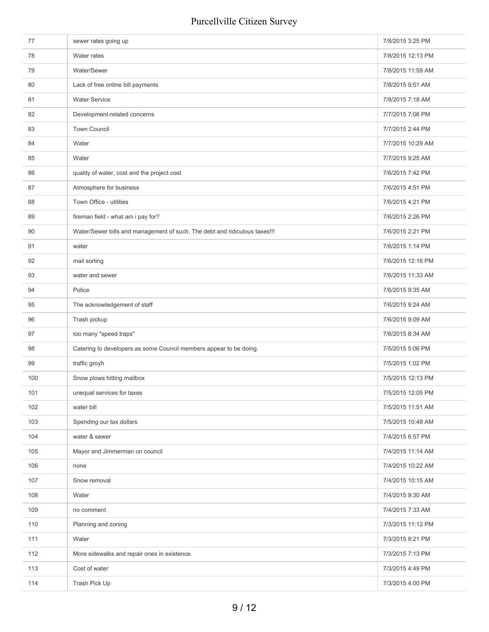| 77  | sewer rates going up                                                       | 7/8/2015 3:25 PM  |
|-----|----------------------------------------------------------------------------|-------------------|
| 78  | Water rates                                                                | 7/8/2015 12:13 PM |
| 79  | Water/Sewer                                                                | 7/8/2015 11:59 AM |
| 80  | Lack of free online bill payments                                          | 7/8/2015 9:51 AM  |
| 81  | <b>Water Service</b>                                                       | 7/8/2015 7:18 AM  |
| 82  | Development-related concerns                                               | 7/7/2015 7:06 PM  |
| 83  | <b>Town Council</b>                                                        | 7/7/2015 2:44 PM  |
| 84  | Water                                                                      | 7/7/2015 10:29 AM |
| 85  | Water                                                                      | 7/7/2015 9:25 AM  |
| 86  | quality of water, cost and the project cost                                | 7/6/2015 7:42 PM  |
| 87  | Atmosphere for business                                                    | 7/6/2015 4:51 PM  |
| 88  | Town Office - utilities                                                    | 7/6/2015 4:21 PM  |
| 89  | fireman field - what am i pay for?                                         | 7/6/2015 2:26 PM  |
| 90  | Water/Sewer bills and management of such. The debt and ridiculous taxes!!! | 7/6/2015 2:21 PM  |
| 91  | water                                                                      | 7/6/2015 1:14 PM  |
| 92  | mail sorting                                                               | 7/6/2015 12:16 PM |
| 93  | water and sewer                                                            | 7/6/2015 11:33 AM |
| 94  | Police                                                                     | 7/6/2015 9:35 AM  |
| 95  | The acknowledgement of staff                                               | 7/6/2015 9:24 AM  |
| 96  | Trash pickup                                                               | 7/6/2015 9:09 AM  |
| 97  | too many "speed traps"                                                     | 7/6/2015 8:34 AM  |
| 98  | Catering to developers as some Council members appear to be doing.         | 7/5/2015 5:06 PM  |
| 99  | traffic groyh                                                              | 7/5/2015 1:02 PM  |
| 100 | Snow plows hitting mailbox                                                 | 7/5/2015 12:13 PM |
| 101 | unequal services for taxes                                                 | 7/5/2015 12:05 PM |
| 102 | water bill                                                                 | 7/5/2015 11:51 AM |
| 103 | Spending our tax dollars                                                   | 7/5/2015 10:48 AM |
| 104 | water & sewer                                                              | 7/4/2015 6:57 PM  |
| 105 | Mayor and Jimmerman on council                                             | 7/4/2015 11:14 AM |
| 106 | none                                                                       | 7/4/2015 10:22 AM |
| 107 | Snow removal                                                               | 7/4/2015 10:15 AM |
| 108 | Water                                                                      | 7/4/2015 9:30 AM  |
| 109 | no comment                                                                 | 7/4/2015 7:33 AM  |
| 110 | Planning and zoning                                                        | 7/3/2015 11:12 PM |
| 111 | Water                                                                      | 7/3/2015 8:21 PM  |
| 112 | More sidewalks and repair ones in existence.                               | 7/3/2015 7:13 PM  |
| 113 | Cost of water                                                              | 7/3/2015 4:49 PM  |
| 114 | Trash Pick Up                                                              | 7/3/2015 4:00 PM  |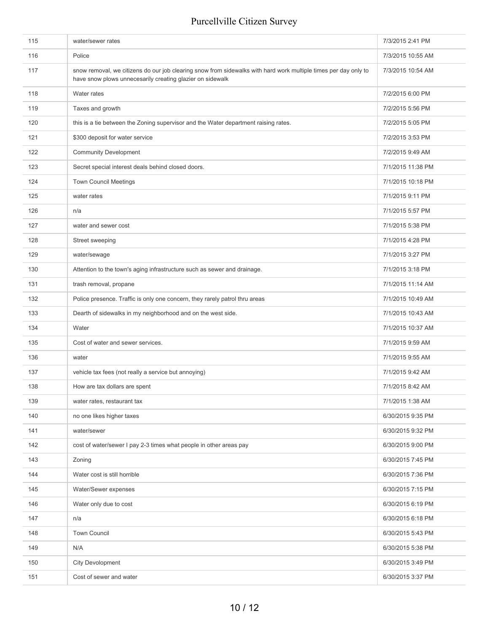| 115 | water/sewer rates                                                                                                                                                            | 7/3/2015 2:41 PM  |
|-----|------------------------------------------------------------------------------------------------------------------------------------------------------------------------------|-------------------|
| 116 | Police                                                                                                                                                                       | 7/3/2015 10:55 AM |
| 117 | snow removal, we citizens do our job clearing snow from sidewalks with hard work multiple times per day only to<br>have snow plows unnecesarily creating glazier on sidewalk | 7/3/2015 10:54 AM |
| 118 | Water rates                                                                                                                                                                  | 7/2/2015 6:00 PM  |
| 119 | Taxes and growth                                                                                                                                                             | 7/2/2015 5:56 PM  |
| 120 | this is a tie between the Zoning supervisor and the Water department raising rates.                                                                                          | 7/2/2015 5:05 PM  |
| 121 | \$300 deposit for water service                                                                                                                                              | 7/2/2015 3:53 PM  |
| 122 | <b>Community Development</b>                                                                                                                                                 | 7/2/2015 9:49 AM  |
| 123 | Secret special interest deals behind closed doors.                                                                                                                           | 7/1/2015 11:38 PM |
| 124 | <b>Town Council Meetings</b>                                                                                                                                                 | 7/1/2015 10:18 PM |
| 125 | water rates                                                                                                                                                                  | 7/1/2015 9:11 PM  |
| 126 | n/a                                                                                                                                                                          | 7/1/2015 5:57 PM  |
| 127 | water and sewer cost                                                                                                                                                         | 7/1/2015 5:38 PM  |
| 128 | Street sweeping                                                                                                                                                              | 7/1/2015 4:28 PM  |
| 129 | water/sewage                                                                                                                                                                 | 7/1/2015 3:27 PM  |
| 130 | Attention to the town's aging infrastructure such as sewer and drainage.                                                                                                     | 7/1/2015 3:18 PM  |
| 131 | trash removal, propane                                                                                                                                                       | 7/1/2015 11:14 AM |
| 132 | Police presence. Traffic is only one concern, they rarely patrol thru areas                                                                                                  | 7/1/2015 10:49 AM |
| 133 | Dearth of sidewalks in my neighborhood and on the west side.                                                                                                                 | 7/1/2015 10:43 AM |
| 134 | Water                                                                                                                                                                        | 7/1/2015 10:37 AM |
| 135 | Cost of water and sewer services.                                                                                                                                            | 7/1/2015 9:59 AM  |
| 136 | water                                                                                                                                                                        | 7/1/2015 9:55 AM  |
| 137 | vehicle tax fees (not really a service but annoying)                                                                                                                         | 7/1/2015 9:42 AM  |
| 138 | How are tax dollars are spent                                                                                                                                                | 7/1/2015 8:42 AM  |
| 139 | water rates, restaurant tax                                                                                                                                                  | 7/1/2015 1:38 AM  |
| 140 | no one likes higher taxes                                                                                                                                                    | 6/30/2015 9:35 PM |
| 141 | water/sewer                                                                                                                                                                  | 6/30/2015 9:32 PM |
| 142 | cost of water/sewer I pay 2-3 times what people in other areas pay                                                                                                           | 6/30/2015 9:00 PM |
| 143 | Zoning                                                                                                                                                                       | 6/30/2015 7:45 PM |
| 144 | Water cost is still horrible                                                                                                                                                 | 6/30/2015 7:36 PM |
| 145 | Water/Sewer expenses                                                                                                                                                         | 6/30/2015 7:15 PM |
| 146 | Water only due to cost                                                                                                                                                       | 6/30/2015 6:19 PM |
| 147 | n/a                                                                                                                                                                          | 6/30/2015 6:18 PM |
| 148 | <b>Town Council</b>                                                                                                                                                          | 6/30/2015 5:43 PM |
| 149 | N/A                                                                                                                                                                          | 6/30/2015 5:38 PM |
| 150 | City Devolopment                                                                                                                                                             | 6/30/2015 3:49 PM |
| 151 | Cost of sewer and water                                                                                                                                                      | 6/30/2015 3:37 PM |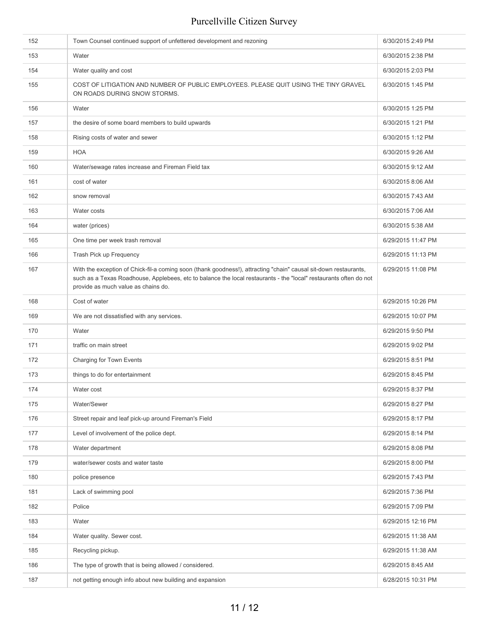| 153<br>6/30/2015 2:38 PM<br>Water<br>154<br>Water quality and cost<br>6/30/2015 2:03 PM<br>155<br>COST OF LITIGATION AND NUMBER OF PUBLIC EMPLOYEES. PLEASE QUIT USING THE TINY GRAVEL<br>6/30/2015 1:45 PM<br>ON ROADS DURING SNOW STORMS.<br>156<br>6/30/2015 1:25 PM<br>Water<br>157<br>the desire of some board members to build upwards<br>6/30/2015 1:21 PM<br>158<br>Rising costs of water and sewer<br>6/30/2015 1:12 PM<br><b>HOA</b><br>159<br>6/30/2015 9:26 AM<br>160<br>Water/sewage rates increase and Fireman Field tax<br>6/30/2015 9:12 AM<br>161<br>cost of water<br>6/30/2015 8:06 AM<br>162<br>6/30/2015 7:43 AM<br>snow removal<br>163<br>6/30/2015 7:06 AM<br>Water costs<br>164<br>water (prices)<br>6/30/2015 5:38 AM<br>One time per week trash removal<br>165<br>6/29/2015 11:47 PM<br>166<br>Trash Pick up Frequency<br>6/29/2015 11:13 PM<br>With the exception of Chick-fil-a coming soon (thank goodness!), attracting "chain" causal sit-down restaurants,<br>167<br>6/29/2015 11:08 PM<br>such as a Texas Roadhouse, Applebees, etc to balance the local restaurants - the "local" restaurants often do not<br>provide as much value as chains do.<br>168<br>6/29/2015 10:26 PM<br>Cost of water<br>We are not dissatisfied with any services.<br>169<br>6/29/2015 10:07 PM<br>170<br>Water<br>6/29/2015 9:50 PM<br>171<br>traffic on main street<br>6/29/2015 9:02 PM<br>172<br>Charging for Town Events<br>6/29/2015 8:51 PM<br>173<br>things to do for entertainment<br>6/29/2015 8:45 PM<br>174<br>Water cost<br>6/29/2015 8:37 PM<br>Water/Sewer<br>175<br>6/29/2015 8:27 PM<br>Street repair and leaf pick-up around Fireman's Field<br>176<br>6/29/2015 8:17 PM<br>Level of involvement of the police dept.<br>6/29/2015 8:14 PM<br>177<br>Water department<br>178<br>6/29/2015 8:08 PM<br>179<br>water/sewer costs and water taste<br>6/29/2015 8:00 PM<br>180<br>police presence<br>6/29/2015 7:43 PM<br>181<br>Lack of swimming pool<br>6/29/2015 7:36 PM<br>182<br>Police<br>6/29/2015 7:09 PM<br>183<br>Water<br>6/29/2015 12:16 PM<br>184<br>Water quality. Sewer cost.<br>6/29/2015 11:38 AM<br>185<br>Recycling pickup.<br>6/29/2015 11:38 AM<br>186<br>The type of growth that is being allowed / considered.<br>6/29/2015 8:45 AM<br>not getting enough info about new building and expansion<br>187<br>6/28/2015 10:31 PM | 152 | Town Counsel continued support of unfettered development and rezoning | 6/30/2015 2:49 PM |
|-----------------------------------------------------------------------------------------------------------------------------------------------------------------------------------------------------------------------------------------------------------------------------------------------------------------------------------------------------------------------------------------------------------------------------------------------------------------------------------------------------------------------------------------------------------------------------------------------------------------------------------------------------------------------------------------------------------------------------------------------------------------------------------------------------------------------------------------------------------------------------------------------------------------------------------------------------------------------------------------------------------------------------------------------------------------------------------------------------------------------------------------------------------------------------------------------------------------------------------------------------------------------------------------------------------------------------------------------------------------------------------------------------------------------------------------------------------------------------------------------------------------------------------------------------------------------------------------------------------------------------------------------------------------------------------------------------------------------------------------------------------------------------------------------------------------------------------------------------------------------------------------------------------------------------------------------------------------------------------------------------------------------------------------------------------------------------------------------------------------------------------------------------------------------------------------------------------------------------------------------------------------------------------------------------------------------------------------------------------------------------|-----|-----------------------------------------------------------------------|-------------------|
|                                                                                                                                                                                                                                                                                                                                                                                                                                                                                                                                                                                                                                                                                                                                                                                                                                                                                                                                                                                                                                                                                                                                                                                                                                                                                                                                                                                                                                                                                                                                                                                                                                                                                                                                                                                                                                                                                                                                                                                                                                                                                                                                                                                                                                                                                                                                                                             |     |                                                                       |                   |
|                                                                                                                                                                                                                                                                                                                                                                                                                                                                                                                                                                                                                                                                                                                                                                                                                                                                                                                                                                                                                                                                                                                                                                                                                                                                                                                                                                                                                                                                                                                                                                                                                                                                                                                                                                                                                                                                                                                                                                                                                                                                                                                                                                                                                                                                                                                                                                             |     |                                                                       |                   |
|                                                                                                                                                                                                                                                                                                                                                                                                                                                                                                                                                                                                                                                                                                                                                                                                                                                                                                                                                                                                                                                                                                                                                                                                                                                                                                                                                                                                                                                                                                                                                                                                                                                                                                                                                                                                                                                                                                                                                                                                                                                                                                                                                                                                                                                                                                                                                                             |     |                                                                       |                   |
|                                                                                                                                                                                                                                                                                                                                                                                                                                                                                                                                                                                                                                                                                                                                                                                                                                                                                                                                                                                                                                                                                                                                                                                                                                                                                                                                                                                                                                                                                                                                                                                                                                                                                                                                                                                                                                                                                                                                                                                                                                                                                                                                                                                                                                                                                                                                                                             |     |                                                                       |                   |
|                                                                                                                                                                                                                                                                                                                                                                                                                                                                                                                                                                                                                                                                                                                                                                                                                                                                                                                                                                                                                                                                                                                                                                                                                                                                                                                                                                                                                                                                                                                                                                                                                                                                                                                                                                                                                                                                                                                                                                                                                                                                                                                                                                                                                                                                                                                                                                             |     |                                                                       |                   |
|                                                                                                                                                                                                                                                                                                                                                                                                                                                                                                                                                                                                                                                                                                                                                                                                                                                                                                                                                                                                                                                                                                                                                                                                                                                                                                                                                                                                                                                                                                                                                                                                                                                                                                                                                                                                                                                                                                                                                                                                                                                                                                                                                                                                                                                                                                                                                                             |     |                                                                       |                   |
|                                                                                                                                                                                                                                                                                                                                                                                                                                                                                                                                                                                                                                                                                                                                                                                                                                                                                                                                                                                                                                                                                                                                                                                                                                                                                                                                                                                                                                                                                                                                                                                                                                                                                                                                                                                                                                                                                                                                                                                                                                                                                                                                                                                                                                                                                                                                                                             |     |                                                                       |                   |
|                                                                                                                                                                                                                                                                                                                                                                                                                                                                                                                                                                                                                                                                                                                                                                                                                                                                                                                                                                                                                                                                                                                                                                                                                                                                                                                                                                                                                                                                                                                                                                                                                                                                                                                                                                                                                                                                                                                                                                                                                                                                                                                                                                                                                                                                                                                                                                             |     |                                                                       |                   |
|                                                                                                                                                                                                                                                                                                                                                                                                                                                                                                                                                                                                                                                                                                                                                                                                                                                                                                                                                                                                                                                                                                                                                                                                                                                                                                                                                                                                                                                                                                                                                                                                                                                                                                                                                                                                                                                                                                                                                                                                                                                                                                                                                                                                                                                                                                                                                                             |     |                                                                       |                   |
|                                                                                                                                                                                                                                                                                                                                                                                                                                                                                                                                                                                                                                                                                                                                                                                                                                                                                                                                                                                                                                                                                                                                                                                                                                                                                                                                                                                                                                                                                                                                                                                                                                                                                                                                                                                                                                                                                                                                                                                                                                                                                                                                                                                                                                                                                                                                                                             |     |                                                                       |                   |
|                                                                                                                                                                                                                                                                                                                                                                                                                                                                                                                                                                                                                                                                                                                                                                                                                                                                                                                                                                                                                                                                                                                                                                                                                                                                                                                                                                                                                                                                                                                                                                                                                                                                                                                                                                                                                                                                                                                                                                                                                                                                                                                                                                                                                                                                                                                                                                             |     |                                                                       |                   |
|                                                                                                                                                                                                                                                                                                                                                                                                                                                                                                                                                                                                                                                                                                                                                                                                                                                                                                                                                                                                                                                                                                                                                                                                                                                                                                                                                                                                                                                                                                                                                                                                                                                                                                                                                                                                                                                                                                                                                                                                                                                                                                                                                                                                                                                                                                                                                                             |     |                                                                       |                   |
|                                                                                                                                                                                                                                                                                                                                                                                                                                                                                                                                                                                                                                                                                                                                                                                                                                                                                                                                                                                                                                                                                                                                                                                                                                                                                                                                                                                                                                                                                                                                                                                                                                                                                                                                                                                                                                                                                                                                                                                                                                                                                                                                                                                                                                                                                                                                                                             |     |                                                                       |                   |
|                                                                                                                                                                                                                                                                                                                                                                                                                                                                                                                                                                                                                                                                                                                                                                                                                                                                                                                                                                                                                                                                                                                                                                                                                                                                                                                                                                                                                                                                                                                                                                                                                                                                                                                                                                                                                                                                                                                                                                                                                                                                                                                                                                                                                                                                                                                                                                             |     |                                                                       |                   |
|                                                                                                                                                                                                                                                                                                                                                                                                                                                                                                                                                                                                                                                                                                                                                                                                                                                                                                                                                                                                                                                                                                                                                                                                                                                                                                                                                                                                                                                                                                                                                                                                                                                                                                                                                                                                                                                                                                                                                                                                                                                                                                                                                                                                                                                                                                                                                                             |     |                                                                       |                   |
|                                                                                                                                                                                                                                                                                                                                                                                                                                                                                                                                                                                                                                                                                                                                                                                                                                                                                                                                                                                                                                                                                                                                                                                                                                                                                                                                                                                                                                                                                                                                                                                                                                                                                                                                                                                                                                                                                                                                                                                                                                                                                                                                                                                                                                                                                                                                                                             |     |                                                                       |                   |
|                                                                                                                                                                                                                                                                                                                                                                                                                                                                                                                                                                                                                                                                                                                                                                                                                                                                                                                                                                                                                                                                                                                                                                                                                                                                                                                                                                                                                                                                                                                                                                                                                                                                                                                                                                                                                                                                                                                                                                                                                                                                                                                                                                                                                                                                                                                                                                             |     |                                                                       |                   |
|                                                                                                                                                                                                                                                                                                                                                                                                                                                                                                                                                                                                                                                                                                                                                                                                                                                                                                                                                                                                                                                                                                                                                                                                                                                                                                                                                                                                                                                                                                                                                                                                                                                                                                                                                                                                                                                                                                                                                                                                                                                                                                                                                                                                                                                                                                                                                                             |     |                                                                       |                   |
|                                                                                                                                                                                                                                                                                                                                                                                                                                                                                                                                                                                                                                                                                                                                                                                                                                                                                                                                                                                                                                                                                                                                                                                                                                                                                                                                                                                                                                                                                                                                                                                                                                                                                                                                                                                                                                                                                                                                                                                                                                                                                                                                                                                                                                                                                                                                                                             |     |                                                                       |                   |
|                                                                                                                                                                                                                                                                                                                                                                                                                                                                                                                                                                                                                                                                                                                                                                                                                                                                                                                                                                                                                                                                                                                                                                                                                                                                                                                                                                                                                                                                                                                                                                                                                                                                                                                                                                                                                                                                                                                                                                                                                                                                                                                                                                                                                                                                                                                                                                             |     |                                                                       |                   |
|                                                                                                                                                                                                                                                                                                                                                                                                                                                                                                                                                                                                                                                                                                                                                                                                                                                                                                                                                                                                                                                                                                                                                                                                                                                                                                                                                                                                                                                                                                                                                                                                                                                                                                                                                                                                                                                                                                                                                                                                                                                                                                                                                                                                                                                                                                                                                                             |     |                                                                       |                   |
|                                                                                                                                                                                                                                                                                                                                                                                                                                                                                                                                                                                                                                                                                                                                                                                                                                                                                                                                                                                                                                                                                                                                                                                                                                                                                                                                                                                                                                                                                                                                                                                                                                                                                                                                                                                                                                                                                                                                                                                                                                                                                                                                                                                                                                                                                                                                                                             |     |                                                                       |                   |
|                                                                                                                                                                                                                                                                                                                                                                                                                                                                                                                                                                                                                                                                                                                                                                                                                                                                                                                                                                                                                                                                                                                                                                                                                                                                                                                                                                                                                                                                                                                                                                                                                                                                                                                                                                                                                                                                                                                                                                                                                                                                                                                                                                                                                                                                                                                                                                             |     |                                                                       |                   |
|                                                                                                                                                                                                                                                                                                                                                                                                                                                                                                                                                                                                                                                                                                                                                                                                                                                                                                                                                                                                                                                                                                                                                                                                                                                                                                                                                                                                                                                                                                                                                                                                                                                                                                                                                                                                                                                                                                                                                                                                                                                                                                                                                                                                                                                                                                                                                                             |     |                                                                       |                   |
|                                                                                                                                                                                                                                                                                                                                                                                                                                                                                                                                                                                                                                                                                                                                                                                                                                                                                                                                                                                                                                                                                                                                                                                                                                                                                                                                                                                                                                                                                                                                                                                                                                                                                                                                                                                                                                                                                                                                                                                                                                                                                                                                                                                                                                                                                                                                                                             |     |                                                                       |                   |
|                                                                                                                                                                                                                                                                                                                                                                                                                                                                                                                                                                                                                                                                                                                                                                                                                                                                                                                                                                                                                                                                                                                                                                                                                                                                                                                                                                                                                                                                                                                                                                                                                                                                                                                                                                                                                                                                                                                                                                                                                                                                                                                                                                                                                                                                                                                                                                             |     |                                                                       |                   |
|                                                                                                                                                                                                                                                                                                                                                                                                                                                                                                                                                                                                                                                                                                                                                                                                                                                                                                                                                                                                                                                                                                                                                                                                                                                                                                                                                                                                                                                                                                                                                                                                                                                                                                                                                                                                                                                                                                                                                                                                                                                                                                                                                                                                                                                                                                                                                                             |     |                                                                       |                   |
|                                                                                                                                                                                                                                                                                                                                                                                                                                                                                                                                                                                                                                                                                                                                                                                                                                                                                                                                                                                                                                                                                                                                                                                                                                                                                                                                                                                                                                                                                                                                                                                                                                                                                                                                                                                                                                                                                                                                                                                                                                                                                                                                                                                                                                                                                                                                                                             |     |                                                                       |                   |
|                                                                                                                                                                                                                                                                                                                                                                                                                                                                                                                                                                                                                                                                                                                                                                                                                                                                                                                                                                                                                                                                                                                                                                                                                                                                                                                                                                                                                                                                                                                                                                                                                                                                                                                                                                                                                                                                                                                                                                                                                                                                                                                                                                                                                                                                                                                                                                             |     |                                                                       |                   |
|                                                                                                                                                                                                                                                                                                                                                                                                                                                                                                                                                                                                                                                                                                                                                                                                                                                                                                                                                                                                                                                                                                                                                                                                                                                                                                                                                                                                                                                                                                                                                                                                                                                                                                                                                                                                                                                                                                                                                                                                                                                                                                                                                                                                                                                                                                                                                                             |     |                                                                       |                   |
|                                                                                                                                                                                                                                                                                                                                                                                                                                                                                                                                                                                                                                                                                                                                                                                                                                                                                                                                                                                                                                                                                                                                                                                                                                                                                                                                                                                                                                                                                                                                                                                                                                                                                                                                                                                                                                                                                                                                                                                                                                                                                                                                                                                                                                                                                                                                                                             |     |                                                                       |                   |
|                                                                                                                                                                                                                                                                                                                                                                                                                                                                                                                                                                                                                                                                                                                                                                                                                                                                                                                                                                                                                                                                                                                                                                                                                                                                                                                                                                                                                                                                                                                                                                                                                                                                                                                                                                                                                                                                                                                                                                                                                                                                                                                                                                                                                                                                                                                                                                             |     |                                                                       |                   |
|                                                                                                                                                                                                                                                                                                                                                                                                                                                                                                                                                                                                                                                                                                                                                                                                                                                                                                                                                                                                                                                                                                                                                                                                                                                                                                                                                                                                                                                                                                                                                                                                                                                                                                                                                                                                                                                                                                                                                                                                                                                                                                                                                                                                                                                                                                                                                                             |     |                                                                       |                   |
|                                                                                                                                                                                                                                                                                                                                                                                                                                                                                                                                                                                                                                                                                                                                                                                                                                                                                                                                                                                                                                                                                                                                                                                                                                                                                                                                                                                                                                                                                                                                                                                                                                                                                                                                                                                                                                                                                                                                                                                                                                                                                                                                                                                                                                                                                                                                                                             |     |                                                                       |                   |
|                                                                                                                                                                                                                                                                                                                                                                                                                                                                                                                                                                                                                                                                                                                                                                                                                                                                                                                                                                                                                                                                                                                                                                                                                                                                                                                                                                                                                                                                                                                                                                                                                                                                                                                                                                                                                                                                                                                                                                                                                                                                                                                                                                                                                                                                                                                                                                             |     |                                                                       |                   |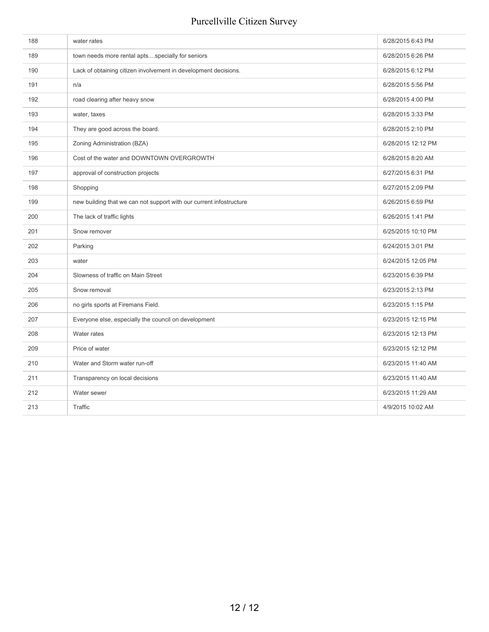| 188 | water rates                                                         | 6/28/2015 6:43 PM  |
|-----|---------------------------------------------------------------------|--------------------|
| 189 | town needs more rental aptsspecially for seniors                    | 6/28/2015 6:26 PM  |
| 190 | Lack of obtaining citizen involvement in development decisions.     | 6/28/2015 6:12 PM  |
| 191 | n/a                                                                 | 6/28/2015 5:56 PM  |
| 192 | road clearing after heavy snow                                      | 6/28/2015 4:00 PM  |
| 193 | water, taxes                                                        | 6/28/2015 3:33 PM  |
| 194 | They are good across the board.                                     | 6/28/2015 2:10 PM  |
| 195 | Zoning Administration (BZA)                                         | 6/28/2015 12:12 PM |
| 196 | Cost of the water and DOWNTOWN OVERGROWTH                           | 6/28/2015 8:20 AM  |
| 197 | approval of construction projects                                   | 6/27/2015 6:31 PM  |
| 198 | Shopping                                                            | 6/27/2015 2:09 PM  |
| 199 | new building that we can not support with our current infostructure | 6/26/2015 6:59 PM  |
| 200 | The lack of traffic lights                                          | 6/26/2015 1:41 PM  |
| 201 | Snow remover                                                        | 6/25/2015 10:10 PM |
| 202 | Parking                                                             | 6/24/2015 3:01 PM  |
| 203 | water                                                               | 6/24/2015 12:05 PM |
| 204 | Slowness of traffic on Main Street                                  | 6/23/2015 6:39 PM  |
| 205 | Snow removal                                                        | 6/23/2015 2:13 PM  |
| 206 | no girls sports at Firemans Field.                                  | 6/23/2015 1:15 PM  |
| 207 | Everyone else, especially the council on development                | 6/23/2015 12:15 PM |
| 208 | Water rates                                                         | 6/23/2015 12:13 PM |
| 209 | Price of water                                                      | 6/23/2015 12:12 PM |
| 210 | Water and Storm water run-off                                       | 6/23/2015 11:40 AM |
| 211 | Transparency on local decisions                                     | 6/23/2015 11:40 AM |
| 212 | Water sewer                                                         | 6/23/2015 11:29 AM |
| 213 | Traffic                                                             | 4/9/2015 10:02 AM  |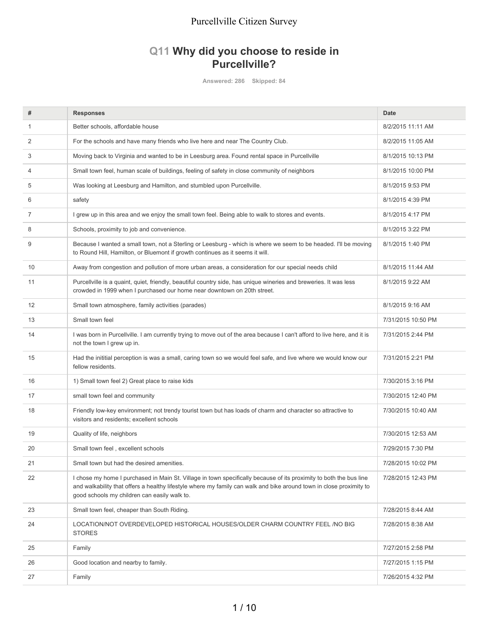#### **Q11 Why did you choose to reside in Purcellville?**

**Answered: 286 Skipped: 84**

| #  | <b>Responses</b>                                                                                                                                                                                                                                                                          | <b>Date</b>        |
|----|-------------------------------------------------------------------------------------------------------------------------------------------------------------------------------------------------------------------------------------------------------------------------------------------|--------------------|
| 1  | Better schools, affordable house                                                                                                                                                                                                                                                          | 8/2/2015 11:11 AM  |
| 2  | For the schools and have many friends who live here and near The Country Club.                                                                                                                                                                                                            | 8/2/2015 11:05 AM  |
| 3  | Moving back to Virginia and wanted to be in Leesburg area. Found rental space in Purcellville                                                                                                                                                                                             | 8/1/2015 10:13 PM  |
| 4  | Small town feel, human scale of buildings, feeling of safety in close community of neighbors                                                                                                                                                                                              | 8/1/2015 10:00 PM  |
| 5  | Was looking at Leesburg and Hamilton, and stumbled upon Purcellville.                                                                                                                                                                                                                     | 8/1/2015 9:53 PM   |
| 6  | safety                                                                                                                                                                                                                                                                                    | 8/1/2015 4:39 PM   |
| 7  | I grew up in this area and we enjoy the small town feel. Being able to walk to stores and events.                                                                                                                                                                                         | 8/1/2015 4:17 PM   |
| 8  | Schools, proximity to job and convenience.                                                                                                                                                                                                                                                | 8/1/2015 3:22 PM   |
| 9  | Because I wanted a small town, not a Sterling or Leesburg - which is where we seem to be headed. I'll be moving<br>to Round Hill, Hamilton, or Bluemont if growth continues as it seems it will.                                                                                          | 8/1/2015 1:40 PM   |
| 10 | Away from congestion and pollution of more urban areas, a consideration for our special needs child                                                                                                                                                                                       | 8/1/2015 11:44 AM  |
| 11 | Purcellville is a quaint, quiet, friendly, beautiful country side, has unique wineries and breweries. It was less<br>crowded in 1999 when I purchased our home near downtown on 20th street.                                                                                              | 8/1/2015 9:22 AM   |
| 12 | Small town atmosphere, family activities (parades)                                                                                                                                                                                                                                        | 8/1/2015 9:16 AM   |
| 13 | Small town feel                                                                                                                                                                                                                                                                           | 7/31/2015 10:50 PM |
| 14 | I was born in Purcellville. I am currently trying to move out of the area because I can't afford to live here, and it is<br>not the town I grew up in.                                                                                                                                    | 7/31/2015 2:44 PM  |
| 15 | Had the inititial perception is was a small, caring town so we would feel safe, and live where we would know our<br>fellow residents.                                                                                                                                                     | 7/31/2015 2:21 PM  |
| 16 | 1) Small town feel 2) Great place to raise kids                                                                                                                                                                                                                                           | 7/30/2015 3:16 PM  |
| 17 | small town feel and community                                                                                                                                                                                                                                                             | 7/30/2015 12:40 PM |
| 18 | Friendly low-key environment; not trendy tourist town but has loads of charm and character so attractive to<br>visitors and residents; excellent schools                                                                                                                                  | 7/30/2015 10:40 AM |
| 19 | Quality of life, neighbors                                                                                                                                                                                                                                                                | 7/30/2015 12:53 AM |
| 20 | Small town feel, excellent schools                                                                                                                                                                                                                                                        | 7/29/2015 7:30 PM  |
| 21 | Small town but had the desired amenities.                                                                                                                                                                                                                                                 | 7/28/2015 10:02 PM |
| 22 | I chose my home I purchased in Main St. Village in town specifically because of its proximity to both the bus line<br>and walkability that offers a healthy lifestyle where my family can walk and bike around town in close proximity to<br>good schools my children can easily walk to. | 7/28/2015 12:43 PM |
| 23 | Small town feel, cheaper than South Riding.                                                                                                                                                                                                                                               | 7/28/2015 8:44 AM  |
| 24 | LOCATION/NOT OVERDEVELOPED HISTORICAL HOUSES/OLDER CHARM COUNTRY FEEL /NO BIG<br><b>STORES</b>                                                                                                                                                                                            | 7/28/2015 8:38 AM  |
| 25 | Family                                                                                                                                                                                                                                                                                    | 7/27/2015 2:58 PM  |
| 26 | Good location and nearby to family.                                                                                                                                                                                                                                                       | 7/27/2015 1:15 PM  |
| 27 | Family                                                                                                                                                                                                                                                                                    | 7/26/2015 4:32 PM  |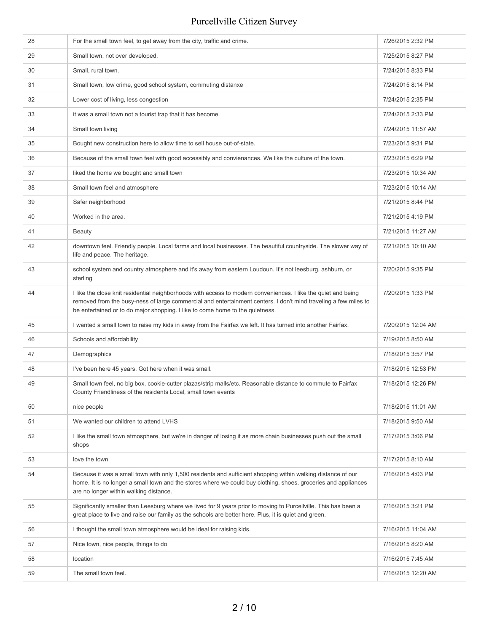| 28 | For the small town feel, to get away from the city, traffic and crime.                                                                                                                                                                                                                                             | 7/26/2015 2:32 PM  |
|----|--------------------------------------------------------------------------------------------------------------------------------------------------------------------------------------------------------------------------------------------------------------------------------------------------------------------|--------------------|
| 29 | Small town, not over developed.                                                                                                                                                                                                                                                                                    | 7/25/2015 8:27 PM  |
| 30 | Small, rural town.                                                                                                                                                                                                                                                                                                 | 7/24/2015 8:33 PM  |
| 31 | Small town, low crime, good school system, commuting distanxe                                                                                                                                                                                                                                                      | 7/24/2015 8:14 PM  |
| 32 | Lower cost of living, less congestion                                                                                                                                                                                                                                                                              | 7/24/2015 2:35 PM  |
| 33 | it was a small town not a tourist trap that it has become.                                                                                                                                                                                                                                                         | 7/24/2015 2:33 PM  |
| 34 | Small town living                                                                                                                                                                                                                                                                                                  | 7/24/2015 11:57 AM |
| 35 | Bought new construction here to allow time to sell house out-of-state.                                                                                                                                                                                                                                             | 7/23/2015 9:31 PM  |
| 36 | Because of the small town feel with good accessibly and convienances. We like the culture of the town.                                                                                                                                                                                                             | 7/23/2015 6:29 PM  |
| 37 | liked the home we bought and small town                                                                                                                                                                                                                                                                            | 7/23/2015 10:34 AM |
| 38 | Small town feel and atmosphere                                                                                                                                                                                                                                                                                     | 7/23/2015 10:14 AM |
| 39 | Safer neighborhood                                                                                                                                                                                                                                                                                                 | 7/21/2015 8:44 PM  |
| 40 | Worked in the area.                                                                                                                                                                                                                                                                                                | 7/21/2015 4:19 PM  |
| 41 | <b>Beauty</b>                                                                                                                                                                                                                                                                                                      | 7/21/2015 11:27 AM |
| 42 | downtown feel. Friendly people. Local farms and local businesses. The beautiful countryside. The slower way of<br>life and peace. The heritage.                                                                                                                                                                    | 7/21/2015 10:10 AM |
| 43 | school system and country atmosphere and it's away from eastern Loudoun. It's not leesburg, ashburn, or<br>sterling                                                                                                                                                                                                | 7/20/2015 9:35 PM  |
| 44 | I like the close knit residential neighborhoods with access to modern conveniences. I like the quiet and being<br>removed from the busy-ness of large commercial and entertainment centers. I don't mind traveling a few miles to<br>be entertained or to do major shopping. I like to come home to the quietness. | 7/20/2015 1:33 PM  |
| 45 | I wanted a small town to raise my kids in away from the Fairfax we left. It has turned into another Fairfax.                                                                                                                                                                                                       | 7/20/2015 12:04 AM |
| 46 | Schools and affordability                                                                                                                                                                                                                                                                                          | 7/19/2015 8:50 AM  |
| 47 | Demographics                                                                                                                                                                                                                                                                                                       | 7/18/2015 3:57 PM  |
| 48 | I've been here 45 years. Got here when it was small.                                                                                                                                                                                                                                                               | 7/18/2015 12:53 PM |
| 49 | Small town feel, no big box, cookie-cutter plazas/strip malls/etc. Reasonable distance to commute to Fairfax<br>County Friendliness of the residents Local, small town events                                                                                                                                      | 7/18/2015 12:26 PM |
| 50 | nice people                                                                                                                                                                                                                                                                                                        | 7/18/2015 11:01 AM |
| 51 | We wanted our children to attend LVHS                                                                                                                                                                                                                                                                              | 7/18/2015 9:50 AM  |
| 52 | I like the small town atmosphere, but we're in danger of losing it as more chain businesses push out the small<br>shops                                                                                                                                                                                            | 7/17/2015 3:06 PM  |
| 53 | love the town                                                                                                                                                                                                                                                                                                      | 7/17/2015 8:10 AM  |
| 54 | Because it was a small town with only 1,500 residents and sufficient shopping within walking distance of our<br>home. It is no longer a small town and the stores where we could buy clothing, shoes, groceries and appliances<br>are no longer within walking distance.                                           | 7/16/2015 4:03 PM  |
| 55 | Significantly smaller than Leesburg where we lived for 9 years prior to moving to Purcellville. This has been a<br>great place to live and raise our family as the schools are better here. Plus, it is quiet and green.                                                                                           | 7/16/2015 3:21 PM  |
| 56 | I thought the small town atmosphere would be ideal for raising kids.                                                                                                                                                                                                                                               | 7/16/2015 11:04 AM |
| 57 | Nice town, nice people, things to do                                                                                                                                                                                                                                                                               | 7/16/2015 8:20 AM  |
| 58 | location                                                                                                                                                                                                                                                                                                           | 7/16/2015 7:45 AM  |
| 59 | The small town feel.                                                                                                                                                                                                                                                                                               | 7/16/2015 12:20 AM |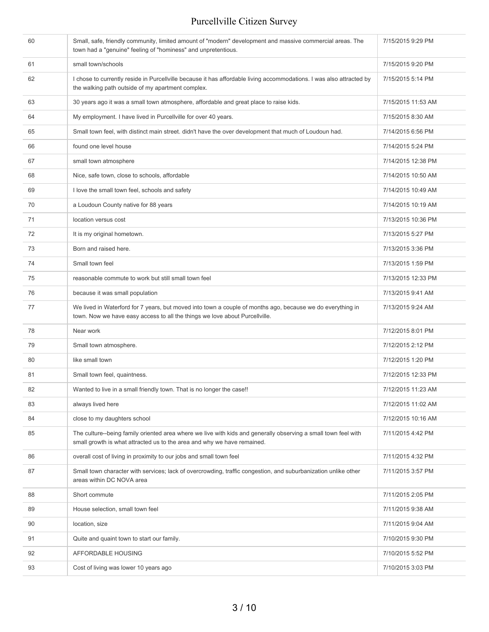| 60 | Small, safe, friendly community, limited amount of "modern" development and massive commercial areas. The<br>town had a "genuine" feeling of "hominess" and unpretentious.                | 7/15/2015 9:29 PM  |
|----|-------------------------------------------------------------------------------------------------------------------------------------------------------------------------------------------|--------------------|
| 61 | small town/schools                                                                                                                                                                        | 7/15/2015 9:20 PM  |
| 62 | I chose to currently reside in Purcellville because it has affordable living accommodations. I was also attracted by<br>the walking path outside of my apartment complex.                 | 7/15/2015 5:14 PM  |
| 63 | 30 years ago it was a small town atmosphere, affordable and great place to raise kids.                                                                                                    | 7/15/2015 11:53 AM |
| 64 | My employment. I have lived in Purcellville for over 40 years.                                                                                                                            | 7/15/2015 8:30 AM  |
| 65 | Small town feel, with distinct main street. didn't have the over development that much of Loudoun had.                                                                                    | 7/14/2015 6:56 PM  |
| 66 | found one level house                                                                                                                                                                     | 7/14/2015 5:24 PM  |
| 67 | small town atmosphere                                                                                                                                                                     | 7/14/2015 12:38 PM |
| 68 | Nice, safe town, close to schools, affordable                                                                                                                                             | 7/14/2015 10:50 AM |
| 69 | I love the small town feel, schools and safety                                                                                                                                            | 7/14/2015 10:49 AM |
| 70 | a Loudoun County native for 88 years                                                                                                                                                      | 7/14/2015 10:19 AM |
| 71 | location versus cost                                                                                                                                                                      | 7/13/2015 10:36 PM |
| 72 | It is my original hometown.                                                                                                                                                               | 7/13/2015 5:27 PM  |
| 73 | Born and raised here.                                                                                                                                                                     | 7/13/2015 3:36 PM  |
| 74 | Small town feel                                                                                                                                                                           | 7/13/2015 1:59 PM  |
| 75 | reasonable commute to work but still small town feel                                                                                                                                      | 7/13/2015 12:33 PM |
| 76 | because it was small population                                                                                                                                                           | 7/13/2015 9:41 AM  |
| 77 | We lived in Waterford for 7 years, but moved into town a couple of months ago, because we do everything in<br>town. Now we have easy access to all the things we love about Purcellville. | 7/13/2015 9:24 AM  |
| 78 | Near work                                                                                                                                                                                 | 7/12/2015 8:01 PM  |
| 79 | Small town atmosphere.                                                                                                                                                                    | 7/12/2015 2:12 PM  |
| 80 | like small town                                                                                                                                                                           | 7/12/2015 1:20 PM  |
| 81 | Small town feel, quaintness.                                                                                                                                                              | 7/12/2015 12:33 PM |
| 82 | Wanted to live in a small friendly town. That is no longer the case!!                                                                                                                     | 7/12/2015 11:23 AM |
| 83 | always lived here                                                                                                                                                                         | 7/12/2015 11:02 AM |
| 84 | close to my daughters school                                                                                                                                                              | 7/12/2015 10:16 AM |
| 85 | The culture--being family oriented area where we live with kids and generally observing a small town feel with<br>small growth is what attracted us to the area and why we have remained. | 7/11/2015 4:42 PM  |
| 86 | overall cost of living in proximity to our jobs and small town feel                                                                                                                       | 7/11/2015 4:32 PM  |
| 87 | Small town character with services; lack of overcrowding, traffic congestion, and suburbanization unlike other<br>areas within DC NOVA area                                               | 7/11/2015 3:57 PM  |
| 88 | Short commute                                                                                                                                                                             | 7/11/2015 2:05 PM  |
| 89 | House selection, small town feel                                                                                                                                                          | 7/11/2015 9:38 AM  |
| 90 | location, size                                                                                                                                                                            | 7/11/2015 9:04 AM  |
| 91 | Quite and quaint town to start our family.                                                                                                                                                | 7/10/2015 9:30 PM  |
| 92 | AFFORDABLE HOUSING                                                                                                                                                                        | 7/10/2015 5:52 PM  |
| 93 | Cost of living was lower 10 years ago                                                                                                                                                     | 7/10/2015 3:03 PM  |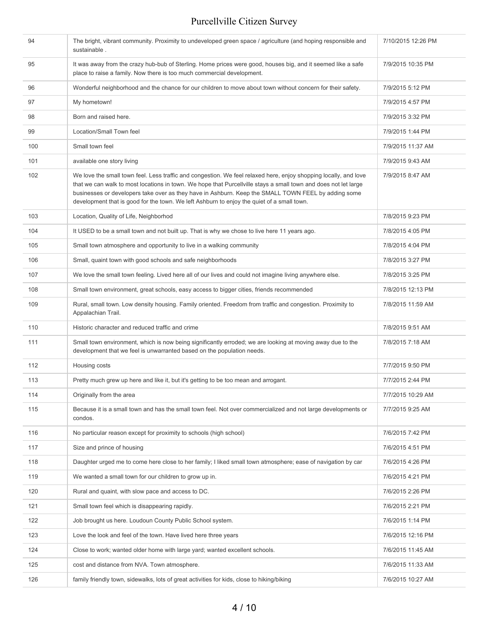| 94  | The bright, vibrant community. Proximity to undeveloped green space / agriculture (and hoping responsible and<br>sustainable.                                                                                                                                                                                                                                                                                                            | 7/10/2015 12:26 PM |
|-----|------------------------------------------------------------------------------------------------------------------------------------------------------------------------------------------------------------------------------------------------------------------------------------------------------------------------------------------------------------------------------------------------------------------------------------------|--------------------|
| 95  | It was away from the crazy hub-bub of Sterling. Home prices were good, houses big, and it seemed like a safe<br>place to raise a family. Now there is too much commercial development.                                                                                                                                                                                                                                                   | 7/9/2015 10:35 PM  |
| 96  | Wonderful neighborhood and the chance for our children to move about town without concern for their safety.                                                                                                                                                                                                                                                                                                                              | 7/9/2015 5:12 PM   |
| 97  | My hometown!                                                                                                                                                                                                                                                                                                                                                                                                                             | 7/9/2015 4:57 PM   |
| 98  | Born and raised here.                                                                                                                                                                                                                                                                                                                                                                                                                    | 7/9/2015 3:32 PM   |
| 99  | Location/Small Town feel                                                                                                                                                                                                                                                                                                                                                                                                                 | 7/9/2015 1:44 PM   |
| 100 | Small town feel                                                                                                                                                                                                                                                                                                                                                                                                                          | 7/9/2015 11:37 AM  |
| 101 | available one story living                                                                                                                                                                                                                                                                                                                                                                                                               | 7/9/2015 9:43 AM   |
| 102 | We love the small town feel. Less traffic and congestion. We feel relaxed here, enjoy shopping locally, and love<br>that we can walk to most locations in town. We hope that Purcellville stays a small town and does not let large<br>businesses or developers take over as they have in Ashburn. Keep the SMALL TOWN FEEL by adding some<br>development that is good for the town. We left Ashburn to enjoy the quiet of a small town. | 7/9/2015 8:47 AM   |
| 103 | Location, Quality of Life, Neighborhod                                                                                                                                                                                                                                                                                                                                                                                                   | 7/8/2015 9:23 PM   |
| 104 | It USED to be a small town and not built up. That is why we chose to live here 11 years ago.                                                                                                                                                                                                                                                                                                                                             | 7/8/2015 4:05 PM   |
| 105 | Small town atmosphere and opportunity to live in a walking community                                                                                                                                                                                                                                                                                                                                                                     | 7/8/2015 4:04 PM   |
| 106 | Small, quaint town with good schools and safe neighborhoods                                                                                                                                                                                                                                                                                                                                                                              | 7/8/2015 3:27 PM   |
| 107 | We love the small town feeling. Lived here all of our lives and could not imagine living anywhere else.                                                                                                                                                                                                                                                                                                                                  | 7/8/2015 3:25 PM   |
| 108 | Small town environment, great schools, easy access to bigger cities, friends recommended                                                                                                                                                                                                                                                                                                                                                 | 7/8/2015 12:13 PM  |
| 109 | Rural, small town. Low density housing. Family oriented. Freedom from traffic and congestion. Proximity to<br>Appalachian Trail.                                                                                                                                                                                                                                                                                                         | 7/8/2015 11:59 AM  |
| 110 | Historic character and reduced traffic and crime                                                                                                                                                                                                                                                                                                                                                                                         | 7/8/2015 9:51 AM   |
| 111 | Small town environment, which is now being significantly erroded; we are looking at moving away due to the<br>development that we feel is unwarranted based on the population needs.                                                                                                                                                                                                                                                     | 7/8/2015 7:18 AM   |
| 112 | Housing costs                                                                                                                                                                                                                                                                                                                                                                                                                            | 7/7/2015 9:50 PM   |
| 113 | Pretty much grew up here and like it, but it's getting to be too mean and arrogant.                                                                                                                                                                                                                                                                                                                                                      | 7/7/2015 2:44 PM   |
| 114 | Originally from the area                                                                                                                                                                                                                                                                                                                                                                                                                 | 7/7/2015 10:29 AM  |
| 115 | Because it is a small town and has the small town feel. Not over commercialized and not large developments or<br>condos.                                                                                                                                                                                                                                                                                                                 | 7/7/2015 9:25 AM   |
| 116 | No particular reason except for proximity to schools (high school)                                                                                                                                                                                                                                                                                                                                                                       | 7/6/2015 7:42 PM   |
| 117 | Size and prince of housing                                                                                                                                                                                                                                                                                                                                                                                                               | 7/6/2015 4:51 PM   |
| 118 | Daughter urged me to come here close to her family; I liked small town atmosphere; ease of navigation by car                                                                                                                                                                                                                                                                                                                             | 7/6/2015 4:26 PM   |
| 119 | We wanted a small town for our children to grow up in.                                                                                                                                                                                                                                                                                                                                                                                   | 7/6/2015 4:21 PM   |
| 120 | Rural and quaint, with slow pace and access to DC.                                                                                                                                                                                                                                                                                                                                                                                       | 7/6/2015 2:26 PM   |
| 121 | Small town feel which is disappearing rapidly.                                                                                                                                                                                                                                                                                                                                                                                           | 7/6/2015 2:21 PM   |
| 122 | Job brought us here. Loudoun County Public School system.                                                                                                                                                                                                                                                                                                                                                                                | 7/6/2015 1:14 PM   |
| 123 | Love the look and feel of the town. Have lived here three years                                                                                                                                                                                                                                                                                                                                                                          | 7/6/2015 12:16 PM  |
| 124 | Close to work; wanted older home with large yard; wanted excellent schools.                                                                                                                                                                                                                                                                                                                                                              | 7/6/2015 11:45 AM  |
| 125 | cost and distance from NVA. Town atmosphere.                                                                                                                                                                                                                                                                                                                                                                                             | 7/6/2015 11:33 AM  |
| 126 | family friendly town, sidewalks, lots of great activities for kids, close to hiking/biking                                                                                                                                                                                                                                                                                                                                               | 7/6/2015 10:27 AM  |
|     |                                                                                                                                                                                                                                                                                                                                                                                                                                          |                    |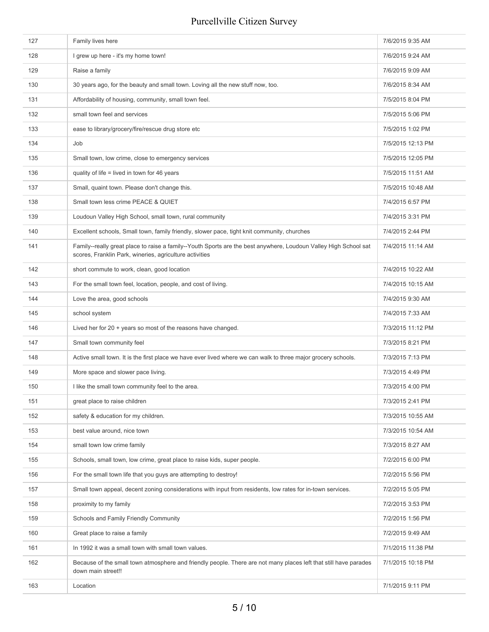| 127 | Family lives here                                                                                                                                                           | 7/6/2015 9:35 AM  |
|-----|-----------------------------------------------------------------------------------------------------------------------------------------------------------------------------|-------------------|
| 128 | I grew up here - it's my home town!                                                                                                                                         | 7/6/2015 9:24 AM  |
| 129 | Raise a family                                                                                                                                                              | 7/6/2015 9:09 AM  |
| 130 | 30 years ago, for the beauty and small town. Loving all the new stuff now, too.                                                                                             | 7/6/2015 8:34 AM  |
| 131 | Affordability of housing, community, small town feel.                                                                                                                       | 7/5/2015 8:04 PM  |
| 132 | small town feel and services                                                                                                                                                | 7/5/2015 5:06 PM  |
| 133 | ease to library/grocery/fire/rescue drug store etc                                                                                                                          | 7/5/2015 1:02 PM  |
| 134 | Job                                                                                                                                                                         | 7/5/2015 12:13 PM |
| 135 | Small town, low crime, close to emergency services                                                                                                                          | 7/5/2015 12:05 PM |
| 136 | quality of life = lived in town for 46 years                                                                                                                                | 7/5/2015 11:51 AM |
| 137 | Small, quaint town. Please don't change this.                                                                                                                               | 7/5/2015 10:48 AM |
| 138 | Small town less crime PEACE & QUIET                                                                                                                                         | 7/4/2015 6:57 PM  |
| 139 | Loudoun Valley High School, small town, rural community                                                                                                                     | 7/4/2015 3:31 PM  |
| 140 | Excellent schools, Small town, family friendly, slower pace, tight knit community, churches                                                                                 | 7/4/2015 2:44 PM  |
| 141 | Family--really great place to raise a family--Youth Sports are the best anywhere, Loudoun Valley High School sat<br>scores, Franklin Park, wineries, agriculture activities | 7/4/2015 11:14 AM |
| 142 | short commute to work, clean, good location                                                                                                                                 | 7/4/2015 10:22 AM |
| 143 | For the small town feel, location, people, and cost of living.                                                                                                              | 7/4/2015 10:15 AM |
| 144 | Love the area, good schools                                                                                                                                                 | 7/4/2015 9:30 AM  |
| 145 | school system                                                                                                                                                               | 7/4/2015 7:33 AM  |
| 146 | Lived her for 20 + years so most of the reasons have changed.                                                                                                               | 7/3/2015 11:12 PM |
| 147 | Small town community feel                                                                                                                                                   | 7/3/2015 8:21 PM  |
| 148 | Active small town. It is the first place we have ever lived where we can walk to three major grocery schools.                                                               | 7/3/2015 7:13 PM  |
| 149 | More space and slower pace living.                                                                                                                                          | 7/3/2015 4:49 PM  |
| 150 | I like the small town community feel to the area.                                                                                                                           | 7/3/2015 4:00 PM  |
| 151 | great place to raise children                                                                                                                                               | 7/3/2015 2:41 PM  |
| 152 | safety & education for my children.                                                                                                                                         | 7/3/2015 10:55 AM |
| 153 | best value around, nice town                                                                                                                                                | 7/3/2015 10:54 AM |
| 154 | small town low crime family                                                                                                                                                 | 7/3/2015 8:27 AM  |
| 155 | Schools, small town, low crime, great place to raise kids, super people.                                                                                                    | 7/2/2015 6:00 PM  |
| 156 | For the small town life that you guys are attempting to destroy!                                                                                                            | 7/2/2015 5:56 PM  |
| 157 | Small town appeal, decent zoning considerations with input from residents, low rates for in-town services.                                                                  | 7/2/2015 5:05 PM  |
| 158 | proximity to my family                                                                                                                                                      | 7/2/2015 3:53 PM  |
| 159 | Schools and Family Friendly Community                                                                                                                                       | 7/2/2015 1:56 PM  |
| 160 | Great place to raise a family                                                                                                                                               | 7/2/2015 9:49 AM  |
| 161 | In 1992 it was a small town with small town values.                                                                                                                         | 7/1/2015 11:38 PM |
| 162 | Because of the small town atmosphere and friendly people. There are not many places left that still have parades<br>down main street!!                                      | 7/1/2015 10:18 PM |
| 163 | Location                                                                                                                                                                    | 7/1/2015 9:11 PM  |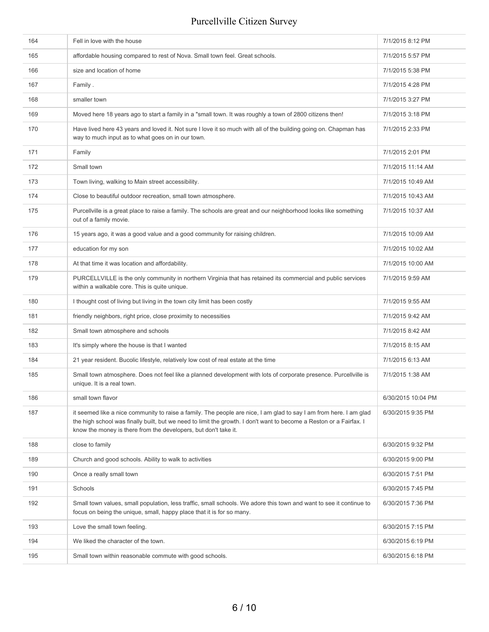| 164 | Fell in love with the house                                                                                                                                                                                                                                                                                  | 7/1/2015 8:12 PM   |
|-----|--------------------------------------------------------------------------------------------------------------------------------------------------------------------------------------------------------------------------------------------------------------------------------------------------------------|--------------------|
| 165 | affordable housing compared to rest of Nova. Small town feel. Great schools.                                                                                                                                                                                                                                 | 7/1/2015 5:57 PM   |
| 166 | size and location of home                                                                                                                                                                                                                                                                                    | 7/1/2015 5:38 PM   |
| 167 | Family.                                                                                                                                                                                                                                                                                                      | 7/1/2015 4:28 PM   |
| 168 | smaller town                                                                                                                                                                                                                                                                                                 | 7/1/2015 3:27 PM   |
| 169 | Moved here 18 years ago to start a family in a "small town. It was roughly a town of 2800 citizens then!                                                                                                                                                                                                     | 7/1/2015 3:18 PM   |
| 170 | Have lived here 43 years and loved it. Not sure I love it so much with all of the building going on. Chapman has<br>way to much input as to what goes on in our town.                                                                                                                                        | 7/1/2015 2:33 PM   |
| 171 | Family                                                                                                                                                                                                                                                                                                       | 7/1/2015 2:01 PM   |
| 172 | Small town                                                                                                                                                                                                                                                                                                   | 7/1/2015 11:14 AM  |
| 173 | Town living, walking to Main street accessibility.                                                                                                                                                                                                                                                           | 7/1/2015 10:49 AM  |
| 174 | Close to beautiful outdoor recreation, small town atmosphere.                                                                                                                                                                                                                                                | 7/1/2015 10:43 AM  |
| 175 | Purcellville is a great place to raise a family. The schools are great and our neighborhood looks like something<br>out of a family movie.                                                                                                                                                                   | 7/1/2015 10:37 AM  |
| 176 | 15 years ago, it was a good value and a good community for raising children.                                                                                                                                                                                                                                 | 7/1/2015 10:09 AM  |
| 177 | education for my son                                                                                                                                                                                                                                                                                         | 7/1/2015 10:02 AM  |
| 178 | At that time it was location and affordability.                                                                                                                                                                                                                                                              | 7/1/2015 10:00 AM  |
| 179 | PURCELLVILLE is the only community in northern Virginia that has retained its commercial and public services<br>within a walkable core. This is quite unique.                                                                                                                                                | 7/1/2015 9:59 AM   |
| 180 | I thought cost of living but living in the town city limit has been costly                                                                                                                                                                                                                                   | 7/1/2015 9:55 AM   |
| 181 | friendly neighbors, right price, close proximity to necessities                                                                                                                                                                                                                                              | 7/1/2015 9:42 AM   |
| 182 | Small town atmosphere and schools                                                                                                                                                                                                                                                                            | 7/1/2015 8:42 AM   |
| 183 | It's simply where the house is that I wanted                                                                                                                                                                                                                                                                 | 7/1/2015 8:15 AM   |
| 184 | 21 year resident. Bucolic lifestyle, relatively low cost of real estate at the time                                                                                                                                                                                                                          | 7/1/2015 6:13 AM   |
| 185 | Small town atmosphere. Does not feel like a planned development with lots of corporate presence. Purcellville is<br>unique. It is a real town.                                                                                                                                                               | 7/1/2015 1:38 AM   |
| 186 | small town flavor                                                                                                                                                                                                                                                                                            | 6/30/2015 10:04 PM |
| 187 | it seemed like a nice community to raise a family. The people are nice, I am glad to say I am from here. I am glad<br>the high school was finally built, but we need to limit the growth. I don't want to become a Reston or a Fairfax. I<br>know the money is there from the developers, but don't take it. | 6/30/2015 9:35 PM  |
| 188 | close to family                                                                                                                                                                                                                                                                                              | 6/30/2015 9:32 PM  |
| 189 | Church and good schools. Ability to walk to activities                                                                                                                                                                                                                                                       | 6/30/2015 9:00 PM  |
| 190 | Once a really small town                                                                                                                                                                                                                                                                                     | 6/30/2015 7:51 PM  |
| 191 | Schools                                                                                                                                                                                                                                                                                                      | 6/30/2015 7:45 PM  |
| 192 | Small town values, small population, less traffic, small schools. We adore this town and want to see it continue to<br>focus on being the unique, small, happy place that it is for so many.                                                                                                                 | 6/30/2015 7:36 PM  |
| 193 | Love the small town feeling.                                                                                                                                                                                                                                                                                 | 6/30/2015 7:15 PM  |
| 194 | We liked the character of the town.                                                                                                                                                                                                                                                                          | 6/30/2015 6:19 PM  |
| 195 | Small town within reasonable commute with good schools.                                                                                                                                                                                                                                                      | 6/30/2015 6:18 PM  |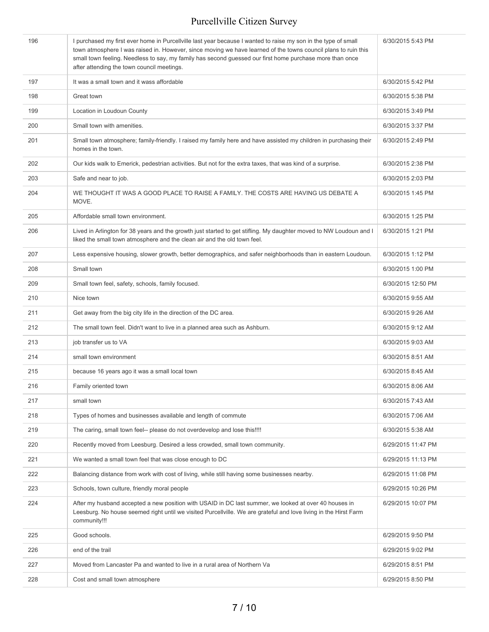| 196 | I purchased my first ever home in Purcellville last year because I wanted to raise my son in the type of small<br>town atmosphere I was raised in. However, since moving we have learned of the towns council plans to ruin this<br>small town feeling. Needless to say, my family has second guessed our first home purchase more than once<br>after attending the town council meetings. | 6/30/2015 5:43 PM  |
|-----|--------------------------------------------------------------------------------------------------------------------------------------------------------------------------------------------------------------------------------------------------------------------------------------------------------------------------------------------------------------------------------------------|--------------------|
| 197 | It was a small town and it wass affordable                                                                                                                                                                                                                                                                                                                                                 | 6/30/2015 5:42 PM  |
| 198 | Great town                                                                                                                                                                                                                                                                                                                                                                                 | 6/30/2015 5:38 PM  |
| 199 | Location in Loudoun County                                                                                                                                                                                                                                                                                                                                                                 | 6/30/2015 3:49 PM  |
| 200 | Small town with amenities.                                                                                                                                                                                                                                                                                                                                                                 | 6/30/2015 3:37 PM  |
| 201 | Small town atmosphere; family-friendly. I raised my family here and have assisted my children in purchasing their<br>homes in the town.                                                                                                                                                                                                                                                    | 6/30/2015 2:49 PM  |
| 202 | Our kids walk to Emerick, pedestrian activities. But not for the extra taxes, that was kind of a surprise.                                                                                                                                                                                                                                                                                 | 6/30/2015 2:38 PM  |
| 203 | Safe and near to job.                                                                                                                                                                                                                                                                                                                                                                      | 6/30/2015 2:03 PM  |
| 204 | WE THOUGHT IT WAS A GOOD PLACE TO RAISE A FAMILY. THE COSTS ARE HAVING US DEBATE A<br>MOVE.                                                                                                                                                                                                                                                                                                | 6/30/2015 1:45 PM  |
| 205 | Affordable small town environment.                                                                                                                                                                                                                                                                                                                                                         | 6/30/2015 1:25 PM  |
| 206 | Lived in Arlington for 38 years and the growth just started to get stifling. My daughter moved to NW Loudoun and I<br>liked the small town atmosphere and the clean air and the old town feel.                                                                                                                                                                                             | 6/30/2015 1:21 PM  |
| 207 | Less expensive housing, slower growth, better demographics, and safer neighborhoods than in eastern Loudoun.                                                                                                                                                                                                                                                                               | 6/30/2015 1:12 PM  |
| 208 | Small town                                                                                                                                                                                                                                                                                                                                                                                 | 6/30/2015 1:00 PM  |
| 209 | Small town feel, safety, schools, family focused.                                                                                                                                                                                                                                                                                                                                          | 6/30/2015 12:50 PM |
| 210 | Nice town                                                                                                                                                                                                                                                                                                                                                                                  | 6/30/2015 9:55 AM  |
| 211 | Get away from the big city life in the direction of the DC area.                                                                                                                                                                                                                                                                                                                           | 6/30/2015 9:26 AM  |
| 212 | The small town feel. Didn't want to live in a planned area such as Ashburn.                                                                                                                                                                                                                                                                                                                | 6/30/2015 9:12 AM  |
| 213 | job transfer us to VA                                                                                                                                                                                                                                                                                                                                                                      | 6/30/2015 9:03 AM  |
| 214 | small town environment                                                                                                                                                                                                                                                                                                                                                                     | 6/30/2015 8:51 AM  |
| 215 | because 16 years ago it was a small local town                                                                                                                                                                                                                                                                                                                                             | 6/30/2015 8:45 AM  |
| 216 | Family oriented town                                                                                                                                                                                                                                                                                                                                                                       | 6/30/2015 8:06 AM  |
| 217 | small town                                                                                                                                                                                                                                                                                                                                                                                 | 6/30/2015 7:43 AM  |
| 218 | Types of homes and businesses available and length of commute                                                                                                                                                                                                                                                                                                                              | 6/30/2015 7:06 AM  |
| 219 | The caring, small town feel-- please do not overdevelop and lose this!!!!                                                                                                                                                                                                                                                                                                                  | 6/30/2015 5:38 AM  |
| 220 | Recently moved from Leesburg. Desired a less crowded, small town community.                                                                                                                                                                                                                                                                                                                | 6/29/2015 11:47 PM |
| 221 | We wanted a small town feel that was close enough to DC                                                                                                                                                                                                                                                                                                                                    | 6/29/2015 11:13 PM |
| 222 | Balancing distance from work with cost of living, while still having some businesses nearby.                                                                                                                                                                                                                                                                                               | 6/29/2015 11:08 PM |
| 223 | Schools, town culture, friendly moral people                                                                                                                                                                                                                                                                                                                                               | 6/29/2015 10:26 PM |
| 224 | After my husband accepted a new position with USAID in DC last summer, we looked at over 40 houses in<br>Leesburg. No house seemed right until we visited Purcellville. We are grateful and love living in the Hirst Farm<br>community!!!                                                                                                                                                  | 6/29/2015 10:07 PM |
| 225 | Good schools.                                                                                                                                                                                                                                                                                                                                                                              | 6/29/2015 9:50 PM  |
| 226 | end of the trail                                                                                                                                                                                                                                                                                                                                                                           | 6/29/2015 9:02 PM  |
| 227 | Moved from Lancaster Pa and wanted to live in a rural area of Northern Va                                                                                                                                                                                                                                                                                                                  | 6/29/2015 8:51 PM  |
| 228 | Cost and small town atmosphere                                                                                                                                                                                                                                                                                                                                                             | 6/29/2015 8:50 PM  |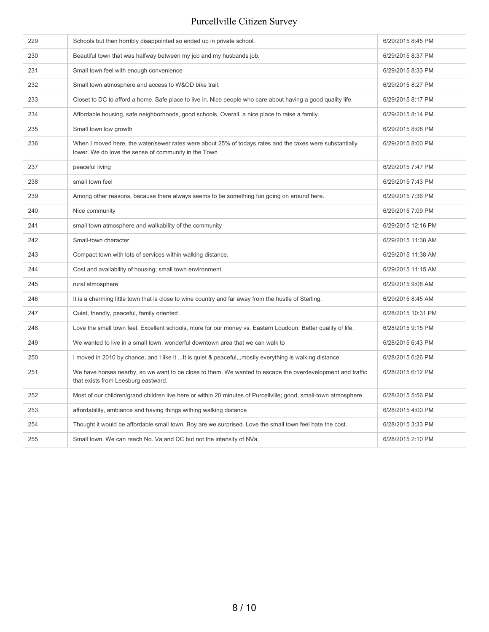| 229 | Schools but then horribly disappointed so ended up in private school.                                                                                            | 6/29/2015 8:45 PM  |
|-----|------------------------------------------------------------------------------------------------------------------------------------------------------------------|--------------------|
| 230 | Beautiful town that was halfway between my job and my husbands job.                                                                                              | 6/29/2015 8:37 PM  |
| 231 | Small town feel with enough convenience                                                                                                                          | 6/29/2015 8:33 PM  |
| 232 | Small town atmosphere and access to W&OD bike trail.                                                                                                             | 6/29/2015 8:27 PM  |
| 233 | Closet to DC to afford a home. Safe place to live in. Nice people who care about having a good quality life.                                                     | 6/29/2015 8:17 PM  |
| 234 | Affordable housing, safe neighborhoods, good schools. Overall, a nice place to raise a family.                                                                   | 6/29/2015 8:14 PM  |
| 235 | Small town low growth                                                                                                                                            | 6/29/2015 8:08 PM  |
| 236 | When I moved here, the water/sewer rates were about 25% of todays rates and the taxes were substantially<br>lower. We do love the sense of community in the Town | 6/29/2015 8:00 PM  |
| 237 | peaceful living                                                                                                                                                  | 6/29/2015 7:47 PM  |
| 238 | small town feel                                                                                                                                                  | 6/29/2015 7:43 PM  |
| 239 | Among other reasons, because there always seems to be something fun going on around here.                                                                        | 6/29/2015 7:36 PM  |
| 240 | Nice community                                                                                                                                                   | 6/29/2015 7:09 PM  |
| 241 | small town atmosphere and walkability of the community                                                                                                           | 6/29/2015 12:16 PM |
| 242 | Small-town character.                                                                                                                                            | 6/29/2015 11:38 AM |
| 243 | Compact town with lots of services within walking distance.                                                                                                      | 6/29/2015 11:38 AM |
| 244 | Cost and availability of housing; small town environment.                                                                                                        | 6/29/2015 11:15 AM |
| 245 | rural atmosphere                                                                                                                                                 | 6/29/2015 9:08 AM  |
| 246 | It is a charming little town that is close to wine country and far away from the hustle of Sterling.                                                             | 6/29/2015 8:45 AM  |
| 247 | Quiet, friendly, peaceful, family oriented                                                                                                                       | 6/28/2015 10:31 PM |
| 248 | Love the small town feel. Excellent schools, more for our money vs. Eastern Loudoun. Better quality of life.                                                     | 6/28/2015 9:15 PM  |
| 249 | We wanted to live in a small town, wonderful downtown area that we can walk to                                                                                   | 6/28/2015 6:43 PM  |
| 250 | I moved in 2010 by chance, and I like it  It is quiet & peaceful, mostly everything is walking distance                                                          | 6/28/2015 6:26 PM  |
| 251 | We have horses nearby, so we want to be close to them. We wanted to escape the overdevelopment and traffic<br>that exists from Leesburg eastward.                | 6/28/2015 6:12 PM  |
| 252 | Most of our children/grand children live here or within 20 minutes of Purcellville; good, small-town atmosphere.                                                 | 6/28/2015 5:56 PM  |
| 253 | affordability, ambiance and having things withing walking distance                                                                                               | 6/28/2015 4:00 PM  |
| 254 | Thought it would be affordable small town. Boy are we surprised. Love the small town feel hate the cost.                                                         | 6/28/2015 3:33 PM  |
| 255 | Small town. We can reach No. Va and DC but not the intensity of NVa.                                                                                             | 6/28/2015 2:10 PM  |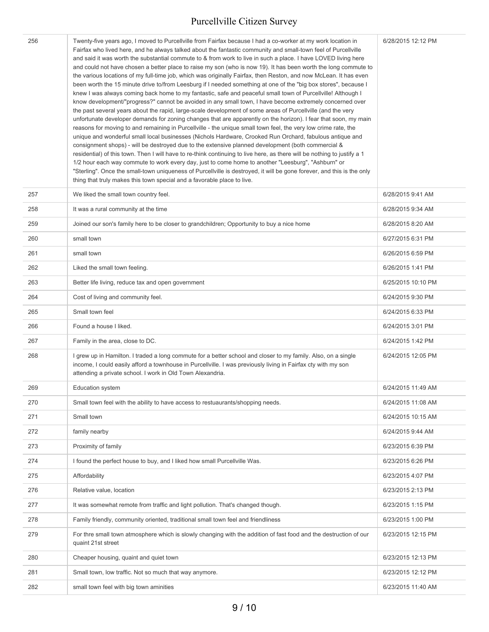| 256 | Twenty-five years ago, I moved to Purcellville from Fairfax because I had a co-worker at my work location in<br>Fairfax who lived here, and he always talked about the fantastic community and small-town feel of Purcellville<br>and said it was worth the substantial commute to & from work to live in such a place. I have LOVED living here<br>and could not have chosen a better place to raise my son (who is now 19). It has been worth the long commute to<br>the various locations of my full-time job, which was originally Fairfax, then Reston, and now McLean. It has even<br>been worth the 15 minute drive to/from Leesburg if I needed something at one of the "big box stores", because I<br>knew I was always coming back home to my fantastic, safe and peaceful small town of Purcellville! Although I<br>know development/"progress?" cannot be avoided in any small town, I have become extremely concerned over<br>the past several years about the rapid, large-scale development of some areas of Purcellville (and the very<br>unfortunate developer demands for zoning changes that are apparently on the horizon). I fear that soon, my main<br>reasons for moving to and remaining in Purcellville - the unique small town feel, the very low crime rate, the<br>unique and wonderful small local businesses (Nichols Hardware, Crooked Run Orchard, fabulous antique and<br>consignment shops) - will be destroyed due to the extensive planned development (both commercial &<br>residential) of this town. Then I will have to re-think continuing to live here, as there will be nothing to justify a 1<br>1/2 hour each way commute to work every day, just to come home to another "Leesburg", "Ashburn" or<br>"Sterling". Once the small-town uniqueness of Purcellville is destroyed, it will be gone forever, and this is the only<br>thing that truly makes this town special and a favorable place to live. | 6/28/2015 12:12 PM |
|-----|------------------------------------------------------------------------------------------------------------------------------------------------------------------------------------------------------------------------------------------------------------------------------------------------------------------------------------------------------------------------------------------------------------------------------------------------------------------------------------------------------------------------------------------------------------------------------------------------------------------------------------------------------------------------------------------------------------------------------------------------------------------------------------------------------------------------------------------------------------------------------------------------------------------------------------------------------------------------------------------------------------------------------------------------------------------------------------------------------------------------------------------------------------------------------------------------------------------------------------------------------------------------------------------------------------------------------------------------------------------------------------------------------------------------------------------------------------------------------------------------------------------------------------------------------------------------------------------------------------------------------------------------------------------------------------------------------------------------------------------------------------------------------------------------------------------------------------------------------------------------------------------------------------------------------------------------------|--------------------|
| 257 | We liked the small town country feel.                                                                                                                                                                                                                                                                                                                                                                                                                                                                                                                                                                                                                                                                                                                                                                                                                                                                                                                                                                                                                                                                                                                                                                                                                                                                                                                                                                                                                                                                                                                                                                                                                                                                                                                                                                                                                                                                                                                | 6/28/2015 9:41 AM  |
| 258 | It was a rural community at the time                                                                                                                                                                                                                                                                                                                                                                                                                                                                                                                                                                                                                                                                                                                                                                                                                                                                                                                                                                                                                                                                                                                                                                                                                                                                                                                                                                                                                                                                                                                                                                                                                                                                                                                                                                                                                                                                                                                 | 6/28/2015 9:34 AM  |
| 259 | Joined our son's family here to be closer to grandchildren; Opportunity to buy a nice home                                                                                                                                                                                                                                                                                                                                                                                                                                                                                                                                                                                                                                                                                                                                                                                                                                                                                                                                                                                                                                                                                                                                                                                                                                                                                                                                                                                                                                                                                                                                                                                                                                                                                                                                                                                                                                                           | 6/28/2015 8:20 AM  |
| 260 | small town                                                                                                                                                                                                                                                                                                                                                                                                                                                                                                                                                                                                                                                                                                                                                                                                                                                                                                                                                                                                                                                                                                                                                                                                                                                                                                                                                                                                                                                                                                                                                                                                                                                                                                                                                                                                                                                                                                                                           | 6/27/2015 6:31 PM  |
| 261 | small town                                                                                                                                                                                                                                                                                                                                                                                                                                                                                                                                                                                                                                                                                                                                                                                                                                                                                                                                                                                                                                                                                                                                                                                                                                                                                                                                                                                                                                                                                                                                                                                                                                                                                                                                                                                                                                                                                                                                           | 6/26/2015 6:59 PM  |
| 262 | Liked the small town feeling.                                                                                                                                                                                                                                                                                                                                                                                                                                                                                                                                                                                                                                                                                                                                                                                                                                                                                                                                                                                                                                                                                                                                                                                                                                                                                                                                                                                                                                                                                                                                                                                                                                                                                                                                                                                                                                                                                                                        | 6/26/2015 1:41 PM  |
| 263 | Better life living, reduce tax and open government                                                                                                                                                                                                                                                                                                                                                                                                                                                                                                                                                                                                                                                                                                                                                                                                                                                                                                                                                                                                                                                                                                                                                                                                                                                                                                                                                                                                                                                                                                                                                                                                                                                                                                                                                                                                                                                                                                   | 6/25/2015 10:10 PM |
| 264 | Cost of living and community feel.                                                                                                                                                                                                                                                                                                                                                                                                                                                                                                                                                                                                                                                                                                                                                                                                                                                                                                                                                                                                                                                                                                                                                                                                                                                                                                                                                                                                                                                                                                                                                                                                                                                                                                                                                                                                                                                                                                                   | 6/24/2015 9:30 PM  |
| 265 | Small town feel                                                                                                                                                                                                                                                                                                                                                                                                                                                                                                                                                                                                                                                                                                                                                                                                                                                                                                                                                                                                                                                                                                                                                                                                                                                                                                                                                                                                                                                                                                                                                                                                                                                                                                                                                                                                                                                                                                                                      | 6/24/2015 6:33 PM  |
| 266 | Found a house I liked.                                                                                                                                                                                                                                                                                                                                                                                                                                                                                                                                                                                                                                                                                                                                                                                                                                                                                                                                                                                                                                                                                                                                                                                                                                                                                                                                                                                                                                                                                                                                                                                                                                                                                                                                                                                                                                                                                                                               | 6/24/2015 3:01 PM  |
| 267 | Family in the area, close to DC.                                                                                                                                                                                                                                                                                                                                                                                                                                                                                                                                                                                                                                                                                                                                                                                                                                                                                                                                                                                                                                                                                                                                                                                                                                                                                                                                                                                                                                                                                                                                                                                                                                                                                                                                                                                                                                                                                                                     | 6/24/2015 1:42 PM  |
| 268 | I grew up in Hamilton. I traded a long commute for a better school and closer to my family. Also, on a single<br>income, I could easily afford a townhouse in Purcellville. I was previously living in Fairfax cty with my son<br>attending a private school. I work in Old Town Alexandria.                                                                                                                                                                                                                                                                                                                                                                                                                                                                                                                                                                                                                                                                                                                                                                                                                                                                                                                                                                                                                                                                                                                                                                                                                                                                                                                                                                                                                                                                                                                                                                                                                                                         | 6/24/2015 12:05 PM |
| 269 | <b>Education system</b>                                                                                                                                                                                                                                                                                                                                                                                                                                                                                                                                                                                                                                                                                                                                                                                                                                                                                                                                                                                                                                                                                                                                                                                                                                                                                                                                                                                                                                                                                                                                                                                                                                                                                                                                                                                                                                                                                                                              | 6/24/2015 11:49 AM |
| 270 | Small town feel with the ability to have access to restuaurants/shopping needs.                                                                                                                                                                                                                                                                                                                                                                                                                                                                                                                                                                                                                                                                                                                                                                                                                                                                                                                                                                                                                                                                                                                                                                                                                                                                                                                                                                                                                                                                                                                                                                                                                                                                                                                                                                                                                                                                      | 6/24/2015 11:08 AM |
| 271 | Small town                                                                                                                                                                                                                                                                                                                                                                                                                                                                                                                                                                                                                                                                                                                                                                                                                                                                                                                                                                                                                                                                                                                                                                                                                                                                                                                                                                                                                                                                                                                                                                                                                                                                                                                                                                                                                                                                                                                                           | 6/24/2015 10:15 AM |
| 272 | family nearby                                                                                                                                                                                                                                                                                                                                                                                                                                                                                                                                                                                                                                                                                                                                                                                                                                                                                                                                                                                                                                                                                                                                                                                                                                                                                                                                                                                                                                                                                                                                                                                                                                                                                                                                                                                                                                                                                                                                        | 6/24/2015 9:44 AM  |
| 273 | Proximity of family                                                                                                                                                                                                                                                                                                                                                                                                                                                                                                                                                                                                                                                                                                                                                                                                                                                                                                                                                                                                                                                                                                                                                                                                                                                                                                                                                                                                                                                                                                                                                                                                                                                                                                                                                                                                                                                                                                                                  | 6/23/2015 6:39 PM  |
| 274 | I found the perfect house to buy, and I liked how small Purcellville Was.                                                                                                                                                                                                                                                                                                                                                                                                                                                                                                                                                                                                                                                                                                                                                                                                                                                                                                                                                                                                                                                                                                                                                                                                                                                                                                                                                                                                                                                                                                                                                                                                                                                                                                                                                                                                                                                                            | 6/23/2015 6:26 PM  |
| 275 | Affordability                                                                                                                                                                                                                                                                                                                                                                                                                                                                                                                                                                                                                                                                                                                                                                                                                                                                                                                                                                                                                                                                                                                                                                                                                                                                                                                                                                                                                                                                                                                                                                                                                                                                                                                                                                                                                                                                                                                                        | 6/23/2015 4:07 PM  |
| 276 | Relative value, location                                                                                                                                                                                                                                                                                                                                                                                                                                                                                                                                                                                                                                                                                                                                                                                                                                                                                                                                                                                                                                                                                                                                                                                                                                                                                                                                                                                                                                                                                                                                                                                                                                                                                                                                                                                                                                                                                                                             | 6/23/2015 2:13 PM  |
| 277 | It was somewhat remote from traffic and light pollution. That's changed though.                                                                                                                                                                                                                                                                                                                                                                                                                                                                                                                                                                                                                                                                                                                                                                                                                                                                                                                                                                                                                                                                                                                                                                                                                                                                                                                                                                                                                                                                                                                                                                                                                                                                                                                                                                                                                                                                      | 6/23/2015 1:15 PM  |
| 278 | Family friendly, community oriented, traditional small town feel and friendliness                                                                                                                                                                                                                                                                                                                                                                                                                                                                                                                                                                                                                                                                                                                                                                                                                                                                                                                                                                                                                                                                                                                                                                                                                                                                                                                                                                                                                                                                                                                                                                                                                                                                                                                                                                                                                                                                    | 6/23/2015 1:00 PM  |
| 279 | For thre small town atmosphere which is slowly changing with the addition of fast food and the destruction of our<br>quaint 21st street                                                                                                                                                                                                                                                                                                                                                                                                                                                                                                                                                                                                                                                                                                                                                                                                                                                                                                                                                                                                                                                                                                                                                                                                                                                                                                                                                                                                                                                                                                                                                                                                                                                                                                                                                                                                              | 6/23/2015 12:15 PM |
| 280 | Cheaper housing, quaint and quiet town                                                                                                                                                                                                                                                                                                                                                                                                                                                                                                                                                                                                                                                                                                                                                                                                                                                                                                                                                                                                                                                                                                                                                                                                                                                                                                                                                                                                                                                                                                                                                                                                                                                                                                                                                                                                                                                                                                               | 6/23/2015 12:13 PM |
| 281 | Small town, low traffic. Not so much that way anymore.                                                                                                                                                                                                                                                                                                                                                                                                                                                                                                                                                                                                                                                                                                                                                                                                                                                                                                                                                                                                                                                                                                                                                                                                                                                                                                                                                                                                                                                                                                                                                                                                                                                                                                                                                                                                                                                                                               | 6/23/2015 12:12 PM |
| 282 | small town feel with big town aminities                                                                                                                                                                                                                                                                                                                                                                                                                                                                                                                                                                                                                                                                                                                                                                                                                                                                                                                                                                                                                                                                                                                                                                                                                                                                                                                                                                                                                                                                                                                                                                                                                                                                                                                                                                                                                                                                                                              | 6/23/2015 11:40 AM |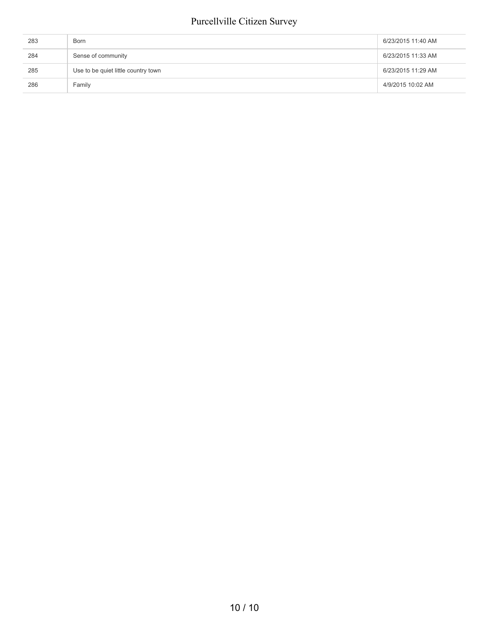| 283 | Born                                | 6/23/2015 11:40 AM |
|-----|-------------------------------------|--------------------|
| 284 | Sense of community                  | 6/23/2015 11:33 AM |
| 285 | Use to be quiet little country town | 6/23/2015 11:29 AM |
| 286 | Family                              | 4/9/2015 10:02 AM  |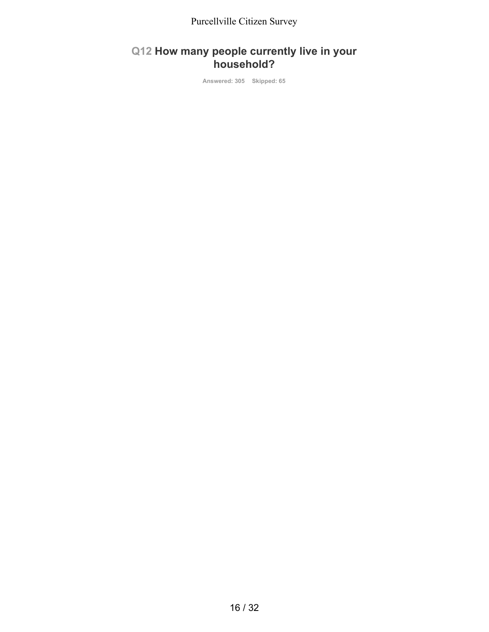#### **Q12 How many people currently live in your household?**

**Answered: 305 Skipped: 65**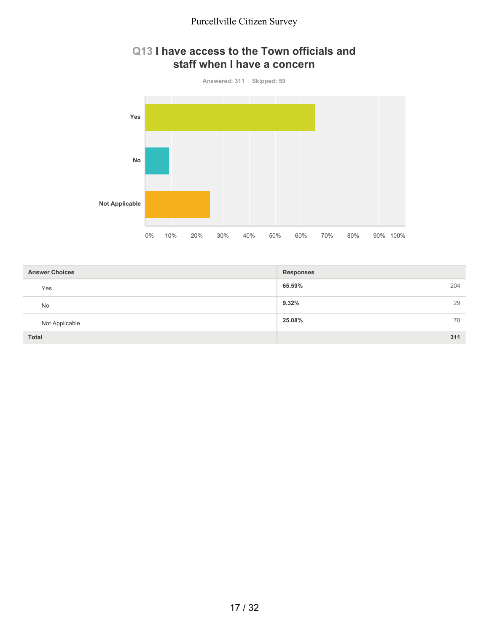#### **Q13 I have access to the Town officials and staff when I have a concern**



| <b>Answer Choices</b> | <b>Responses</b> |
|-----------------------|------------------|
| Yes                   | 65.59%<br>204    |
| No                    | 9.32%<br>29      |
| Not Applicable        | 25.08%<br>78     |
| Total                 | 311              |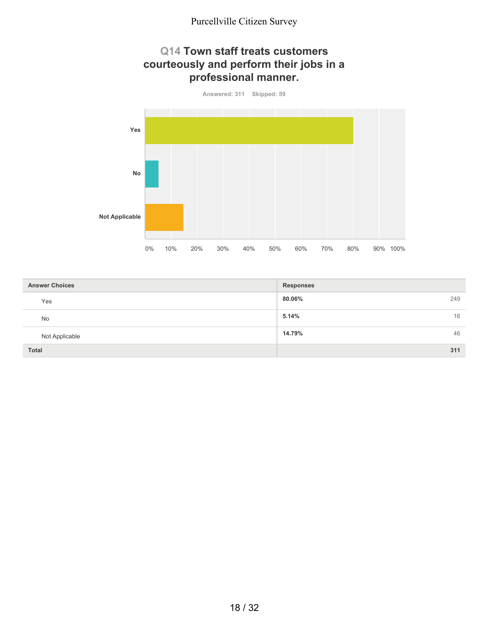#### **Q14 Town staff treats customers courteously and perform their jobs in a professional manner.**



| <b>Answer Choices</b> | <b>Responses</b> |
|-----------------------|------------------|
| Yes                   | 80.06%<br>249    |
| No                    | 5.14%<br>16      |
| Not Applicable        | 46<br>14.79%     |
| Total                 | 311              |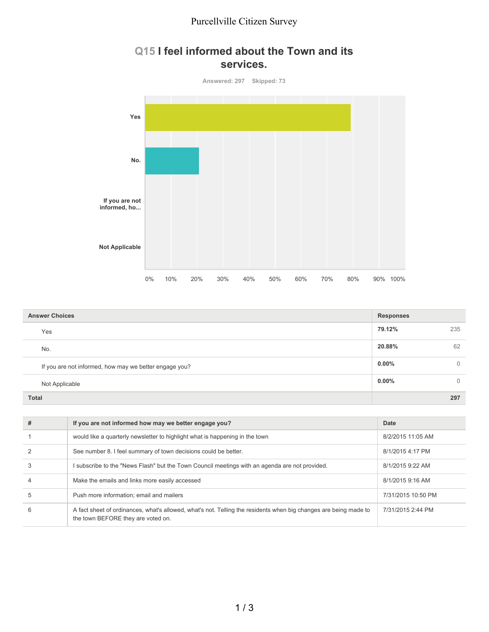#### **Q15 I feel informed about the Town and its services.**



| <b>Answer Choices</b>                                  |          |          |
|--------------------------------------------------------|----------|----------|
| Yes                                                    | 79.12%   | 235      |
| No.                                                    | 20.88%   | 62       |
| If you are not informed, how may we better engage you? | $0.00\%$ | $\Omega$ |
| Not Applicable                                         | $0.00\%$ | $\Omega$ |
| <b>Total</b>                                           |          | 297      |

| # | If you are not informed how may we better engage you?                                                                                                  | Date               |
|---|--------------------------------------------------------------------------------------------------------------------------------------------------------|--------------------|
|   | would like a quarterly newsletter to highlight what is happening in the town                                                                           | 8/2/2015 11:05 AM  |
|   | See number 8. I feel summary of town decisions could be better.                                                                                        | 8/1/2015 4:17 PM   |
|   | subscribe to the "News Flash" but the Town Council meetings with an agenda are not provided.                                                           | 8/1/2015 9:22 AM   |
|   | Make the emails and links more easily accessed                                                                                                         | 8/1/2015 9:16 AM   |
| 5 | Push more information; email and mailers                                                                                                               | 7/31/2015 10:50 PM |
| 6 | A fact sheet of ordinances, what's allowed, what's not. Telling the residents when big changes are being made to<br>the town BEFORE they are voted on. | 7/31/2015 2:44 PM  |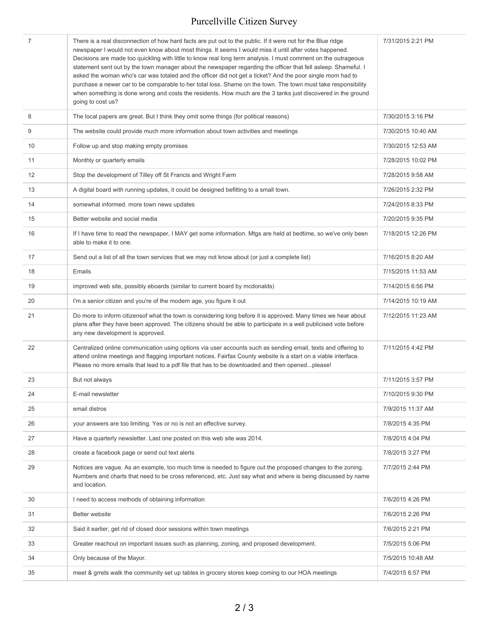| 7  | There is a real disconnection of how hard facts are put out to the public. If it were not for the Blue ridge<br>newspaper I would not even know about most things. It seems I would miss it until after votes happened.<br>Decisions are made too quickling with little to know real long term analysis. I must comment on the outrageous<br>statement sent out by the town manager about the newspaper regarding the officer that fell asleep. Shameful. I<br>asked the woman who's car was totaled and the officer did not get a ticket? And the poor single mom had to<br>purchase a newer car to be comparable to her total loss. Shame on the town. The town must take responsibility<br>when something is done wrong and costs the residents. How much are the 3 tanks just discovered in the ground<br>going to cost us? | 7/31/2015 2:21 PM  |
|----|---------------------------------------------------------------------------------------------------------------------------------------------------------------------------------------------------------------------------------------------------------------------------------------------------------------------------------------------------------------------------------------------------------------------------------------------------------------------------------------------------------------------------------------------------------------------------------------------------------------------------------------------------------------------------------------------------------------------------------------------------------------------------------------------------------------------------------|--------------------|
| 8  | The local papers are great. But I think they omit some things (for political reasons)                                                                                                                                                                                                                                                                                                                                                                                                                                                                                                                                                                                                                                                                                                                                           | 7/30/2015 3:16 PM  |
| 9  | The website could provide much more information about town activities and meetings                                                                                                                                                                                                                                                                                                                                                                                                                                                                                                                                                                                                                                                                                                                                              | 7/30/2015 10:40 AM |
| 10 | Follow up and stop making empty promises                                                                                                                                                                                                                                                                                                                                                                                                                                                                                                                                                                                                                                                                                                                                                                                        | 7/30/2015 12:53 AM |
| 11 | Monthly or quarterly emails                                                                                                                                                                                                                                                                                                                                                                                                                                                                                                                                                                                                                                                                                                                                                                                                     | 7/28/2015 10:02 PM |
| 12 | Stop the development of Tilley off St Francis and Wright Farm                                                                                                                                                                                                                                                                                                                                                                                                                                                                                                                                                                                                                                                                                                                                                                   | 7/28/2015 9:58 AM  |
| 13 | A digital board with running updates, it could be designed befitting to a small town.                                                                                                                                                                                                                                                                                                                                                                                                                                                                                                                                                                                                                                                                                                                                           | 7/26/2015 2:32 PM  |
| 14 | somewhat informed. more town news updates                                                                                                                                                                                                                                                                                                                                                                                                                                                                                                                                                                                                                                                                                                                                                                                       | 7/24/2015 8:33 PM  |
| 15 | Better website and social media                                                                                                                                                                                                                                                                                                                                                                                                                                                                                                                                                                                                                                                                                                                                                                                                 | 7/20/2015 9:35 PM  |
| 16 | If I have time to read the newspaper, I MAY get some information. Mtgs are held at bedtime, so we've only been<br>able to make it to one.                                                                                                                                                                                                                                                                                                                                                                                                                                                                                                                                                                                                                                                                                       | 7/18/2015 12:26 PM |
| 17 | Send out a list of all the town services that we may not know about (or just a complete list)                                                                                                                                                                                                                                                                                                                                                                                                                                                                                                                                                                                                                                                                                                                                   | 7/16/2015 8:20 AM  |
| 18 | Emails                                                                                                                                                                                                                                                                                                                                                                                                                                                                                                                                                                                                                                                                                                                                                                                                                          | 7/15/2015 11:53 AM |
| 19 | improved web site, possibly eboards (similar to current board by mcdonalds)                                                                                                                                                                                                                                                                                                                                                                                                                                                                                                                                                                                                                                                                                                                                                     | 7/14/2015 6:56 PM  |
| 20 | I'm a senior citizen and you're of the modern age, you figure it out                                                                                                                                                                                                                                                                                                                                                                                                                                                                                                                                                                                                                                                                                                                                                            | 7/14/2015 10:19 AM |
| 21 | Do more to inform citizensof what the town is considering long before it is approved. Many times we hear about<br>plans after they have been approved. The citizens should be able to participate in a well publicised vote before<br>any new development is approved.                                                                                                                                                                                                                                                                                                                                                                                                                                                                                                                                                          | 7/12/2015 11:23 AM |
| 22 | Centralized online communication using options via user accounts such as sending email, texts and offering to<br>attend online meetings and flagging important notices. Fairfax County website is a start on a viable interface.<br>Please no more emails that lead to a pdf file that has to be downloaded and then openedplease!                                                                                                                                                                                                                                                                                                                                                                                                                                                                                              | 7/11/2015 4:42 PM  |
| 23 | But not always                                                                                                                                                                                                                                                                                                                                                                                                                                                                                                                                                                                                                                                                                                                                                                                                                  | 7/11/2015 3:57 PM  |
| 24 | E-mail newsletter                                                                                                                                                                                                                                                                                                                                                                                                                                                                                                                                                                                                                                                                                                                                                                                                               | 7/10/2015 9:30 PM  |
| 25 | email distros                                                                                                                                                                                                                                                                                                                                                                                                                                                                                                                                                                                                                                                                                                                                                                                                                   | 7/9/2015 11:37 AM  |
| 26 | your answers are too limiting. Yes or no is not an effective survey.                                                                                                                                                                                                                                                                                                                                                                                                                                                                                                                                                                                                                                                                                                                                                            | 7/8/2015 4:35 PM   |
| 27 | Have a quarterly newsletter. Last one posted on this web site was 2014.                                                                                                                                                                                                                                                                                                                                                                                                                                                                                                                                                                                                                                                                                                                                                         | 7/8/2015 4:04 PM   |
| 28 | create a facebook page or send out text alerts                                                                                                                                                                                                                                                                                                                                                                                                                                                                                                                                                                                                                                                                                                                                                                                  | 7/8/2015 3:27 PM   |
| 29 | Notices are vague. As an example, too much time is needed to figure out the proposed changes to the zoning.<br>Numbers and charts that need to be cross referenced, etc. Just say what and where is being discussed by name<br>and location.                                                                                                                                                                                                                                                                                                                                                                                                                                                                                                                                                                                    | 7/7/2015 2:44 PM   |
| 30 | I need to access methods of obtaining information                                                                                                                                                                                                                                                                                                                                                                                                                                                                                                                                                                                                                                                                                                                                                                               | 7/6/2015 4:26 PM   |
| 31 | Better website                                                                                                                                                                                                                                                                                                                                                                                                                                                                                                                                                                                                                                                                                                                                                                                                                  | 7/6/2015 2:26 PM   |
| 32 | Said it earlier, get rid of closed door sessions within town meetings                                                                                                                                                                                                                                                                                                                                                                                                                                                                                                                                                                                                                                                                                                                                                           | 7/6/2015 2:21 PM   |
| 33 | Greater reachout on important issues such as planning, zoning, and proposed development.                                                                                                                                                                                                                                                                                                                                                                                                                                                                                                                                                                                                                                                                                                                                        | 7/5/2015 5:06 PM   |
| 34 | Only because of the Mayor.                                                                                                                                                                                                                                                                                                                                                                                                                                                                                                                                                                                                                                                                                                                                                                                                      | 7/5/2015 10:48 AM  |
| 35 | meet & grrets walk the community set up tables in grocery stores keep coming to our HOA meetings                                                                                                                                                                                                                                                                                                                                                                                                                                                                                                                                                                                                                                                                                                                                | 7/4/2015 6:57 PM   |
|    |                                                                                                                                                                                                                                                                                                                                                                                                                                                                                                                                                                                                                                                                                                                                                                                                                                 |                    |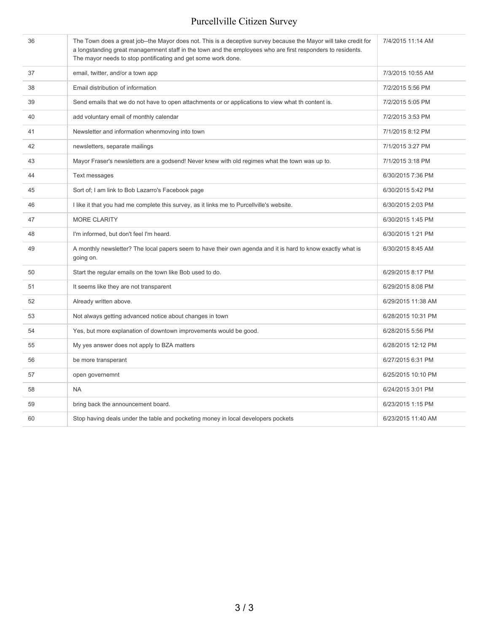| 36 | The Town does a great job--the Mayor does not. This is a deceptive survey because the Mayor will take credit for<br>a longstanding great managemnent staff in the town and the employees who are first responders to residents.<br>The mayor needs to stop pontificating and get some work done. | 7/4/2015 11:14 AM  |
|----|--------------------------------------------------------------------------------------------------------------------------------------------------------------------------------------------------------------------------------------------------------------------------------------------------|--------------------|
| 37 | email, twitter, and/or a town app                                                                                                                                                                                                                                                                | 7/3/2015 10:55 AM  |
| 38 | Email distribution of information                                                                                                                                                                                                                                                                | 7/2/2015 5:56 PM   |
| 39 | Send emails that we do not have to open attachments or or applications to view what th content is.                                                                                                                                                                                               | 7/2/2015 5:05 PM   |
| 40 | add voluntary email of monthly calendar                                                                                                                                                                                                                                                          | 7/2/2015 3:53 PM   |
| 41 | Newsletter and information whenmoving into town                                                                                                                                                                                                                                                  | 7/1/2015 8:12 PM   |
| 42 | newsletters, separate mailings                                                                                                                                                                                                                                                                   | 7/1/2015 3:27 PM   |
| 43 | Mayor Fraser's newsletters are a godsend! Never knew with old regimes what the town was up to.                                                                                                                                                                                                   | 7/1/2015 3:18 PM   |
| 44 | Text messages                                                                                                                                                                                                                                                                                    | 6/30/2015 7:36 PM  |
| 45 | Sort of; I am link to Bob Lazarro's Facebook page                                                                                                                                                                                                                                                | 6/30/2015 5:42 PM  |
| 46 | I like it that you had me complete this survey, as it links me to Purcellville's website.                                                                                                                                                                                                        | 6/30/2015 2:03 PM  |
| 47 | <b>MORE CLARITY</b>                                                                                                                                                                                                                                                                              | 6/30/2015 1:45 PM  |
| 48 | I'm informed, but don't feel I'm heard.                                                                                                                                                                                                                                                          | 6/30/2015 1:21 PM  |
| 49 | A monthly newsletter? The local papers seem to have their own agenda and it is hard to know exactly what is<br>going on.                                                                                                                                                                         | 6/30/2015 8:45 AM  |
| 50 | Start the regular emails on the town like Bob used to do.                                                                                                                                                                                                                                        | 6/29/2015 8:17 PM  |
| 51 | It seems like they are not transparent                                                                                                                                                                                                                                                           | 6/29/2015 8:08 PM  |
| 52 | Already written above.                                                                                                                                                                                                                                                                           | 6/29/2015 11:38 AM |
| 53 | Not always getting advanced notice about changes in town                                                                                                                                                                                                                                         | 6/28/2015 10:31 PM |
| 54 | Yes, but more explanation of downtown improvements would be good.                                                                                                                                                                                                                                | 6/28/2015 5:56 PM  |
| 55 | My yes answer does not apply to BZA matters                                                                                                                                                                                                                                                      | 6/28/2015 12:12 PM |
| 56 | be more transperant                                                                                                                                                                                                                                                                              | 6/27/2015 6:31 PM  |
| 57 | open governemnt                                                                                                                                                                                                                                                                                  | 6/25/2015 10:10 PM |
| 58 | <b>NA</b>                                                                                                                                                                                                                                                                                        | 6/24/2015 3:01 PM  |
| 59 | bring back the announcement board.                                                                                                                                                                                                                                                               | 6/23/2015 1:15 PM  |
| 60 | Stop having deals under the table and pocketing money in local developers pockets                                                                                                                                                                                                                | 6/23/2015 11:40 AM |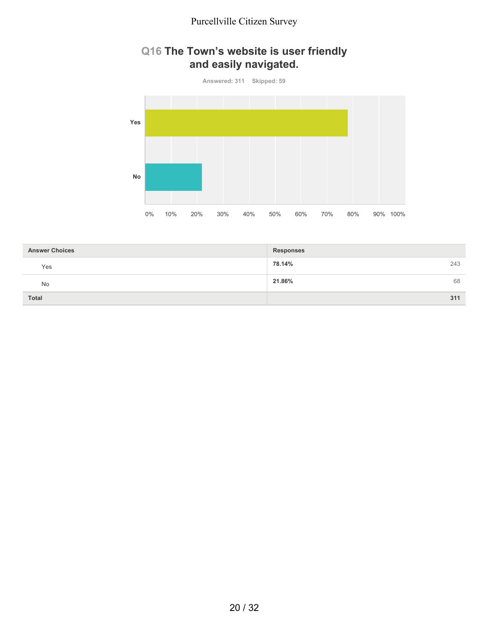#### **Q16 The Town's website is user friendly and easily navigated.**



| <b>Answer Choices</b> | <b>Responses</b> |
|-----------------------|------------------|
| Yes                   | 243<br>78.14%    |
| No                    | 68<br>21.86%     |
| Total                 | 311              |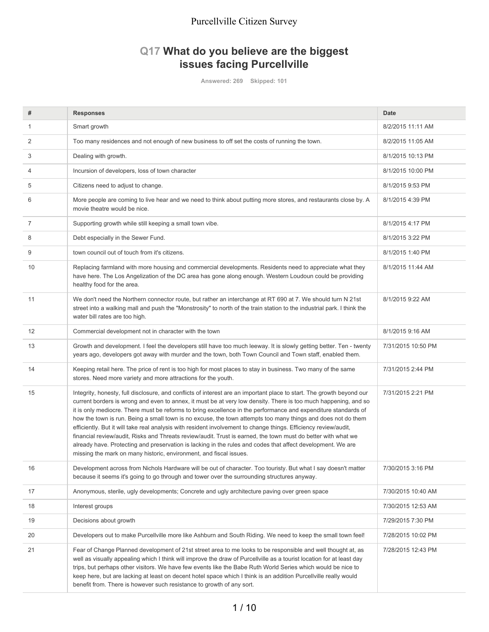#### **Q17 What do you believe are the biggest issues facing Purcellville**

**Answered: 269 Skipped: 101**

| #  | <b>Responses</b>                                                                                                                                                                                                                                                                                                                                                                                                                                                                                                                                                                                                                                                                                                                                                                                                                                                                                     | <b>Date</b>        |
|----|------------------------------------------------------------------------------------------------------------------------------------------------------------------------------------------------------------------------------------------------------------------------------------------------------------------------------------------------------------------------------------------------------------------------------------------------------------------------------------------------------------------------------------------------------------------------------------------------------------------------------------------------------------------------------------------------------------------------------------------------------------------------------------------------------------------------------------------------------------------------------------------------------|--------------------|
|    |                                                                                                                                                                                                                                                                                                                                                                                                                                                                                                                                                                                                                                                                                                                                                                                                                                                                                                      |                    |
| 1  | Smart growth                                                                                                                                                                                                                                                                                                                                                                                                                                                                                                                                                                                                                                                                                                                                                                                                                                                                                         | 8/2/2015 11:11 AM  |
| 2  | Too many residences and not enough of new business to off set the costs of running the town.                                                                                                                                                                                                                                                                                                                                                                                                                                                                                                                                                                                                                                                                                                                                                                                                         | 8/2/2015 11:05 AM  |
| 3  | Dealing with growth.                                                                                                                                                                                                                                                                                                                                                                                                                                                                                                                                                                                                                                                                                                                                                                                                                                                                                 | 8/1/2015 10:13 PM  |
| 4  | Incursion of developers, loss of town character                                                                                                                                                                                                                                                                                                                                                                                                                                                                                                                                                                                                                                                                                                                                                                                                                                                      | 8/1/2015 10:00 PM  |
| 5  | Citizens need to adjust to change.                                                                                                                                                                                                                                                                                                                                                                                                                                                                                                                                                                                                                                                                                                                                                                                                                                                                   | 8/1/2015 9:53 PM   |
| 6  | More people are coming to live hear and we need to think about putting more stores, and restaurants close by. A<br>movie theatre would be nice.                                                                                                                                                                                                                                                                                                                                                                                                                                                                                                                                                                                                                                                                                                                                                      | 8/1/2015 4:39 PM   |
| 7  | Supporting growth while still keeping a small town vibe.                                                                                                                                                                                                                                                                                                                                                                                                                                                                                                                                                                                                                                                                                                                                                                                                                                             | 8/1/2015 4:17 PM   |
| 8  | Debt especially in the Sewer Fund.                                                                                                                                                                                                                                                                                                                                                                                                                                                                                                                                                                                                                                                                                                                                                                                                                                                                   | 8/1/2015 3:22 PM   |
| 9  | town council out of touch from it's citizens.                                                                                                                                                                                                                                                                                                                                                                                                                                                                                                                                                                                                                                                                                                                                                                                                                                                        | 8/1/2015 1:40 PM   |
| 10 | Replacing farmland with more housing and commercial developments. Residents need to appreciate what they<br>have here. The Los Angelization of the DC area has gone along enough. Western Loudoun could be providing<br>healthy food for the area.                                                                                                                                                                                                                                                                                                                                                                                                                                                                                                                                                                                                                                                   | 8/1/2015 11:44 AM  |
| 11 | We don't need the Northern connector route, but rather an interchange at RT 690 at 7. We should turn N 21st<br>street into a walking mall and push the "Monstrosity" to north of the train station to the industrial park. I think the<br>water bill rates are too high.                                                                                                                                                                                                                                                                                                                                                                                                                                                                                                                                                                                                                             | 8/1/2015 9:22 AM   |
| 12 | Commercial development not in character with the town                                                                                                                                                                                                                                                                                                                                                                                                                                                                                                                                                                                                                                                                                                                                                                                                                                                | 8/1/2015 9:16 AM   |
| 13 | Growth and development. I feel the developers still have too much leeway. It is slowly getting better. Ten - twenty<br>years ago, developers got away with murder and the town, both Town Council and Town staff, enabled them.                                                                                                                                                                                                                                                                                                                                                                                                                                                                                                                                                                                                                                                                      | 7/31/2015 10:50 PM |
| 14 | Keeping retail here. The price of rent is too high for most places to stay in business. Two many of the same<br>stores. Need more variety and more attractions for the youth.                                                                                                                                                                                                                                                                                                                                                                                                                                                                                                                                                                                                                                                                                                                        | 7/31/2015 2:44 PM  |
| 15 | Integrity, honesty, full disclosure, and conflicts of interest are an important place to start. The growth beyond our<br>current borders is wrong and even to annex, it must be at very low density. There is too much happening, and so<br>it is only mediocre. There must be reforms to bring excellence in the performance and expenditure standards of<br>how the town is run. Being a small town is no excuse, the town attempts too many things and does not do them<br>efficiently. But it will take real analysis with resident involvement to change things. Efficiency review/audit,<br>financial review/audit, Risks and Threats review/audit. Trust is earned, the town must do better with what we<br>already have. Protecting and preservation is lacking in the rules and codes that affect development. We are<br>missing the mark on many historic, environment, and fiscal issues. | 7/31/2015 2:21 PM  |
| 16 | Development across from Nichols Hardware will be out of character. Too touristy. But what I say doesn't matter<br>because it seems it's going to go through and tower over the surrounding structures anyway.                                                                                                                                                                                                                                                                                                                                                                                                                                                                                                                                                                                                                                                                                        | 7/30/2015 3:16 PM  |
| 17 | Anonymous, sterile, ugly developments; Concrete and ugly architecture paving over green space                                                                                                                                                                                                                                                                                                                                                                                                                                                                                                                                                                                                                                                                                                                                                                                                        | 7/30/2015 10:40 AM |
| 18 | Interest groups                                                                                                                                                                                                                                                                                                                                                                                                                                                                                                                                                                                                                                                                                                                                                                                                                                                                                      | 7/30/2015 12:53 AM |
| 19 | Decisions about growth                                                                                                                                                                                                                                                                                                                                                                                                                                                                                                                                                                                                                                                                                                                                                                                                                                                                               | 7/29/2015 7:30 PM  |
| 20 | Developers out to make Purcellville more like Ashburn and South Riding. We need to keep the small town feel!                                                                                                                                                                                                                                                                                                                                                                                                                                                                                                                                                                                                                                                                                                                                                                                         | 7/28/2015 10:02 PM |
| 21 | Fear of Change Planned development of 21st street area to me looks to be responsible and well thought at, as<br>well as visually appealing which I think will improve the draw of Purcellville as a tourist location for at least day<br>trips, but perhaps other visitors. We have few events like the Babe Ruth World Series which would be nice to<br>keep here, but are lacking at least on decent hotel space which I think is an addition Purcellville really would<br>benefit from. There is however such resistance to growth of any sort.                                                                                                                                                                                                                                                                                                                                                   | 7/28/2015 12:43 PM |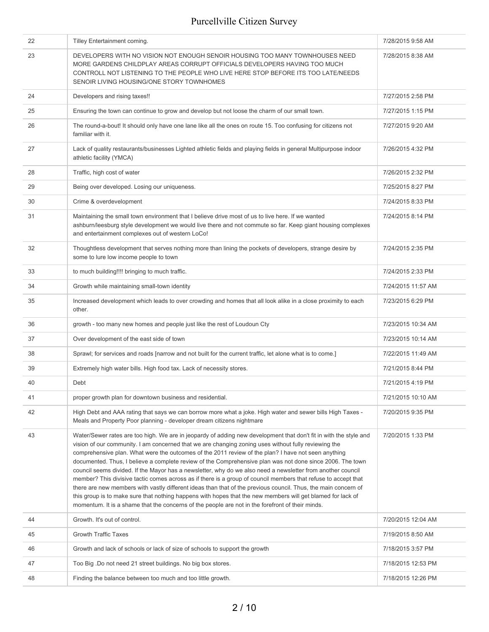| Tilley Entertainment coming.                                                                                                                                                                                                                                                                                                                                                                                                                                                                                                                                                                                                                                                                                                                                                                                                                                                                                                                                                                                        | 7/28/2015 9:58 AM  |
|---------------------------------------------------------------------------------------------------------------------------------------------------------------------------------------------------------------------------------------------------------------------------------------------------------------------------------------------------------------------------------------------------------------------------------------------------------------------------------------------------------------------------------------------------------------------------------------------------------------------------------------------------------------------------------------------------------------------------------------------------------------------------------------------------------------------------------------------------------------------------------------------------------------------------------------------------------------------------------------------------------------------|--------------------|
| DEVELOPERS WITH NO VISION NOT ENOUGH SENOIR HOUSING TOO MANY TOWNHOUSES NEED<br>MORE GARDENS CHILDPLAY AREAS CORRUPT OFFICIALS DEVELOPERS HAVING TOO MUCH<br>CONTROLL NOT LISTENING TO THE PEOPLE WHO LIVE HERE STOP BEFORE ITS TOO LATE/NEEDS<br>SENOIR LIVING HOUSING/ONE STORY TOWNHOMES                                                                                                                                                                                                                                                                                                                                                                                                                                                                                                                                                                                                                                                                                                                         | 7/28/2015 8:38 AM  |
| Developers and rising taxes!!                                                                                                                                                                                                                                                                                                                                                                                                                                                                                                                                                                                                                                                                                                                                                                                                                                                                                                                                                                                       | 7/27/2015 2:58 PM  |
| Ensuring the town can continue to grow and develop but not loose the charm of our small town.                                                                                                                                                                                                                                                                                                                                                                                                                                                                                                                                                                                                                                                                                                                                                                                                                                                                                                                       | 7/27/2015 1:15 PM  |
| The round-a-bout! It should only have one lane like all the ones on route 15. Too confusing for citizens not<br>familiar with it.                                                                                                                                                                                                                                                                                                                                                                                                                                                                                                                                                                                                                                                                                                                                                                                                                                                                                   | 7/27/2015 9:20 AM  |
| Lack of quality restaurants/businesses Lighted athletic fields and playing fields in general Multipurpose indoor<br>athletic facility (YMCA)                                                                                                                                                                                                                                                                                                                                                                                                                                                                                                                                                                                                                                                                                                                                                                                                                                                                        | 7/26/2015 4:32 PM  |
| Traffic, high cost of water                                                                                                                                                                                                                                                                                                                                                                                                                                                                                                                                                                                                                                                                                                                                                                                                                                                                                                                                                                                         | 7/26/2015 2:32 PM  |
| Being over developed. Losing our uniqueness.                                                                                                                                                                                                                                                                                                                                                                                                                                                                                                                                                                                                                                                                                                                                                                                                                                                                                                                                                                        | 7/25/2015 8:27 PM  |
| Crime & overdevelopment                                                                                                                                                                                                                                                                                                                                                                                                                                                                                                                                                                                                                                                                                                                                                                                                                                                                                                                                                                                             | 7/24/2015 8:33 PM  |
| Maintaining the small town environment that I believe drive most of us to live here. If we wanted<br>ashburn/leesburg style development we would live there and not commute so far. Keep giant housing complexes<br>and entertainment complexes out of western LoCo!                                                                                                                                                                                                                                                                                                                                                                                                                                                                                                                                                                                                                                                                                                                                                | 7/24/2015 8:14 PM  |
| Thoughtless development that serves nothing more than lining the pockets of developers, strange desire by<br>some to lure low income people to town                                                                                                                                                                                                                                                                                                                                                                                                                                                                                                                                                                                                                                                                                                                                                                                                                                                                 | 7/24/2015 2:35 PM  |
| to much building!!!! bringing to much traffic.                                                                                                                                                                                                                                                                                                                                                                                                                                                                                                                                                                                                                                                                                                                                                                                                                                                                                                                                                                      | 7/24/2015 2:33 PM  |
| Growth while maintaining small-town identity                                                                                                                                                                                                                                                                                                                                                                                                                                                                                                                                                                                                                                                                                                                                                                                                                                                                                                                                                                        | 7/24/2015 11:57 AM |
| Increased development which leads to over crowding and homes that all look alike in a close proximity to each<br>other.                                                                                                                                                                                                                                                                                                                                                                                                                                                                                                                                                                                                                                                                                                                                                                                                                                                                                             | 7/23/2015 6:29 PM  |
| growth - too many new homes and people just like the rest of Loudoun Cty                                                                                                                                                                                                                                                                                                                                                                                                                                                                                                                                                                                                                                                                                                                                                                                                                                                                                                                                            | 7/23/2015 10:34 AM |
| Over development of the east side of town                                                                                                                                                                                                                                                                                                                                                                                                                                                                                                                                                                                                                                                                                                                                                                                                                                                                                                                                                                           | 7/23/2015 10:14 AM |
| Sprawl; for services and roads [narrow and not built for the current traffic, let alone what is to come.]                                                                                                                                                                                                                                                                                                                                                                                                                                                                                                                                                                                                                                                                                                                                                                                                                                                                                                           | 7/22/2015 11:49 AM |
| Extremely high water bills. High food tax. Lack of necessity stores.                                                                                                                                                                                                                                                                                                                                                                                                                                                                                                                                                                                                                                                                                                                                                                                                                                                                                                                                                | 7/21/2015 8:44 PM  |
| Debt                                                                                                                                                                                                                                                                                                                                                                                                                                                                                                                                                                                                                                                                                                                                                                                                                                                                                                                                                                                                                | 7/21/2015 4:19 PM  |
| proper growth plan for downtown business and residential.                                                                                                                                                                                                                                                                                                                                                                                                                                                                                                                                                                                                                                                                                                                                                                                                                                                                                                                                                           | 7/21/2015 10:10 AM |
| High Debt and AAA rating that says we can borrow more what a joke. High water and sewer bills High Taxes -<br>Meals and Property Poor planning - developer dream citizens nightmare                                                                                                                                                                                                                                                                                                                                                                                                                                                                                                                                                                                                                                                                                                                                                                                                                                 | 7/20/2015 9:35 PM  |
| Water/Sewer rates are too high. We are in jeopardy of adding new development that don't fit in with the style and<br>vision of our community. I am concerned that we are changing zoning uses without fully reviewing the<br>comprehensive plan. What were the outcomes of the 2011 review of the plan? I have not seen anything<br>documented. Thus, I believe a complete review of the Comprehensive plan was not done since 2006. The town<br>council seems divided. If the Mayor has a newsletter, why do we also need a newsletter from another council<br>member? This divisive tactic comes across as if there is a group of council members that refuse to accept that<br>there are new members with vastly different ideas than that of the previous council. Thus, the main concern of<br>this group is to make sure that nothing happens with hopes that the new members will get blamed for lack of<br>momentum. It is a shame that the concerns of the people are not in the forefront of their minds. | 7/20/2015 1:33 PM  |
| Growth. It's out of control.                                                                                                                                                                                                                                                                                                                                                                                                                                                                                                                                                                                                                                                                                                                                                                                                                                                                                                                                                                                        | 7/20/2015 12:04 AM |
| <b>Growth Traffic Taxes</b>                                                                                                                                                                                                                                                                                                                                                                                                                                                                                                                                                                                                                                                                                                                                                                                                                                                                                                                                                                                         | 7/19/2015 8:50 AM  |
| Growth and lack of schools or lack of size of schools to support the growth                                                                                                                                                                                                                                                                                                                                                                                                                                                                                                                                                                                                                                                                                                                                                                                                                                                                                                                                         | 7/18/2015 3:57 PM  |
| Too Big .Do not need 21 street buildings. No big box stores.                                                                                                                                                                                                                                                                                                                                                                                                                                                                                                                                                                                                                                                                                                                                                                                                                                                                                                                                                        | 7/18/2015 12:53 PM |
|                                                                                                                                                                                                                                                                                                                                                                                                                                                                                                                                                                                                                                                                                                                                                                                                                                                                                                                                                                                                                     |                    |
|                                                                                                                                                                                                                                                                                                                                                                                                                                                                                                                                                                                                                                                                                                                                                                                                                                                                                                                                                                                                                     |                    |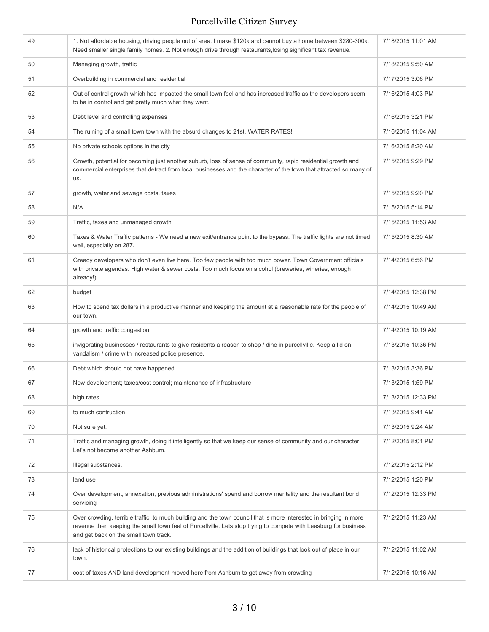| 49 | 1. Not affordable housing, driving people out of area. I make \$120k and cannot buy a home between \$280-300k.<br>Need smaller single family homes. 2. Not enough drive through restaurants, losing significant tax revenue.                                                    | 7/18/2015 11:01 AM |
|----|---------------------------------------------------------------------------------------------------------------------------------------------------------------------------------------------------------------------------------------------------------------------------------|--------------------|
| 50 | Managing growth, traffic                                                                                                                                                                                                                                                        | 7/18/2015 9:50 AM  |
| 51 | Overbuilding in commercial and residential                                                                                                                                                                                                                                      | 7/17/2015 3:06 PM  |
| 52 | Out of control growth which has impacted the small town feel and has increased traffic as the developers seem<br>to be in control and get pretty much what they want.                                                                                                           | 7/16/2015 4:03 PM  |
| 53 | Debt level and controlling expenses                                                                                                                                                                                                                                             | 7/16/2015 3:21 PM  |
| 54 | The ruining of a small town town with the absurd changes to 21st. WATER RATES!                                                                                                                                                                                                  | 7/16/2015 11:04 AM |
| 55 | No private schools options in the city                                                                                                                                                                                                                                          | 7/16/2015 8:20 AM  |
| 56 | Growth, potential for becoming just another suburb, loss of sense of community, rapid residential growth and<br>commercial enterprises that detract from local businesses and the character of the town that attracted so many of<br>us.                                        | 7/15/2015 9:29 PM  |
| 57 | growth, water and sewage costs, taxes                                                                                                                                                                                                                                           | 7/15/2015 9:20 PM  |
| 58 | N/A                                                                                                                                                                                                                                                                             | 7/15/2015 5:14 PM  |
| 59 | Traffic, taxes and unmanaged growth                                                                                                                                                                                                                                             | 7/15/2015 11:53 AM |
| 60 | Taxes & Water Traffic patterns - We need a new exit/entrance point to the bypass. The traffic lights are not timed<br>well, especially on 287.                                                                                                                                  | 7/15/2015 8:30 AM  |
| 61 | Greedy developers who don't even live here. Too few people with too much power. Town Government officials<br>with private agendas. High water & sewer costs. Too much focus on alcohol (breweries, wineries, enough<br>already!)                                                | 7/14/2015 6:56 PM  |
| 62 | budget                                                                                                                                                                                                                                                                          | 7/14/2015 12:38 PM |
| 63 | How to spend tax dollars in a productive manner and keeping the amount at a reasonable rate for the people of<br>our town.                                                                                                                                                      | 7/14/2015 10:49 AM |
| 64 | growth and traffic congestion.                                                                                                                                                                                                                                                  | 7/14/2015 10:19 AM |
| 65 | invigorating businesses / restaurants to give residents a reason to shop / dine in purcellville. Keep a lid on<br>vandalism / crime with increased police presence.                                                                                                             | 7/13/2015 10:36 PM |
| 66 | Debt which should not have happened.                                                                                                                                                                                                                                            | 7/13/2015 3:36 PM  |
| 67 | New development; taxes/cost control; maintenance of infrastructure                                                                                                                                                                                                              | 7/13/2015 1:59 PM  |
| 68 | high rates                                                                                                                                                                                                                                                                      | 7/13/2015 12:33 PM |
| 69 | to much contruction                                                                                                                                                                                                                                                             | 7/13/2015 9:41 AM  |
| 70 | Not sure yet.                                                                                                                                                                                                                                                                   | 7/13/2015 9:24 AM  |
| 71 | Traffic and managing growth, doing it intelligently so that we keep our sense of community and our character.<br>Let's not become another Ashburn.                                                                                                                              | 7/12/2015 8:01 PM  |
| 72 | Illegal substances.                                                                                                                                                                                                                                                             | 7/12/2015 2:12 PM  |
| 73 | land use                                                                                                                                                                                                                                                                        | 7/12/2015 1:20 PM  |
| 74 | Over development, annexation, previous administrations' spend and borrow mentality and the resultant bond<br>servicing                                                                                                                                                          | 7/12/2015 12:33 PM |
| 75 | Over crowding, terrible traffic, to much building and the town council that is more interested in bringing in more<br>revenue then keeping the small town feel of Purcellville. Lets stop trying to compete with Leesburg for business<br>and get back on the small town track. | 7/12/2015 11:23 AM |
| 76 | lack of historical protections to our existing buildings and the addition of buildings that look out of place in our<br>town.                                                                                                                                                   | 7/12/2015 11:02 AM |
| 77 | cost of taxes AND land development-moved here from Ashburn to get away from crowding                                                                                                                                                                                            | 7/12/2015 10:16 AM |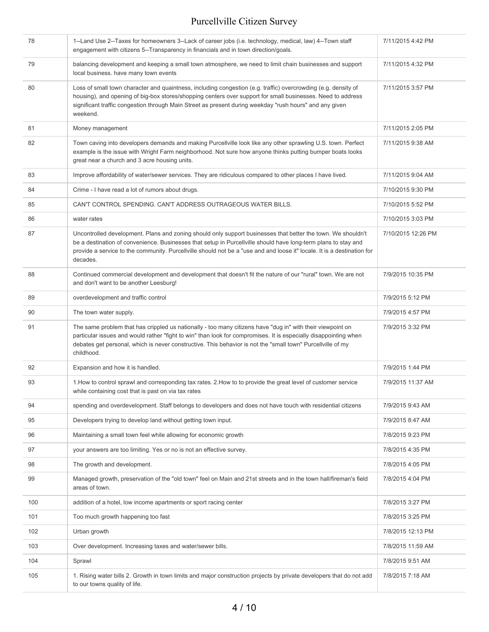| 78  | 1--Land Use 2--Taxes for homeowners 3--Lack of career jobs (i.e. technology, medical, law) 4--Town staff<br>engagement with citizens 5--Transparency in financials and in town direction/goals.                                                                                                                                                                       | 7/11/2015 4:42 PM  |
|-----|-----------------------------------------------------------------------------------------------------------------------------------------------------------------------------------------------------------------------------------------------------------------------------------------------------------------------------------------------------------------------|--------------------|
| 79  | balancing development and keeping a small town atmosphere, we need to limit chain businesses and support<br>local business. have many town events                                                                                                                                                                                                                     | 7/11/2015 4:32 PM  |
| 80  | Loss of small town character and quaintness, including congestion (e.g. traffic) overcrowding (e.g. density of<br>housing), and opening of big-box stores/shopping centers over support for small businesses. Need to address<br>significant traffic congestion through Main Street as present during weekday "rush hours" and any given<br>weekend.                  | 7/11/2015 3:57 PM  |
| 81  | Money management                                                                                                                                                                                                                                                                                                                                                      | 7/11/2015 2:05 PM  |
| 82  | Town caving into developers demands and making Purcellville look like any other sprawling U.S. town. Perfect<br>example is the issue with Wright Farm neighborhood. Not sure how anyone thinks putting bumper boats looks<br>great near a church and 3 acre housing units.                                                                                            | 7/11/2015 9:38 AM  |
| 83  | Improve affordability of water/sewer services. They are ridiculous compared to other places I have lived.                                                                                                                                                                                                                                                             | 7/11/2015 9:04 AM  |
| 84  | Crime - I have read a lot of rumors about drugs.                                                                                                                                                                                                                                                                                                                      | 7/10/2015 9:30 PM  |
| 85  | CAN'T CONTROL SPENDING. CAN'T ADDRESS OUTRAGEOUS WATER BILLS.                                                                                                                                                                                                                                                                                                         | 7/10/2015 5:52 PM  |
| 86  | water rates                                                                                                                                                                                                                                                                                                                                                           | 7/10/2015 3:03 PM  |
| 87  | Uncontrolled development. Plans and zoning should only support businesses that better the town. We shouldn't<br>be a destination of convenience. Businesses that setup in Purcellville should have long-term plans to stay and<br>provide a service to the community. Purcellville should not be a "use and and loose it" locale. It is a destination for<br>decades. | 7/10/2015 12:26 PM |
| 88  | Continued commercial development and development that doesn't fit the nature of our "rural" town. We are not<br>and don't want to be another Leesburg!                                                                                                                                                                                                                | 7/9/2015 10:35 PM  |
| 89  | overdevelopment and traffic control                                                                                                                                                                                                                                                                                                                                   | 7/9/2015 5:12 PM   |
| 90  | The town water supply.                                                                                                                                                                                                                                                                                                                                                | 7/9/2015 4:57 PM   |
| 91  | The same problem that has crippled us nationally - too many citizens have "dug in" with their viewpoint on<br>particular issues and would rather "fight to win" than look for compromises. It is especially disappointing when<br>debates get personal, which is never constructive. This behavior is not the "small town" Purcellville of my<br>childhood.           | 7/9/2015 3:32 PM   |
| 92  | Expansion and how it is handled.                                                                                                                                                                                                                                                                                                                                      | 7/9/2015 1:44 PM   |
| 93  | 1. How to control sprawl and corresponding tax rates. 2. How to to provide the great level of customer service<br>while containing cost that is past on via tax rates                                                                                                                                                                                                 | 7/9/2015 11:37 AM  |
| 94  | spending and overdevelopment. Staff belongs to developers and does not have touch with residential citizens                                                                                                                                                                                                                                                           | 7/9/2015 9:43 AM   |
| 95  | Developers trying to develop land without getting town input.                                                                                                                                                                                                                                                                                                         | 7/9/2015 8:47 AM   |
| 96  | Maintaining a small town feel while allowing for economic growth                                                                                                                                                                                                                                                                                                      | 7/8/2015 9:23 PM   |
| 97  | your answers are too limiting. Yes or no is not an effective survey.                                                                                                                                                                                                                                                                                                  | 7/8/2015 4:35 PM   |
| 98  | The growth and development.                                                                                                                                                                                                                                                                                                                                           | 7/8/2015 4:05 PM   |
| 99  | Managed growth, preservation of the "old town" feel on Main and 21st streets and in the town hall/fireman's field<br>areas of town.                                                                                                                                                                                                                                   | 7/8/2015 4:04 PM   |
| 100 | addition of a hotel, low income apartments or sport racing center                                                                                                                                                                                                                                                                                                     | 7/8/2015 3:27 PM   |
| 101 | Too much growth happening too fast                                                                                                                                                                                                                                                                                                                                    | 7/8/2015 3:25 PM   |
| 102 | Urban growth                                                                                                                                                                                                                                                                                                                                                          | 7/8/2015 12:13 PM  |
| 103 | Over development. Increasing taxes and water/sewer bills.                                                                                                                                                                                                                                                                                                             | 7/8/2015 11:59 AM  |
| 104 | Sprawl                                                                                                                                                                                                                                                                                                                                                                | 7/8/2015 9:51 AM   |
| 105 | 1. Rising water bills 2. Growth in town limits and major construction projects by private developers that do not add<br>to our towns quality of life.                                                                                                                                                                                                                 | 7/8/2015 7:18 AM   |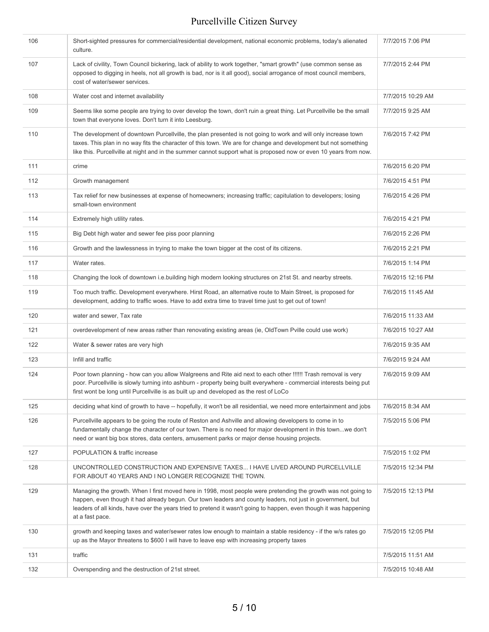| 106 | Short-sighted pressures for commercial/residential development, national economic problems, today's alienated<br>culture.                                                                                                                                                                                                                                            | 7/7/2015 7:06 PM  |
|-----|----------------------------------------------------------------------------------------------------------------------------------------------------------------------------------------------------------------------------------------------------------------------------------------------------------------------------------------------------------------------|-------------------|
| 107 | Lack of civility, Town Council bickering, lack of ability to work together, "smart growth" (use common sense as<br>opposed to digging in heels, not all growth is bad, nor is it all good), social arrogance of most council members,<br>cost of water/sewer services.                                                                                               | 7/7/2015 2:44 PM  |
| 108 | Water cost and internet availability                                                                                                                                                                                                                                                                                                                                 | 7/7/2015 10:29 AM |
| 109 | Seems like some people are trying to over develop the town, don't ruin a great thing. Let Purcellville be the small<br>town that everyone loves. Don't turn it into Leesburg.                                                                                                                                                                                        | 7/7/2015 9:25 AM  |
| 110 | The development of downtown Purcellville, the plan presented is not going to work and will only increase town<br>taxes. This plan in no way fits the character of this town. We are for change and development but not something<br>like this. Purcellville at night and in the summer cannot support what is proposed now or even 10 years from now.                | 7/6/2015 7:42 PM  |
| 111 | crime                                                                                                                                                                                                                                                                                                                                                                | 7/6/2015 6:20 PM  |
| 112 | Growth management                                                                                                                                                                                                                                                                                                                                                    | 7/6/2015 4:51 PM  |
| 113 | Tax relief for new businesses at expense of homeowners; increasing traffic; capitulation to developers; losing<br>small-town environment                                                                                                                                                                                                                             | 7/6/2015 4:26 PM  |
| 114 | Extremely high utility rates.                                                                                                                                                                                                                                                                                                                                        | 7/6/2015 4:21 PM  |
| 115 | Big Debt high water and sewer fee piss poor planning                                                                                                                                                                                                                                                                                                                 | 7/6/2015 2:26 PM  |
| 116 | Growth and the lawlessness in trying to make the town bigger at the cost of its citizens.                                                                                                                                                                                                                                                                            | 7/6/2015 2:21 PM  |
| 117 | Water rates.                                                                                                                                                                                                                                                                                                                                                         | 7/6/2015 1:14 PM  |
| 118 | Changing the look of downtown i.e.building high modern looking structures on 21st St. and nearby streets.                                                                                                                                                                                                                                                            | 7/6/2015 12:16 PM |
| 119 | Too much traffic. Development everywhere. Hirst Road, an alternative route to Main Street, is proposed for<br>development, adding to traffic woes. Have to add extra time to travel time just to get out of town!                                                                                                                                                    | 7/6/2015 11:45 AM |
| 120 | water and sewer, Tax rate                                                                                                                                                                                                                                                                                                                                            | 7/6/2015 11:33 AM |
| 121 | overdevelopment of new areas rather than renovating existing areas (ie, OldTown Pville could use work)                                                                                                                                                                                                                                                               | 7/6/2015 10:27 AM |
| 122 | Water & sewer rates are very high                                                                                                                                                                                                                                                                                                                                    | 7/6/2015 9:35 AM  |
| 123 | Infill and traffic                                                                                                                                                                                                                                                                                                                                                   | 7/6/2015 9:24 AM  |
| 124 | Poor town planning - how can you allow Walgreens and Rite aid next to each other !!!!!! Trash removal is very<br>poor. Purcellville is slowly turning into ashburn - property being built everywhere - commercial interests being put<br>first wont be long until Purcellville is as built up and developed as the rest of LoCo                                      | 7/6/2015 9:09 AM  |
| 125 | deciding what kind of growth to have -- hopefully, it won't be all residential, we need more entertainment and jobs                                                                                                                                                                                                                                                  | 7/6/2015 8:34 AM  |
| 126 | Purcellville appears to be going the route of Reston and Ashville and allowing developers to come in to<br>fundamentally change the character of our town. There is no need for major development in this townwe don't<br>need or want big box stores, data centers, amusement parks or major dense housing projects.                                                | 7/5/2015 5:06 PM  |
| 127 | POPULATION & traffic increase                                                                                                                                                                                                                                                                                                                                        | 7/5/2015 1:02 PM  |
| 128 | UNCONTROLLED CONSTRUCTION AND EXPENSIVE TAXES I HAVE LIVED AROUND PURCELLVILLE<br>FOR ABOUT 40 YEARS AND I NO LONGER RECOGNIZE THE TOWN.                                                                                                                                                                                                                             | 7/5/2015 12:34 PM |
| 129 | Managing the growth. When I first moved here in 1998, most people were pretending the growth was not going to<br>happen, even though it had already begun. Our town leaders and county leaders, not just in government, but<br>leaders of all kinds, have over the years tried to pretend it wasn't going to happen, even though it was happening<br>at a fast pace. | 7/5/2015 12:13 PM |
| 130 | growth and keeping taxes and water/sewer rates low enough to maintain a stable residency - if the w/s rates go<br>up as the Mayor threatens to \$600 I will have to leave esp with increasing property taxes                                                                                                                                                         | 7/5/2015 12:05 PM |
| 131 | traffic                                                                                                                                                                                                                                                                                                                                                              | 7/5/2015 11:51 AM |
| 132 | Overspending and the destruction of 21st street.                                                                                                                                                                                                                                                                                                                     | 7/5/2015 10:48 AM |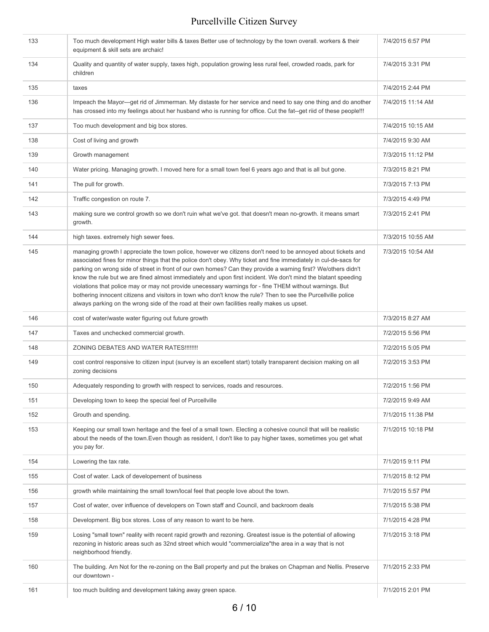| 133 | Too much development High water bills & taxes Better use of technology by the town overall. workers & their<br>equipment & skill sets are archaic!                                                                                                                                                                                                                                                                                                                                                                                                                                                                                                                                                                                                                                            | 7/4/2015 6:57 PM  |
|-----|-----------------------------------------------------------------------------------------------------------------------------------------------------------------------------------------------------------------------------------------------------------------------------------------------------------------------------------------------------------------------------------------------------------------------------------------------------------------------------------------------------------------------------------------------------------------------------------------------------------------------------------------------------------------------------------------------------------------------------------------------------------------------------------------------|-------------------|
| 134 | Quality and quantity of water supply, taxes high, population growing less rural feel, crowded roads, park for<br>children                                                                                                                                                                                                                                                                                                                                                                                                                                                                                                                                                                                                                                                                     | 7/4/2015 3:31 PM  |
| 135 | taxes                                                                                                                                                                                                                                                                                                                                                                                                                                                                                                                                                                                                                                                                                                                                                                                         | 7/4/2015 2:44 PM  |
| 136 | Impeach the Mayor---get rid of Jimmerman. My distaste for her service and need to say one thing and do another<br>has crossed into my feelings about her husband who is running for office. Cut the fat--get riid of these people!!!                                                                                                                                                                                                                                                                                                                                                                                                                                                                                                                                                          | 7/4/2015 11:14 AM |
| 137 | Too much development and big box stores.                                                                                                                                                                                                                                                                                                                                                                                                                                                                                                                                                                                                                                                                                                                                                      | 7/4/2015 10:15 AM |
| 138 | Cost of living and growth                                                                                                                                                                                                                                                                                                                                                                                                                                                                                                                                                                                                                                                                                                                                                                     | 7/4/2015 9:30 AM  |
| 139 | Growth management                                                                                                                                                                                                                                                                                                                                                                                                                                                                                                                                                                                                                                                                                                                                                                             | 7/3/2015 11:12 PM |
| 140 | Water pricing. Managing growth. I moved here for a small town feel 6 years ago and that is all but gone.                                                                                                                                                                                                                                                                                                                                                                                                                                                                                                                                                                                                                                                                                      | 7/3/2015 8:21 PM  |
| 141 | The pull for growth.                                                                                                                                                                                                                                                                                                                                                                                                                                                                                                                                                                                                                                                                                                                                                                          | 7/3/2015 7:13 PM  |
| 142 | Traffic congestion on route 7.                                                                                                                                                                                                                                                                                                                                                                                                                                                                                                                                                                                                                                                                                                                                                                | 7/3/2015 4:49 PM  |
| 143 | making sure we control growth so we don't ruin what we've got. that doesn't mean no-growth. it means smart<br>growth.                                                                                                                                                                                                                                                                                                                                                                                                                                                                                                                                                                                                                                                                         | 7/3/2015 2:41 PM  |
| 144 | high taxes. extremely high sewer fees.                                                                                                                                                                                                                                                                                                                                                                                                                                                                                                                                                                                                                                                                                                                                                        | 7/3/2015 10:55 AM |
| 145 | managing growth I appreciate the town police, however we citizens don't need to be annoyed about tickets and<br>associated fines for minor things that the police don't obey. Why ticket and fine immediately in cul-de-sacs for<br>parking on wrong side of street in front of our own homes? Can they provide a warning first? We/others didn't<br>know the rule but we are fined almost immediately and upon first incident. We don't mind the blatant speeding<br>violations that police may or may not provide unecessary warnings for - fine THEM without warnings. But<br>bothering innocent citizens and visitors in town who don't know the rule? Then to see the Purcellville police<br>always parking on the wrong side of the road at their own facilities really makes us upset. | 7/3/2015 10:54 AM |
| 146 | cost of water/waste water figuring out future growth                                                                                                                                                                                                                                                                                                                                                                                                                                                                                                                                                                                                                                                                                                                                          | 7/3/2015 8:27 AM  |
| 147 | Taxes and unchecked commercial growth.                                                                                                                                                                                                                                                                                                                                                                                                                                                                                                                                                                                                                                                                                                                                                        | 7/2/2015 5:56 PM  |
| 148 | ZONING DEBATES AND WATER RATES !!!!!!!!                                                                                                                                                                                                                                                                                                                                                                                                                                                                                                                                                                                                                                                                                                                                                       | 7/2/2015 5:05 PM  |
| 149 | cost control responsive to citizen input (survey is an excellent start) totally transparent decision making on all<br>zoning decisions                                                                                                                                                                                                                                                                                                                                                                                                                                                                                                                                                                                                                                                        | 7/2/2015 3:53 PM  |
| 150 | Adequately responding to growth with respect to services, roads and resources.                                                                                                                                                                                                                                                                                                                                                                                                                                                                                                                                                                                                                                                                                                                | 7/2/2015 1:56 PM  |
| 151 | Developing town to keep the special feel of Purcellville                                                                                                                                                                                                                                                                                                                                                                                                                                                                                                                                                                                                                                                                                                                                      | 7/2/2015 9:49 AM  |
| 152 | Grouth and spending.                                                                                                                                                                                                                                                                                                                                                                                                                                                                                                                                                                                                                                                                                                                                                                          | 7/1/2015 11:38 PM |
| 153 | Keeping our small town heritage and the feel of a small town. Electing a cohesive council that will be realistic<br>about the needs of the town. Even though as resident, I don't like to pay higher taxes, sometimes you get what<br>you pay for.                                                                                                                                                                                                                                                                                                                                                                                                                                                                                                                                            | 7/1/2015 10:18 PM |
| 154 | Lowering the tax rate.                                                                                                                                                                                                                                                                                                                                                                                                                                                                                                                                                                                                                                                                                                                                                                        | 7/1/2015 9:11 PM  |
| 155 | Cost of water. Lack of developement of business                                                                                                                                                                                                                                                                                                                                                                                                                                                                                                                                                                                                                                                                                                                                               | 7/1/2015 8:12 PM  |
| 156 | growth while maintaining the small town/local feel that people love about the town.                                                                                                                                                                                                                                                                                                                                                                                                                                                                                                                                                                                                                                                                                                           | 7/1/2015 5:57 PM  |
| 157 | Cost of water, over influence of developers on Town staff and Council, and backroom deals                                                                                                                                                                                                                                                                                                                                                                                                                                                                                                                                                                                                                                                                                                     | 7/1/2015 5:38 PM  |
| 158 | Development. Big box stores. Loss of any reason to want to be here.                                                                                                                                                                                                                                                                                                                                                                                                                                                                                                                                                                                                                                                                                                                           | 7/1/2015 4:28 PM  |
| 159 | Losing "small town" reality with recent rapid growth and rezoning. Greatest issue is the potential of allowing<br>rezoning in historic areas such as 32nd street which would "commercialize"the area in a way that is not<br>neighborhood friendly.                                                                                                                                                                                                                                                                                                                                                                                                                                                                                                                                           | 7/1/2015 3:18 PM  |
| 160 | The building. Am Not for the re-zoning on the Ball property and put the brakes on Chapman and Nellis. Preserve<br>our downtown -                                                                                                                                                                                                                                                                                                                                                                                                                                                                                                                                                                                                                                                              | 7/1/2015 2:33 PM  |
| 161 | too much building and development taking away green space.                                                                                                                                                                                                                                                                                                                                                                                                                                                                                                                                                                                                                                                                                                                                    | 7/1/2015 2:01 PM  |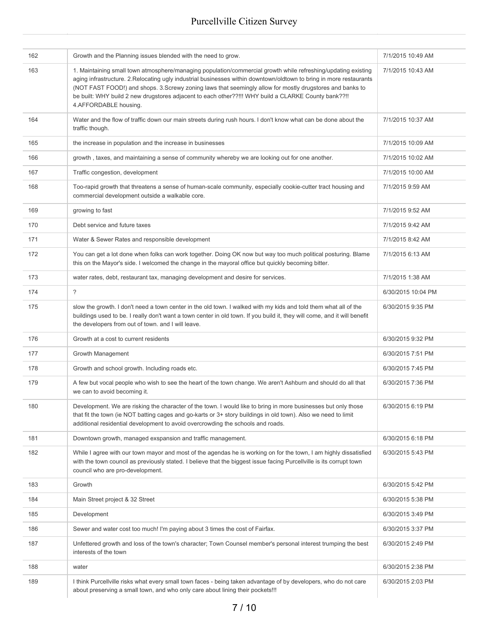| 162 | Growth and the Planning issues blended with the need to grow.                                                                                                                                                                                                                                                                                                                                                                                                                    | 7/1/2015 10:49 AM  |
|-----|----------------------------------------------------------------------------------------------------------------------------------------------------------------------------------------------------------------------------------------------------------------------------------------------------------------------------------------------------------------------------------------------------------------------------------------------------------------------------------|--------------------|
| 163 | 1. Maintaining small town atmosphere/managing population/commercial growth while refreshing/updating existing<br>aging infrastructure. 2. Relocating ugly industrial businesses within downtown/oldtown to bring in more restaurants<br>(NOT FAST FOOD!) and shops. 3.Screwy zoning laws that seemingly allow for mostly drugstores and banks to<br>be built: WHY build 2 new drugstores adjacent to each other??!!! WHY build a CLARKE County bank??!!<br>4.AFFORDABLE housing. | 7/1/2015 10:43 AM  |
| 164 | Water and the flow of traffic down our main streets during rush hours. I don't know what can be done about the<br>traffic though.                                                                                                                                                                                                                                                                                                                                                | 7/1/2015 10:37 AM  |
| 165 | the increase in population and the increase in businesses                                                                                                                                                                                                                                                                                                                                                                                                                        | 7/1/2015 10:09 AM  |
| 166 | growth, taxes, and maintaining a sense of community whereby we are looking out for one another.                                                                                                                                                                                                                                                                                                                                                                                  | 7/1/2015 10:02 AM  |
| 167 | Traffic congestion, development                                                                                                                                                                                                                                                                                                                                                                                                                                                  | 7/1/2015 10:00 AM  |
| 168 | Too-rapid growth that threatens a sense of human-scale community, especially cookie-cutter tract housing and<br>commercial development outside a walkable core.                                                                                                                                                                                                                                                                                                                  | 7/1/2015 9:59 AM   |
| 169 | growing to fast                                                                                                                                                                                                                                                                                                                                                                                                                                                                  | 7/1/2015 9:52 AM   |
| 170 | Debt service and future taxes                                                                                                                                                                                                                                                                                                                                                                                                                                                    | 7/1/2015 9:42 AM   |
| 171 | Water & Sewer Rates and responsible development                                                                                                                                                                                                                                                                                                                                                                                                                                  | 7/1/2015 8:42 AM   |
| 172 | You can get a lot done when folks can work together. Doing OK now but way too much political posturing. Blame<br>this on the Mayor's side. I welcomed the change in the mayoral office but quickly becoming bitter.                                                                                                                                                                                                                                                              | 7/1/2015 6:13 AM   |
| 173 | water rates, debt, restaurant tax, managing development and desire for services.                                                                                                                                                                                                                                                                                                                                                                                                 | 7/1/2015 1:38 AM   |
| 174 | $\overline{\phantom{a}}$                                                                                                                                                                                                                                                                                                                                                                                                                                                         | 6/30/2015 10:04 PM |
| 175 | slow the growth. I don't need a town center in the old town. I walked with my kids and told them what all of the<br>buildings used to be. I really don't want a town center in old town. If you build it, they will come, and it will benefit<br>the developers from out of town. and I will leave.                                                                                                                                                                              | 6/30/2015 9:35 PM  |
| 176 | Growth at a cost to current residents                                                                                                                                                                                                                                                                                                                                                                                                                                            | 6/30/2015 9:32 PM  |
| 177 | Growth Management                                                                                                                                                                                                                                                                                                                                                                                                                                                                | 6/30/2015 7:51 PM  |
| 178 | Growth and school growth. Including roads etc.                                                                                                                                                                                                                                                                                                                                                                                                                                   | 6/30/2015 7:45 PM  |
| 179 | A few but vocal people who wish to see the heart of the town change. We aren't Ashburn and should do all that<br>we can to avoid becoming it.                                                                                                                                                                                                                                                                                                                                    | 6/30/2015 7:36 PM  |
| 180 | Development. We are risking the character of the town. I would like to bring in more businesses but only those<br>that fit the town (ie NOT batting cages and go-karts or 3+ story buildings in old town). Also we need to limit<br>additional residential development to avoid overcrowding the schools and roads.                                                                                                                                                              | 6/30/2015 6:19 PM  |
| 181 | Downtown growth, managed exspansion and traffic management.                                                                                                                                                                                                                                                                                                                                                                                                                      | 6/30/2015 6:18 PM  |
| 182 | While I agree with our town mayor and most of the agendas he is working on for the town, I am highly dissatisfied<br>with the town council as previously stated. I believe that the biggest issue facing Purcellville is its corrupt town<br>council who are pro-development.                                                                                                                                                                                                    | 6/30/2015 5:43 PM  |
| 183 | Growth                                                                                                                                                                                                                                                                                                                                                                                                                                                                           | 6/30/2015 5:42 PM  |
| 184 | Main Street project & 32 Street                                                                                                                                                                                                                                                                                                                                                                                                                                                  | 6/30/2015 5:38 PM  |
| 185 | Development                                                                                                                                                                                                                                                                                                                                                                                                                                                                      | 6/30/2015 3:49 PM  |
| 186 | Sewer and water cost too much! I'm paying about 3 times the cost of Fairfax.                                                                                                                                                                                                                                                                                                                                                                                                     | 6/30/2015 3:37 PM  |
| 187 | Unfettered growth and loss of the town's character; Town Counsel member's personal interest trumping the best<br>interests of the town                                                                                                                                                                                                                                                                                                                                           | 6/30/2015 2:49 PM  |
| 188 | water                                                                                                                                                                                                                                                                                                                                                                                                                                                                            | 6/30/2015 2:38 PM  |
| 189 | I think Purcellville risks what every small town faces - being taken advantage of by developers, who do not care<br>about preserving a small town, and who only care about lining their pockets!!!                                                                                                                                                                                                                                                                               | 6/30/2015 2:03 PM  |
|     |                                                                                                                                                                                                                                                                                                                                                                                                                                                                                  |                    |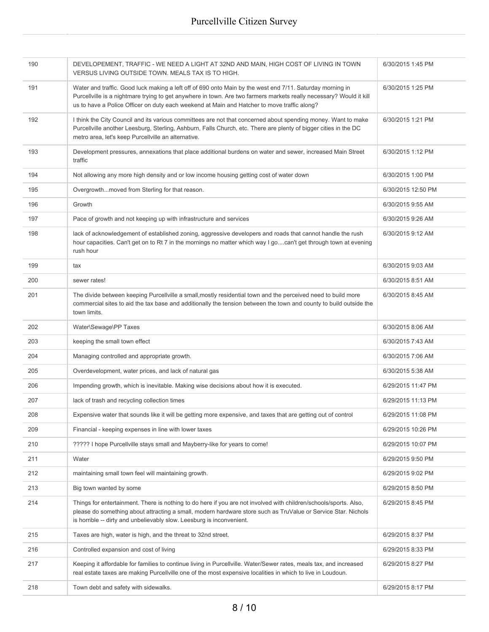| 190 | DEVELOPEMENT, TRAFFIC - WE NEED A LIGHT AT 32ND AND MAIN, HIGH COST OF LIVING IN TOWN<br>VERSUS LIVING OUTSIDE TOWN. MEALS TAX IS TO HIGH.                                                                                                                                                                                      | 6/30/2015 1:45 PM  |
|-----|---------------------------------------------------------------------------------------------------------------------------------------------------------------------------------------------------------------------------------------------------------------------------------------------------------------------------------|--------------------|
| 191 | Water and traffic. Good luck making a left off of 690 onto Main by the west end 7/11. Saturday morning in<br>Purcellville is a nightmare trying to get anywhere in town. Are two farmers markets really necessary? Would it kill<br>us to have a Police Officer on duty each weekend at Main and Hatcher to move traffic along? | 6/30/2015 1:25 PM  |
| 192 | I think the City Council and its various committees are not that concerned about spending money. Want to make<br>Purcellville another Leesburg, Sterling, Ashburn, Falls Church, etc. There are plenty of bigger cities in the DC<br>metro area, let's keep Purcellville an alternative.                                        | 6/30/2015 1:21 PM  |
| 193 | Development pressures, annexations that place additional burdens on water and sewer, increased Main Street<br>traffic                                                                                                                                                                                                           | 6/30/2015 1:12 PM  |
| 194 | Not allowing any more high density and or low income housing getting cost of water down                                                                                                                                                                                                                                         | 6/30/2015 1:00 PM  |
| 195 | Overgrowthmoved from Sterling for that reason.                                                                                                                                                                                                                                                                                  | 6/30/2015 12:50 PM |
| 196 | Growth                                                                                                                                                                                                                                                                                                                          | 6/30/2015 9:55 AM  |
| 197 | Pace of growth and not keeping up with infrastructure and services                                                                                                                                                                                                                                                              | 6/30/2015 9:26 AM  |
| 198 | lack of acknowledgement of established zoning, aggressive developers and roads that cannot handle the rush<br>hour capacities. Can't get on to Rt 7 in the mornings no matter which way I gocan't get through town at evening<br>rush hour                                                                                      | 6/30/2015 9:12 AM  |
| 199 | tax                                                                                                                                                                                                                                                                                                                             | 6/30/2015 9:03 AM  |
| 200 | sewer rates!                                                                                                                                                                                                                                                                                                                    | 6/30/2015 8:51 AM  |
| 201 | The divide between keeping Purcellville a small, mostly residential town and the perceived need to build more<br>commercial sites to aid the tax base and additionally the tension between the town and county to build outside the<br>town limits.                                                                             | 6/30/2015 8:45 AM  |
| 202 | Water\Sewage\PP Taxes                                                                                                                                                                                                                                                                                                           | 6/30/2015 8:06 AM  |
| 203 | keeping the small town effect                                                                                                                                                                                                                                                                                                   | 6/30/2015 7:43 AM  |
| 204 | Managing controlled and appropriate growth.                                                                                                                                                                                                                                                                                     | 6/30/2015 7:06 AM  |
| 205 | Overdevelopment, water prices, and lack of natural gas                                                                                                                                                                                                                                                                          | 6/30/2015 5:38 AM  |
| 206 | Impending growth, which is inevitable. Making wise decisions about how it is executed.                                                                                                                                                                                                                                          | 6/29/2015 11:47 PM |
| 207 | lack of trash and recycling collection times                                                                                                                                                                                                                                                                                    | 6/29/2015 11:13 PM |
| 208 | Expensive water that sounds like it will be getting more expensive, and taxes that are getting out of control                                                                                                                                                                                                                   | 6/29/2015 11:08 PM |
| 209 | Financial - keeping expenses in line with lower taxes                                                                                                                                                                                                                                                                           | 6/29/2015 10:26 PM |
| 210 | ????? I hope Purcellville stays small and Mayberry-like for years to come!                                                                                                                                                                                                                                                      | 6/29/2015 10:07 PM |
| 211 | Water                                                                                                                                                                                                                                                                                                                           | 6/29/2015 9:50 PM  |
| 212 | maintaining small town feel will maintaining growth.                                                                                                                                                                                                                                                                            | 6/29/2015 9:02 PM  |
| 213 | Big town wanted by some                                                                                                                                                                                                                                                                                                         | 6/29/2015 8:50 PM  |
| 214 | Things for entertainment. There is nothing to do here if you are not involved with children/schools/sports. Also,<br>please do something about attracting a small, modern hardware store such as TruValue or Service Star. Nichols<br>is horrible -- dirty and unbelievably slow. Leesburg is inconvenient.                     | 6/29/2015 8:45 PM  |
| 215 | Taxes are high, water is high, and the threat to 32nd street.                                                                                                                                                                                                                                                                   | 6/29/2015 8:37 PM  |
| 216 | Controlled expansion and cost of living                                                                                                                                                                                                                                                                                         | 6/29/2015 8:33 PM  |
| 217 | Keeping it affordable for families to continue living in Purcellville. Water/Sewer rates, meals tax, and increased<br>real estate taxes are making Purcellville one of the most expensive localities in which to live in Loudoun.                                                                                               | 6/29/2015 8:27 PM  |
| 218 | Town debt and safety with sidewalks.                                                                                                                                                                                                                                                                                            | 6/29/2015 8:17 PM  |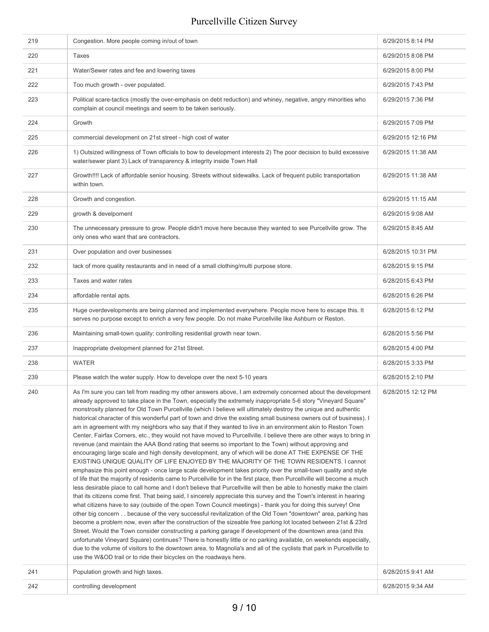| 219 | Congestion. More people coming in/out of town                                                                                                                                                                                                                                                                                                                                                                                                                                                                                                                                                                                                                                                                                                                                                                                                                                                                                                                                                                                                                                                                                                                                                                                                                                                                                                                                                                                                                                                                                                                                                                                                                                                                                                                                                                                                                                                                                                                                                                                                                                                                                                                                                                                                                                                                     | 6/29/2015 8:14 PM  |
|-----|-------------------------------------------------------------------------------------------------------------------------------------------------------------------------------------------------------------------------------------------------------------------------------------------------------------------------------------------------------------------------------------------------------------------------------------------------------------------------------------------------------------------------------------------------------------------------------------------------------------------------------------------------------------------------------------------------------------------------------------------------------------------------------------------------------------------------------------------------------------------------------------------------------------------------------------------------------------------------------------------------------------------------------------------------------------------------------------------------------------------------------------------------------------------------------------------------------------------------------------------------------------------------------------------------------------------------------------------------------------------------------------------------------------------------------------------------------------------------------------------------------------------------------------------------------------------------------------------------------------------------------------------------------------------------------------------------------------------------------------------------------------------------------------------------------------------------------------------------------------------------------------------------------------------------------------------------------------------------------------------------------------------------------------------------------------------------------------------------------------------------------------------------------------------------------------------------------------------------------------------------------------------------------------------------------------------|--------------------|
| 220 | Taxes                                                                                                                                                                                                                                                                                                                                                                                                                                                                                                                                                                                                                                                                                                                                                                                                                                                                                                                                                                                                                                                                                                                                                                                                                                                                                                                                                                                                                                                                                                                                                                                                                                                                                                                                                                                                                                                                                                                                                                                                                                                                                                                                                                                                                                                                                                             | 6/29/2015 8:08 PM  |
| 221 | Water/Sewer rates and fee and lowering taxes                                                                                                                                                                                                                                                                                                                                                                                                                                                                                                                                                                                                                                                                                                                                                                                                                                                                                                                                                                                                                                                                                                                                                                                                                                                                                                                                                                                                                                                                                                                                                                                                                                                                                                                                                                                                                                                                                                                                                                                                                                                                                                                                                                                                                                                                      | 6/29/2015 8:00 PM  |
| 222 | Too much growth - over populated.                                                                                                                                                                                                                                                                                                                                                                                                                                                                                                                                                                                                                                                                                                                                                                                                                                                                                                                                                                                                                                                                                                                                                                                                                                                                                                                                                                                                                                                                                                                                                                                                                                                                                                                                                                                                                                                                                                                                                                                                                                                                                                                                                                                                                                                                                 | 6/29/2015 7:43 PM  |
| 223 | Political scare-tactics (mostly the over-emphasis on debt reduction) and whiney, negative, angry minorities who<br>complain at council meetings and seem to be taken seriously.                                                                                                                                                                                                                                                                                                                                                                                                                                                                                                                                                                                                                                                                                                                                                                                                                                                                                                                                                                                                                                                                                                                                                                                                                                                                                                                                                                                                                                                                                                                                                                                                                                                                                                                                                                                                                                                                                                                                                                                                                                                                                                                                   | 6/29/2015 7:36 PM  |
| 224 | Growth                                                                                                                                                                                                                                                                                                                                                                                                                                                                                                                                                                                                                                                                                                                                                                                                                                                                                                                                                                                                                                                                                                                                                                                                                                                                                                                                                                                                                                                                                                                                                                                                                                                                                                                                                                                                                                                                                                                                                                                                                                                                                                                                                                                                                                                                                                            | 6/29/2015 7:09 PM  |
| 225 | commercial development on 21st street - high cost of water                                                                                                                                                                                                                                                                                                                                                                                                                                                                                                                                                                                                                                                                                                                                                                                                                                                                                                                                                                                                                                                                                                                                                                                                                                                                                                                                                                                                                                                                                                                                                                                                                                                                                                                                                                                                                                                                                                                                                                                                                                                                                                                                                                                                                                                        | 6/29/2015 12:16 PM |
| 226 | 1) Outsized willingness of Town officials to bow to development interests 2) The poor decision to build excessive<br>water/sewer plant 3) Lack of transparency & integrity inside Town Hall                                                                                                                                                                                                                                                                                                                                                                                                                                                                                                                                                                                                                                                                                                                                                                                                                                                                                                                                                                                                                                                                                                                                                                                                                                                                                                                                                                                                                                                                                                                                                                                                                                                                                                                                                                                                                                                                                                                                                                                                                                                                                                                       | 6/29/2015 11:38 AM |
| 227 | Growth!!!! Lack of affordable senior housing. Streets without sidewalks. Lack of frequent public transportation<br>within town.                                                                                                                                                                                                                                                                                                                                                                                                                                                                                                                                                                                                                                                                                                                                                                                                                                                                                                                                                                                                                                                                                                                                                                                                                                                                                                                                                                                                                                                                                                                                                                                                                                                                                                                                                                                                                                                                                                                                                                                                                                                                                                                                                                                   | 6/29/2015 11:38 AM |
| 228 | Growth and congestion.                                                                                                                                                                                                                                                                                                                                                                                                                                                                                                                                                                                                                                                                                                                                                                                                                                                                                                                                                                                                                                                                                                                                                                                                                                                                                                                                                                                                                                                                                                                                                                                                                                                                                                                                                                                                                                                                                                                                                                                                                                                                                                                                                                                                                                                                                            | 6/29/2015 11:15 AM |
| 229 | growth & develpoment                                                                                                                                                                                                                                                                                                                                                                                                                                                                                                                                                                                                                                                                                                                                                                                                                                                                                                                                                                                                                                                                                                                                                                                                                                                                                                                                                                                                                                                                                                                                                                                                                                                                                                                                                                                                                                                                                                                                                                                                                                                                                                                                                                                                                                                                                              | 6/29/2015 9:08 AM  |
| 230 | The unnecessary pressure to grow. People didn't move here because they wanted to see Purcellville grow. The<br>only ones who want that are contractors.                                                                                                                                                                                                                                                                                                                                                                                                                                                                                                                                                                                                                                                                                                                                                                                                                                                                                                                                                                                                                                                                                                                                                                                                                                                                                                                                                                                                                                                                                                                                                                                                                                                                                                                                                                                                                                                                                                                                                                                                                                                                                                                                                           | 6/29/2015 8:45 AM  |
| 231 | Over population and over businesses                                                                                                                                                                                                                                                                                                                                                                                                                                                                                                                                                                                                                                                                                                                                                                                                                                                                                                                                                                                                                                                                                                                                                                                                                                                                                                                                                                                                                                                                                                                                                                                                                                                                                                                                                                                                                                                                                                                                                                                                                                                                                                                                                                                                                                                                               | 6/28/2015 10:31 PM |
| 232 | lack of more quality restaurants and in need of a small clothing/multi purpose store.                                                                                                                                                                                                                                                                                                                                                                                                                                                                                                                                                                                                                                                                                                                                                                                                                                                                                                                                                                                                                                                                                                                                                                                                                                                                                                                                                                                                                                                                                                                                                                                                                                                                                                                                                                                                                                                                                                                                                                                                                                                                                                                                                                                                                             | 6/28/2015 9:15 PM  |
| 233 | Taxes and water rates                                                                                                                                                                                                                                                                                                                                                                                                                                                                                                                                                                                                                                                                                                                                                                                                                                                                                                                                                                                                                                                                                                                                                                                                                                                                                                                                                                                                                                                                                                                                                                                                                                                                                                                                                                                                                                                                                                                                                                                                                                                                                                                                                                                                                                                                                             | 6/28/2015 6:43 PM  |
| 234 | affordable rental apts.                                                                                                                                                                                                                                                                                                                                                                                                                                                                                                                                                                                                                                                                                                                                                                                                                                                                                                                                                                                                                                                                                                                                                                                                                                                                                                                                                                                                                                                                                                                                                                                                                                                                                                                                                                                                                                                                                                                                                                                                                                                                                                                                                                                                                                                                                           | 6/28/2015 6:26 PM  |
| 235 | Huge overdevelopments are being planned and implemented everywhere. People move here to escape this. It<br>serves no purpose except to enrich a very few people. Do not make Purcellville like Ashburn or Reston.                                                                                                                                                                                                                                                                                                                                                                                                                                                                                                                                                                                                                                                                                                                                                                                                                                                                                                                                                                                                                                                                                                                                                                                                                                                                                                                                                                                                                                                                                                                                                                                                                                                                                                                                                                                                                                                                                                                                                                                                                                                                                                 | 6/28/2015 6:12 PM  |
| 236 | Maintaining small-town quality; controlling residential growth near town.                                                                                                                                                                                                                                                                                                                                                                                                                                                                                                                                                                                                                                                                                                                                                                                                                                                                                                                                                                                                                                                                                                                                                                                                                                                                                                                                                                                                                                                                                                                                                                                                                                                                                                                                                                                                                                                                                                                                                                                                                                                                                                                                                                                                                                         | 6/28/2015 5:56 PM  |
| 237 | Inappropriate dvelopment planned for 21st Street.                                                                                                                                                                                                                                                                                                                                                                                                                                                                                                                                                                                                                                                                                                                                                                                                                                                                                                                                                                                                                                                                                                                                                                                                                                                                                                                                                                                                                                                                                                                                                                                                                                                                                                                                                                                                                                                                                                                                                                                                                                                                                                                                                                                                                                                                 | 6/28/2015 4:00 PM  |
| 238 | <b>WATER</b>                                                                                                                                                                                                                                                                                                                                                                                                                                                                                                                                                                                                                                                                                                                                                                                                                                                                                                                                                                                                                                                                                                                                                                                                                                                                                                                                                                                                                                                                                                                                                                                                                                                                                                                                                                                                                                                                                                                                                                                                                                                                                                                                                                                                                                                                                                      | 6/28/2015 3:33 PM  |
| 239 | Please watch the water supply. How to develope over the next 5-10 years                                                                                                                                                                                                                                                                                                                                                                                                                                                                                                                                                                                                                                                                                                                                                                                                                                                                                                                                                                                                                                                                                                                                                                                                                                                                                                                                                                                                                                                                                                                                                                                                                                                                                                                                                                                                                                                                                                                                                                                                                                                                                                                                                                                                                                           | 6/28/2015 2:10 PM  |
| 240 | As I'm sure you can tell from reading my other answers above, I am extremely concerned about the development<br>already approved to take place in the Town, especially the extremely inappropriate 5-6 story "Vineyard Square"<br>monstrosity planned for Old Town Purcellville (which I believe will ultimately destroy the unique and authentic<br>historical character of this wonderful part of town and drive the existing small business owners out of business). I<br>am in agreement with my neighbors who say that if they wanted to live in an environment akin to Reston Town<br>Center, Fairfax Corners, etc., they would not have moved to Purcellville. I believe there are other ways to bring in<br>revenue (and maintain the AAA Bond rating that seems so important to the Town) without approving and<br>encouraging large scale and high density development, any of which will be done AT THE EXPENSE OF THE<br>EXISTING UNIQUE QUALITY OF LIFE ENJOYED BY THE MAJORITY OF THE TOWN RESIDENTS. I cannot<br>emphasize this point enough - once large scale development takes priority over the small-town quality and style<br>of life that the majority of residents came to Purcellville for in the first place, then Purcellville will become a much<br>less desirable place to call home and I don't believe that Purcellville will then be able to honestly make the claim<br>that its citizens come first. That being said, I sincerely appreciate this survey and the Town's interest in hearing<br>what citizens have to say (outside of the open Town Council meetings) - thank you for doing this survey! One<br>other big concern because of the very successful revitalization of the Old Town "downtown" area, parking has<br>become a problem now, even after the construction of the sizeable free parking lot located between 21st & 23rd<br>Street. Would the Town consider constructing a parking garage if development of the downtown area (and this<br>unfortunate Vineyard Square) continues? There is honestly little or no parking available, on weekends especially,<br>due to the volume of visitors to the downtown area, to Magnolia's and all of the cyclists that park in Purcellville to<br>use the W&OD trail or to ride their bicycles on the roadways here. | 6/28/2015 12:12 PM |
| 241 | Population growth and high taxes.                                                                                                                                                                                                                                                                                                                                                                                                                                                                                                                                                                                                                                                                                                                                                                                                                                                                                                                                                                                                                                                                                                                                                                                                                                                                                                                                                                                                                                                                                                                                                                                                                                                                                                                                                                                                                                                                                                                                                                                                                                                                                                                                                                                                                                                                                 | 6/28/2015 9:41 AM  |
| 242 | controlling development                                                                                                                                                                                                                                                                                                                                                                                                                                                                                                                                                                                                                                                                                                                                                                                                                                                                                                                                                                                                                                                                                                                                                                                                                                                                                                                                                                                                                                                                                                                                                                                                                                                                                                                                                                                                                                                                                                                                                                                                                                                                                                                                                                                                                                                                                           | 6/28/2015 9:34 AM  |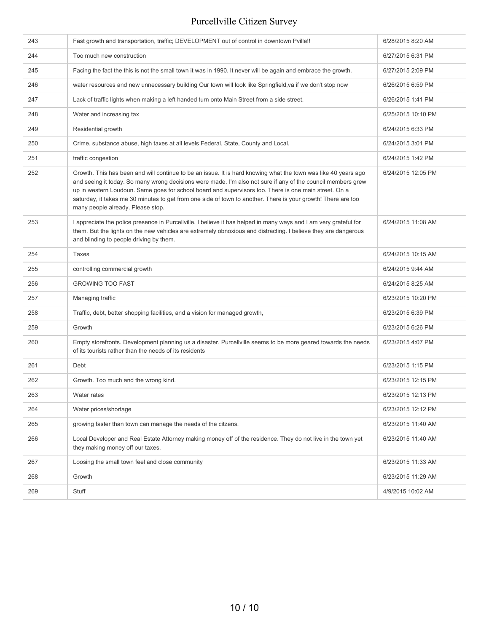| 243 | Fast growth and transportation, traffic; DEVELOPMENT out of control in downtown Pville!!                                                                                                                                                                                                                                                                                                                                                                                                      | 6/28/2015 8:20 AM  |
|-----|-----------------------------------------------------------------------------------------------------------------------------------------------------------------------------------------------------------------------------------------------------------------------------------------------------------------------------------------------------------------------------------------------------------------------------------------------------------------------------------------------|--------------------|
| 244 | Too much new construction                                                                                                                                                                                                                                                                                                                                                                                                                                                                     | 6/27/2015 6:31 PM  |
| 245 | Facing the fact the this is not the small town it was in 1990. It never will be again and embrace the growth.                                                                                                                                                                                                                                                                                                                                                                                 | 6/27/2015 2:09 PM  |
| 246 | water resources and new unnecessary building Our town will look like Springfield, va if we don't stop now                                                                                                                                                                                                                                                                                                                                                                                     | 6/26/2015 6:59 PM  |
| 247 | Lack of traffic lights when making a left handed turn onto Main Street from a side street.                                                                                                                                                                                                                                                                                                                                                                                                    | 6/26/2015 1:41 PM  |
| 248 | Water and increasing tax                                                                                                                                                                                                                                                                                                                                                                                                                                                                      | 6/25/2015 10:10 PM |
| 249 | Residential growth                                                                                                                                                                                                                                                                                                                                                                                                                                                                            | 6/24/2015 6:33 PM  |
| 250 | Crime, substance abuse, high taxes at all levels Federal, State, County and Local.                                                                                                                                                                                                                                                                                                                                                                                                            | 6/24/2015 3:01 PM  |
| 251 | traffic congestion                                                                                                                                                                                                                                                                                                                                                                                                                                                                            | 6/24/2015 1:42 PM  |
| 252 | Growth. This has been and will continue to be an issue. It is hard knowing what the town was like 40 years ago<br>and seeing it today. So many wrong decisions were made. I'm also not sure if any of the council members grew<br>up in western Loudoun. Same goes for school board and supervisors too. There is one main street. On a<br>saturday, it takes me 30 minutes to get from one side of town to another. There is your growth! There are too<br>many people already. Please stop. | 6/24/2015 12:05 PM |
| 253 | I appreciate the police presence in Purcellville. I believe it has helped in many ways and I am very grateful for<br>them. But the lights on the new vehicles are extremely obnoxious and distracting. I believe they are dangerous<br>and blinding to people driving by them.                                                                                                                                                                                                                | 6/24/2015 11:08 AM |
| 254 | Taxes                                                                                                                                                                                                                                                                                                                                                                                                                                                                                         | 6/24/2015 10:15 AM |
| 255 | controlling commercial growth                                                                                                                                                                                                                                                                                                                                                                                                                                                                 | 6/24/2015 9:44 AM  |
| 256 | <b>GROWING TOO FAST</b>                                                                                                                                                                                                                                                                                                                                                                                                                                                                       | 6/24/2015 8:25 AM  |
| 257 | Managing traffic                                                                                                                                                                                                                                                                                                                                                                                                                                                                              | 6/23/2015 10:20 PM |
| 258 | Traffic, debt, better shopping facilities, and a vision for managed growth,                                                                                                                                                                                                                                                                                                                                                                                                                   | 6/23/2015 6:39 PM  |
| 259 | Growth                                                                                                                                                                                                                                                                                                                                                                                                                                                                                        | 6/23/2015 6:26 PM  |
| 260 | Empty storefronts. Development planning us a disaster. Purcellville seems to be more geared towards the needs<br>of its tourists rather than the needs of its residents                                                                                                                                                                                                                                                                                                                       | 6/23/2015 4:07 PM  |
| 261 | Debt                                                                                                                                                                                                                                                                                                                                                                                                                                                                                          | 6/23/2015 1:15 PM  |
| 262 | Growth. Too much and the wrong kind.                                                                                                                                                                                                                                                                                                                                                                                                                                                          | 6/23/2015 12:15 PM |
| 263 | Water rates                                                                                                                                                                                                                                                                                                                                                                                                                                                                                   | 6/23/2015 12:13 PM |
| 264 | Water prices/shortage                                                                                                                                                                                                                                                                                                                                                                                                                                                                         | 6/23/2015 12:12 PM |
| 265 | growing faster than town can manage the needs of the citzens.                                                                                                                                                                                                                                                                                                                                                                                                                                 | 6/23/2015 11:40 AM |
| 266 | Local Developer and Real Estate Attorney making money off of the residence. They do not live in the town yet<br>they making money off our taxes.                                                                                                                                                                                                                                                                                                                                              | 6/23/2015 11:40 AM |
| 267 | Loosing the small town feel and close community                                                                                                                                                                                                                                                                                                                                                                                                                                               | 6/23/2015 11:33 AM |
| 268 | Growth                                                                                                                                                                                                                                                                                                                                                                                                                                                                                        | 6/23/2015 11:29 AM |
| 269 | Stuff                                                                                                                                                                                                                                                                                                                                                                                                                                                                                         | 4/9/2015 10:02 AM  |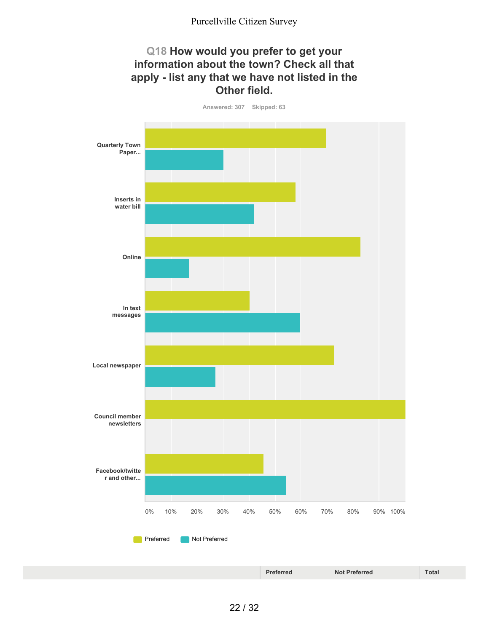#### **Q18 How would you prefer to get your information about the town? Check all that apply - list any that we have not listed in the Other field.**

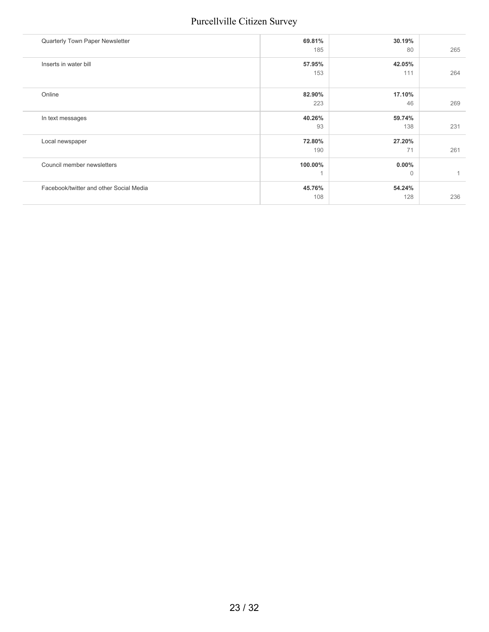|         |               | 265          |
|---------|---------------|--------------|
| 57.95%  | 42.05%        |              |
| 153     | 111           | 264          |
|         |               |              |
| 82.90%  | 17.10%        |              |
| 223     | 46            | 269          |
| 40.26%  | 59.74%        |              |
| 93      | 138           | 231          |
| 72.80%  | 27.20%        |              |
| 190     | 71            | 261          |
| 100.00% | $0.00\%$      |              |
| 1       | $\Omega$      |              |
| 45.76%  | 54.24%        |              |
| 108     | 128           | 236          |
|         | 69.81%<br>185 | 30.19%<br>80 |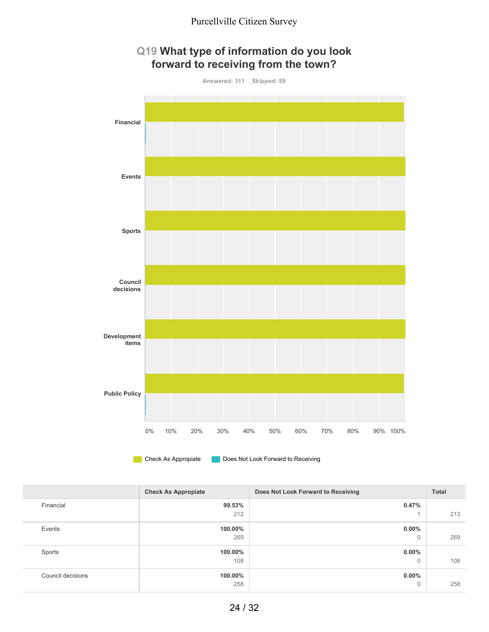

# **Q19 What type of information do you look**

**Check As Appropiate** Does Not Look Forward to Receiving

|                   | <b>Check As Appropiate</b> | Does Not Look Forward to Receiving | <b>Total</b> |
|-------------------|----------------------------|------------------------------------|--------------|
| Financial         | 99.53%                     | 0.47%                              |              |
|                   | 212                        |                                    | 213          |
| Events            | 100.00%                    | $0.00\%$                           |              |
|                   | 269                        | 0                                  | 269          |
| Sports            | 100.00%                    | $0.00\%$                           |              |
|                   | 108                        | $\mathbf 0$                        | 108          |
| Council decisions | 100.00%                    | $0.00\%$                           |              |
|                   | 258                        | 0                                  | 258          |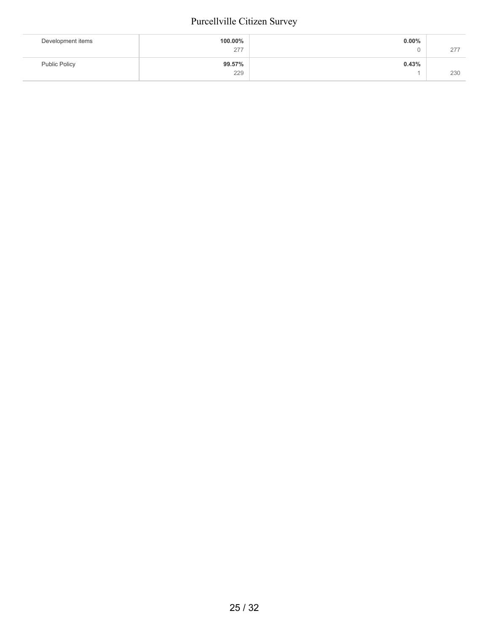| Development items    | 100.00% | $0.00\%$ |     |
|----------------------|---------|----------|-----|
|                      | 277     | ື        | 277 |
| <b>Public Policy</b> | 99.57%  | 0.43%    |     |
|                      | 229     |          | 230 |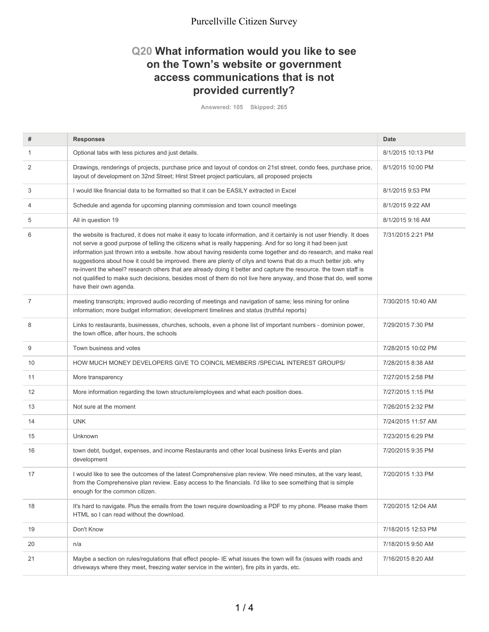#### **Q20 What information would you like to see on the Town's website or government access communications that is not provided currently?**

**Answered: 105 Skipped: 265**

| #              | <b>Responses</b>                                                                                                                                                                                                                                                                                                                                                                                                                                                                                                                                                                                                                                                                                                                                | Date               |
|----------------|-------------------------------------------------------------------------------------------------------------------------------------------------------------------------------------------------------------------------------------------------------------------------------------------------------------------------------------------------------------------------------------------------------------------------------------------------------------------------------------------------------------------------------------------------------------------------------------------------------------------------------------------------------------------------------------------------------------------------------------------------|--------------------|
| 1              | Optional tabs with less pictures and just details.                                                                                                                                                                                                                                                                                                                                                                                                                                                                                                                                                                                                                                                                                              | 8/1/2015 10:13 PM  |
| 2              | Drawings, renderings of projects, purchase price and layout of condos on 21st street, condo fees, purchase price,<br>layout of development on 32nd Street; Hirst Street project particulars, all proposed projects                                                                                                                                                                                                                                                                                                                                                                                                                                                                                                                              | 8/1/2015 10:00 PM  |
| 3              | I would like financial data to be formatted so that it can be EASILY extracted in Excel                                                                                                                                                                                                                                                                                                                                                                                                                                                                                                                                                                                                                                                         | 8/1/2015 9:53 PM   |
| 4              | Schedule and agenda for upcoming planning commission and town council meetings                                                                                                                                                                                                                                                                                                                                                                                                                                                                                                                                                                                                                                                                  | 8/1/2015 9:22 AM   |
| 5              | All in question 19                                                                                                                                                                                                                                                                                                                                                                                                                                                                                                                                                                                                                                                                                                                              | 8/1/2015 9:16 AM   |
| 6              | the website is fractured, it does not make it easy to locate information, and it certainly is not user friendly. It does<br>not serve a good purpose of telling the citizens what is really happening. And for so long it had been just<br>information just thrown into a website. how about having residents come together and do research, and make real<br>suggestions about how it could be improved. there are plenty of citys and towns that do a much better job. why<br>re-invent the wheel? research others that are already doing it better and capture the resource. the town staff is<br>not qualified to make such decisions, besides most of them do not live here anyway, and those that do, well some<br>have their own agenda. | 7/31/2015 2:21 PM  |
| $\overline{7}$ | meeting transcripts; improved audio recording of meetings and navigation of same; less mining for online<br>information; more budget information; development timelines and status (truthful reports)                                                                                                                                                                                                                                                                                                                                                                                                                                                                                                                                           | 7/30/2015 10:40 AM |
| 8              | Links to restaurants, businesses, churches, schools, even a phone list of important numbers - dominion power,<br>the town office, after hours, the schools                                                                                                                                                                                                                                                                                                                                                                                                                                                                                                                                                                                      | 7/29/2015 7:30 PM  |
| 9              | Town business and votes                                                                                                                                                                                                                                                                                                                                                                                                                                                                                                                                                                                                                                                                                                                         | 7/28/2015 10:02 PM |
| 10             | HOW MUCH MONEY DEVELOPERS GIVE TO COINCIL MEMBERS / SPECIAL INTEREST GROUPS/                                                                                                                                                                                                                                                                                                                                                                                                                                                                                                                                                                                                                                                                    | 7/28/2015 8:38 AM  |
| 11             | More transparency                                                                                                                                                                                                                                                                                                                                                                                                                                                                                                                                                                                                                                                                                                                               | 7/27/2015 2:58 PM  |
| 12             | More information regarding the town structure/employees and what each position does.                                                                                                                                                                                                                                                                                                                                                                                                                                                                                                                                                                                                                                                            | 7/27/2015 1:15 PM  |
| 13             | Not sure at the moment                                                                                                                                                                                                                                                                                                                                                                                                                                                                                                                                                                                                                                                                                                                          | 7/26/2015 2:32 PM  |
| 14             | <b>UNK</b>                                                                                                                                                                                                                                                                                                                                                                                                                                                                                                                                                                                                                                                                                                                                      | 7/24/2015 11:57 AM |
| 15             | Unknown                                                                                                                                                                                                                                                                                                                                                                                                                                                                                                                                                                                                                                                                                                                                         | 7/23/2015 6:29 PM  |
| 16             | town debt, budget, expenses, and income Restaurants and other local business links Events and plan<br>development                                                                                                                                                                                                                                                                                                                                                                                                                                                                                                                                                                                                                               | 7/20/2015 9:35 PM  |
| 17             | I would like to see the outcomes of the latest Comprehensive plan review. We need minutes, at the vary least,<br>from the Comprehensive plan review. Easy access to the financials. I'd like to see something that is simple<br>enough for the common citizen.                                                                                                                                                                                                                                                                                                                                                                                                                                                                                  | 7/20/2015 1:33 PM  |
| 18             | It's hard to navigate. Plus the emails from the town require downloading a PDF to my phone. Please make them<br>HTML so I can read without the download.                                                                                                                                                                                                                                                                                                                                                                                                                                                                                                                                                                                        | 7/20/2015 12:04 AM |
| 19             | Don't Know                                                                                                                                                                                                                                                                                                                                                                                                                                                                                                                                                                                                                                                                                                                                      | 7/18/2015 12:53 PM |
| 20             | n/a                                                                                                                                                                                                                                                                                                                                                                                                                                                                                                                                                                                                                                                                                                                                             | 7/18/2015 9:50 AM  |
| 21             | Maybe a section on rules/regulations that effect people-IE what issues the town will fix (issues with roads and<br>driveways where they meet, freezing water service in the winter), fire pits in yards, etc.                                                                                                                                                                                                                                                                                                                                                                                                                                                                                                                                   | 7/16/2015 8:20 AM  |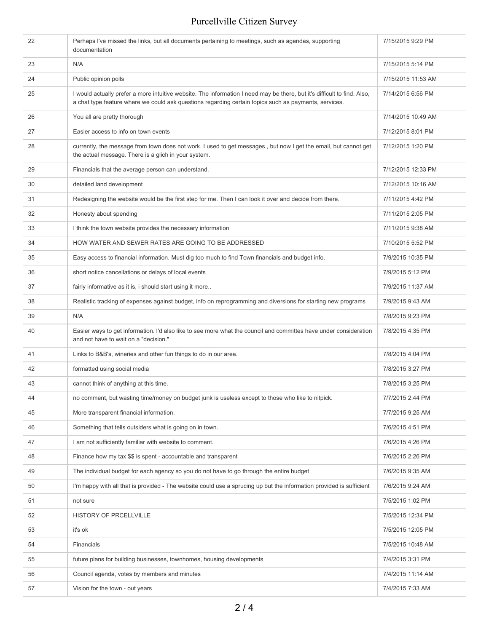| 22 | Perhaps I've missed the links, but all documents pertaining to meetings, such as agendas, supporting<br>documentation                                                                                                             | 7/15/2015 9:29 PM  |
|----|-----------------------------------------------------------------------------------------------------------------------------------------------------------------------------------------------------------------------------------|--------------------|
| 23 | N/A                                                                                                                                                                                                                               | 7/15/2015 5:14 PM  |
| 24 | Public opinion polls                                                                                                                                                                                                              | 7/15/2015 11:53 AM |
| 25 | I would actually prefer a more intuitive website. The information I need may be there, but it's difficult to find. Also,<br>a chat type feature where we could ask questions regarding certain topics such as payments, services. | 7/14/2015 6:56 PM  |
| 26 | You all are pretty thorough                                                                                                                                                                                                       | 7/14/2015 10:49 AM |
| 27 | Easier access to info on town events                                                                                                                                                                                              | 7/12/2015 8:01 PM  |
| 28 | currently, the message from town does not work. I used to get messages, but now I get the email, but cannot get<br>the actual message. There is a glich in your system.                                                           | 7/12/2015 1:20 PM  |
| 29 | Financials that the average person can understand.                                                                                                                                                                                | 7/12/2015 12:33 PM |
| 30 | detailed land development                                                                                                                                                                                                         | 7/12/2015 10:16 AM |
| 31 | Redesigning the website would be the first step for me. Then I can look it over and decide from there.                                                                                                                            | 7/11/2015 4:42 PM  |
| 32 | Honesty about spending                                                                                                                                                                                                            | 7/11/2015 2:05 PM  |
| 33 | I think the town website provides the necessary information                                                                                                                                                                       | 7/11/2015 9:38 AM  |
| 34 | HOW WATER AND SEWER RATES ARE GOING TO BE ADDRESSED                                                                                                                                                                               | 7/10/2015 5:52 PM  |
| 35 | Easy access to financial information. Must dig too much to find Town financials and budget info.                                                                                                                                  | 7/9/2015 10:35 PM  |
| 36 | short notice cancellations or delays of local events                                                                                                                                                                              | 7/9/2015 5:12 PM   |
| 37 | fairly informative as it is, i should start using it more                                                                                                                                                                         | 7/9/2015 11:37 AM  |
| 38 | Realistic tracking of expenses against budget, info on reprogramming and diversions for starting new programs                                                                                                                     | 7/9/2015 9:43 AM   |
| 39 | N/A                                                                                                                                                                                                                               | 7/8/2015 9:23 PM   |
| 40 | Easier ways to get information. I'd also like to see more what the council and committes have under consideration<br>and not have to wait on a "decision."                                                                        | 7/8/2015 4:35 PM   |
| 41 | Links to B&B's, wineries and other fun things to do in our area.                                                                                                                                                                  | 7/8/2015 4:04 PM   |
| 42 | formatted using social media                                                                                                                                                                                                      | 7/8/2015 3:27 PM   |
| 43 | cannot think of anything at this time.                                                                                                                                                                                            | 7/8/2015 3:25 PM   |
| 44 | no comment, but wasting time/money on budget junk is useless except to those who like to nitpick.                                                                                                                                 | 7/7/2015 2:44 PM   |
| 45 | More transparent financial information.                                                                                                                                                                                           | 7/7/2015 9:25 AM   |
| 46 | Something that tells outsiders what is going on in town.                                                                                                                                                                          | 7/6/2015 4:51 PM   |
| 47 | I am not sufficiently familiar with website to comment.                                                                                                                                                                           | 7/6/2015 4:26 PM   |
| 48 | Finance how my tax \$\$ is spent - accountable and transparent                                                                                                                                                                    | 7/6/2015 2:26 PM   |
| 49 | The individual budget for each agency so you do not have to go through the entire budget                                                                                                                                          | 7/6/2015 9:35 AM   |
| 50 | I'm happy with all that is provided - The website could use a sprucing up but the information provided is sufficient                                                                                                              | 7/6/2015 9:24 AM   |
| 51 | not sure                                                                                                                                                                                                                          | 7/5/2015 1:02 PM   |
| 52 | HISTORY OF PRCELLVILLE                                                                                                                                                                                                            | 7/5/2015 12:34 PM  |
| 53 | it's ok                                                                                                                                                                                                                           | 7/5/2015 12:05 PM  |
| 54 | Financials                                                                                                                                                                                                                        | 7/5/2015 10:48 AM  |
| 55 | future plans for building businesses, townhomes, housing developments                                                                                                                                                             | 7/4/2015 3:31 PM   |
| 56 | Council agenda, votes by members and minutes                                                                                                                                                                                      | 7/4/2015 11:14 AM  |
| 57 | Vision for the town - out years                                                                                                                                                                                                   | 7/4/2015 7:33 AM   |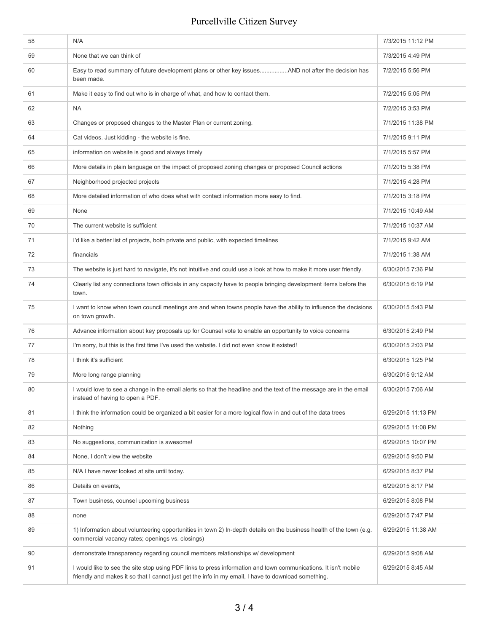| 58 | N/A                                                                                                                                                                                                                    | 7/3/2015 11:12 PM  |
|----|------------------------------------------------------------------------------------------------------------------------------------------------------------------------------------------------------------------------|--------------------|
| 59 | None that we can think of                                                                                                                                                                                              | 7/3/2015 4:49 PM   |
| 60 | Easy to read summary of future development plans or other key issuesAND not after the decision has<br>been made.                                                                                                       | 7/2/2015 5:56 PM   |
| 61 | Make it easy to find out who is in charge of what, and how to contact them.                                                                                                                                            | 7/2/2015 5:05 PM   |
| 62 | <b>NA</b>                                                                                                                                                                                                              | 7/2/2015 3:53 PM   |
| 63 | Changes or proposed changes to the Master Plan or current zoning.                                                                                                                                                      | 7/1/2015 11:38 PM  |
| 64 | Cat videos. Just kidding - the website is fine.                                                                                                                                                                        | 7/1/2015 9:11 PM   |
| 65 | information on website is good and always timely                                                                                                                                                                       | 7/1/2015 5:57 PM   |
| 66 | More details in plain language on the impact of proposed zoning changes or proposed Council actions                                                                                                                    | 7/1/2015 5:38 PM   |
| 67 | Neighborhood projected projects                                                                                                                                                                                        | 7/1/2015 4:28 PM   |
| 68 | More detailed information of who does what with contact information more easy to find.                                                                                                                                 | 7/1/2015 3:18 PM   |
| 69 | None                                                                                                                                                                                                                   | 7/1/2015 10:49 AM  |
| 70 | The current website is sufficient                                                                                                                                                                                      | 7/1/2015 10:37 AM  |
| 71 | I'd like a better list of projects, both private and public, with expected timelines                                                                                                                                   | 7/1/2015 9:42 AM   |
| 72 | financials                                                                                                                                                                                                             | 7/1/2015 1:38 AM   |
| 73 | The website is just hard to navigate, it's not intuitive and could use a look at how to make it more user friendly.                                                                                                    | 6/30/2015 7:36 PM  |
| 74 | Clearly list any connections town officials in any capacity have to people bringing development items before the<br>town.                                                                                              | 6/30/2015 6:19 PM  |
| 75 | I want to know when town council meetings are and when towns people have the ability to influence the decisions<br>on town growth.                                                                                     | 6/30/2015 5:43 PM  |
| 76 | Advance information about key proposals up for Counsel vote to enable an opportunity to voice concerns                                                                                                                 | 6/30/2015 2:49 PM  |
| 77 | I'm sorry, but this is the first time I've used the website. I did not even know it existed!                                                                                                                           | 6/30/2015 2:03 PM  |
| 78 | I think it's sufficient                                                                                                                                                                                                | 6/30/2015 1:25 PM  |
| 79 | More long range planning                                                                                                                                                                                               | 6/30/2015 9:12 AM  |
| 80 | I would love to see a change in the email alerts so that the headline and the text of the message are in the email<br>instead of having to open a PDF.                                                                 | 6/30/2015 7:06 AM  |
| 81 | I think the information could be organized a bit easier for a more logical flow in and out of the data trees                                                                                                           | 6/29/2015 11:13 PM |
| 82 | Nothing                                                                                                                                                                                                                | 6/29/2015 11:08 PM |
| 83 | No suggestions, communication is awesome!                                                                                                                                                                              | 6/29/2015 10:07 PM |
| 84 | None, I don't view the website                                                                                                                                                                                         | 6/29/2015 9:50 PM  |
| 85 | N/A I have never looked at site until today.                                                                                                                                                                           | 6/29/2015 8:37 PM  |
| 86 | Details on events,                                                                                                                                                                                                     | 6/29/2015 8:17 PM  |
| 87 | Town business, counsel upcoming business                                                                                                                                                                               | 6/29/2015 8:08 PM  |
| 88 | none                                                                                                                                                                                                                   | 6/29/2015 7:47 PM  |
| 89 | 1) Information about volunteering opportunities in town 2) In-depth details on the business health of the town (e.g.<br>commercial vacancy rates; openings vs. closings)                                               | 6/29/2015 11:38 AM |
| 90 | demonstrate transparency regarding council members relationships w/ development                                                                                                                                        | 6/29/2015 9:08 AM  |
| 91 | I would like to see the site stop using PDF links to press information and town communications. It isn't mobile<br>friendly and makes it so that I cannot just get the info in my email, I have to download something. | 6/29/2015 8:45 AM  |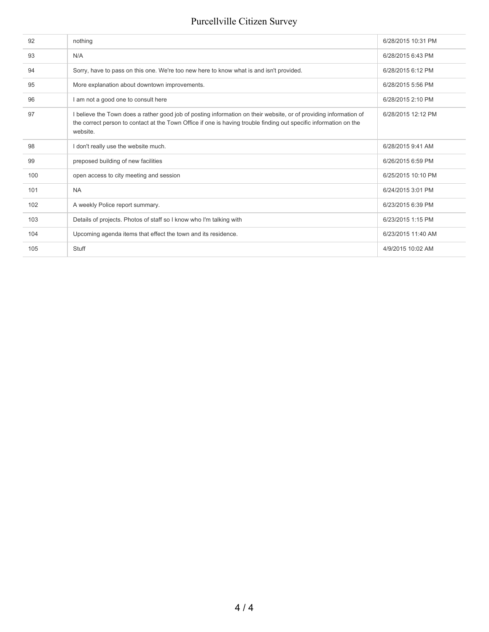| 92  | nothing                                                                                                                                                                                                                                            | 6/28/2015 10:31 PM |
|-----|----------------------------------------------------------------------------------------------------------------------------------------------------------------------------------------------------------------------------------------------------|--------------------|
| 93  | N/A                                                                                                                                                                                                                                                | 6/28/2015 6:43 PM  |
| 94  | Sorry, have to pass on this one. We're too new here to know what is and isn't provided.                                                                                                                                                            | 6/28/2015 6:12 PM  |
| 95  | More explanation about downtown improvements.                                                                                                                                                                                                      | 6/28/2015 5:56 PM  |
| 96  | I am not a good one to consult here                                                                                                                                                                                                                | 6/28/2015 2:10 PM  |
| 97  | I believe the Town does a rather good job of posting information on their website, or of providing information of<br>the correct person to contact at the Town Office if one is having trouble finding out specific information on the<br>website. | 6/28/2015 12:12 PM |
| 98  | I don't really use the website much.                                                                                                                                                                                                               | 6/28/2015 9:41 AM  |
| 99  | preposed building of new facilities                                                                                                                                                                                                                | 6/26/2015 6:59 PM  |
| 100 | open access to city meeting and session                                                                                                                                                                                                            | 6/25/2015 10:10 PM |
| 101 | <b>NA</b>                                                                                                                                                                                                                                          | 6/24/2015 3:01 PM  |
| 102 | A weekly Police report summary.                                                                                                                                                                                                                    | 6/23/2015 6:39 PM  |
| 103 | Details of projects. Photos of staff so I know who I'm talking with                                                                                                                                                                                | 6/23/2015 1:15 PM  |
| 104 | Upcoming agenda items that effect the town and its residence.                                                                                                                                                                                      | 6/23/2015 11:40 AM |
| 105 | Stuff                                                                                                                                                                                                                                              | 4/9/2015 10:02 AM  |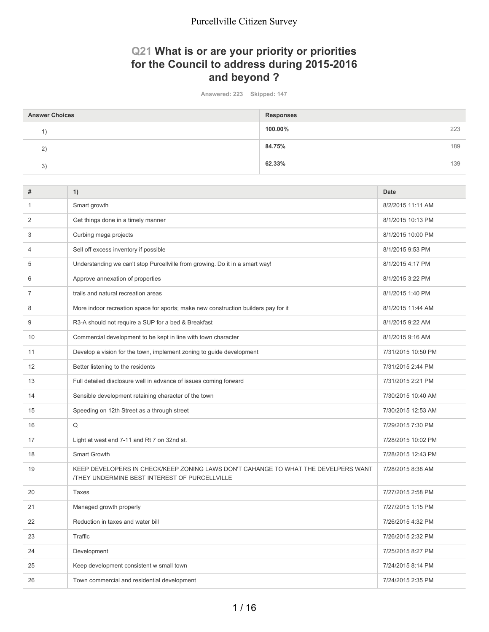### **Q21 What is or are your priority or priorities for the Council to address during 2015-2016 and beyond ?**

**Answered: 223 Skipped: 147**

| <b>Answer Choices</b> | <b>Responses</b> |     |
|-----------------------|------------------|-----|
|                       | 100.00%          | 223 |
| 2)                    | 84.75%           | 189 |
| 3)                    | 62.33%           | 139 |

| #              | 1)                                                                                                                                         | <b>Date</b>        |
|----------------|--------------------------------------------------------------------------------------------------------------------------------------------|--------------------|
| 1              | Smart growth                                                                                                                               | 8/2/2015 11:11 AM  |
| 2              | Get things done in a timely manner                                                                                                         | 8/1/2015 10:13 PM  |
| 3              | Curbing mega projects                                                                                                                      | 8/1/2015 10:00 PM  |
| $\overline{4}$ | Sell off excess inventory if possible                                                                                                      | 8/1/2015 9:53 PM   |
| 5              | Understanding we can't stop Purcellville from growing. Do it in a smart way!                                                               | 8/1/2015 4:17 PM   |
| 6              | Approve annexation of properties                                                                                                           | 8/1/2015 3:22 PM   |
| $\overline{7}$ | trails and natural recreation areas                                                                                                        | 8/1/2015 1:40 PM   |
| 8              | More indoor recreation space for sports; make new construction builders pay for it                                                         | 8/1/2015 11:44 AM  |
| 9              | R3-A should not require a SUP for a bed & Breakfast                                                                                        | 8/1/2015 9:22 AM   |
| 10             | Commercial development to be kept in line with town character                                                                              | 8/1/2015 9:16 AM   |
| 11             | Develop a vision for the town, implement zoning to guide development                                                                       | 7/31/2015 10:50 PM |
| 12             | Better listening to the residents                                                                                                          | 7/31/2015 2:44 PM  |
| 13             | Full detailed disclosure well in advance of issues coming forward                                                                          | 7/31/2015 2:21 PM  |
| 14             | Sensible development retaining character of the town                                                                                       | 7/30/2015 10:40 AM |
| 15             | Speeding on 12th Street as a through street                                                                                                | 7/30/2015 12:53 AM |
| 16             | Q                                                                                                                                          | 7/29/2015 7:30 PM  |
| 17             | Light at west end 7-11 and Rt 7 on 32nd st.                                                                                                | 7/28/2015 10:02 PM |
| 18             | Smart Growth                                                                                                                               | 7/28/2015 12:43 PM |
| 19             | KEEP DEVELOPERS IN CHECK/KEEP ZONING LAWS DON'T CAHANGE TO WHAT THE DEVELPERS WANT<br><b>/THEY UNDERMINE BEST INTEREST OF PURCELLVILLE</b> | 7/28/2015 8:38 AM  |
| 20             | <b>Taxes</b>                                                                                                                               | 7/27/2015 2:58 PM  |
| 21             | Managed growth properly                                                                                                                    | 7/27/2015 1:15 PM  |
| 22             | Reduction in taxes and water bill                                                                                                          | 7/26/2015 4:32 PM  |
| 23             | Traffic                                                                                                                                    | 7/26/2015 2:32 PM  |
| 24             | Development                                                                                                                                | 7/25/2015 8:27 PM  |
| 25             | Keep development consistent w small town                                                                                                   | 7/24/2015 8:14 PM  |
| 26             | Town commercial and residential development                                                                                                | 7/24/2015 2:35 PM  |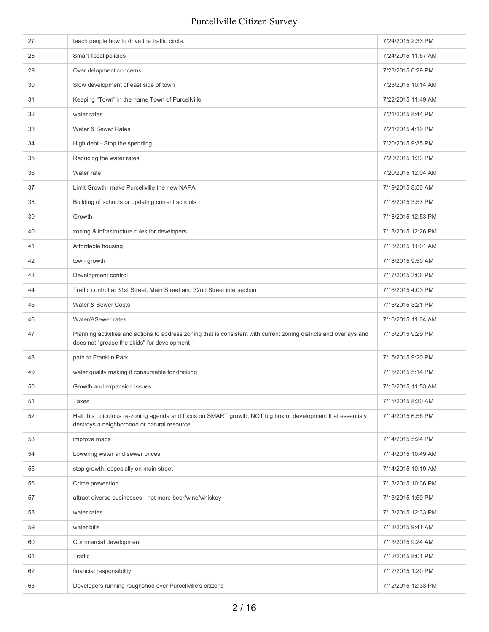| 27 | teach people how to drive the traffic circle.                                                                                                                      | 7/24/2015 2:33 PM  |
|----|--------------------------------------------------------------------------------------------------------------------------------------------------------------------|--------------------|
| 28 | Smart fiscal policies                                                                                                                                              | 7/24/2015 11:57 AM |
| 29 | Over delopment concerns                                                                                                                                            | 7/23/2015 6:29 PM  |
| 30 | Slow development of east side of town                                                                                                                              | 7/23/2015 10:14 AM |
| 31 | Keeping "Town" in the name Town of Purcellville                                                                                                                    | 7/22/2015 11:49 AM |
| 32 | water rates                                                                                                                                                        | 7/21/2015 8:44 PM  |
| 33 | Water & Sewer Rates                                                                                                                                                | 7/21/2015 4:19 PM  |
| 34 | High debt - Stop the spending                                                                                                                                      | 7/20/2015 9:35 PM  |
| 35 | Reducing the water rates                                                                                                                                           | 7/20/2015 1:33 PM  |
| 36 | Water rate                                                                                                                                                         | 7/20/2015 12:04 AM |
| 37 | Limit Growth- make Purcellville the new NAPA                                                                                                                       | 7/19/2015 8:50 AM  |
| 38 | Building of schools or updating current schools                                                                                                                    | 7/18/2015 3:57 PM  |
| 39 | Growth                                                                                                                                                             | 7/18/2015 12:53 PM |
| 40 | zoning & infrastructure rules for developers                                                                                                                       | 7/18/2015 12:26 PM |
| 41 | Affordable housing                                                                                                                                                 | 7/18/2015 11:01 AM |
| 42 | town growth                                                                                                                                                        | 7/18/2015 9:50 AM  |
| 43 | Development control                                                                                                                                                | 7/17/2015 3:06 PM  |
| 44 | Traffic control at 31st Street, Main Street and 32nd Street intersection                                                                                           | 7/16/2015 4:03 PM  |
| 45 | Water & Sewer Costs                                                                                                                                                | 7/16/2015 3:21 PM  |
| 46 | Water/ASewer rates                                                                                                                                                 | 7/16/2015 11:04 AM |
| 47 | Planning activities and actions to address zoning that is consistent with current zoning districts and overlays and<br>does not "grease the skids" for development | 7/15/2015 9:29 PM  |
| 48 | path to Franklin Park                                                                                                                                              | 7/15/2015 9:20 PM  |
| 49 | water quality making it consumable for drinking                                                                                                                    | 7/15/2015 5:14 PM  |
| 50 | Growth and expansion issues                                                                                                                                        | 7/15/2015 11:53 AM |
| 51 | <b>Taxes</b>                                                                                                                                                       | 7/15/2015 8:30 AM  |
| 52 | Halt this ridiculous re-zoning agenda and focus on SMART growth, NOT big box or development that essentialy<br>destroys a neighborhood or natural resource         | 7/14/2015 6:56 PM  |
| 53 | improve roads                                                                                                                                                      | 7/14/2015 5:24 PM  |
| 54 | Lowering water and sewer prices                                                                                                                                    | 7/14/2015 10:49 AM |
| 55 | stop growth, especially on main street                                                                                                                             | 7/14/2015 10:19 AM |
| 56 | Crime prevention                                                                                                                                                   | 7/13/2015 10:36 PM |
| 57 | attract diverse businesses - not more beer/wine/whiskey                                                                                                            | 7/13/2015 1:59 PM  |
| 58 | water rates                                                                                                                                                        | 7/13/2015 12:33 PM |
| 59 | water bills                                                                                                                                                        | 7/13/2015 9:41 AM  |
| 60 | Commercial development                                                                                                                                             | 7/13/2015 9:24 AM  |
| 61 | Traffic                                                                                                                                                            | 7/12/2015 8:01 PM  |
|    |                                                                                                                                                                    |                    |
| 62 | financial responsibility                                                                                                                                           | 7/12/2015 1:20 PM  |
| 63 | Developers running roughshod over Purcellville's citizens                                                                                                          | 7/12/2015 12:33 PM |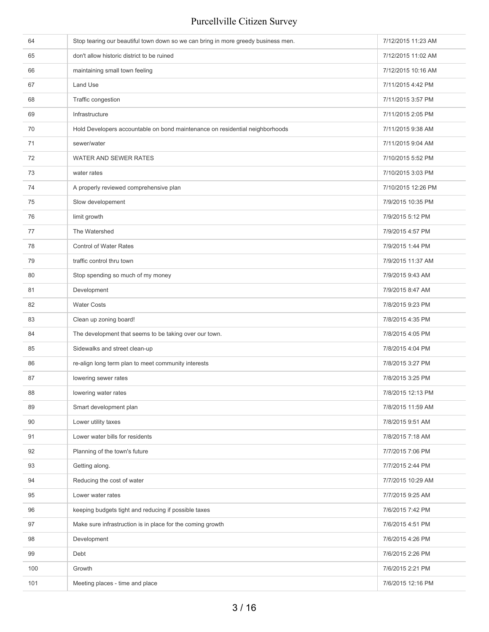| 64  | Stop tearing our beautiful town down so we can bring in more greedy business men. | 7/12/2015 11:23 AM |
|-----|-----------------------------------------------------------------------------------|--------------------|
| 65  | don't allow historic district to be ruined                                        | 7/12/2015 11:02 AM |
| 66  | maintaining small town feeling                                                    | 7/12/2015 10:16 AM |
| 67  | Land Use                                                                          | 7/11/2015 4:42 PM  |
| 68  | Traffic congestion                                                                | 7/11/2015 3:57 PM  |
| 69  | Infrastructure                                                                    | 7/11/2015 2:05 PM  |
| 70  | Hold Developers accountable on bond maintenance on residential neighborhoods      | 7/11/2015 9:38 AM  |
| 71  | sewer/water                                                                       | 7/11/2015 9:04 AM  |
| 72  | WATER AND SEWER RATES                                                             | 7/10/2015 5:52 PM  |
| 73  | water rates                                                                       | 7/10/2015 3:03 PM  |
| 74  | A properly reviewed comprehensive plan                                            | 7/10/2015 12:26 PM |
| 75  | Slow developement                                                                 | 7/9/2015 10:35 PM  |
| 76  | limit growth                                                                      | 7/9/2015 5:12 PM   |
| 77  | The Watershed                                                                     | 7/9/2015 4:57 PM   |
| 78  | <b>Control of Water Rates</b>                                                     | 7/9/2015 1:44 PM   |
| 79  | traffic control thru town                                                         | 7/9/2015 11:37 AM  |
| 80  | Stop spending so much of my money                                                 | 7/9/2015 9:43 AM   |
| 81  | Development                                                                       | 7/9/2015 8:47 AM   |
| 82  | <b>Water Costs</b>                                                                | 7/8/2015 9:23 PM   |
| 83  | Clean up zoning board!                                                            | 7/8/2015 4:35 PM   |
| 84  | The development that seems to be taking over our town.                            | 7/8/2015 4:05 PM   |
| 85  | Sidewalks and street clean-up                                                     | 7/8/2015 4:04 PM   |
| 86  | re-align long term plan to meet community interests                               | 7/8/2015 3:27 PM   |
| 87  | lowering sewer rates                                                              | 7/8/2015 3:25 PM   |
| 88  | lowering water rates                                                              | 7/8/2015 12:13 PM  |
| 89  | Smart development plan                                                            | 7/8/2015 11:59 AM  |
| 90  | Lower utility taxes                                                               | 7/8/2015 9:51 AM   |
| 91  | Lower water bills for residents                                                   | 7/8/2015 7:18 AM   |
| 92  | Planning of the town's future                                                     | 7/7/2015 7:06 PM   |
| 93  | Getting along.                                                                    | 7/7/2015 2:44 PM   |
| 94  | Reducing the cost of water                                                        | 7/7/2015 10:29 AM  |
| 95  | Lower water rates                                                                 | 7/7/2015 9:25 AM   |
| 96  | keeping budgets tight and reducing if possible taxes                              | 7/6/2015 7:42 PM   |
| 97  | Make sure infrastruction is in place for the coming growth                        | 7/6/2015 4:51 PM   |
| 98  | Development                                                                       | 7/6/2015 4:26 PM   |
| 99  | Debt                                                                              | 7/6/2015 2:26 PM   |
| 100 | Growth                                                                            | 7/6/2015 2:21 PM   |
| 101 | Meeting places - time and place                                                   | 7/6/2015 12:16 PM  |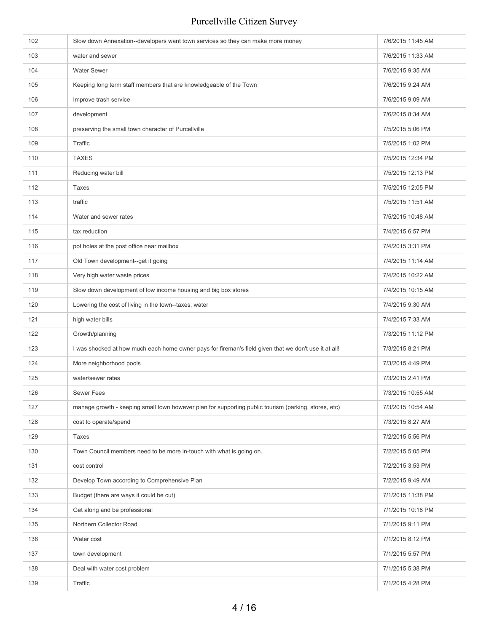| 102 | Slow down Annexation--developers want town services so they can make more money                       | 7/6/2015 11:45 AM |
|-----|-------------------------------------------------------------------------------------------------------|-------------------|
| 103 | water and sewer                                                                                       | 7/6/2015 11:33 AM |
| 104 | <b>Water Sewer</b>                                                                                    | 7/6/2015 9:35 AM  |
| 105 | Keeping long term staff members that are knowledgeable of the Town                                    | 7/6/2015 9:24 AM  |
| 106 | Improve trash service                                                                                 | 7/6/2015 9:09 AM  |
| 107 | development                                                                                           | 7/6/2015 8:34 AM  |
| 108 | preserving the small town character of Purcellville                                                   | 7/5/2015 5:06 PM  |
| 109 | Traffic                                                                                               | 7/5/2015 1:02 PM  |
| 110 | <b>TAXES</b>                                                                                          | 7/5/2015 12:34 PM |
| 111 | Reducing water bill                                                                                   | 7/5/2015 12:13 PM |
| 112 | Taxes                                                                                                 | 7/5/2015 12:05 PM |
| 113 | traffic                                                                                               | 7/5/2015 11:51 AM |
| 114 | Water and sewer rates                                                                                 | 7/5/2015 10:48 AM |
| 115 | tax reduction                                                                                         | 7/4/2015 6:57 PM  |
| 116 | pot holes at the post office near mailbox                                                             | 7/4/2015 3:31 PM  |
| 117 | Old Town development--get it going                                                                    | 7/4/2015 11:14 AM |
| 118 | Very high water waste prices                                                                          | 7/4/2015 10:22 AM |
| 119 | Slow down development of low income housing and big box stores                                        | 7/4/2015 10:15 AM |
| 120 | Lowering the cost of living in the town--taxes, water                                                 | 7/4/2015 9:30 AM  |
| 121 | high water bills                                                                                      | 7/4/2015 7:33 AM  |
| 122 | Growth/planning                                                                                       | 7/3/2015 11:12 PM |
| 123 | I was shocked at how much each home owner pays for fireman's field given that we don't use it at all! | 7/3/2015 8:21 PM  |
| 124 | More neighborhood pools                                                                               | 7/3/2015 4:49 PM  |
| 125 | water/sewer rates                                                                                     | 7/3/2015 2:41 PM  |
| 126 | Sewer Fees                                                                                            | 7/3/2015 10:55 AM |
| 127 | manage growth - keeping small town however plan for supporting public tourism (parking, stores, etc)  | 7/3/2015 10:54 AM |
| 128 | cost to operate/spend                                                                                 | 7/3/2015 8:27 AM  |
| 129 | Taxes                                                                                                 | 7/2/2015 5:56 PM  |
| 130 | Town Council members need to be more in-touch with what is going on.                                  | 7/2/2015 5:05 PM  |
| 131 | cost control                                                                                          | 7/2/2015 3:53 PM  |
| 132 | Develop Town according to Comprehensive Plan                                                          | 7/2/2015 9:49 AM  |
| 133 | Budget (there are ways it could be cut)                                                               | 7/1/2015 11:38 PM |
| 134 | Get along and be professional                                                                         | 7/1/2015 10:18 PM |
| 135 | Northern Collector Road                                                                               | 7/1/2015 9:11 PM  |
| 136 | Water cost                                                                                            | 7/1/2015 8:12 PM  |
| 137 | town development                                                                                      | 7/1/2015 5:57 PM  |
| 138 | Deal with water cost problem                                                                          | 7/1/2015 5:38 PM  |
| 139 | Traffic                                                                                               | 7/1/2015 4:28 PM  |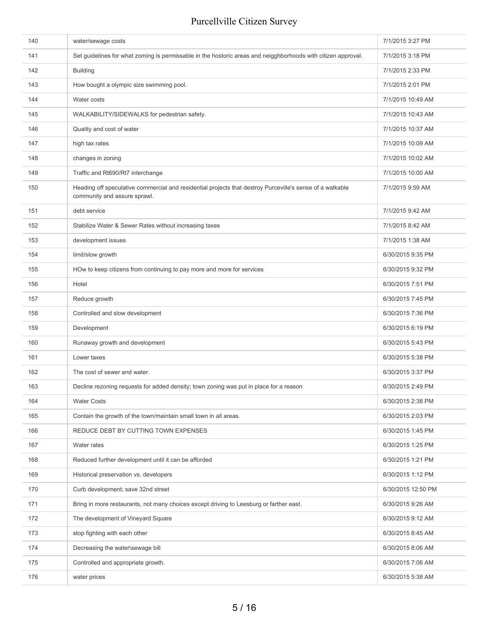| 140 | water/sewage costs                                                                                                                        | 7/1/2015 3:27 PM   |
|-----|-------------------------------------------------------------------------------------------------------------------------------------------|--------------------|
| 141 | Set guidelines for what zoming is permissable in the hostoric areas and neigghborhoods with citizen approval.                             | 7/1/2015 3:18 PM   |
| 142 | <b>Building</b>                                                                                                                           | 7/1/2015 2:33 PM   |
| 143 | How bought a olympic size swimming pool.                                                                                                  | 7/1/2015 2:01 PM   |
| 144 | Water costs                                                                                                                               | 7/1/2015 10:49 AM  |
| 145 | WALKABILITY/SIDEWALKS for pedestrian safety.                                                                                              | 7/1/2015 10:43 AM  |
| 146 | Quality and cost of water                                                                                                                 | 7/1/2015 10:37 AM  |
| 147 | high tax rates                                                                                                                            | 7/1/2015 10:09 AM  |
| 148 | changes in zoning                                                                                                                         | 7/1/2015 10:02 AM  |
| 149 | Traffic and Rt690/Rt7 interchange                                                                                                         | 7/1/2015 10:00 AM  |
| 150 | Heading off speculative commercial and residential projects that destroy Purceville's sense of a walkable<br>community and assure sprawl. | 7/1/2015 9:59 AM   |
| 151 | debt service                                                                                                                              | 7/1/2015 9:42 AM   |
| 152 | Stabilize Water & Sewer Rates without increasing taxes                                                                                    | 7/1/2015 8:42 AM   |
| 153 | development issues                                                                                                                        | 7/1/2015 1:38 AM   |
| 154 | limit/slow growth                                                                                                                         | 6/30/2015 9:35 PM  |
| 155 | HOw to keep citizens from continuing to pay more and more for services                                                                    | 6/30/2015 9:32 PM  |
| 156 | Hotel                                                                                                                                     | 6/30/2015 7:51 PM  |
| 157 | Reduce growth                                                                                                                             | 6/30/2015 7:45 PM  |
| 158 | Controlled and slow development                                                                                                           | 6/30/2015 7:36 PM  |
| 159 | Development                                                                                                                               | 6/30/2015 6:19 PM  |
| 160 | Runaway growth and development                                                                                                            | 6/30/2015 5:43 PM  |
| 161 | Lower taxes                                                                                                                               | 6/30/2015 5:38 PM  |
| 162 | The cost of sewer and water.                                                                                                              | 6/30/2015 3:37 PM  |
| 163 | Decline rezoning requests for added density; town zoning was put in place for a reason                                                    | 6/30/2015 2:49 PM  |
| 164 | <b>Water Costs</b>                                                                                                                        | 6/30/2015 2:38 PM  |
| 165 | Contain the growth of the town/maintain small town in all areas.                                                                          | 6/30/2015 2:03 PM  |
| 166 | REDUCE DEBT BY CUTTING TOWN EXPENSES                                                                                                      | 6/30/2015 1:45 PM  |
| 167 | Water rates                                                                                                                               | 6/30/2015 1:25 PM  |
| 168 | Reduced further development until it can be afforded                                                                                      | 6/30/2015 1:21 PM  |
| 169 | Historical preservation vs. developers                                                                                                    | 6/30/2015 1:12 PM  |
| 170 | Curb development; save 32nd street                                                                                                        | 6/30/2015 12:50 PM |
| 171 | Bring in more restaurants, not many choices except driving to Leesburg or farther east.                                                   | 6/30/2015 9:26 AM  |
| 172 | The development of Vineyard Square                                                                                                        | 6/30/2015 9:12 AM  |
| 173 | stop fighting with each other                                                                                                             | 6/30/2015 8:45 AM  |
| 174 | Decreasing the water\sewage bill                                                                                                          | 6/30/2015 8:06 AM  |
| 175 | Controlled and appropriate growth.                                                                                                        | 6/30/2015 7:06 AM  |
| 176 | water prices                                                                                                                              | 6/30/2015 5:38 AM  |
|     |                                                                                                                                           |                    |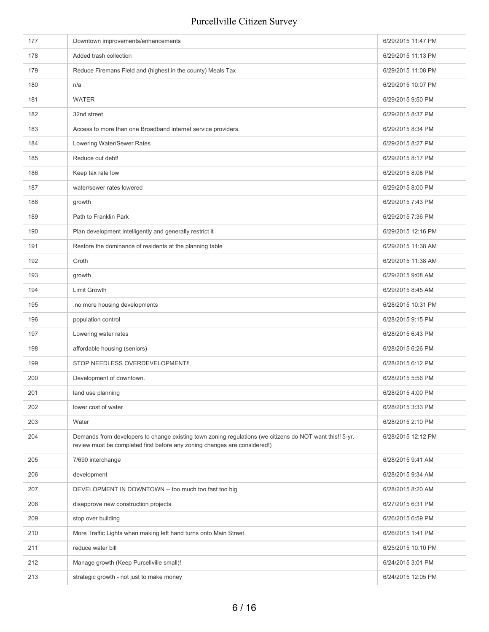| 177 | Downtown improvements/enhancements                                                                                                                                                    | 6/29/2015 11:47 PM |
|-----|---------------------------------------------------------------------------------------------------------------------------------------------------------------------------------------|--------------------|
| 178 | Added trash collection                                                                                                                                                                | 6/29/2015 11:13 PM |
| 179 | Reduce Firemans Field and (highest in the county) Meals Tax                                                                                                                           | 6/29/2015 11:08 PM |
| 180 | n/a                                                                                                                                                                                   | 6/29/2015 10:07 PM |
| 181 | <b>WATER</b>                                                                                                                                                                          | 6/29/2015 9:50 PM  |
| 182 | 32nd street                                                                                                                                                                           | 6/29/2015 8:37 PM  |
| 183 | Access to more than one Broadband internet service providers.                                                                                                                         | 6/29/2015 8:34 PM  |
| 184 | Lowering Water/Sewer Rates                                                                                                                                                            | 6/29/2015 8:27 PM  |
| 185 | Reduce out debt!                                                                                                                                                                      | 6/29/2015 8:17 PM  |
| 186 | Keep tax rate low                                                                                                                                                                     | 6/29/2015 8:08 PM  |
| 187 | water/sewer rates lowered                                                                                                                                                             | 6/29/2015 8:00 PM  |
| 188 | growth                                                                                                                                                                                | 6/29/2015 7:43 PM  |
| 189 | Path to Franklin Park                                                                                                                                                                 | 6/29/2015 7:36 PM  |
| 190 | Plan development intelligently and generally restrict it                                                                                                                              | 6/29/2015 12:16 PM |
| 191 | Restore the dominance of residents at the planning table                                                                                                                              | 6/29/2015 11:38 AM |
| 192 | Groth                                                                                                                                                                                 | 6/29/2015 11:38 AM |
| 193 | growth                                                                                                                                                                                | 6/29/2015 9:08 AM  |
| 194 | Limit Growth                                                                                                                                                                          | 6/29/2015 8:45 AM  |
| 195 | .no more housing developments                                                                                                                                                         | 6/28/2015 10:31 PM |
| 196 | population control                                                                                                                                                                    | 6/28/2015 9:15 PM  |
| 197 | Lowering water rates                                                                                                                                                                  | 6/28/2015 6:43 PM  |
| 198 | affordable housing (seniors)                                                                                                                                                          | 6/28/2015 6:26 PM  |
| 199 | STOP NEEDLESS OVERDEVELOPMENT!!                                                                                                                                                       | 6/28/2015 6:12 PM  |
| 200 | Development of downtown.                                                                                                                                                              | 6/28/2015 5:56 PM  |
| 201 | land use planning                                                                                                                                                                     | 6/28/2015 4:00 PM  |
| 202 | lower cost of water                                                                                                                                                                   | 6/28/2015 3:33 PM  |
| 203 | Water                                                                                                                                                                                 | 6/28/2015 2:10 PM  |
| 204 | Demands from developers to change existing town zoning regulations (we citizens do NOT want this!! 5-yr.<br>review must be completed first before any zoning changes are considered!) | 6/28/2015 12:12 PM |
| 205 | 7/690 interchange                                                                                                                                                                     | 6/28/2015 9:41 AM  |
| 206 | development                                                                                                                                                                           | 6/28/2015 9:34 AM  |
| 207 | DEVELOPMENT IN DOWNTOWN -- too much too fast too big                                                                                                                                  | 6/28/2015 8:20 AM  |
| 208 | disapprove new construction projects                                                                                                                                                  | 6/27/2015 6:31 PM  |
| 209 | stop over building                                                                                                                                                                    | 6/26/2015 6:59 PM  |
| 210 | More Traffic Lights when making left hand turns onto Main Street.                                                                                                                     | 6/26/2015 1:41 PM  |
| 211 | reduce water bill                                                                                                                                                                     | 6/25/2015 10:10 PM |
| 212 | Manage growth (Keep Purcellville small)!                                                                                                                                              | 6/24/2015 3:01 PM  |
| 213 | strategic growth - not just to make money                                                                                                                                             | 6/24/2015 12:05 PM |
|     |                                                                                                                                                                                       |                    |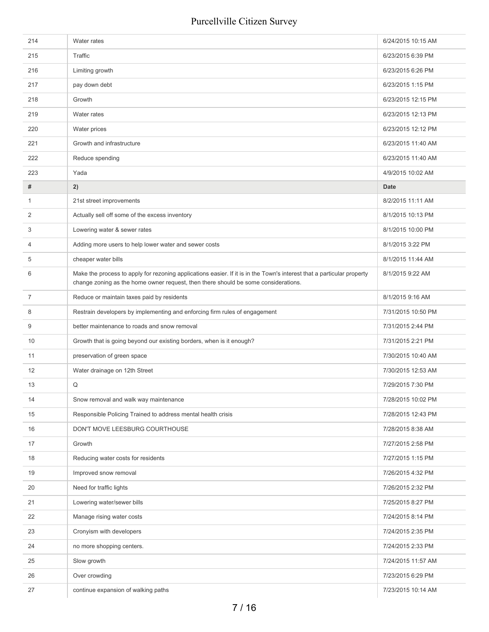| 214            | Water rates                                                                                                                                                                                                  | 6/24/2015 10:15 AM |
|----------------|--------------------------------------------------------------------------------------------------------------------------------------------------------------------------------------------------------------|--------------------|
| 215            | Traffic                                                                                                                                                                                                      | 6/23/2015 6:39 PM  |
| 216            | Limiting growth                                                                                                                                                                                              | 6/23/2015 6:26 PM  |
| 217            | pay down debt                                                                                                                                                                                                | 6/23/2015 1:15 PM  |
| 218            | Growth                                                                                                                                                                                                       | 6/23/2015 12:15 PM |
| 219            | Water rates                                                                                                                                                                                                  | 6/23/2015 12:13 PM |
| 220            | Water prices                                                                                                                                                                                                 | 6/23/2015 12:12 PM |
| 221            | Growth and infrastructure                                                                                                                                                                                    | 6/23/2015 11:40 AM |
| 222            | Reduce spending                                                                                                                                                                                              | 6/23/2015 11:40 AM |
| 223            | Yada                                                                                                                                                                                                         | 4/9/2015 10:02 AM  |
| #              | 2)                                                                                                                                                                                                           | <b>Date</b>        |
| 1              | 21st street improvements                                                                                                                                                                                     | 8/2/2015 11:11 AM  |
| 2              | Actually sell off some of the excess inventory                                                                                                                                                               | 8/1/2015 10:13 PM  |
| 3              | Lowering water & sewer rates                                                                                                                                                                                 | 8/1/2015 10:00 PM  |
| $\overline{4}$ | Adding more users to help lower water and sewer costs                                                                                                                                                        | 8/1/2015 3:22 PM   |
| 5              | cheaper water bills                                                                                                                                                                                          | 8/1/2015 11:44 AM  |
| 6              | Make the process to apply for rezoning applications easier. If it is in the Town's interest that a particular property<br>change zoning as the home owner request, then there should be some considerations. | 8/1/2015 9:22 AM   |
| $\overline{7}$ | Reduce or maintain taxes paid by residents                                                                                                                                                                   | 8/1/2015 9:16 AM   |
| 8              | Restrain developers by implementing and enforcing firm rules of engagement                                                                                                                                   | 7/31/2015 10:50 PM |
| 9              | better maintenance to roads and snow removal                                                                                                                                                                 | 7/31/2015 2:44 PM  |
| 10             | Growth that is going beyond our existing borders, when is it enough?                                                                                                                                         | 7/31/2015 2:21 PM  |
| 11             | preservation of green space                                                                                                                                                                                  | 7/30/2015 10:40 AM |
| 12             | Water drainage on 12th Street                                                                                                                                                                                | 7/30/2015 12:53 AM |
| 13             | Q                                                                                                                                                                                                            | 7/29/2015 7:30 PM  |
| 14             | Snow removal and walk way maintenance                                                                                                                                                                        | 7/28/2015 10:02 PM |
| 15             | Responsible Policing Trained to address mental health crisis                                                                                                                                                 | 7/28/2015 12:43 PM |
| 16             | DON'T MOVE LEESBURG COURTHOUSE                                                                                                                                                                               | 7/28/2015 8:38 AM  |
| 17             | Growth                                                                                                                                                                                                       | 7/27/2015 2:58 PM  |
| 18             | Reducing water costs for residents                                                                                                                                                                           | 7/27/2015 1:15 PM  |
| 19             | Improved snow removal                                                                                                                                                                                        | 7/26/2015 4:32 PM  |
| 20             | Need for traffic lights                                                                                                                                                                                      | 7/26/2015 2:32 PM  |
| 21             | Lowering water/sewer bills                                                                                                                                                                                   | 7/25/2015 8:27 PM  |
| 22             | Manage rising water costs                                                                                                                                                                                    | 7/24/2015 8:14 PM  |
| 23             | Cronyism with developers                                                                                                                                                                                     | 7/24/2015 2:35 PM  |
| 24             | no more shopping centers.                                                                                                                                                                                    | 7/24/2015 2:33 PM  |
| 25             | Slow growth                                                                                                                                                                                                  | 7/24/2015 11:57 AM |
| 26             | Over crowding                                                                                                                                                                                                | 7/23/2015 6:29 PM  |
| 27             | continue expansion of walking paths                                                                                                                                                                          | 7/23/2015 10:14 AM |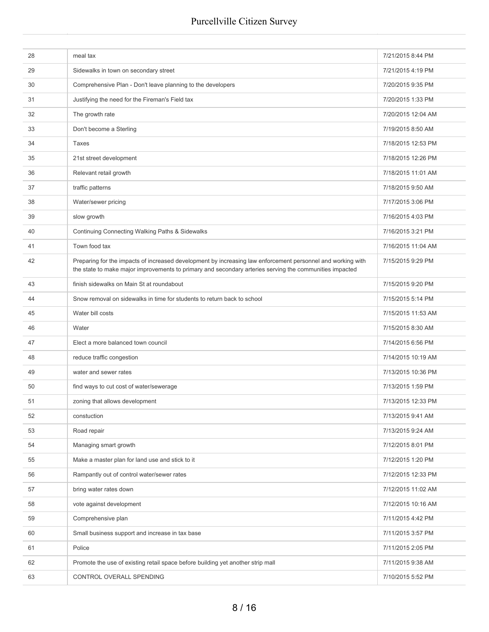| 28 | meal tax                                                                                                                                                                                                               | 7/21/2015 8:44 PM  |
|----|------------------------------------------------------------------------------------------------------------------------------------------------------------------------------------------------------------------------|--------------------|
| 29 | Sidewalks in town on secondary street                                                                                                                                                                                  | 7/21/2015 4:19 PM  |
| 30 | Comprehensive Plan - Don't leave planning to the developers                                                                                                                                                            | 7/20/2015 9:35 PM  |
| 31 | Justifying the need for the Fireman's Field tax                                                                                                                                                                        | 7/20/2015 1:33 PM  |
| 32 | The growth rate                                                                                                                                                                                                        | 7/20/2015 12:04 AM |
| 33 | Don't become a Sterling                                                                                                                                                                                                | 7/19/2015 8:50 AM  |
| 34 | Taxes                                                                                                                                                                                                                  | 7/18/2015 12:53 PM |
| 35 | 21st street development                                                                                                                                                                                                | 7/18/2015 12:26 PM |
| 36 | Relevant retail growth                                                                                                                                                                                                 | 7/18/2015 11:01 AM |
| 37 | traffic patterns                                                                                                                                                                                                       | 7/18/2015 9:50 AM  |
| 38 | Water/sewer pricing                                                                                                                                                                                                    | 7/17/2015 3:06 PM  |
| 39 | slow growth                                                                                                                                                                                                            | 7/16/2015 4:03 PM  |
| 40 | Continuing Connecting Walking Paths & Sidewalks                                                                                                                                                                        | 7/16/2015 3:21 PM  |
| 41 | Town food tax                                                                                                                                                                                                          | 7/16/2015 11:04 AM |
| 42 | Preparing for the impacts of increased development by increasing law enforcement personnel and working with<br>the state to make major improvements to primary and secondary arteries serving the communities impacted | 7/15/2015 9:29 PM  |
| 43 | finish sidewalks on Main St at roundabout                                                                                                                                                                              | 7/15/2015 9:20 PM  |
| 44 | Snow removal on sidewalks in time for students to return back to school                                                                                                                                                | 7/15/2015 5:14 PM  |
| 45 | Water bill costs                                                                                                                                                                                                       | 7/15/2015 11:53 AM |
| 46 | Water                                                                                                                                                                                                                  | 7/15/2015 8:30 AM  |
| 47 | Elect a more balanced town council                                                                                                                                                                                     | 7/14/2015 6:56 PM  |
| 48 | reduce traffic congestion                                                                                                                                                                                              | 7/14/2015 10:19 AM |
| 49 | water and sewer rates                                                                                                                                                                                                  | 7/13/2015 10:36 PM |
| 50 | find ways to cut cost of water/sewerage                                                                                                                                                                                | 7/13/2015 1:59 PM  |
| 51 | zoning that allows development                                                                                                                                                                                         | 7/13/2015 12:33 PM |
| 52 | constuction                                                                                                                                                                                                            | 7/13/2015 9:41 AM  |
| 53 | Road repair                                                                                                                                                                                                            | 7/13/2015 9:24 AM  |
| 54 | Managing smart growth                                                                                                                                                                                                  | 7/12/2015 8:01 PM  |
| 55 | Make a master plan for land use and stick to it                                                                                                                                                                        | 7/12/2015 1:20 PM  |
| 56 | Rampantly out of control water/sewer rates                                                                                                                                                                             | 7/12/2015 12:33 PM |
| 57 | bring water rates down                                                                                                                                                                                                 | 7/12/2015 11:02 AM |
| 58 | vote against development                                                                                                                                                                                               | 7/12/2015 10:16 AM |
| 59 | Comprehensive plan                                                                                                                                                                                                     | 7/11/2015 4:42 PM  |
| 60 | Small business support and increase in tax base                                                                                                                                                                        | 7/11/2015 3:57 PM  |
| 61 | Police                                                                                                                                                                                                                 | 7/11/2015 2:05 PM  |
| 62 | Promote the use of existing retail space before building yet another strip mall                                                                                                                                        | 7/11/2015 9:38 AM  |
| 63 | CONTROL OVERALL SPENDING                                                                                                                                                                                               | 7/10/2015 5:52 PM  |
|    |                                                                                                                                                                                                                        |                    |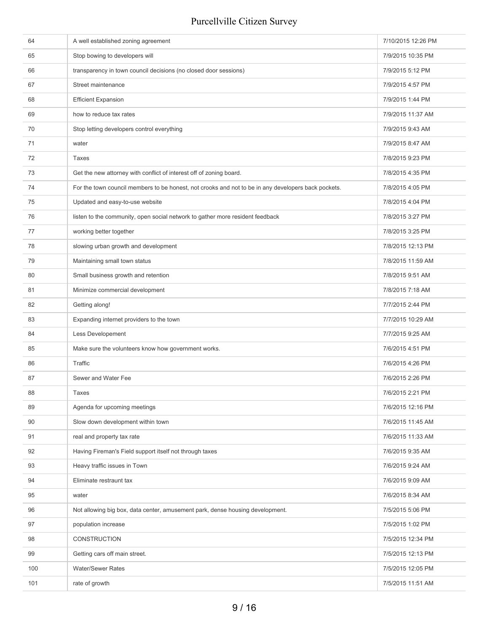| 64  | A well established zoning agreement                                                                 | 7/10/2015 12:26 PM |
|-----|-----------------------------------------------------------------------------------------------------|--------------------|
| 65  | Stop bowing to developers will                                                                      | 7/9/2015 10:35 PM  |
| 66  | transparency in town council decisions (no closed door sessions)                                    | 7/9/2015 5:12 PM   |
| 67  | Street maintenance                                                                                  | 7/9/2015 4:57 PM   |
| 68  | <b>Efficient Expansion</b>                                                                          | 7/9/2015 1:44 PM   |
| 69  | how to reduce tax rates                                                                             | 7/9/2015 11:37 AM  |
| 70  | Stop letting developers control everything                                                          | 7/9/2015 9:43 AM   |
| 71  | water                                                                                               | 7/9/2015 8:47 AM   |
| 72  | Taxes                                                                                               | 7/8/2015 9:23 PM   |
| 73  | Get the new attorney with conflict of interest off of zoning board.                                 | 7/8/2015 4:35 PM   |
| 74  | For the town council members to be honest, not crooks and not to be in any developers back pockets. | 7/8/2015 4:05 PM   |
| 75  | Updated and easy-to-use website                                                                     | 7/8/2015 4:04 PM   |
| 76  | listen to the community, open social network to gather more resident feedback                       | 7/8/2015 3:27 PM   |
| 77  | working better together                                                                             | 7/8/2015 3:25 PM   |
| 78  | slowing urban growth and development                                                                | 7/8/2015 12:13 PM  |
| 79  | Maintaining small town status                                                                       | 7/8/2015 11:59 AM  |
| 80  | Small business growth and retention                                                                 | 7/8/2015 9:51 AM   |
| 81  | Minimize commercial development                                                                     | 7/8/2015 7:18 AM   |
| 82  | Getting along!                                                                                      | 7/7/2015 2:44 PM   |
| 83  | Expanding internet providers to the town                                                            | 7/7/2015 10:29 AM  |
| 84  | Less Developement                                                                                   | 7/7/2015 9:25 AM   |
| 85  | Make sure the volunteers know how government works.                                                 | 7/6/2015 4:51 PM   |
| 86  | Traffic                                                                                             | 7/6/2015 4:26 PM   |
| 87  | Sewer and Water Fee                                                                                 | 7/6/2015 2:26 PM   |
| 88  | Taxes                                                                                               | 7/6/2015 2:21 PM   |
| 89  | Agenda for upcoming meetings                                                                        | 7/6/2015 12:16 PM  |
| 90  | Slow down development within town                                                                   | 7/6/2015 11:45 AM  |
| 91  | real and property tax rate                                                                          | 7/6/2015 11:33 AM  |
| 92  | Having Fireman's Field support itself not through taxes                                             | 7/6/2015 9:35 AM   |
| 93  | Heavy traffic issues in Town                                                                        | 7/6/2015 9:24 AM   |
| 94  | Eliminate restraunt tax                                                                             | 7/6/2015 9:09 AM   |
| 95  | water                                                                                               | 7/6/2015 8:34 AM   |
| 96  | Not allowing big box, data center, amusement park, dense housing development.                       | 7/5/2015 5:06 PM   |
| 97  | population increase                                                                                 | 7/5/2015 1:02 PM   |
| 98  | CONSTRUCTION                                                                                        | 7/5/2015 12:34 PM  |
| 99  | Getting cars off main street.                                                                       | 7/5/2015 12:13 PM  |
| 100 | <b>Water/Sewer Rates</b>                                                                            | 7/5/2015 12:05 PM  |
| 101 | rate of growth                                                                                      | 7/5/2015 11:51 AM  |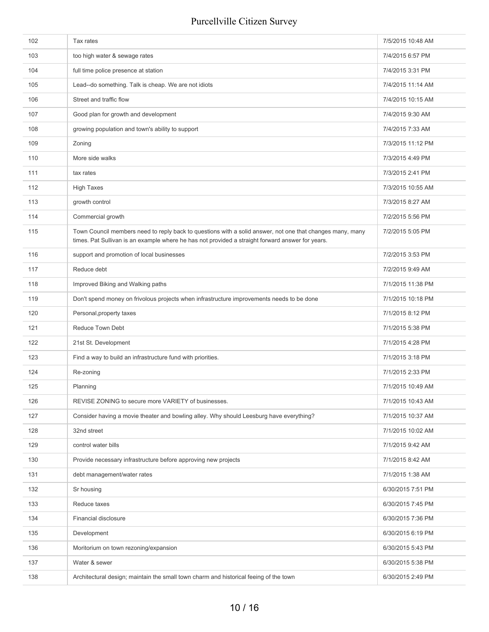| 102 | Tax rates                                                                                                                                                                                                     | 7/5/2015 10:48 AM |
|-----|---------------------------------------------------------------------------------------------------------------------------------------------------------------------------------------------------------------|-------------------|
| 103 | too high water & sewage rates                                                                                                                                                                                 | 7/4/2015 6:57 PM  |
| 104 | full time police presence at station                                                                                                                                                                          | 7/4/2015 3:31 PM  |
| 105 | Lead--do something. Talk is cheap. We are not idiots                                                                                                                                                          | 7/4/2015 11:14 AM |
| 106 | Street and traffic flow                                                                                                                                                                                       | 7/4/2015 10:15 AM |
| 107 | Good plan for growth and development                                                                                                                                                                          | 7/4/2015 9:30 AM  |
| 108 | growing population and town's ability to support                                                                                                                                                              | 7/4/2015 7:33 AM  |
| 109 | Zoning                                                                                                                                                                                                        | 7/3/2015 11:12 PM |
| 110 | More side walks                                                                                                                                                                                               | 7/3/2015 4:49 PM  |
| 111 | tax rates                                                                                                                                                                                                     | 7/3/2015 2:41 PM  |
| 112 | <b>High Taxes</b>                                                                                                                                                                                             | 7/3/2015 10:55 AM |
| 113 | growth control                                                                                                                                                                                                | 7/3/2015 8:27 AM  |
| 114 | Commercial growth                                                                                                                                                                                             | 7/2/2015 5:56 PM  |
| 115 | Town Council members need to reply back to questions with a solid answer, not one that changes many, many<br>times. Pat Sullivan is an example where he has not provided a straight forward answer for years. | 7/2/2015 5:05 PM  |
| 116 | support and promotion of local businesses                                                                                                                                                                     | 7/2/2015 3:53 PM  |
| 117 | Reduce debt                                                                                                                                                                                                   | 7/2/2015 9:49 AM  |
| 118 | Improved Biking and Walking paths                                                                                                                                                                             | 7/1/2015 11:38 PM |
| 119 | Don't spend money on frivolous projects when infrastructure improvements needs to be done                                                                                                                     | 7/1/2015 10:18 PM |
| 120 | Personal, property taxes                                                                                                                                                                                      | 7/1/2015 8:12 PM  |
| 121 | <b>Reduce Town Debt</b>                                                                                                                                                                                       | 7/1/2015 5:38 PM  |
| 122 | 21st St. Development                                                                                                                                                                                          | 7/1/2015 4:28 PM  |
| 123 | Find a way to build an infrastructure fund with priorities.                                                                                                                                                   | 7/1/2015 3:18 PM  |
| 124 | Re-zoning                                                                                                                                                                                                     | 7/1/2015 2:33 PM  |
| 125 | Planning                                                                                                                                                                                                      | 7/1/2015 10:49 AM |
| 126 | REVISE ZONING to secure more VARIETY of businesses.                                                                                                                                                           | 7/1/2015 10:43 AM |
| 127 | Consider having a movie theater and bowling alley. Why should Leesburg have everything?                                                                                                                       | 7/1/2015 10:37 AM |
| 128 | 32nd street                                                                                                                                                                                                   | 7/1/2015 10:02 AM |
| 129 | control water bills                                                                                                                                                                                           | 7/1/2015 9:42 AM  |
| 130 | Provide necessary infrastructure before approving new projects                                                                                                                                                | 7/1/2015 8:42 AM  |
| 131 | debt management/water rates                                                                                                                                                                                   | 7/1/2015 1:38 AM  |
| 132 | Sr housing                                                                                                                                                                                                    | 6/30/2015 7:51 PM |
| 133 | Reduce taxes                                                                                                                                                                                                  | 6/30/2015 7:45 PM |
| 134 | Financial disclosure                                                                                                                                                                                          | 6/30/2015 7:36 PM |
| 135 | Development                                                                                                                                                                                                   | 6/30/2015 6:19 PM |
| 136 | Moritorium on town rezoning/expansion                                                                                                                                                                         | 6/30/2015 5:43 PM |
| 137 | Water & sewer                                                                                                                                                                                                 | 6/30/2015 5:38 PM |
| 138 | Architectural design; maintain the small town charm and historical feeing of the town                                                                                                                         | 6/30/2015 2:49 PM |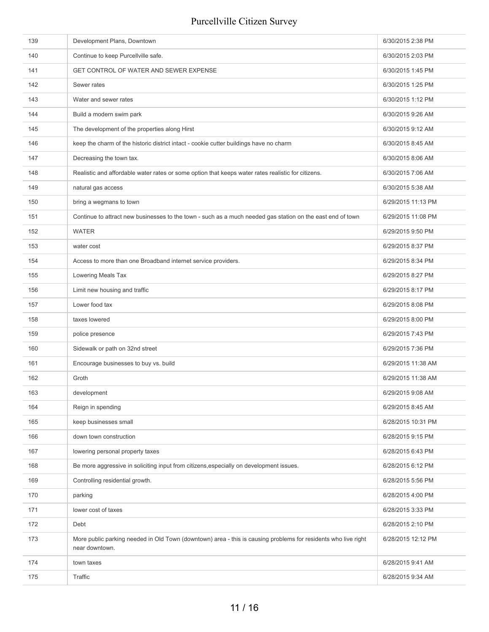| 139 | Development Plans, Downtown                                                                                                      | 6/30/2015 2:38 PM  |
|-----|----------------------------------------------------------------------------------------------------------------------------------|--------------------|
| 140 | Continue to keep Purcellville safe.                                                                                              | 6/30/2015 2:03 PM  |
| 141 | GET CONTROL OF WATER AND SEWER EXPENSE                                                                                           | 6/30/2015 1:45 PM  |
| 142 | Sewer rates                                                                                                                      | 6/30/2015 1:25 PM  |
| 143 | Water and sewer rates                                                                                                            | 6/30/2015 1:12 PM  |
| 144 | Build a modern swim park                                                                                                         | 6/30/2015 9:26 AM  |
| 145 | The development of the properties along Hirst                                                                                    | 6/30/2015 9:12 AM  |
| 146 | keep the charm of the historic district intact - cookie cutter buildings have no charm                                           | 6/30/2015 8:45 AM  |
| 147 | Decreasing the town tax.                                                                                                         | 6/30/2015 8:06 AM  |
| 148 | Realistic and affordable water rates or some option that keeps water rates realistic for citizens.                               | 6/30/2015 7:06 AM  |
| 149 | natural gas access                                                                                                               | 6/30/2015 5:38 AM  |
| 150 | bring a wegmans to town                                                                                                          | 6/29/2015 11:13 PM |
| 151 | Continue to attract new businesses to the town - such as a much needed gas station on the east end of town                       | 6/29/2015 11:08 PM |
| 152 | <b>WATER</b>                                                                                                                     | 6/29/2015 9:50 PM  |
| 153 | water cost                                                                                                                       | 6/29/2015 8:37 PM  |
| 154 | Access to more than one Broadband internet service providers.                                                                    | 6/29/2015 8:34 PM  |
| 155 | Lowering Meals Tax                                                                                                               | 6/29/2015 8:27 PM  |
| 156 | Limit new housing and traffic                                                                                                    | 6/29/2015 8:17 PM  |
| 157 | Lower food tax                                                                                                                   | 6/29/2015 8:08 PM  |
| 158 | taxes lowered                                                                                                                    | 6/29/2015 8:00 PM  |
| 159 | police presence                                                                                                                  | 6/29/2015 7:43 PM  |
| 160 | Sidewalk or path on 32nd street                                                                                                  | 6/29/2015 7:36 PM  |
| 161 | Encourage businesses to buy vs. build                                                                                            | 6/29/2015 11:38 AM |
| 162 | Groth                                                                                                                            | 6/29/2015 11:38 AM |
| 163 | development                                                                                                                      | 6/29/2015 9:08 AM  |
| 164 | Reign in spending                                                                                                                | 6/29/2015 8:45 AM  |
| 165 | keep businesses small                                                                                                            | 6/28/2015 10:31 PM |
| 166 | down town construction                                                                                                           | 6/28/2015 9:15 PM  |
| 167 | lowering personal property taxes                                                                                                 | 6/28/2015 6:43 PM  |
| 168 | Be more aggressive in soliciting input from citizens, especially on development issues.                                          | 6/28/2015 6:12 PM  |
| 169 | Controlling residential growth.                                                                                                  | 6/28/2015 5:56 PM  |
| 170 | parking                                                                                                                          | 6/28/2015 4:00 PM  |
| 171 | lower cost of taxes                                                                                                              | 6/28/2015 3:33 PM  |
| 172 | Debt                                                                                                                             | 6/28/2015 2:10 PM  |
| 173 | More public parking needed in Old Town (downtown) area - this is causing problems for residents who live right<br>near downtown. | 6/28/2015 12:12 PM |
| 174 | town taxes                                                                                                                       | 6/28/2015 9:41 AM  |
| 175 | Traffic                                                                                                                          | 6/28/2015 9:34 AM  |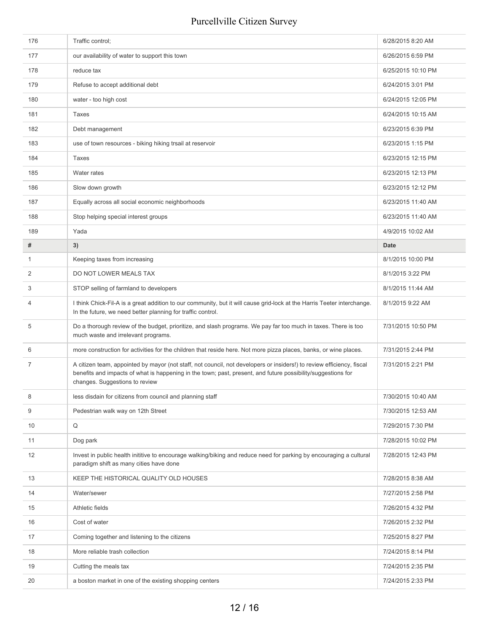| 176            | Traffic control;                                                                                                                                                                                                                                                        | 6/28/2015 8:20 AM  |
|----------------|-------------------------------------------------------------------------------------------------------------------------------------------------------------------------------------------------------------------------------------------------------------------------|--------------------|
| 177            | our availability of water to support this town                                                                                                                                                                                                                          | 6/26/2015 6:59 PM  |
| 178            | reduce tax                                                                                                                                                                                                                                                              | 6/25/2015 10:10 PM |
| 179            | Refuse to accept additional debt                                                                                                                                                                                                                                        | 6/24/2015 3:01 PM  |
| 180            | water - too high cost                                                                                                                                                                                                                                                   | 6/24/2015 12:05 PM |
| 181            | <b>Taxes</b>                                                                                                                                                                                                                                                            | 6/24/2015 10:15 AM |
| 182            | Debt management                                                                                                                                                                                                                                                         | 6/23/2015 6:39 PM  |
| 183            | use of town resources - biking hiking trsail at reservoir                                                                                                                                                                                                               | 6/23/2015 1:15 PM  |
| 184            | Taxes                                                                                                                                                                                                                                                                   | 6/23/2015 12:15 PM |
| 185            | Water rates                                                                                                                                                                                                                                                             | 6/23/2015 12:13 PM |
| 186            | Slow down growth                                                                                                                                                                                                                                                        | 6/23/2015 12:12 PM |
| 187            | Equally across all social economic neighborhoods                                                                                                                                                                                                                        | 6/23/2015 11:40 AM |
| 188            | Stop helping special interest groups                                                                                                                                                                                                                                    | 6/23/2015 11:40 AM |
| 189            | Yada                                                                                                                                                                                                                                                                    | 4/9/2015 10:02 AM  |
| #              | 3)                                                                                                                                                                                                                                                                      | Date               |
| $\mathbf{1}$   | Keeping taxes from increasing                                                                                                                                                                                                                                           | 8/1/2015 10:00 PM  |
| 2              | DO NOT LOWER MEALS TAX                                                                                                                                                                                                                                                  | 8/1/2015 3:22 PM   |
| 3              | STOP selling of farmland to developers                                                                                                                                                                                                                                  | 8/1/2015 11:44 AM  |
| $\overline{4}$ | I think Chick-Fil-A is a great addition to our community, but it will cause grid-lock at the Harris Teeter interchange.<br>In the future, we need better planning for traffic control.                                                                                  | 8/1/2015 9:22 AM   |
| 5              | Do a thorough review of the budget, prioritize, and slash programs. We pay far too much in taxes. There is too<br>much waste and irrelevant programs.                                                                                                                   | 7/31/2015 10:50 PM |
| 6              | more construction for activities for the children that reside here. Not more pizza places, banks, or wine places.                                                                                                                                                       | 7/31/2015 2:44 PM  |
| 7              | A citizen team, appointed by mayor (not staff, not council, not developers or insiders!) to review efficiency, fiscal<br>benefits and impacts of what is happening in the town; past, present, and future possibility/suggestions for<br>changes. Suggestions to review | 7/31/2015 2:21 PM  |
| 8              | less disdain for citizens from council and planning staff                                                                                                                                                                                                               | 7/30/2015 10:40 AM |
| 9              | Pedestrian walk way on 12th Street                                                                                                                                                                                                                                      | 7/30/2015 12:53 AM |
| 10             | Q                                                                                                                                                                                                                                                                       | 7/29/2015 7:30 PM  |
| 11             | Dog park                                                                                                                                                                                                                                                                | 7/28/2015 10:02 PM |
| 12             | Invest in public health inititive to encourage walking/biking and reduce need for parking by encouraging a cultural<br>paradigm shift as many cities have done                                                                                                          | 7/28/2015 12:43 PM |
| 13             | KEEP THE HISTORICAL QUALITY OLD HOUSES                                                                                                                                                                                                                                  | 7/28/2015 8:38 AM  |
| 14             | Water/sewer                                                                                                                                                                                                                                                             | 7/27/2015 2:58 PM  |
| 15             | Athletic fields                                                                                                                                                                                                                                                         | 7/26/2015 4:32 PM  |
| 16             | Cost of water                                                                                                                                                                                                                                                           | 7/26/2015 2:32 PM  |
| 17             | Coming together and listening to the citizens                                                                                                                                                                                                                           | 7/25/2015 8:27 PM  |
| 18             | More reliable trash collection                                                                                                                                                                                                                                          | 7/24/2015 8:14 PM  |
| 19             | Cutting the meals tax                                                                                                                                                                                                                                                   | 7/24/2015 2:35 PM  |
|                |                                                                                                                                                                                                                                                                         |                    |
| 20             | a boston market in one of the existing shopping centers                                                                                                                                                                                                                 | 7/24/2015 2:33 PM  |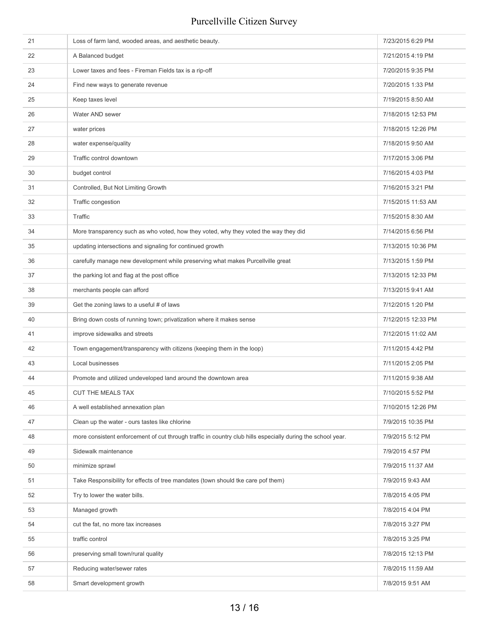| 21 | Loss of farm land, wooded areas, and aesthetic beauty.                                                      | 7/23/2015 6:29 PM  |
|----|-------------------------------------------------------------------------------------------------------------|--------------------|
| 22 | A Balanced budget                                                                                           | 7/21/2015 4:19 PM  |
| 23 | Lower taxes and fees - Fireman Fields tax is a rip-off                                                      | 7/20/2015 9:35 PM  |
| 24 | Find new ways to generate revenue                                                                           | 7/20/2015 1:33 PM  |
| 25 | Keep taxes level                                                                                            | 7/19/2015 8:50 AM  |
| 26 | Water AND sewer                                                                                             | 7/18/2015 12:53 PM |
| 27 | water prices                                                                                                | 7/18/2015 12:26 PM |
| 28 | water expense/quality                                                                                       | 7/18/2015 9:50 AM  |
| 29 | Traffic control downtown                                                                                    | 7/17/2015 3:06 PM  |
| 30 | budget control                                                                                              | 7/16/2015 4:03 PM  |
| 31 | Controlled, But Not Limiting Growth                                                                         | 7/16/2015 3:21 PM  |
| 32 | Traffic congestion                                                                                          | 7/15/2015 11:53 AM |
| 33 | Traffic                                                                                                     | 7/15/2015 8:30 AM  |
| 34 | More transparency such as who voted, how they voted, why they voted the way they did                        | 7/14/2015 6:56 PM  |
| 35 | updating intersections and signaling for continued growth                                                   | 7/13/2015 10:36 PM |
| 36 | carefully manage new development while preserving what makes Purcellville great                             | 7/13/2015 1:59 PM  |
| 37 | the parking lot and flag at the post office                                                                 | 7/13/2015 12:33 PM |
| 38 | merchants people can afford                                                                                 | 7/13/2015 9:41 AM  |
| 39 | Get the zoning laws to a useful # of laws                                                                   | 7/12/2015 1:20 PM  |
| 40 | Bring down costs of running town; privatization where it makes sense                                        | 7/12/2015 12:33 PM |
| 41 | improve sidewalks and streets                                                                               | 7/12/2015 11:02 AM |
| 42 | Town engagement/transparency with citizens (keeping them in the loop)                                       | 7/11/2015 4:42 PM  |
| 43 | Local businesses                                                                                            | 7/11/2015 2:05 PM  |
| 44 | Promote and utilized undeveloped land around the downtown area                                              | 7/11/2015 9:38 AM  |
| 45 | CUT THE MEALS TAX                                                                                           | 7/10/2015 5:52 PM  |
| 46 | A well established annexation plan                                                                          | 7/10/2015 12:26 PM |
| 47 | Clean up the water - ours tastes like chlorine                                                              | 7/9/2015 10:35 PM  |
| 48 | more consistent enforcement of cut through traffic in country club hills especially during the school year. | 7/9/2015 5:12 PM   |
| 49 | Sidewalk maintenance                                                                                        | 7/9/2015 4:57 PM   |
| 50 | minimize sprawl                                                                                             | 7/9/2015 11:37 AM  |
| 51 | Take Responsibility for effects of tree mandates (town should tke care pof them)                            | 7/9/2015 9:43 AM   |
| 52 | Try to lower the water bills.                                                                               | 7/8/2015 4:05 PM   |
| 53 | Managed growth                                                                                              | 7/8/2015 4:04 PM   |
| 54 | cut the fat, no more tax increases                                                                          | 7/8/2015 3:27 PM   |
| 55 | traffic control                                                                                             | 7/8/2015 3:25 PM   |
| 56 | preserving small town/rural quality                                                                         | 7/8/2015 12:13 PM  |
| 57 | Reducing water/sewer rates                                                                                  | 7/8/2015 11:59 AM  |
| 58 | Smart development growth                                                                                    | 7/8/2015 9:51 AM   |
|    |                                                                                                             |                    |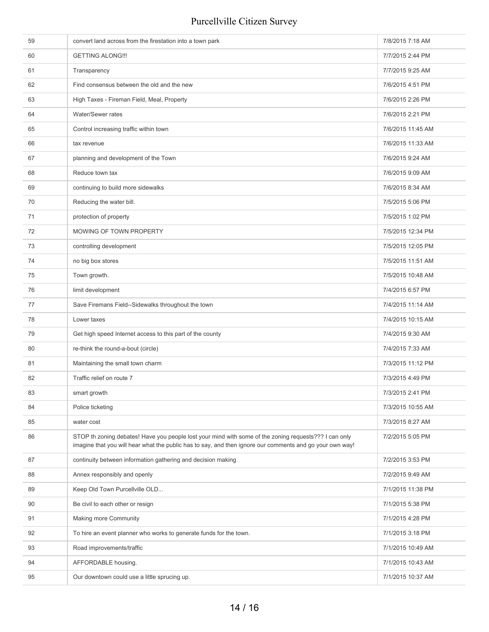| 59 | convert land across from the firestation into a town park                                                                                                                                                         | 7/8/2015 7:18 AM  |
|----|-------------------------------------------------------------------------------------------------------------------------------------------------------------------------------------------------------------------|-------------------|
| 60 | <b>GETTING ALONG!!!</b>                                                                                                                                                                                           | 7/7/2015 2:44 PM  |
| 61 | Transparency                                                                                                                                                                                                      | 7/7/2015 9:25 AM  |
| 62 | Find consensus between the old and the new                                                                                                                                                                        | 7/6/2015 4:51 PM  |
| 63 | High Taxes - Fireman Field, Meal, Property                                                                                                                                                                        | 7/6/2015 2:26 PM  |
| 64 | Water/Sewer rates                                                                                                                                                                                                 | 7/6/2015 2:21 PM  |
| 65 | Control increasing traffic within town                                                                                                                                                                            | 7/6/2015 11:45 AM |
| 66 | tax revenue                                                                                                                                                                                                       | 7/6/2015 11:33 AM |
| 67 | planning and development of the Town                                                                                                                                                                              | 7/6/2015 9:24 AM  |
| 68 | Reduce town tax                                                                                                                                                                                                   | 7/6/2015 9:09 AM  |
| 69 | continuing to build more sidewalks                                                                                                                                                                                | 7/6/2015 8:34 AM  |
| 70 | Reducing the water bill.                                                                                                                                                                                          | 7/5/2015 5:06 PM  |
| 71 | protection of property                                                                                                                                                                                            | 7/5/2015 1:02 PM  |
| 72 | MOWING OF TOWN PROPERTY                                                                                                                                                                                           | 7/5/2015 12:34 PM |
| 73 | controlling development                                                                                                                                                                                           | 7/5/2015 12:05 PM |
| 74 | no big box stores                                                                                                                                                                                                 | 7/5/2015 11:51 AM |
| 75 | Town growth.                                                                                                                                                                                                      | 7/5/2015 10:48 AM |
| 76 | limit development                                                                                                                                                                                                 | 7/4/2015 6:57 PM  |
| 77 | Save Firemans Field--Sidewalks throughout the town                                                                                                                                                                | 7/4/2015 11:14 AM |
| 78 | Lower taxes                                                                                                                                                                                                       | 7/4/2015 10:15 AM |
| 79 | Get high speed Internet access to this part of the county                                                                                                                                                         | 7/4/2015 9:30 AM  |
| 80 | re-think the round-a-bout (circle)                                                                                                                                                                                | 7/4/2015 7:33 AM  |
| 81 | Maintaining the small town charm                                                                                                                                                                                  | 7/3/2015 11:12 PM |
| 82 | Traffic relief on route 7                                                                                                                                                                                         | 7/3/2015 4:49 PM  |
| 83 | smart growth                                                                                                                                                                                                      | 7/3/2015 2:41 PM  |
| 84 | Police ticketing                                                                                                                                                                                                  | 7/3/2015 10:55 AM |
| 85 | water cost                                                                                                                                                                                                        | 7/3/2015 8:27 AM  |
| 86 | STOP th zoning debates! Have you people lost your mind with some of the zoning requests??? I can only<br>imagine that you will hear what the public has to say, and then ignore our comments and go your own way! | 7/2/2015 5:05 PM  |
| 87 | continuity between information gathering and decision making                                                                                                                                                      | 7/2/2015 3:53 PM  |
| 88 | Annex responsibly and openly                                                                                                                                                                                      | 7/2/2015 9:49 AM  |
| 89 | Keep Old Town Purcellville OLD                                                                                                                                                                                    | 7/1/2015 11:38 PM |
| 90 | Be civil to each other or resign                                                                                                                                                                                  | 7/1/2015 5:38 PM  |
| 91 | Making more Community                                                                                                                                                                                             | 7/1/2015 4:28 PM  |
| 92 | To hire an event planner who works to generate funds for the town.                                                                                                                                                | 7/1/2015 3:18 PM  |
| 93 | Road improvements/traffic                                                                                                                                                                                         | 7/1/2015 10:49 AM |
| 94 | AFFORDABLE housing.                                                                                                                                                                                               | 7/1/2015 10:43 AM |
| 95 | Our downtown could use a little sprucing up.                                                                                                                                                                      | 7/1/2015 10:37 AM |
|    |                                                                                                                                                                                                                   |                   |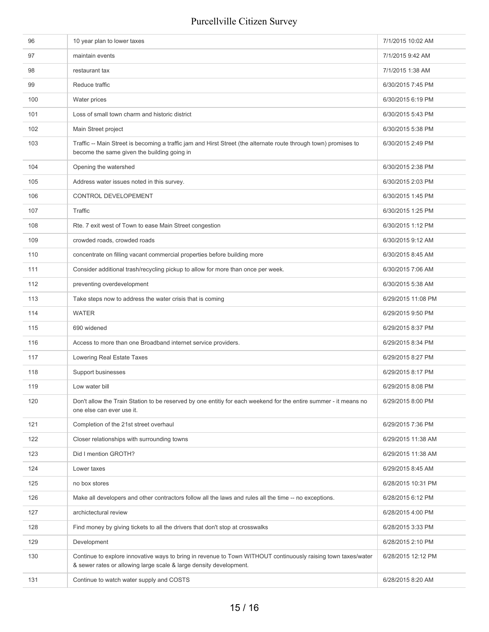| 97<br>maintain events<br>7/1/2015 9:42 AM<br>98<br>restaurant tax<br>7/1/2015 1:38 AM<br>99<br>Reduce traffic<br>6/30/2015 7:45 PM<br>100<br>Water prices<br>6/30/2015 6:19 PM<br>101<br>Loss of small town charm and historic district<br>6/30/2015 5:43 PM<br>102<br>Main Street project<br>6/30/2015 5:38 PM<br>103<br>Traffic -- Main Street is becoming a traffic jam and Hirst Street (the alternate route through town) promises to<br>6/30/2015 2:49 PM<br>become the same given the building going in<br>Opening the watershed<br>104<br>6/30/2015 2:38 PM<br>105<br>Address water issues noted in this survey.<br>6/30/2015 2:03 PM<br>106<br><b>CONTROL DEVELOPEMENT</b><br>6/30/2015 1:45 PM<br>Traffic<br>107<br>6/30/2015 1:25 PM<br>108<br>Rte. 7 exit west of Town to ease Main Street congestion<br>6/30/2015 1:12 PM<br>109<br>crowded roads, crowded roads<br>6/30/2015 9:12 AM<br>concentrate on filling vacant commercial properties before building more<br>110<br>6/30/2015 8:45 AM<br>Consider additional trash/recycling pickup to allow for more than once per week.<br>6/30/2015 7:06 AM<br>111<br>112<br>preventing overdevelopment<br>6/30/2015 5:38 AM<br>113<br>Take steps now to address the water crisis that is coming<br>6/29/2015 11:08 PM<br><b>WATER</b><br>114<br>6/29/2015 9:50 PM<br>115<br>690 widened<br>6/29/2015 8:37 PM<br>116<br>Access to more than one Broadband internet service providers.<br>6/29/2015 8:34 PM<br>117<br>Lowering Real Estate Taxes<br>6/29/2015 8:27 PM<br>118<br>Support businesses<br>6/29/2015 8:17 PM<br>119<br>Low water bill<br>6/29/2015 8:08 PM<br>120<br>Don't allow the Train Station to be reserved by one entitiy for each weekend for the entire summer - it means no<br>6/29/2015 8:00 PM<br>one else can ever use it.<br>121<br>Completion of the 21st street overhaul<br>6/29/2015 7:36 PM<br>Closer relationships with surrounding towns<br>122<br>6/29/2015 11:38 AM<br>Did I mention GROTH?<br>123<br>6/29/2015 11:38 AM<br>124<br>6/29/2015 8:45 AM<br>Lower taxes<br>125<br>no box stores<br>6/28/2015 10:31 PM<br>126<br>Make all developers and other contractors follow all the laws and rules all the time -- no exceptions.<br>6/28/2015 6:12 PM<br>127<br>archictectural review<br>6/28/2015 4:00 PM<br>128<br>Find money by giving tickets to all the drivers that don't stop at crosswalks<br>6/28/2015 3:33 PM<br>129<br>Development<br>6/28/2015 2:10 PM<br>Continue to explore innovative ways to bring in revenue to Town WITHOUT continuously raising town taxes/water<br>130<br>6/28/2015 12:12 PM<br>& sewer rates or allowing large scale & large density development.<br>131<br>Continue to watch water supply and COSTS<br>6/28/2015 8:20 AM | 96 | 10 year plan to lower taxes | 7/1/2015 10:02 AM |
|----------------------------------------------------------------------------------------------------------------------------------------------------------------------------------------------------------------------------------------------------------------------------------------------------------------------------------------------------------------------------------------------------------------------------------------------------------------------------------------------------------------------------------------------------------------------------------------------------------------------------------------------------------------------------------------------------------------------------------------------------------------------------------------------------------------------------------------------------------------------------------------------------------------------------------------------------------------------------------------------------------------------------------------------------------------------------------------------------------------------------------------------------------------------------------------------------------------------------------------------------------------------------------------------------------------------------------------------------------------------------------------------------------------------------------------------------------------------------------------------------------------------------------------------------------------------------------------------------------------------------------------------------------------------------------------------------------------------------------------------------------------------------------------------------------------------------------------------------------------------------------------------------------------------------------------------------------------------------------------------------------------------------------------------------------------------------------------------------------------------------------------------------------------------------------------------------------------------------------------------------------------------------------------------------------------------------------------------------------------------------------------------------------------------------------------------------------------------------------------------------------------------------------------------------------------------------------------------------------------------------------------------------------------------------------------------------------------------------------------------------------|----|-----------------------------|-------------------|
|                                                                                                                                                                                                                                                                                                                                                                                                                                                                                                                                                                                                                                                                                                                                                                                                                                                                                                                                                                                                                                                                                                                                                                                                                                                                                                                                                                                                                                                                                                                                                                                                                                                                                                                                                                                                                                                                                                                                                                                                                                                                                                                                                                                                                                                                                                                                                                                                                                                                                                                                                                                                                                                                                                                                                          |    |                             |                   |
|                                                                                                                                                                                                                                                                                                                                                                                                                                                                                                                                                                                                                                                                                                                                                                                                                                                                                                                                                                                                                                                                                                                                                                                                                                                                                                                                                                                                                                                                                                                                                                                                                                                                                                                                                                                                                                                                                                                                                                                                                                                                                                                                                                                                                                                                                                                                                                                                                                                                                                                                                                                                                                                                                                                                                          |    |                             |                   |
|                                                                                                                                                                                                                                                                                                                                                                                                                                                                                                                                                                                                                                                                                                                                                                                                                                                                                                                                                                                                                                                                                                                                                                                                                                                                                                                                                                                                                                                                                                                                                                                                                                                                                                                                                                                                                                                                                                                                                                                                                                                                                                                                                                                                                                                                                                                                                                                                                                                                                                                                                                                                                                                                                                                                                          |    |                             |                   |
|                                                                                                                                                                                                                                                                                                                                                                                                                                                                                                                                                                                                                                                                                                                                                                                                                                                                                                                                                                                                                                                                                                                                                                                                                                                                                                                                                                                                                                                                                                                                                                                                                                                                                                                                                                                                                                                                                                                                                                                                                                                                                                                                                                                                                                                                                                                                                                                                                                                                                                                                                                                                                                                                                                                                                          |    |                             |                   |
|                                                                                                                                                                                                                                                                                                                                                                                                                                                                                                                                                                                                                                                                                                                                                                                                                                                                                                                                                                                                                                                                                                                                                                                                                                                                                                                                                                                                                                                                                                                                                                                                                                                                                                                                                                                                                                                                                                                                                                                                                                                                                                                                                                                                                                                                                                                                                                                                                                                                                                                                                                                                                                                                                                                                                          |    |                             |                   |
|                                                                                                                                                                                                                                                                                                                                                                                                                                                                                                                                                                                                                                                                                                                                                                                                                                                                                                                                                                                                                                                                                                                                                                                                                                                                                                                                                                                                                                                                                                                                                                                                                                                                                                                                                                                                                                                                                                                                                                                                                                                                                                                                                                                                                                                                                                                                                                                                                                                                                                                                                                                                                                                                                                                                                          |    |                             |                   |
|                                                                                                                                                                                                                                                                                                                                                                                                                                                                                                                                                                                                                                                                                                                                                                                                                                                                                                                                                                                                                                                                                                                                                                                                                                                                                                                                                                                                                                                                                                                                                                                                                                                                                                                                                                                                                                                                                                                                                                                                                                                                                                                                                                                                                                                                                                                                                                                                                                                                                                                                                                                                                                                                                                                                                          |    |                             |                   |
|                                                                                                                                                                                                                                                                                                                                                                                                                                                                                                                                                                                                                                                                                                                                                                                                                                                                                                                                                                                                                                                                                                                                                                                                                                                                                                                                                                                                                                                                                                                                                                                                                                                                                                                                                                                                                                                                                                                                                                                                                                                                                                                                                                                                                                                                                                                                                                                                                                                                                                                                                                                                                                                                                                                                                          |    |                             |                   |
|                                                                                                                                                                                                                                                                                                                                                                                                                                                                                                                                                                                                                                                                                                                                                                                                                                                                                                                                                                                                                                                                                                                                                                                                                                                                                                                                                                                                                                                                                                                                                                                                                                                                                                                                                                                                                                                                                                                                                                                                                                                                                                                                                                                                                                                                                                                                                                                                                                                                                                                                                                                                                                                                                                                                                          |    |                             |                   |
|                                                                                                                                                                                                                                                                                                                                                                                                                                                                                                                                                                                                                                                                                                                                                                                                                                                                                                                                                                                                                                                                                                                                                                                                                                                                                                                                                                                                                                                                                                                                                                                                                                                                                                                                                                                                                                                                                                                                                                                                                                                                                                                                                                                                                                                                                                                                                                                                                                                                                                                                                                                                                                                                                                                                                          |    |                             |                   |
|                                                                                                                                                                                                                                                                                                                                                                                                                                                                                                                                                                                                                                                                                                                                                                                                                                                                                                                                                                                                                                                                                                                                                                                                                                                                                                                                                                                                                                                                                                                                                                                                                                                                                                                                                                                                                                                                                                                                                                                                                                                                                                                                                                                                                                                                                                                                                                                                                                                                                                                                                                                                                                                                                                                                                          |    |                             |                   |
|                                                                                                                                                                                                                                                                                                                                                                                                                                                                                                                                                                                                                                                                                                                                                                                                                                                                                                                                                                                                                                                                                                                                                                                                                                                                                                                                                                                                                                                                                                                                                                                                                                                                                                                                                                                                                                                                                                                                                                                                                                                                                                                                                                                                                                                                                                                                                                                                                                                                                                                                                                                                                                                                                                                                                          |    |                             |                   |
|                                                                                                                                                                                                                                                                                                                                                                                                                                                                                                                                                                                                                                                                                                                                                                                                                                                                                                                                                                                                                                                                                                                                                                                                                                                                                                                                                                                                                                                                                                                                                                                                                                                                                                                                                                                                                                                                                                                                                                                                                                                                                                                                                                                                                                                                                                                                                                                                                                                                                                                                                                                                                                                                                                                                                          |    |                             |                   |
|                                                                                                                                                                                                                                                                                                                                                                                                                                                                                                                                                                                                                                                                                                                                                                                                                                                                                                                                                                                                                                                                                                                                                                                                                                                                                                                                                                                                                                                                                                                                                                                                                                                                                                                                                                                                                                                                                                                                                                                                                                                                                                                                                                                                                                                                                                                                                                                                                                                                                                                                                                                                                                                                                                                                                          |    |                             |                   |
|                                                                                                                                                                                                                                                                                                                                                                                                                                                                                                                                                                                                                                                                                                                                                                                                                                                                                                                                                                                                                                                                                                                                                                                                                                                                                                                                                                                                                                                                                                                                                                                                                                                                                                                                                                                                                                                                                                                                                                                                                                                                                                                                                                                                                                                                                                                                                                                                                                                                                                                                                                                                                                                                                                                                                          |    |                             |                   |
|                                                                                                                                                                                                                                                                                                                                                                                                                                                                                                                                                                                                                                                                                                                                                                                                                                                                                                                                                                                                                                                                                                                                                                                                                                                                                                                                                                                                                                                                                                                                                                                                                                                                                                                                                                                                                                                                                                                                                                                                                                                                                                                                                                                                                                                                                                                                                                                                                                                                                                                                                                                                                                                                                                                                                          |    |                             |                   |
|                                                                                                                                                                                                                                                                                                                                                                                                                                                                                                                                                                                                                                                                                                                                                                                                                                                                                                                                                                                                                                                                                                                                                                                                                                                                                                                                                                                                                                                                                                                                                                                                                                                                                                                                                                                                                                                                                                                                                                                                                                                                                                                                                                                                                                                                                                                                                                                                                                                                                                                                                                                                                                                                                                                                                          |    |                             |                   |
|                                                                                                                                                                                                                                                                                                                                                                                                                                                                                                                                                                                                                                                                                                                                                                                                                                                                                                                                                                                                                                                                                                                                                                                                                                                                                                                                                                                                                                                                                                                                                                                                                                                                                                                                                                                                                                                                                                                                                                                                                                                                                                                                                                                                                                                                                                                                                                                                                                                                                                                                                                                                                                                                                                                                                          |    |                             |                   |
|                                                                                                                                                                                                                                                                                                                                                                                                                                                                                                                                                                                                                                                                                                                                                                                                                                                                                                                                                                                                                                                                                                                                                                                                                                                                                                                                                                                                                                                                                                                                                                                                                                                                                                                                                                                                                                                                                                                                                                                                                                                                                                                                                                                                                                                                                                                                                                                                                                                                                                                                                                                                                                                                                                                                                          |    |                             |                   |
|                                                                                                                                                                                                                                                                                                                                                                                                                                                                                                                                                                                                                                                                                                                                                                                                                                                                                                                                                                                                                                                                                                                                                                                                                                                                                                                                                                                                                                                                                                                                                                                                                                                                                                                                                                                                                                                                                                                                                                                                                                                                                                                                                                                                                                                                                                                                                                                                                                                                                                                                                                                                                                                                                                                                                          |    |                             |                   |
|                                                                                                                                                                                                                                                                                                                                                                                                                                                                                                                                                                                                                                                                                                                                                                                                                                                                                                                                                                                                                                                                                                                                                                                                                                                                                                                                                                                                                                                                                                                                                                                                                                                                                                                                                                                                                                                                                                                                                                                                                                                                                                                                                                                                                                                                                                                                                                                                                                                                                                                                                                                                                                                                                                                                                          |    |                             |                   |
|                                                                                                                                                                                                                                                                                                                                                                                                                                                                                                                                                                                                                                                                                                                                                                                                                                                                                                                                                                                                                                                                                                                                                                                                                                                                                                                                                                                                                                                                                                                                                                                                                                                                                                                                                                                                                                                                                                                                                                                                                                                                                                                                                                                                                                                                                                                                                                                                                                                                                                                                                                                                                                                                                                                                                          |    |                             |                   |
|                                                                                                                                                                                                                                                                                                                                                                                                                                                                                                                                                                                                                                                                                                                                                                                                                                                                                                                                                                                                                                                                                                                                                                                                                                                                                                                                                                                                                                                                                                                                                                                                                                                                                                                                                                                                                                                                                                                                                                                                                                                                                                                                                                                                                                                                                                                                                                                                                                                                                                                                                                                                                                                                                                                                                          |    |                             |                   |
|                                                                                                                                                                                                                                                                                                                                                                                                                                                                                                                                                                                                                                                                                                                                                                                                                                                                                                                                                                                                                                                                                                                                                                                                                                                                                                                                                                                                                                                                                                                                                                                                                                                                                                                                                                                                                                                                                                                                                                                                                                                                                                                                                                                                                                                                                                                                                                                                                                                                                                                                                                                                                                                                                                                                                          |    |                             |                   |
|                                                                                                                                                                                                                                                                                                                                                                                                                                                                                                                                                                                                                                                                                                                                                                                                                                                                                                                                                                                                                                                                                                                                                                                                                                                                                                                                                                                                                                                                                                                                                                                                                                                                                                                                                                                                                                                                                                                                                                                                                                                                                                                                                                                                                                                                                                                                                                                                                                                                                                                                                                                                                                                                                                                                                          |    |                             |                   |
|                                                                                                                                                                                                                                                                                                                                                                                                                                                                                                                                                                                                                                                                                                                                                                                                                                                                                                                                                                                                                                                                                                                                                                                                                                                                                                                                                                                                                                                                                                                                                                                                                                                                                                                                                                                                                                                                                                                                                                                                                                                                                                                                                                                                                                                                                                                                                                                                                                                                                                                                                                                                                                                                                                                                                          |    |                             |                   |
|                                                                                                                                                                                                                                                                                                                                                                                                                                                                                                                                                                                                                                                                                                                                                                                                                                                                                                                                                                                                                                                                                                                                                                                                                                                                                                                                                                                                                                                                                                                                                                                                                                                                                                                                                                                                                                                                                                                                                                                                                                                                                                                                                                                                                                                                                                                                                                                                                                                                                                                                                                                                                                                                                                                                                          |    |                             |                   |
|                                                                                                                                                                                                                                                                                                                                                                                                                                                                                                                                                                                                                                                                                                                                                                                                                                                                                                                                                                                                                                                                                                                                                                                                                                                                                                                                                                                                                                                                                                                                                                                                                                                                                                                                                                                                                                                                                                                                                                                                                                                                                                                                                                                                                                                                                                                                                                                                                                                                                                                                                                                                                                                                                                                                                          |    |                             |                   |
|                                                                                                                                                                                                                                                                                                                                                                                                                                                                                                                                                                                                                                                                                                                                                                                                                                                                                                                                                                                                                                                                                                                                                                                                                                                                                                                                                                                                                                                                                                                                                                                                                                                                                                                                                                                                                                                                                                                                                                                                                                                                                                                                                                                                                                                                                                                                                                                                                                                                                                                                                                                                                                                                                                                                                          |    |                             |                   |
|                                                                                                                                                                                                                                                                                                                                                                                                                                                                                                                                                                                                                                                                                                                                                                                                                                                                                                                                                                                                                                                                                                                                                                                                                                                                                                                                                                                                                                                                                                                                                                                                                                                                                                                                                                                                                                                                                                                                                                                                                                                                                                                                                                                                                                                                                                                                                                                                                                                                                                                                                                                                                                                                                                                                                          |    |                             |                   |
|                                                                                                                                                                                                                                                                                                                                                                                                                                                                                                                                                                                                                                                                                                                                                                                                                                                                                                                                                                                                                                                                                                                                                                                                                                                                                                                                                                                                                                                                                                                                                                                                                                                                                                                                                                                                                                                                                                                                                                                                                                                                                                                                                                                                                                                                                                                                                                                                                                                                                                                                                                                                                                                                                                                                                          |    |                             |                   |
|                                                                                                                                                                                                                                                                                                                                                                                                                                                                                                                                                                                                                                                                                                                                                                                                                                                                                                                                                                                                                                                                                                                                                                                                                                                                                                                                                                                                                                                                                                                                                                                                                                                                                                                                                                                                                                                                                                                                                                                                                                                                                                                                                                                                                                                                                                                                                                                                                                                                                                                                                                                                                                                                                                                                                          |    |                             |                   |
|                                                                                                                                                                                                                                                                                                                                                                                                                                                                                                                                                                                                                                                                                                                                                                                                                                                                                                                                                                                                                                                                                                                                                                                                                                                                                                                                                                                                                                                                                                                                                                                                                                                                                                                                                                                                                                                                                                                                                                                                                                                                                                                                                                                                                                                                                                                                                                                                                                                                                                                                                                                                                                                                                                                                                          |    |                             |                   |
|                                                                                                                                                                                                                                                                                                                                                                                                                                                                                                                                                                                                                                                                                                                                                                                                                                                                                                                                                                                                                                                                                                                                                                                                                                                                                                                                                                                                                                                                                                                                                                                                                                                                                                                                                                                                                                                                                                                                                                                                                                                                                                                                                                                                                                                                                                                                                                                                                                                                                                                                                                                                                                                                                                                                                          |    |                             |                   |
|                                                                                                                                                                                                                                                                                                                                                                                                                                                                                                                                                                                                                                                                                                                                                                                                                                                                                                                                                                                                                                                                                                                                                                                                                                                                                                                                                                                                                                                                                                                                                                                                                                                                                                                                                                                                                                                                                                                                                                                                                                                                                                                                                                                                                                                                                                                                                                                                                                                                                                                                                                                                                                                                                                                                                          |    |                             |                   |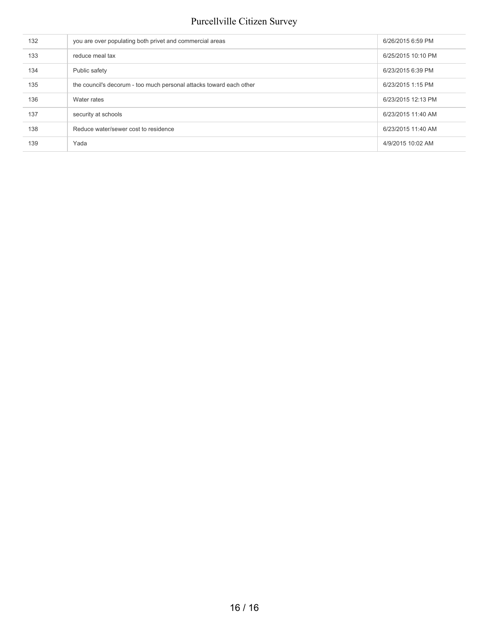| 132 | you are over populating both privet and commercial areas            | 6/26/2015 6:59 PM  |
|-----|---------------------------------------------------------------------|--------------------|
| 133 | reduce meal tax                                                     | 6/25/2015 10:10 PM |
| 134 | Public safety                                                       | 6/23/2015 6:39 PM  |
| 135 | the council's decorum - too much personal attacks toward each other | 6/23/2015 1:15 PM  |
| 136 | Water rates                                                         | 6/23/2015 12:13 PM |
| 137 | security at schools                                                 | 6/23/2015 11:40 AM |
| 138 | Reduce water/sewer cost to residence                                | 6/23/2015 11:40 AM |
| 139 | Yada                                                                | 4/9/2015 10:02 AM  |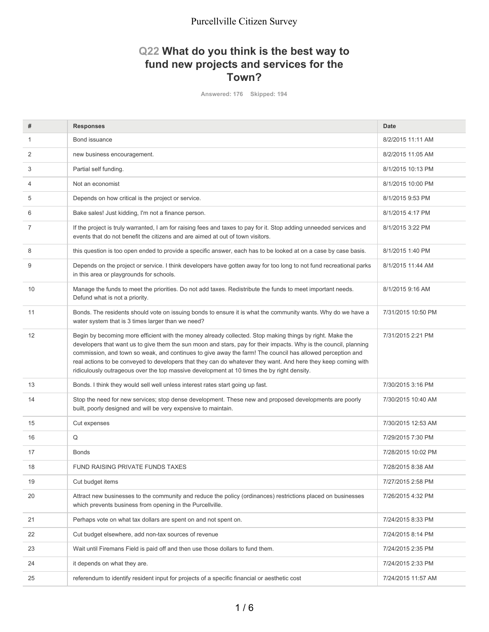### **Q22 What do you think is the best way to fund new projects and services for the Town?**

**Answered: 176 Skipped: 194**

| #              | <b>Responses</b>                                                                                                                                                                                                                                                                                                                                                                                                                                                                                                                                         | <b>Date</b>        |
|----------------|----------------------------------------------------------------------------------------------------------------------------------------------------------------------------------------------------------------------------------------------------------------------------------------------------------------------------------------------------------------------------------------------------------------------------------------------------------------------------------------------------------------------------------------------------------|--------------------|
| 1              | Bond issuance                                                                                                                                                                                                                                                                                                                                                                                                                                                                                                                                            | 8/2/2015 11:11 AM  |
| 2              | new business encouragement.                                                                                                                                                                                                                                                                                                                                                                                                                                                                                                                              | 8/2/2015 11:05 AM  |
| 3              | Partial self funding.                                                                                                                                                                                                                                                                                                                                                                                                                                                                                                                                    | 8/1/2015 10:13 PM  |
| $\overline{4}$ | Not an economist                                                                                                                                                                                                                                                                                                                                                                                                                                                                                                                                         | 8/1/2015 10:00 PM  |
| 5              | Depends on how critical is the project or service.                                                                                                                                                                                                                                                                                                                                                                                                                                                                                                       | 8/1/2015 9:53 PM   |
| 6              | Bake sales! Just kidding, I'm not a finance person.                                                                                                                                                                                                                                                                                                                                                                                                                                                                                                      | 8/1/2015 4:17 PM   |
| $\overline{7}$ | If the project is truly warranted, I am for raising fees and taxes to pay for it. Stop adding unneeded services and<br>events that do not benefit the citizens and are aimed at out of town visitors.                                                                                                                                                                                                                                                                                                                                                    | 8/1/2015 3:22 PM   |
| 8              | this question is too open ended to provide a specific answer, each has to be looked at on a case by case basis.                                                                                                                                                                                                                                                                                                                                                                                                                                          | 8/1/2015 1:40 PM   |
| 9              | Depends on the project or service. I think developers have gotten away for too long to not fund recreational parks<br>in this area or playgrounds for schools.                                                                                                                                                                                                                                                                                                                                                                                           | 8/1/2015 11:44 AM  |
| 10             | Manage the funds to meet the priorities. Do not add taxes. Redistribute the funds to meet important needs.<br>Defund what is not a priority.                                                                                                                                                                                                                                                                                                                                                                                                             | 8/1/2015 9:16 AM   |
| 11             | Bonds. The residents should vote on issuing bonds to ensure it is what the community wants. Why do we have a<br>water system that is 3 times larger than we need?                                                                                                                                                                                                                                                                                                                                                                                        | 7/31/2015 10:50 PM |
| 12             | Begin by becoming more efficient with the money already collected. Stop making things by right. Make the<br>developers that want us to give them the sun moon and stars, pay for their impacts. Why is the council, planning<br>commission, and town so weak, and continues to give away the farm! The council has allowed perception and<br>real actions to be conveyed to developers that they can do whatever they want. And here they keep coming with<br>ridiculously outrageous over the top massive development at 10 times the by right density. | 7/31/2015 2:21 PM  |
| 13             | Bonds. I think they would sell well unless interest rates start going up fast.                                                                                                                                                                                                                                                                                                                                                                                                                                                                           | 7/30/2015 3:16 PM  |
| 14             | Stop the need for new services; stop dense development. These new and proposed developments are poorly<br>built, poorly designed and will be very expensive to maintain.                                                                                                                                                                                                                                                                                                                                                                                 | 7/30/2015 10:40 AM |
| 15             | Cut expenses                                                                                                                                                                                                                                                                                                                                                                                                                                                                                                                                             | 7/30/2015 12:53 AM |
| 16             | Q                                                                                                                                                                                                                                                                                                                                                                                                                                                                                                                                                        | 7/29/2015 7:30 PM  |
| 17             | <b>Bonds</b>                                                                                                                                                                                                                                                                                                                                                                                                                                                                                                                                             | 7/28/2015 10:02 PM |
| 18             | <b>FUND RAISING PRIVATE FUNDS TAXES</b>                                                                                                                                                                                                                                                                                                                                                                                                                                                                                                                  | 7/28/2015 8:38 AM  |
| 19             | Cut budget items                                                                                                                                                                                                                                                                                                                                                                                                                                                                                                                                         | 7/27/2015 2:58 PM  |
| 20             | Attract new businesses to the community and reduce the policy (ordinances) restrictions placed on businesses<br>which prevents business from opening in the Purcellville.                                                                                                                                                                                                                                                                                                                                                                                | 7/26/2015 4:32 PM  |
| 21             | Perhaps vote on what tax dollars are spent on and not spent on.                                                                                                                                                                                                                                                                                                                                                                                                                                                                                          | 7/24/2015 8:33 PM  |
| 22             | Cut budget elsewhere, add non-tax sources of revenue                                                                                                                                                                                                                                                                                                                                                                                                                                                                                                     | 7/24/2015 8:14 PM  |
| 23             | Wait until Firemans Field is paid off and then use those dollars to fund them.                                                                                                                                                                                                                                                                                                                                                                                                                                                                           | 7/24/2015 2:35 PM  |
| 24             | it depends on what they are.                                                                                                                                                                                                                                                                                                                                                                                                                                                                                                                             | 7/24/2015 2:33 PM  |
| 25             | referendum to identify resident input for projects of a specific financial or aesthetic cost                                                                                                                                                                                                                                                                                                                                                                                                                                                             | 7/24/2015 11:57 AM |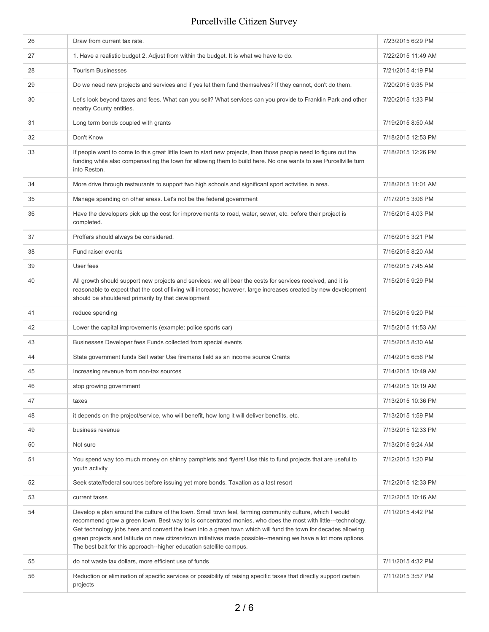| 26 | Draw from current tax rate.                                                                                                                                                                                                                                                                                                                                                                                                                                                                                                        | 7/23/2015 6:29 PM  |
|----|------------------------------------------------------------------------------------------------------------------------------------------------------------------------------------------------------------------------------------------------------------------------------------------------------------------------------------------------------------------------------------------------------------------------------------------------------------------------------------------------------------------------------------|--------------------|
| 27 | 1. Have a realistic budget 2. Adjust from within the budget. It is what we have to do.                                                                                                                                                                                                                                                                                                                                                                                                                                             | 7/22/2015 11:49 AM |
| 28 | <b>Tourism Businesses</b>                                                                                                                                                                                                                                                                                                                                                                                                                                                                                                          | 7/21/2015 4:19 PM  |
| 29 | Do we need new projects and services and if yes let them fund themselves? If they cannot, don't do them.                                                                                                                                                                                                                                                                                                                                                                                                                           | 7/20/2015 9:35 PM  |
| 30 | Let's look beyond taxes and fees. What can you sell? What services can you provide to Franklin Park and other<br>nearby County entities.                                                                                                                                                                                                                                                                                                                                                                                           | 7/20/2015 1:33 PM  |
| 31 | Long term bonds coupled with grants                                                                                                                                                                                                                                                                                                                                                                                                                                                                                                | 7/19/2015 8:50 AM  |
| 32 | Don't Know                                                                                                                                                                                                                                                                                                                                                                                                                                                                                                                         | 7/18/2015 12:53 PM |
| 33 | If people want to come to this great little town to start new projects, then those people need to figure out the<br>funding while also compensating the town for allowing them to build here. No one wants to see Purcellville turn<br>into Reston.                                                                                                                                                                                                                                                                                | 7/18/2015 12:26 PM |
| 34 | More drive through restaurants to support two high schools and significant sport activities in area.                                                                                                                                                                                                                                                                                                                                                                                                                               | 7/18/2015 11:01 AM |
| 35 | Manage spending on other areas. Let's not be the federal government                                                                                                                                                                                                                                                                                                                                                                                                                                                                | 7/17/2015 3:06 PM  |
| 36 | Have the developers pick up the cost for improvements to road, water, sewer, etc. before their project is<br>completed.                                                                                                                                                                                                                                                                                                                                                                                                            | 7/16/2015 4:03 PM  |
| 37 | Proffers should always be considered.                                                                                                                                                                                                                                                                                                                                                                                                                                                                                              | 7/16/2015 3:21 PM  |
| 38 | Fund raiser events                                                                                                                                                                                                                                                                                                                                                                                                                                                                                                                 | 7/16/2015 8:20 AM  |
| 39 | User fees                                                                                                                                                                                                                                                                                                                                                                                                                                                                                                                          | 7/16/2015 7:45 AM  |
| 40 | All growth should support new projects and services; we all bear the costs for services received, and it is<br>reasonable to expect that the cost of living will increase; however, large increases created by new development<br>should be shouldered primarily by that development                                                                                                                                                                                                                                               | 7/15/2015 9:29 PM  |
| 41 | reduce spending                                                                                                                                                                                                                                                                                                                                                                                                                                                                                                                    | 7/15/2015 9:20 PM  |
| 42 | Lower the capital improvements (example: police sports car)                                                                                                                                                                                                                                                                                                                                                                                                                                                                        | 7/15/2015 11:53 AM |
| 43 | Businesses Developer fees Funds collected from special events                                                                                                                                                                                                                                                                                                                                                                                                                                                                      | 7/15/2015 8:30 AM  |
| 44 | State government funds Sell water Use firemans field as an income source Grants                                                                                                                                                                                                                                                                                                                                                                                                                                                    | 7/14/2015 6:56 PM  |
| 45 | Increasing revenue from non-tax sources                                                                                                                                                                                                                                                                                                                                                                                                                                                                                            | 7/14/2015 10:49 AM |
| 46 | stop growing government                                                                                                                                                                                                                                                                                                                                                                                                                                                                                                            | 7/14/2015 10:19 AM |
| 47 | taxes                                                                                                                                                                                                                                                                                                                                                                                                                                                                                                                              | 7/13/2015 10:36 PM |
| 48 | it depends on the project/service, who will benefit, how long it will deliver benefits, etc.                                                                                                                                                                                                                                                                                                                                                                                                                                       | 7/13/2015 1:59 PM  |
| 49 | business revenue                                                                                                                                                                                                                                                                                                                                                                                                                                                                                                                   | 7/13/2015 12:33 PM |
| 50 | Not sure                                                                                                                                                                                                                                                                                                                                                                                                                                                                                                                           | 7/13/2015 9:24 AM  |
| 51 | You spend way too much money on shinny pamphlets and flyers! Use this to fund projects that are useful to<br>youth activity                                                                                                                                                                                                                                                                                                                                                                                                        | 7/12/2015 1:20 PM  |
| 52 | Seek state/federal sources before issuing yet more bonds. Taxation as a last resort                                                                                                                                                                                                                                                                                                                                                                                                                                                | 7/12/2015 12:33 PM |
| 53 | current taxes                                                                                                                                                                                                                                                                                                                                                                                                                                                                                                                      | 7/12/2015 10:16 AM |
| 54 | Develop a plan around the culture of the town. Small town feel, farming community culture, which I would<br>recommend grow a green town. Best way to is concentrated monies, who does the most with little---technology.<br>Get technology jobs here and convert the town into a green town which will fund the town for decades allowing<br>green projects and latitude on new citizen/town initiatives made possible--meaning we have a lot more options.<br>The best bait for this approach--higher education satellite campus. | 7/11/2015 4:42 PM  |
| 55 | do not waste tax dollars, more efficient use of funds                                                                                                                                                                                                                                                                                                                                                                                                                                                                              | 7/11/2015 4:32 PM  |
| 56 | Reduction or elimination of specific services or possibility of raising specific taxes that directly support certain<br>projects                                                                                                                                                                                                                                                                                                                                                                                                   | 7/11/2015 3:57 PM  |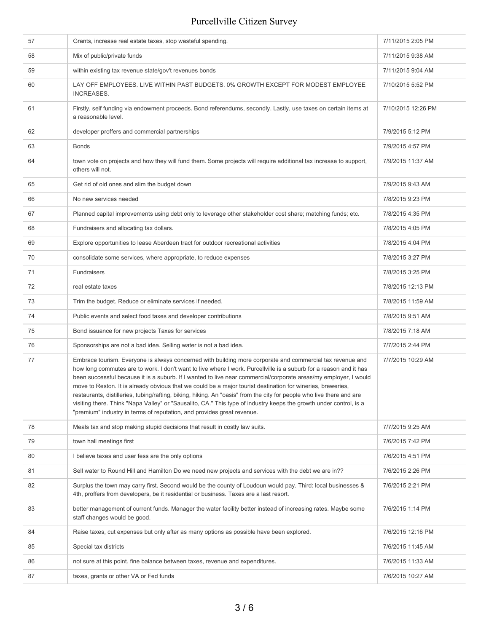| 57 | Grants, increase real estate taxes, stop wasteful spending.                                                                                                                                                                                                                                                                                                                                                                                                                                                                                                                                                                                                                                                                                                                                 | 7/11/2015 2:05 PM  |
|----|---------------------------------------------------------------------------------------------------------------------------------------------------------------------------------------------------------------------------------------------------------------------------------------------------------------------------------------------------------------------------------------------------------------------------------------------------------------------------------------------------------------------------------------------------------------------------------------------------------------------------------------------------------------------------------------------------------------------------------------------------------------------------------------------|--------------------|
| 58 | Mix of public/private funds                                                                                                                                                                                                                                                                                                                                                                                                                                                                                                                                                                                                                                                                                                                                                                 | 7/11/2015 9:38 AM  |
| 59 | within existing tax revenue state/gov't revenues bonds                                                                                                                                                                                                                                                                                                                                                                                                                                                                                                                                                                                                                                                                                                                                      | 7/11/2015 9:04 AM  |
| 60 | LAY OFF EMPLOYEES. LIVE WITHIN PAST BUDGETS. 0% GROWTH EXCEPT FOR MODEST EMPLOYEE<br>INCREASES.                                                                                                                                                                                                                                                                                                                                                                                                                                                                                                                                                                                                                                                                                             | 7/10/2015 5:52 PM  |
| 61 | Firstly, self funding via endowment proceeds. Bond referendums, secondly. Lastly, use taxes on certain items at<br>a reasonable level.                                                                                                                                                                                                                                                                                                                                                                                                                                                                                                                                                                                                                                                      | 7/10/2015 12:26 PM |
| 62 | developer proffers and commercial partnerships                                                                                                                                                                                                                                                                                                                                                                                                                                                                                                                                                                                                                                                                                                                                              | 7/9/2015 5:12 PM   |
| 63 | <b>Bonds</b>                                                                                                                                                                                                                                                                                                                                                                                                                                                                                                                                                                                                                                                                                                                                                                                | 7/9/2015 4:57 PM   |
| 64 | town vote on projects and how they will fund them. Some projects will require additional tax increase to support,<br>others will not.                                                                                                                                                                                                                                                                                                                                                                                                                                                                                                                                                                                                                                                       | 7/9/2015 11:37 AM  |
| 65 | Get rid of old ones and slim the budget down                                                                                                                                                                                                                                                                                                                                                                                                                                                                                                                                                                                                                                                                                                                                                | 7/9/2015 9:43 AM   |
| 66 | No new services needed                                                                                                                                                                                                                                                                                                                                                                                                                                                                                                                                                                                                                                                                                                                                                                      | 7/8/2015 9:23 PM   |
| 67 | Planned capital improvements using debt only to leverage other stakeholder cost share; matching funds; etc.                                                                                                                                                                                                                                                                                                                                                                                                                                                                                                                                                                                                                                                                                 | 7/8/2015 4:35 PM   |
| 68 | Fundraisers and allocating tax dollars.                                                                                                                                                                                                                                                                                                                                                                                                                                                                                                                                                                                                                                                                                                                                                     | 7/8/2015 4:05 PM   |
| 69 | Explore opportunities to lease Aberdeen tract for outdoor recreational activities                                                                                                                                                                                                                                                                                                                                                                                                                                                                                                                                                                                                                                                                                                           | 7/8/2015 4:04 PM   |
| 70 | consolidate some services, where appropriate, to reduce expenses                                                                                                                                                                                                                                                                                                                                                                                                                                                                                                                                                                                                                                                                                                                            | 7/8/2015 3:27 PM   |
| 71 | Fundraisers                                                                                                                                                                                                                                                                                                                                                                                                                                                                                                                                                                                                                                                                                                                                                                                 | 7/8/2015 3:25 PM   |
| 72 | real estate taxes                                                                                                                                                                                                                                                                                                                                                                                                                                                                                                                                                                                                                                                                                                                                                                           | 7/8/2015 12:13 PM  |
| 73 | Trim the budget. Reduce or eliminate services if needed.                                                                                                                                                                                                                                                                                                                                                                                                                                                                                                                                                                                                                                                                                                                                    | 7/8/2015 11:59 AM  |
| 74 | Public events and select food taxes and developer contributions                                                                                                                                                                                                                                                                                                                                                                                                                                                                                                                                                                                                                                                                                                                             | 7/8/2015 9:51 AM   |
| 75 | Bond issuance for new projects Taxes for services                                                                                                                                                                                                                                                                                                                                                                                                                                                                                                                                                                                                                                                                                                                                           | 7/8/2015 7:18 AM   |
| 76 | Sponsorships are not a bad idea. Selling water is not a bad idea.                                                                                                                                                                                                                                                                                                                                                                                                                                                                                                                                                                                                                                                                                                                           | 7/7/2015 2:44 PM   |
| 77 | Embrace tourism. Everyone is always concerned with building more corporate and commercial tax revenue and<br>how long commutes are to work. I don't want to live where I work. Purcellville is a suburb for a reason and it has<br>been successful because it is a suburb. If I wanted to live near commercial/corporate areas/my employer, I would<br>move to Reston. It is already obvious that we could be a major tourist destination for wineries, breweries,<br>restaurants, distilleries, tubing/rafting, biking, hiking. An "oasis" from the city for people who live there and are<br>visiting there. Think "Napa Valley" or "Sausalito, CA." This type of industry keeps the growth under control, is a<br>"premium" industry in terms of reputation, and provides great revenue. | 7/7/2015 10:29 AM  |
| 78 | Meals tax and stop making stupid decisions that result in costly law suits.                                                                                                                                                                                                                                                                                                                                                                                                                                                                                                                                                                                                                                                                                                                 | 7/7/2015 9:25 AM   |
| 79 | town hall meetings first                                                                                                                                                                                                                                                                                                                                                                                                                                                                                                                                                                                                                                                                                                                                                                    | 7/6/2015 7:42 PM   |
| 80 | I believe taxes and user fess are the only options                                                                                                                                                                                                                                                                                                                                                                                                                                                                                                                                                                                                                                                                                                                                          | 7/6/2015 4:51 PM   |
| 81 | Sell water to Round Hill and Hamilton Do we need new projects and services with the debt we are in??                                                                                                                                                                                                                                                                                                                                                                                                                                                                                                                                                                                                                                                                                        | 7/6/2015 2:26 PM   |
| 82 | Surplus the town may carry first. Second would be the county of Loudoun would pay. Third: local businesses &<br>4th, proffers from developers, be it residential or business. Taxes are a last resort.                                                                                                                                                                                                                                                                                                                                                                                                                                                                                                                                                                                      | 7/6/2015 2:21 PM   |
| 83 | better management of current funds. Manager the water facility better instead of increasing rates. Maybe some<br>staff changes would be good.                                                                                                                                                                                                                                                                                                                                                                                                                                                                                                                                                                                                                                               | 7/6/2015 1:14 PM   |
| 84 | Raise taxes, cut expenses but only after as many options as possible have been explored.                                                                                                                                                                                                                                                                                                                                                                                                                                                                                                                                                                                                                                                                                                    | 7/6/2015 12:16 PM  |
| 85 | Special tax districts                                                                                                                                                                                                                                                                                                                                                                                                                                                                                                                                                                                                                                                                                                                                                                       | 7/6/2015 11:45 AM  |
| 86 | not sure at this point. fine balance between taxes, revenue and expenditures.                                                                                                                                                                                                                                                                                                                                                                                                                                                                                                                                                                                                                                                                                                               | 7/6/2015 11:33 AM  |
| 87 | taxes, grants or other VA or Fed funds                                                                                                                                                                                                                                                                                                                                                                                                                                                                                                                                                                                                                                                                                                                                                      | 7/6/2015 10:27 AM  |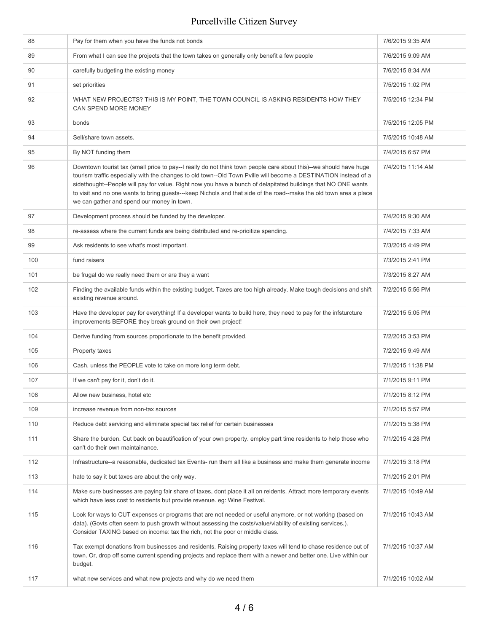| 88  | Pay for them when you have the funds not bonds                                                                                                                                                                                                                                                                                                                                                                                                                                                                            | 7/6/2015 9:35 AM  |
|-----|---------------------------------------------------------------------------------------------------------------------------------------------------------------------------------------------------------------------------------------------------------------------------------------------------------------------------------------------------------------------------------------------------------------------------------------------------------------------------------------------------------------------------|-------------------|
| 89  | From what I can see the projects that the town takes on generally only benefit a few people                                                                                                                                                                                                                                                                                                                                                                                                                               | 7/6/2015 9:09 AM  |
| 90  | carefully budgeting the existing money                                                                                                                                                                                                                                                                                                                                                                                                                                                                                    | 7/6/2015 8:34 AM  |
| 91  | set priorities                                                                                                                                                                                                                                                                                                                                                                                                                                                                                                            | 7/5/2015 1:02 PM  |
| 92  | WHAT NEW PROJECTS? THIS IS MY POINT, THE TOWN COUNCIL IS ASKING RESIDENTS HOW THEY<br>CAN SPEND MORE MONEY                                                                                                                                                                                                                                                                                                                                                                                                                | 7/5/2015 12:34 PM |
| 93  | bonds                                                                                                                                                                                                                                                                                                                                                                                                                                                                                                                     | 7/5/2015 12:05 PM |
| 94  | Sell/share town assets.                                                                                                                                                                                                                                                                                                                                                                                                                                                                                                   | 7/5/2015 10:48 AM |
| 95  | By NOT funding them                                                                                                                                                                                                                                                                                                                                                                                                                                                                                                       | 7/4/2015 6:57 PM  |
| 96  | Downtown tourist tax (small price to pay--I really do not think town people care about this)--we should have huge<br>tourism traffic especially with the changes to old town--Old Town Pville will become a DESTINATION instead of a<br>sidethought--People will pay for value. Right now you have a bunch of delapitated buildings that NO ONE wants<br>to visit and no one wants to bring guests---keep Nichols and that side of the road--make the old town area a place<br>we can gather and spend our money in town. | 7/4/2015 11:14 AM |
| 97  | Development process should be funded by the developer.                                                                                                                                                                                                                                                                                                                                                                                                                                                                    | 7/4/2015 9:30 AM  |
| 98  | re-assess where the current funds are being distributed and re-prioitize spending.                                                                                                                                                                                                                                                                                                                                                                                                                                        | 7/4/2015 7:33 AM  |
| 99  | Ask residents to see what's most important.                                                                                                                                                                                                                                                                                                                                                                                                                                                                               | 7/3/2015 4:49 PM  |
| 100 | fund raisers                                                                                                                                                                                                                                                                                                                                                                                                                                                                                                              | 7/3/2015 2:41 PM  |
| 101 | be frugal do we really need them or are they a want                                                                                                                                                                                                                                                                                                                                                                                                                                                                       | 7/3/2015 8:27 AM  |
| 102 | Finding the available funds within the existing budget. Taxes are too high already. Make tough decisions and shift<br>existing revenue around.                                                                                                                                                                                                                                                                                                                                                                            | 7/2/2015 5:56 PM  |
| 103 | Have the developer pay for everything! If a developer wants to build here, they need to pay for the infsturcture<br>improvements BEFORE they break ground on their own project!                                                                                                                                                                                                                                                                                                                                           | 7/2/2015 5:05 PM  |
| 104 | Derive funding from sources proportionate to the benefit provided.                                                                                                                                                                                                                                                                                                                                                                                                                                                        | 7/2/2015 3:53 PM  |
| 105 | Property taxes                                                                                                                                                                                                                                                                                                                                                                                                                                                                                                            | 7/2/2015 9:49 AM  |
| 106 | Cash, unless the PEOPLE vote to take on more long term debt.                                                                                                                                                                                                                                                                                                                                                                                                                                                              | 7/1/2015 11:38 PM |
| 107 | If we can't pay for it, don't do it.                                                                                                                                                                                                                                                                                                                                                                                                                                                                                      | 7/1/2015 9:11 PM  |
| 108 | Allow new business, hotel etc                                                                                                                                                                                                                                                                                                                                                                                                                                                                                             | 7/1/2015 8:12 PM  |
| 109 | increase revenue from non-tax sources                                                                                                                                                                                                                                                                                                                                                                                                                                                                                     | 7/1/2015 5:57 PM  |
| 110 | Reduce debt servicing and eliminate special tax relief for certain businesses                                                                                                                                                                                                                                                                                                                                                                                                                                             | 7/1/2015 5:38 PM  |
| 111 | Share the burden. Cut back on beautification of your own property, employ part time residents to help those who<br>can't do their own maintainance.                                                                                                                                                                                                                                                                                                                                                                       | 7/1/2015 4:28 PM  |
| 112 | Infrastructure--a reasonable, dedicated tax Events- run them all like a business and make them generate income                                                                                                                                                                                                                                                                                                                                                                                                            | 7/1/2015 3:18 PM  |
| 113 | hate to say it but taxes are about the only way.                                                                                                                                                                                                                                                                                                                                                                                                                                                                          | 7/1/2015 2:01 PM  |
| 114 | Make sure businesses are paying fair share of taxes, dont place it all on reidents. Attract more temporary events<br>which have less cost to residents but provide revenue. eg: Wine Festival.                                                                                                                                                                                                                                                                                                                            | 7/1/2015 10:49 AM |
| 115 | Look for ways to CUT expenses or programs that are not needed or useful anymore, or not working (based on<br>data). (Govts often seem to push growth without assessing the costs/value/viability of existing services.).<br>Consider TAXING based on income: tax the rich, not the poor or middle class.                                                                                                                                                                                                                  | 7/1/2015 10:43 AM |
| 116 | Tax exempt donations from businesses and residents. Raising property taxes will tend to chase residence out of<br>town. Or, drop off some current spending projects and replace them with a newer and better one. Live within our<br>budget.                                                                                                                                                                                                                                                                              | 7/1/2015 10:37 AM |
| 117 | what new services and what new projects and why do we need them                                                                                                                                                                                                                                                                                                                                                                                                                                                           | 7/1/2015 10:02 AM |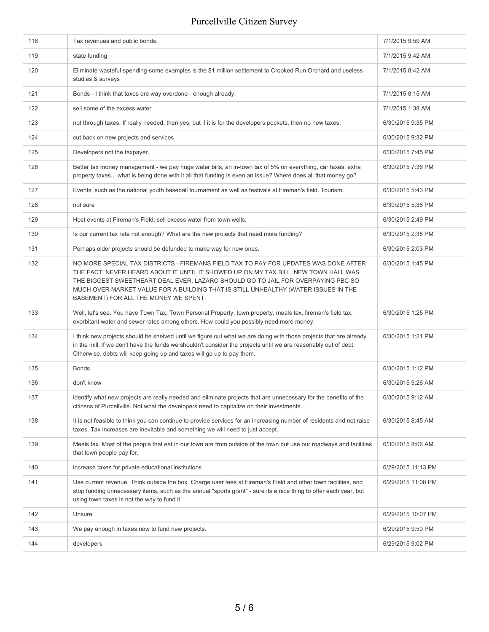| 118 | Tax revenues and public bonds.                                                                                                                                                                                                                                                                                                                                                                 | 7/1/2015 9:59 AM   |
|-----|------------------------------------------------------------------------------------------------------------------------------------------------------------------------------------------------------------------------------------------------------------------------------------------------------------------------------------------------------------------------------------------------|--------------------|
| 119 | state funding                                                                                                                                                                                                                                                                                                                                                                                  | 7/1/2015 9:42 AM   |
| 120 | Eliminate wasteful spending-some examples is the \$1 million settlement to Crooked Run Orchard and useless<br>studies & surveys                                                                                                                                                                                                                                                                | 7/1/2015 8:42 AM   |
| 121 | Bonds - I think that taxes are way overdone - enough already.                                                                                                                                                                                                                                                                                                                                  | 7/1/2015 8:15 AM   |
| 122 | sell some of the excess water                                                                                                                                                                                                                                                                                                                                                                  | 7/1/2015 1:38 AM   |
| 123 | not through taxes. If really needed, then yes, but if it is for the developers pockets, then no new taxes.                                                                                                                                                                                                                                                                                     | 6/30/2015 9:35 PM  |
| 124 | cut back on new projects and services                                                                                                                                                                                                                                                                                                                                                          | 6/30/2015 9:32 PM  |
| 125 | Developers not the taxpayer.                                                                                                                                                                                                                                                                                                                                                                   | 6/30/2015 7:45 PM  |
| 126 | Better tax money management - we pay huge water bills, an in-town tax of 5% on everything, car taxes, extra<br>property taxes what is being done with it all that funding is even an issue? Where does all that money go?                                                                                                                                                                      | 6/30/2015 7:36 PM  |
| 127 | Events, such as the national youth baseball tournament as well as festivals at Fireman's field. Tourism.                                                                                                                                                                                                                                                                                       | 6/30/2015 5:43 PM  |
| 128 | not sure                                                                                                                                                                                                                                                                                                                                                                                       | 6/30/2015 5:38 PM  |
| 129 | Host events at Fireman's Field; sell excess water from town wells;                                                                                                                                                                                                                                                                                                                             | 6/30/2015 2:49 PM  |
| 130 | Is our current tax rate not enough? What are the new projects that need more funding?                                                                                                                                                                                                                                                                                                          | 6/30/2015 2:38 PM  |
| 131 | Perhaps older projects should be defunded to make way for new ones.                                                                                                                                                                                                                                                                                                                            | 6/30/2015 2:03 PM  |
| 132 | NO MORE SPECIAL TAX DISTRICTS - FIREMANS FIELD TAX TO PAY FOR UPDATES WAS DONE AFTER<br>THE FACT. NEVER HEARD ABOUT IT UNTIL IT SHOWED UP ON MY TAX BILL. NEW TOWN HALL WAS<br>THE BIGGEST SWEETHEART DEAL EVER. LAZARO SHOULD GO TO JAIL FOR OVERPAYING PBC SO<br>MUCH OVER MARKET VALUE FOR A BUILDING THAT IS STILL UNHEALTHY (WATER ISSUES IN THE<br>BASEMENT) FOR ALL THE MONEY WE SPENT. | 6/30/2015 1:45 PM  |
| 133 | Well, let's see. You have Town Tax, Town Personal Property, town property, meals tax, fireman's field tax,<br>exorbitant water and sewer rates among others. How could you possibly need more money.                                                                                                                                                                                           | 6/30/2015 1:25 PM  |
| 134 | I think new projects should be shelved until we figure out what we are doing with those projects that are already<br>in the mill. If we don't have the funds we shouldn't consider the projects until we are reasonably out of debt.<br>Otherwise, debts will keep going up and taxes will go up to pay them.                                                                                  | 6/30/2015 1:21 PM  |
| 135 | <b>Bonds</b>                                                                                                                                                                                                                                                                                                                                                                                   | 6/30/2015 1:12 PM  |
| 136 | don't know                                                                                                                                                                                                                                                                                                                                                                                     | 6/30/2015 9:26 AM  |
| 137 | identify what new projects are really needed and eliminate projects that are unnecessary for the benefits of the<br>citizens of Purcellville. Not what the developers need to capitalize on their investments.                                                                                                                                                                                 | 6/30/2015 9:12 AM  |
| 138 | It is not feasible to think you can continue to provide services for an increasing number of residents and not raise<br>taxes. Tax increases are inevitable and something we will need to just accept.                                                                                                                                                                                         | 6/30/2015 8:45 AM  |
| 139 | Meals tax. Most of the people that eat in our town are from outside of the town but use our roadways and facilities<br>that town people pay for.                                                                                                                                                                                                                                               | 6/30/2015 8:06 AM  |
| 140 | increase taxes for private educational institutions                                                                                                                                                                                                                                                                                                                                            | 6/29/2015 11:13 PM |
| 141 | Use current revenue. Think outside the box. Charge user fees at Fireman's Field and other town facilities, and<br>stop funding unnecessary items, such as the annual "sports grant" - sure its a nice thing to offer each year, but<br>using town taxes is not the way to fund it.                                                                                                             | 6/29/2015 11:08 PM |
| 142 | Unsure                                                                                                                                                                                                                                                                                                                                                                                         | 6/29/2015 10:07 PM |
| 143 | We pay enough in taxes now to fund new projects.                                                                                                                                                                                                                                                                                                                                               | 6/29/2015 9:50 PM  |
| 144 | developers                                                                                                                                                                                                                                                                                                                                                                                     | 6/29/2015 9:02 PM  |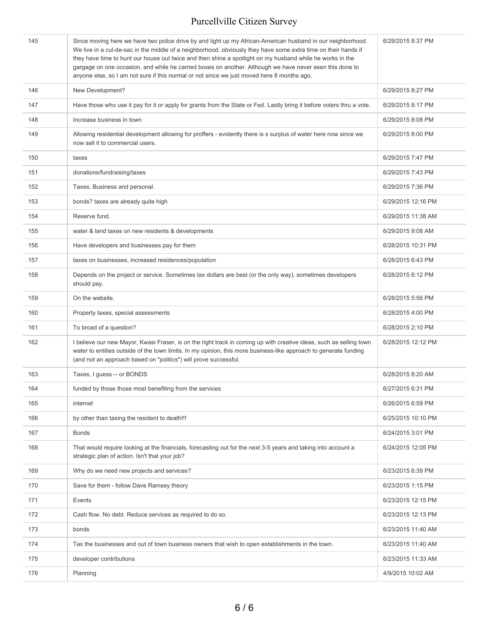| 145 | Since moving here we have two police drive by and light up my African-American husband in our neighborhood.<br>We live in a cul-de-sac in the middle of a neighborhood, obviously they have some extra time on their hands if<br>they have time to hunt our house out twice and then shine a spotlight on my husband while he works in the<br>gargage on one occasion, and while he carried boxes on another. Although we have never seen this done to<br>anyone else, so I am not sure if this normal or not since we just moved here 8 months ago. | 6/29/2015 8:37 PM  |
|-----|------------------------------------------------------------------------------------------------------------------------------------------------------------------------------------------------------------------------------------------------------------------------------------------------------------------------------------------------------------------------------------------------------------------------------------------------------------------------------------------------------------------------------------------------------|--------------------|
| 146 | New Development?                                                                                                                                                                                                                                                                                                                                                                                                                                                                                                                                     | 6/29/2015 8:27 PM  |
| 147 | Have those who use it pay for it or apply for grants from the State or Fed. Lastly bring it before voters thru a vote.                                                                                                                                                                                                                                                                                                                                                                                                                               | 6/29/2015 8:17 PM  |
| 148 | Increase business in town                                                                                                                                                                                                                                                                                                                                                                                                                                                                                                                            | 6/29/2015 8:08 PM  |
| 149 | Allowing residential development allowing for proffers - evidently there is s surplus of water here now since we<br>now sell it to commercial users.                                                                                                                                                                                                                                                                                                                                                                                                 | 6/29/2015 8:00 PM  |
| 150 | taxes                                                                                                                                                                                                                                                                                                                                                                                                                                                                                                                                                | 6/29/2015 7:47 PM  |
| 151 | donations/fundraising/taxes                                                                                                                                                                                                                                                                                                                                                                                                                                                                                                                          | 6/29/2015 7:43 PM  |
| 152 | Taxes. Business and personal.                                                                                                                                                                                                                                                                                                                                                                                                                                                                                                                        | 6/29/2015 7:36 PM  |
| 153 | bonds? taxes are already quite high                                                                                                                                                                                                                                                                                                                                                                                                                                                                                                                  | 6/29/2015 12:16 PM |
| 154 | Reserve fund.                                                                                                                                                                                                                                                                                                                                                                                                                                                                                                                                        | 6/29/2015 11:38 AM |
| 155 | water & land taxes on new residents & developments                                                                                                                                                                                                                                                                                                                                                                                                                                                                                                   | 6/29/2015 9:08 AM  |
| 156 | Have developers and businesses pay for them                                                                                                                                                                                                                                                                                                                                                                                                                                                                                                          | 6/28/2015 10:31 PM |
| 157 | taxes on businesses, increased residences/population                                                                                                                                                                                                                                                                                                                                                                                                                                                                                                 | 6/28/2015 6:43 PM  |
| 158 | Depends on the project or service. Sometimes tax dollars are best (or the only way), sometimes developers<br>should pay.                                                                                                                                                                                                                                                                                                                                                                                                                             | 6/28/2015 6:12 PM  |
| 159 | On the website.                                                                                                                                                                                                                                                                                                                                                                                                                                                                                                                                      | 6/28/2015 5:56 PM  |
| 160 | Property taxes, special assessments                                                                                                                                                                                                                                                                                                                                                                                                                                                                                                                  | 6/28/2015 4:00 PM  |
| 161 | To broad of a question?                                                                                                                                                                                                                                                                                                                                                                                                                                                                                                                              | 6/28/2015 2:10 PM  |
| 162 | I believe our new Mayor, Kwasi Fraser, is on the right track in coming up with creative ideas, such as selling town<br>water to entities outside of the town limits. In my opinion, this more business-like approach to generate funding<br>(and not an approach based on "politics") will prove successful.                                                                                                                                                                                                                                         | 6/28/2015 12:12 PM |
| 163 | Taxes, I quess -- or BONDS                                                                                                                                                                                                                                                                                                                                                                                                                                                                                                                           | 6/28/2015 8:20 AM  |
| 164 | funded by those those most benefiting from the services                                                                                                                                                                                                                                                                                                                                                                                                                                                                                              | 6/27/2015 6:31 PM  |
| 165 | internet                                                                                                                                                                                                                                                                                                                                                                                                                                                                                                                                             | 6/26/2015 6:59 PM  |
| 166 | by other than taxing the resident to death!!!                                                                                                                                                                                                                                                                                                                                                                                                                                                                                                        | 6/25/2015 10:10 PM |
| 167 | <b>Bonds</b>                                                                                                                                                                                                                                                                                                                                                                                                                                                                                                                                         | 6/24/2015 3:01 PM  |
| 168 | That would require looking at the financials, forecasting out for the next 3-5 years and taking into account a<br>strategic plan of action. Isn't that your job?                                                                                                                                                                                                                                                                                                                                                                                     | 6/24/2015 12:05 PM |
| 169 | Why do we need new projects and services?                                                                                                                                                                                                                                                                                                                                                                                                                                                                                                            | 6/23/2015 6:39 PM  |
| 170 | Save for them - follow Dave Ramsey theory                                                                                                                                                                                                                                                                                                                                                                                                                                                                                                            | 6/23/2015 1:15 PM  |
| 171 | Events                                                                                                                                                                                                                                                                                                                                                                                                                                                                                                                                               | 6/23/2015 12:15 PM |
| 172 | Cash flow. No debt. Reduce services as required to do so.                                                                                                                                                                                                                                                                                                                                                                                                                                                                                            | 6/23/2015 12:13 PM |
| 173 | bonds                                                                                                                                                                                                                                                                                                                                                                                                                                                                                                                                                | 6/23/2015 11:40 AM |
| 174 | Tax the businesses and out of town business owners that wish to open establishments in the town.                                                                                                                                                                                                                                                                                                                                                                                                                                                     | 6/23/2015 11:40 AM |
| 175 | developer contributions                                                                                                                                                                                                                                                                                                                                                                                                                                                                                                                              | 6/23/2015 11:33 AM |
| 176 | Planning                                                                                                                                                                                                                                                                                                                                                                                                                                                                                                                                             | 4/9/2015 10:02 AM  |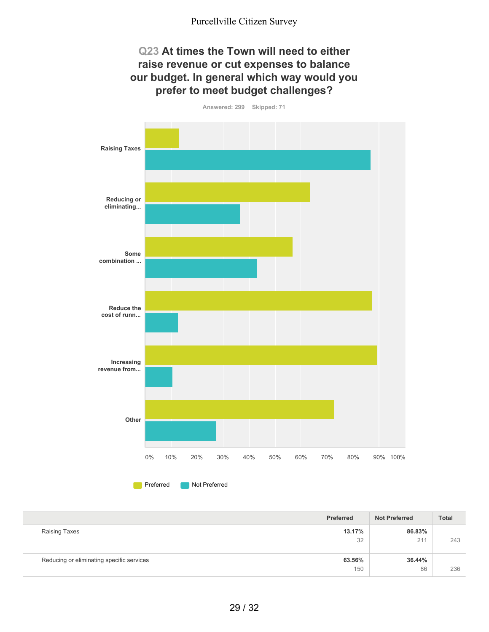#### **Q23 At times the Town will need to either raise revenue or cut expenses to balance our budget. In general which way would you prefer to meet budget challenges?**



**Preferred** Not Preferred

|                                           | Preferred     | <b>Not Preferred</b> | Total |
|-------------------------------------------|---------------|----------------------|-------|
| Raising Taxes                             | 13.17%<br>32  | 86.83%<br>211        | 243   |
| Reducing or eliminating specific services | 63.56%<br>150 | 36.44%<br>86         | 236   |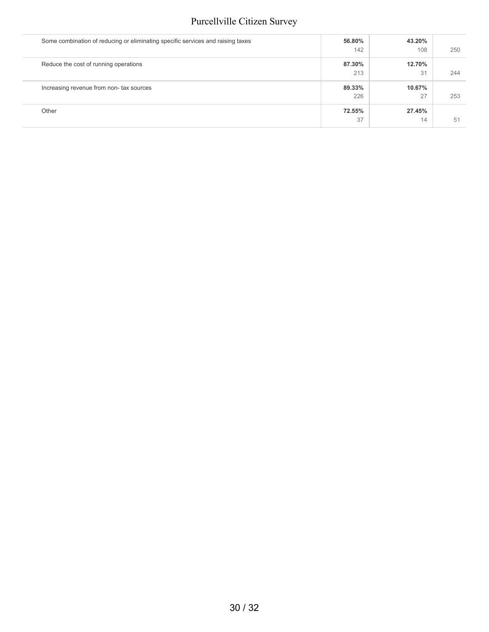| Some combination of reducing or eliminating specific services and raising taxes | 56.80% | 43.20% |     |
|---------------------------------------------------------------------------------|--------|--------|-----|
|                                                                                 | 142    | 108    | 250 |
| Reduce the cost of running operations                                           | 87.30% | 12.70% |     |
|                                                                                 | 213    | 31     | 244 |
| Increasing revenue from non- tax sources                                        | 89.33% | 10.67% |     |
|                                                                                 | 226    | 27     | 253 |
| Other                                                                           | 72.55% | 27.45% |     |
|                                                                                 | 37     | 14     | 51  |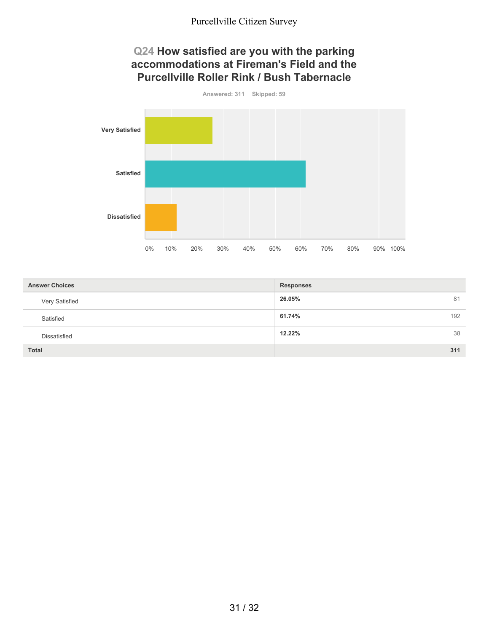#### **Q24 How satisfied are you with the parking accommodations at Fireman's Field and the Purcellville Roller Rink / Bush Tabernacle**



| <b>Answer Choices</b> | <b>Responses</b> |
|-----------------------|------------------|
| Very Satisfied        | 26.05%<br>81     |
| Satisfied             | 61.74%<br>192    |
| <b>Dissatisfied</b>   | 12.22%<br>38     |
| <b>Total</b>          | 311              |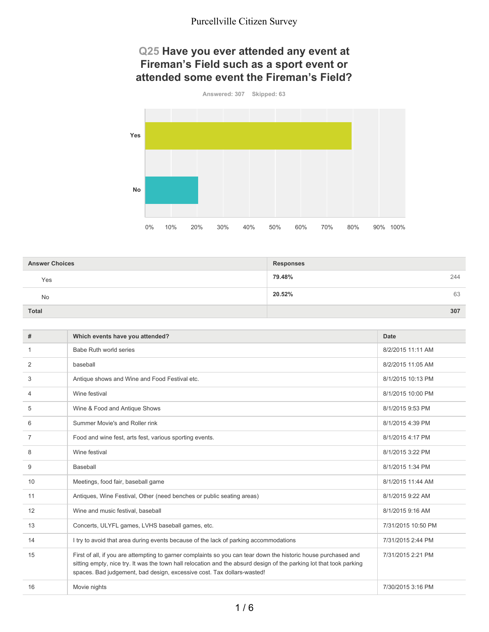### **Q25 Have you ever attended any event at Fireman's Field such as a sport event or attended some event the Fireman's Field?**



| <b>Answer Choices</b> | <b>Responses</b> |
|-----------------------|------------------|
| Yes                   | 79.48%<br>244    |
| <b>No</b>             | 20.52%<br>63     |
| <b>Total</b>          | 307              |

| #              | Which events have you attended?                                                                                                                                                                                                                                                                                 | Date               |
|----------------|-----------------------------------------------------------------------------------------------------------------------------------------------------------------------------------------------------------------------------------------------------------------------------------------------------------------|--------------------|
| 1              | Babe Ruth world series                                                                                                                                                                                                                                                                                          | 8/2/2015 11:11 AM  |
| 2              | baseball                                                                                                                                                                                                                                                                                                        | 8/2/2015 11:05 AM  |
| 3              | Antique shows and Wine and Food Festival etc.                                                                                                                                                                                                                                                                   | 8/1/2015 10:13 PM  |
| 4              | Wine festival                                                                                                                                                                                                                                                                                                   | 8/1/2015 10:00 PM  |
| 5              | Wine & Food and Antique Shows                                                                                                                                                                                                                                                                                   | 8/1/2015 9:53 PM   |
| 6              | Summer Movie's and Roller rink                                                                                                                                                                                                                                                                                  | 8/1/2015 4:39 PM   |
| $\overline{7}$ | Food and wine fest, arts fest, various sporting events.                                                                                                                                                                                                                                                         | 8/1/2015 4:17 PM   |
| 8              | Wine festival                                                                                                                                                                                                                                                                                                   | 8/1/2015 3:22 PM   |
| 9              | Baseball                                                                                                                                                                                                                                                                                                        | 8/1/2015 1:34 PM   |
| 10             | Meetings, food fair, baseball game                                                                                                                                                                                                                                                                              | 8/1/2015 11:44 AM  |
| 11             | Antiques, Wine Festival, Other (need benches or public seating areas)                                                                                                                                                                                                                                           | 8/1/2015 9:22 AM   |
| 12             | Wine and music festival, baseball                                                                                                                                                                                                                                                                               | 8/1/2015 9:16 AM   |
| 13             | Concerts, ULYFL games, LVHS baseball games, etc.                                                                                                                                                                                                                                                                | 7/31/2015 10:50 PM |
| 14             | I try to avoid that area during events because of the lack of parking accommodations                                                                                                                                                                                                                            | 7/31/2015 2:44 PM  |
| 15             | First of all, if you are attempting to garner complaints so you can tear down the historic house purchased and<br>sitting empty, nice try. It was the town hall relocation and the absurd design of the parking lot that took parking<br>spaces. Bad judgement, bad design, excessive cost. Tax dollars-wasted! | 7/31/2015 2:21 PM  |
| 16             | Movie nights                                                                                                                                                                                                                                                                                                    | 7/30/2015 3:16 PM  |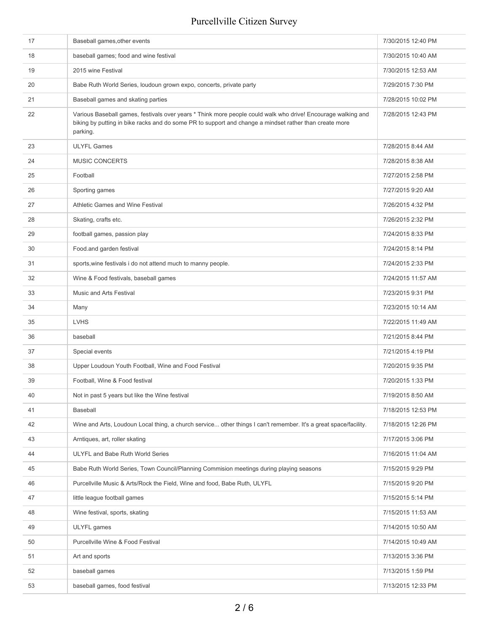| 17 | Baseball games, other events                                                                                                                                                                                                       | 7/30/2015 12:40 PM |
|----|------------------------------------------------------------------------------------------------------------------------------------------------------------------------------------------------------------------------------------|--------------------|
| 18 | baseball games; food and wine festival                                                                                                                                                                                             | 7/30/2015 10:40 AM |
| 19 | 2015 wine Festival                                                                                                                                                                                                                 | 7/30/2015 12:53 AM |
| 20 | Babe Ruth World Series, loudoun grown expo, concerts, private party                                                                                                                                                                | 7/29/2015 7:30 PM  |
| 21 | Baseball games and skating parties                                                                                                                                                                                                 | 7/28/2015 10:02 PM |
| 22 | Various Baseball games, festivals over years * Think more people could walk who drive! Encourage walking and<br>biking by putting in bike racks and do some PR to support and change a mindset rather than create more<br>parking. | 7/28/2015 12:43 PM |
| 23 | <b>ULYFL Games</b>                                                                                                                                                                                                                 | 7/28/2015 8:44 AM  |
| 24 | <b>MUSIC CONCERTS</b>                                                                                                                                                                                                              | 7/28/2015 8:38 AM  |
| 25 | Football                                                                                                                                                                                                                           | 7/27/2015 2:58 PM  |
| 26 | Sporting games                                                                                                                                                                                                                     | 7/27/2015 9:20 AM  |
| 27 | Athletic Games and Wine Festival                                                                                                                                                                                                   | 7/26/2015 4:32 PM  |
| 28 | Skating, crafts etc.                                                                                                                                                                                                               | 7/26/2015 2:32 PM  |
| 29 | football games, passion play                                                                                                                                                                                                       | 7/24/2015 8:33 PM  |
| 30 | Food.and garden festival                                                                                                                                                                                                           | 7/24/2015 8:14 PM  |
| 31 | sports, wine festivals i do not attend much to manny people.                                                                                                                                                                       | 7/24/2015 2:33 PM  |
| 32 | Wine & Food festivals, baseball games                                                                                                                                                                                              | 7/24/2015 11:57 AM |
| 33 | Music and Arts Festival                                                                                                                                                                                                            | 7/23/2015 9:31 PM  |
| 34 | Many                                                                                                                                                                                                                               | 7/23/2015 10:14 AM |
| 35 | <b>LVHS</b>                                                                                                                                                                                                                        | 7/22/2015 11:49 AM |
| 36 | baseball                                                                                                                                                                                                                           | 7/21/2015 8:44 PM  |
| 37 | Special events                                                                                                                                                                                                                     | 7/21/2015 4:19 PM  |
| 38 | Upper Loudoun Youth Football, Wine and Food Festival                                                                                                                                                                               | 7/20/2015 9:35 PM  |
| 39 | Football, Wine & Food festival                                                                                                                                                                                                     | 7/20/2015 1:33 PM  |
| 40 | Not in past 5 years but like the Wine festival                                                                                                                                                                                     | 7/19/2015 8:50 AM  |
| 41 | Baseball                                                                                                                                                                                                                           | 7/18/2015 12:53 PM |
| 42 | Wine and Arts, Loudoun Local thing, a church service other things I can't remember. It's a great space/facility.                                                                                                                   | 7/18/2015 12:26 PM |
| 43 | Arntiques, art, roller skating                                                                                                                                                                                                     | 7/17/2015 3:06 PM  |
| 44 | ULYFL and Babe Ruth World Series                                                                                                                                                                                                   | 7/16/2015 11:04 AM |
| 45 | Babe Ruth World Series, Town Council/Planning Commision meetings during playing seasons                                                                                                                                            | 7/15/2015 9:29 PM  |
| 46 | Purcellville Music & Arts/Rock the Field, Wine and food, Babe Ruth, ULYFL                                                                                                                                                          | 7/15/2015 9:20 PM  |
| 47 | little league football games                                                                                                                                                                                                       | 7/15/2015 5:14 PM  |
| 48 | Wine festival, sports, skating                                                                                                                                                                                                     | 7/15/2015 11:53 AM |
| 49 | ULYFL games                                                                                                                                                                                                                        | 7/14/2015 10:50 AM |
| 50 | Purcellville Wine & Food Festival                                                                                                                                                                                                  | 7/14/2015 10:49 AM |
| 51 | Art and sports                                                                                                                                                                                                                     | 7/13/2015 3:36 PM  |
| 52 | baseball games                                                                                                                                                                                                                     | 7/13/2015 1:59 PM  |
| 53 | baseball games, food festival                                                                                                                                                                                                      | 7/13/2015 12:33 PM |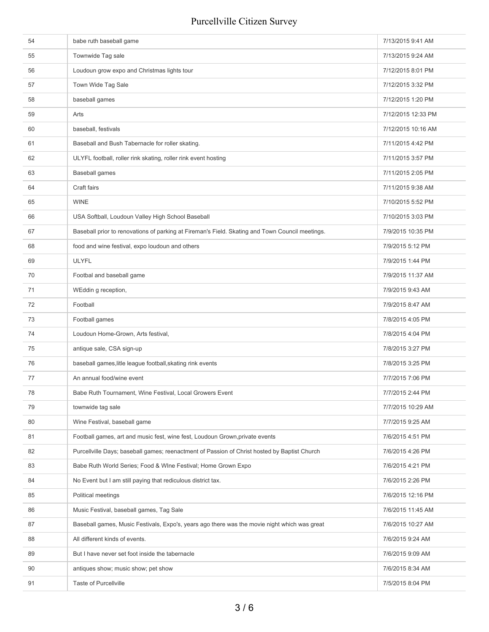| 54 | babe ruth baseball game                                                                         | 7/13/2015 9:41 AM  |
|----|-------------------------------------------------------------------------------------------------|--------------------|
| 55 | Townwide Tag sale                                                                               | 7/13/2015 9:24 AM  |
| 56 | Loudoun grow expo and Christmas lights tour                                                     | 7/12/2015 8:01 PM  |
| 57 | Town Wide Tag Sale                                                                              | 7/12/2015 3:32 PM  |
| 58 | baseball games                                                                                  | 7/12/2015 1:20 PM  |
| 59 | Arts                                                                                            | 7/12/2015 12:33 PM |
| 60 | baseball, festivals                                                                             | 7/12/2015 10:16 AM |
| 61 | Baseball and Bush Tabernacle for roller skating.                                                | 7/11/2015 4:42 PM  |
| 62 | ULYFL football, roller rink skating, roller rink event hosting                                  | 7/11/2015 3:57 PM  |
| 63 | <b>Baseball games</b>                                                                           | 7/11/2015 2:05 PM  |
| 64 | Craft fairs                                                                                     | 7/11/2015 9:38 AM  |
| 65 | <b>WINE</b>                                                                                     | 7/10/2015 5:52 PM  |
| 66 | USA Softball, Loudoun Valley High School Baseball                                               | 7/10/2015 3:03 PM  |
| 67 | Baseball prior to renovations of parking at Fireman's Field. Skating and Town Council meetings. | 7/9/2015 10:35 PM  |
| 68 | food and wine festival, expo loudoun and others                                                 | 7/9/2015 5:12 PM   |
| 69 | ULYFL                                                                                           | 7/9/2015 1:44 PM   |
| 70 | Footbal and baseball game                                                                       | 7/9/2015 11:37 AM  |
| 71 | WEddin g reception,                                                                             | 7/9/2015 9:43 AM   |
| 72 | Football                                                                                        | 7/9/2015 8:47 AM   |
| 73 | Football games                                                                                  | 7/8/2015 4:05 PM   |
| 74 | Loudoun Home-Grown, Arts festival,                                                              | 7/8/2015 4:04 PM   |
| 75 | antique sale, CSA sign-up                                                                       | 7/8/2015 3:27 PM   |
| 76 | baseball games, litle league football, skating rink events                                      | 7/8/2015 3:25 PM   |
| 77 | An annual food/wine event                                                                       | 7/7/2015 7:06 PM   |
| 78 | Babe Ruth Tournament, Wine Festival, Local Growers Event                                        | 7/7/2015 2:44 PM   |
| 79 | townwide tag sale                                                                               | 7/7/2015 10:29 AM  |
| 80 | Wine Festival, baseball game                                                                    | 7/7/2015 9:25 AM   |
| 81 | Football games, art and music fest, wine fest, Loudoun Grown, private events                    | 7/6/2015 4:51 PM   |
| 82 | Purcellville Days; baseball games; reenactment of Passion of Christ hosted by Baptist Church    | 7/6/2015 4:26 PM   |
| 83 | Babe Ruth World Series; Food & Wine Festival; Home Grown Expo                                   | 7/6/2015 4:21 PM   |
| 84 | No Event but I am still paying that rediculous district tax.                                    | 7/6/2015 2:26 PM   |
| 85 | Political meetings                                                                              | 7/6/2015 12:16 PM  |
| 86 | Music Festival, baseball games, Tag Sale                                                        | 7/6/2015 11:45 AM  |
| 87 | Baseball games, Music Festivals, Expo's, years ago there was the movie night which was great    | 7/6/2015 10:27 AM  |
| 88 | All different kinds of events.                                                                  | 7/6/2015 9:24 AM   |
| 89 | But I have never set foot inside the tabernacle                                                 | 7/6/2015 9:09 AM   |
| 90 | antiques show; music show; pet show                                                             | 7/6/2015 8:34 AM   |
| 91 | <b>Taste of Purcellville</b>                                                                    | 7/5/2015 8:04 PM   |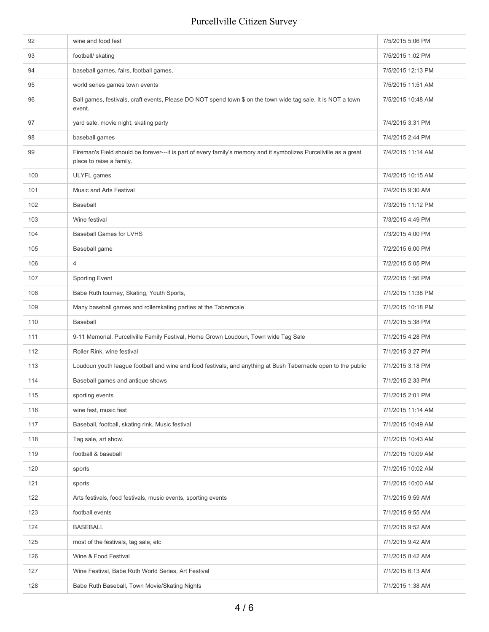| 92  | wine and food fest                                                                                                                            | 7/5/2015 5:06 PM  |
|-----|-----------------------------------------------------------------------------------------------------------------------------------------------|-------------------|
| 93  | football/ skating                                                                                                                             | 7/5/2015 1:02 PM  |
| 94  | baseball games, fairs, football games,                                                                                                        | 7/5/2015 12:13 PM |
| 95  | world series games town events                                                                                                                | 7/5/2015 11:51 AM |
| 96  | Ball games, festivals, craft events, Please DO NOT spend town \$ on the town wide tag sale. It is NOT a town<br>event.                        | 7/5/2015 10:48 AM |
| 97  | yard sale, movie night, skating party                                                                                                         | 7/4/2015 3:31 PM  |
| 98  | baseball games                                                                                                                                | 7/4/2015 2:44 PM  |
| 99  | Fireman's Field should be forever---it is part of every family's memory and it symbolizes Purcellville as a great<br>place to raise a family. | 7/4/2015 11:14 AM |
| 100 | ULYFL games                                                                                                                                   | 7/4/2015 10:15 AM |
| 101 | Music and Arts Festival                                                                                                                       | 7/4/2015 9:30 AM  |
| 102 | Baseball                                                                                                                                      | 7/3/2015 11:12 PM |
| 103 | Wine festival                                                                                                                                 | 7/3/2015 4:49 PM  |
| 104 | <b>Baseball Games for LVHS</b>                                                                                                                | 7/3/2015 4:00 PM  |
| 105 | Baseball game                                                                                                                                 | 7/2/2015 6:00 PM  |
| 106 | $\overline{4}$                                                                                                                                | 7/2/2015 5:05 PM  |
| 107 | Sporting Event                                                                                                                                | 7/2/2015 1:56 PM  |
| 108 | Babe Ruth tourney, Skating, Youth Sports,                                                                                                     | 7/1/2015 11:38 PM |
| 109 | Many baseball games and rollerskating parties at the Taberncale                                                                               | 7/1/2015 10:18 PM |
| 110 | Baseball                                                                                                                                      | 7/1/2015 5:38 PM  |
| 111 | 9-11 Memorial, Purcellville Family Festival, Home Grown Loudoun, Town wide Tag Sale                                                           | 7/1/2015 4:28 PM  |
| 112 | Roller Rink, wine festival                                                                                                                    | 7/1/2015 3:27 PM  |
| 113 | Loudoun youth league football and wine and food festivals, and anything at Bush Tabernacle open to the public                                 | 7/1/2015 3:18 PM  |
| 114 | Baseball games and antique shows                                                                                                              | 7/1/2015 2:33 PM  |
| 115 | sporting events                                                                                                                               | 7/1/2015 2:01 PM  |
| 116 | wine fest, music fest                                                                                                                         | 7/1/2015 11:14 AM |
| 117 | Baseball, football, skating rink, Music festival                                                                                              | 7/1/2015 10:49 AM |
| 118 | Tag sale, art show.                                                                                                                           | 7/1/2015 10:43 AM |
| 119 | football & baseball                                                                                                                           | 7/1/2015 10:09 AM |
| 120 | sports                                                                                                                                        | 7/1/2015 10:02 AM |
| 121 | sports                                                                                                                                        | 7/1/2015 10:00 AM |
| 122 | Arts festivals, food festivals, music events, sporting events                                                                                 | 7/1/2015 9:59 AM  |
| 123 | football events                                                                                                                               | 7/1/2015 9:55 AM  |
| 124 | <b>BASEBALL</b>                                                                                                                               | 7/1/2015 9:52 AM  |
| 125 | most of the festivals, tag sale, etc.                                                                                                         | 7/1/2015 9:42 AM  |
| 126 | Wine & Food Festival                                                                                                                          | 7/1/2015 8:42 AM  |
| 127 | Wine Festival, Babe Ruth World Series, Art Festival                                                                                           | 7/1/2015 6:13 AM  |
| 128 | Babe Ruth Baseball, Town Movie/Skating Nights                                                                                                 | 7/1/2015 1:38 AM  |
|     |                                                                                                                                               |                   |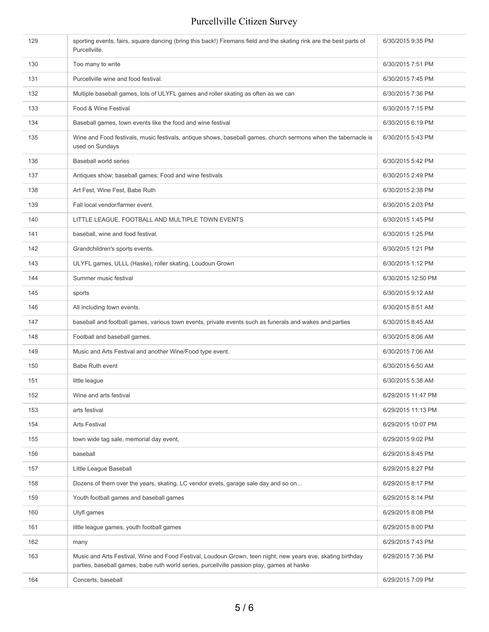| 129 | sporting events, fairs, square dancing (bring this back!) Firemans field and the skating rink are the best parts of<br>Purcellville.                                                                      | 6/30/2015 9:35 PM  |
|-----|-----------------------------------------------------------------------------------------------------------------------------------------------------------------------------------------------------------|--------------------|
| 130 | Too many to write                                                                                                                                                                                         | 6/30/2015 7:51 PM  |
| 131 | Purcellville wine and food festival.                                                                                                                                                                      | 6/30/2015 7:45 PM  |
| 132 | Multiple baseball games, lots of ULYFL games and roller skating as often as we can                                                                                                                        | 6/30/2015 7:36 PM  |
| 133 | Food & Wine Festival                                                                                                                                                                                      | 6/30/2015 7:15 PM  |
| 134 | Baseball games, town events like the food and wine festival                                                                                                                                               | 6/30/2015 6:19 PM  |
| 135 | Wine and Food festivals, music festivals, antique shows, baseball games, church sermons when the tabernacle is<br>used on Sundays                                                                         | 6/30/2015 5:43 PM  |
| 136 | Baseball world series                                                                                                                                                                                     | 6/30/2015 5:42 PM  |
| 137 | Antiques show; baseball games; Food and wine festivals                                                                                                                                                    | 6/30/2015 2:49 PM  |
| 138 | Art Fest, Wine Fest, Babe Ruth                                                                                                                                                                            | 6/30/2015 2:38 PM  |
| 139 | Fall local vendor/farmer event.                                                                                                                                                                           | 6/30/2015 2:03 PM  |
| 140 | LITTLE LEAGUE, FOOTBALL AND MULTIPLE TOWN EVENTS                                                                                                                                                          | 6/30/2015 1:45 PM  |
| 141 | baseball, wine and food festival.                                                                                                                                                                         | 6/30/2015 1:25 PM  |
| 142 | Grandchildren's sports events.                                                                                                                                                                            | 6/30/2015 1:21 PM  |
| 143 | ULYFL games, ULLL (Haske), roller skating, Loudoun Grown                                                                                                                                                  | 6/30/2015 1:12 PM  |
| 144 | Summer music festival                                                                                                                                                                                     | 6/30/2015 12:50 PM |
| 145 | sports                                                                                                                                                                                                    | 6/30/2015 9:12 AM  |
| 146 | All including town events.                                                                                                                                                                                | 6/30/2015 8:51 AM  |
| 147 | baseball and football games, various town events, private events such as funerals and wakes and parties                                                                                                   | 6/30/2015 8:45 AM  |
| 148 | Football and baseball games.                                                                                                                                                                              | 6/30/2015 8:06 AM  |
| 149 | Music and Arts Festival and another Wine/Food type event.                                                                                                                                                 | 6/30/2015 7:06 AM  |
| 150 | <b>Babe Ruth event</b>                                                                                                                                                                                    | 6/30/2015 6:50 AM  |
| 151 | little league                                                                                                                                                                                             | 6/30/2015 5:38 AM  |
| 152 | Wine and arts festival                                                                                                                                                                                    | 6/29/2015 11:47 PM |
| 153 | arts festival                                                                                                                                                                                             | 6/29/2015 11:13 PM |
| 154 | <b>Arts Festival</b>                                                                                                                                                                                      | 6/29/2015 10:07 PM |
| 155 | town wide tag sale, memorial day event,                                                                                                                                                                   | 6/29/2015 9:02 PM  |
| 156 | baseball                                                                                                                                                                                                  | 6/29/2015 8:45 PM  |
| 157 | Little League Baseball                                                                                                                                                                                    | 6/29/2015 8:27 PM  |
| 158 | Dozens of them over the years, skating, LC vendor evets, garage sale day and so on                                                                                                                        | 6/29/2015 8:17 PM  |
| 159 | Youth football games and baseball games                                                                                                                                                                   | 6/29/2015 8:14 PM  |
| 160 | Ulyfl games                                                                                                                                                                                               | 6/29/2015 8:08 PM  |
| 161 | little league games, youth football games                                                                                                                                                                 | 6/29/2015 8:00 PM  |
| 162 | many                                                                                                                                                                                                      | 6/29/2015 7:43 PM  |
| 163 | Music and Arts Festival, Wine and Food Festival, Loudoun Grown, teen night, new years eve, skating birthday<br>parties, baseball games, babe ruth world series, purcellville passion play, games at haske | 6/29/2015 7:36 PM  |
| 164 | Concerts, baseball                                                                                                                                                                                        | 6/29/2015 7:09 PM  |